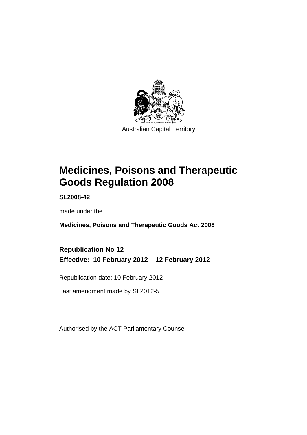

# **Medicines, Poisons and Therapeutic Goods Regulation 2008**

**SL2008-42** 

made under the

**Medicines, Poisons and Therapeutic Goods Act 2008** 

## **Republication No 12 Effective: 10 February 2012 – 12 February 2012**

Republication date: 10 February 2012

Last amendment made by SL2012-5

Authorised by the ACT Parliamentary Counsel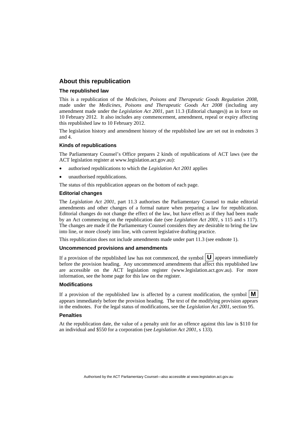#### **About this republication**

#### **The republished law**

This is a republication of the *Medicines, Poisons and Therapeutic Goods Regulation 2008*, made under the *Medicines, Poisons and Therapeutic Goods Act 2008* (including any amendment made under the *Legislation Act 2001*, part 11.3 (Editorial changes)) as in force on 10 February 2012*.* It also includes any commencement, amendment, repeal or expiry affecting this republished law to 10 February 2012.

The legislation history and amendment history of the republished law are set out in endnotes 3 and 4.

#### **Kinds of republications**

The Parliamentary Counsel's Office prepares 2 kinds of republications of ACT laws (see the ACT legislation register at www.legislation.act.gov.au):

- authorised republications to which the *Legislation Act 2001* applies
- unauthorised republications.

The status of this republication appears on the bottom of each page.

#### **Editorial changes**

The *Legislation Act 2001*, part 11.3 authorises the Parliamentary Counsel to make editorial amendments and other changes of a formal nature when preparing a law for republication. Editorial changes do not change the effect of the law, but have effect as if they had been made by an Act commencing on the republication date (see *Legislation Act 2001*, s 115 and s 117). The changes are made if the Parliamentary Counsel considers they are desirable to bring the law into line, or more closely into line, with current legislative drafting practice.

This republication does not include amendments made under part 11.3 (see endnote 1).

#### **Uncommenced provisions and amendments**

If a provision of the republished law has not commenced, the symbol  $\mathbf{U}$  appears immediately before the provision heading. Any uncommenced amendments that affect this republished law are accessible on the ACT legislation register (www.legislation.act.gov.au). For more information, see the home page for this law on the register.

#### **Modifications**

If a provision of the republished law is affected by a current modification, the symbol  $\mathbf{M}$ appears immediately before the provision heading. The text of the modifying provision appears in the endnotes. For the legal status of modifications, see the *Legislation Act 2001*, section 95.

#### **Penalties**

At the republication date, the value of a penalty unit for an offence against this law is \$110 for an individual and \$550 for a corporation (see *Legislation Act 2001*, s 133).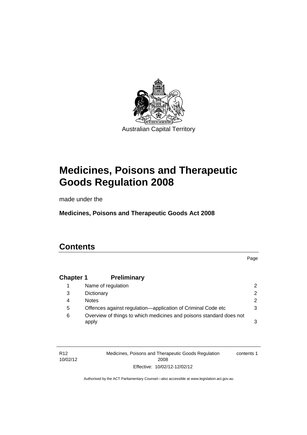

# **Medicines, Poisons and Therapeutic Goods Regulation 2008**

made under the

**Medicines, Poisons and Therapeutic Goods Act 2008** 

## **Contents**

Page

## **Chapter 1 [Preliminary](#page-25-0)**

|   | Name of regulation                                                           | $\mathcal{P}$ |
|---|------------------------------------------------------------------------------|---------------|
| 3 | Dictionary                                                                   | $\mathcal{P}$ |
| 4 | <b>Notes</b>                                                                 | 2.            |
| 5 | Offences against regulation—application of Criminal Code etc                 | 3             |
| 6 | Overview of things to which medicines and poisons standard does not<br>apply | 3             |

| R <sub>12</sub> | Medicines, Poisons and Therapeutic Goods Regulation | contents 1 |
|-----------------|-----------------------------------------------------|------------|
| 10/02/12        | 2008                                                |            |
|                 | Effective: 10/02/12-12/02/12                        |            |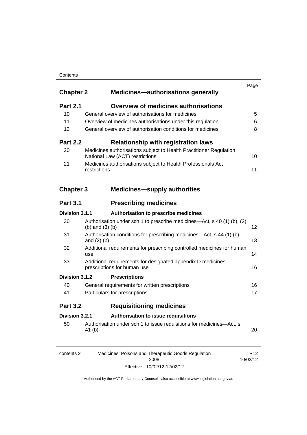#### **Contents**

| <b>Chapter 2</b> |                       | <b>Medicines—authorisations generally</b>                                                             | Page |
|------------------|-----------------------|-------------------------------------------------------------------------------------------------------|------|
| <b>Part 2.1</b>  |                       | <b>Overview of medicines authorisations</b>                                                           |      |
| 10               |                       | General overview of authorisations for medicines                                                      | 5    |
| 11               |                       | Overview of medicines authorisations under this regulation                                            | 6    |
| 12               |                       | General overview of authorisation conditions for medicines                                            | 8    |
| <b>Part 2.2</b>  |                       | <b>Relationship with registration laws</b>                                                            |      |
| 20               |                       | Medicines authorisations subject to Health Practitioner Regulation<br>National Law (ACT) restrictions | 10   |
| 21               | restrictions          | Medicines authorisations subject to Health Professionals Act                                          | 11   |
| <b>Chapter 3</b> |                       | <b>Medicines-supply authorities</b>                                                                   |      |
| <b>Part 3.1</b>  |                       | <b>Prescribing medicines</b>                                                                          |      |
| Division 3.1.1   |                       | Authorisation to prescribe medicines                                                                  |      |
| 30               | $(b)$ and $(3)$ $(b)$ | Authorisation under sch 1 to prescribe medicines—Act, s 40 (1) (b), (2)                               | 12   |
| 31               | and $(2)$ $(b)$       | Authorisation conditions for prescribing medicines-Act, s 44 (1) (b)                                  | 13   |
| 32               | use                   | Additional requirements for prescribing controlled medicines for human                                | 14   |
| 33               |                       | Additional requirements for designated appendix D medicines<br>prescriptions for human use            | 16   |
| Division 3.1.2   |                       | <b>Prescriptions</b>                                                                                  |      |
| 40               |                       | General requirements for written prescriptions                                                        | 16   |
| 41               |                       | Particulars for prescriptions                                                                         | 17   |
| <b>Part 3.2</b>  |                       | <b>Requisitioning medicines</b>                                                                       |      |
|                  |                       | Authorisation to issue requisitions                                                                   |      |
| Division 3.2.1   |                       |                                                                                                       |      |

| contents 2 | Medicines, Poisons and Therapeutic Goods Regulation | R <sub>12</sub> |
|------------|-----------------------------------------------------|-----------------|
|            | 2008                                                | 10/02/12        |
|            | Effective: 10/02/12-12/02/12                        |                 |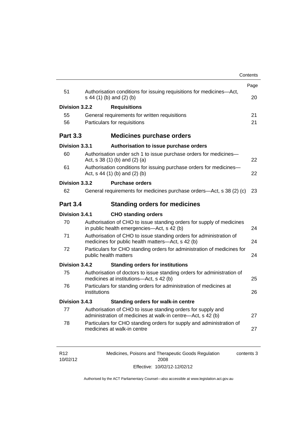|                 |              |                                                                                                                          | Contents   |
|-----------------|--------------|--------------------------------------------------------------------------------------------------------------------------|------------|
| 51              |              | Authorisation conditions for issuing requisitions for medicines-Act,<br>s 44 (1) (b) and (2) (b)                         | Page<br>20 |
| Division 3.2.2  |              | <b>Requisitions</b>                                                                                                      |            |
| 55              |              | General requirements for written requisitions                                                                            | 21         |
| 56              |              | Particulars for requisitions                                                                                             | 21         |
| <b>Part 3.3</b> |              | <b>Medicines purchase orders</b>                                                                                         |            |
| Division 3.3.1  |              | Authorisation to issue purchase orders                                                                                   |            |
| 60              |              | Authorisation under sch 1 to issue purchase orders for medicines-<br>Act, s $38(1)$ (b) and (2) (a)                      | 22         |
| 61              |              | Authorisation conditions for issuing purchase orders for medicines-<br>Act, $s$ 44 (1) (b) and (2) (b)                   | 22         |
| Division 3.3.2  |              | <b>Purchase orders</b>                                                                                                   |            |
| 62              |              | General requirements for medicines purchase orders—Act, s 38 (2) (c)                                                     | 23         |
| <b>Part 3.4</b> |              | <b>Standing orders for medicines</b>                                                                                     |            |
| Division 3.4.1  |              | <b>CHO standing orders</b>                                                                                               |            |
| 70              |              | Authorisation of CHO to issue standing orders for supply of medicines<br>in public health emergencies—Act, s 42 (b)      | 24         |
| 71              |              | Authorisation of CHO to issue standing orders for administration of<br>medicines for public health matters-Act, s 42 (b) | 24         |
| 72              |              | Particulars for CHO standing orders for administration of medicines for<br>public health matters                         | 24         |
| Division 3.4.2  |              | <b>Standing orders for institutions</b>                                                                                  |            |
| 75              |              | Authorisation of doctors to issue standing orders for administration of<br>medicines at institutions-Act, s 42 (b)       | 25         |
| 76              | institutions | Particulars for standing orders for administration of medicines at                                                       | 26         |
| Division 3.4.3  |              | <b>Standing orders for walk-in centre</b>                                                                                |            |
| 77              |              | Authorisation of CHO to issue standing orders for supply and                                                             | 27         |
|                 |              | administration of medicines at walk-in centre-Act, s 42 (b)                                                              |            |

| R12      | Medicines, Poisons and Therapeutic Goods Regulation | contents 3 |
|----------|-----------------------------------------------------|------------|
| 10/02/12 | 2008                                                |            |
|          | Effective: 10/02/12-12/02/12                        |            |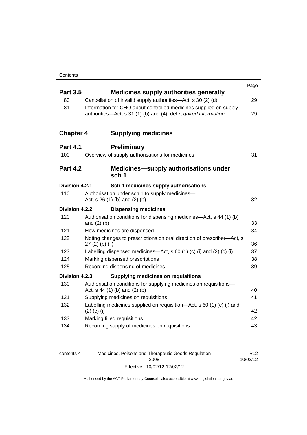|                  |                                                                                                                                      | Page |
|------------------|--------------------------------------------------------------------------------------------------------------------------------------|------|
| <b>Part 3.5</b>  | <b>Medicines supply authorities generally</b>                                                                                        |      |
| 80               | Cancellation of invalid supply authorities—Act, s 30 (2) (d)                                                                         | 29   |
| 81               | Information for CHO about controlled medicines supplied on supply<br>authorities-Act, s 31 (1) (b) and (4), def required information | 29   |
| <b>Chapter 4</b> | <b>Supplying medicines</b>                                                                                                           |      |
| <b>Part 4.1</b>  | <b>Preliminary</b>                                                                                                                   |      |
| 100              | Overview of supply authorisations for medicines                                                                                      | 31   |
| <b>Part 4.2</b>  | <b>Medicines—supply authorisations under</b><br>sch <sub>1</sub>                                                                     |      |
| Division 4.2.1   | Sch 1 medicines supply authorisations                                                                                                |      |
| 110              | Authorisation under sch 1 to supply medicines-<br>Act, $s$ 26 (1) (b) and (2) (b)                                                    | 32   |
| Division 4.2.2   | <b>Dispensing medicines</b>                                                                                                          |      |
| 120              | Authorisation conditions for dispensing medicines—Act, s 44 (1) (b)<br>and $(2)$ $(b)$                                               | 33   |
| 121              | How medicines are dispensed                                                                                                          | 34   |
| 122              | Noting changes to prescriptions on oral direction of prescriber-Act, s<br>$27(2)$ (b) (ii)                                           | 36   |
| 123              | Labelling dispensed medicines—Act, s 60 (1) (c) (i) and (2) (c) (i)                                                                  | 37   |
| 124              | Marking dispensed prescriptions                                                                                                      | 38   |
| 125              | Recording dispensing of medicines                                                                                                    | 39   |
| Division 4.2.3   | <b>Supplying medicines on requisitions</b>                                                                                           |      |
| 130              | Authorisation conditions for supplying medicines on requisitions-<br>Act, s 44 (1) (b) and (2) (b)                                   | 40   |
| 131              | Supplying medicines on requisitions                                                                                                  | 41   |
| 132              | Labelling medicines supplied on requisition—Act, s 60 (1) (c) (i) and<br>$(2)$ (c) (i)                                               | 42   |
| 133              | Marking filled requisitions                                                                                                          | 42   |
| 134              | Recording supply of medicines on requisitions                                                                                        | 43   |
|                  |                                                                                                                                      |      |

| contents 4 | Medicines, Poisons and Therapeutic Goods Regulation | R <sub>12</sub> |
|------------|-----------------------------------------------------|-----------------|
|            | 2008                                                | 10/02/12        |
|            | Effective: 10/02/12-12/02/12                        |                 |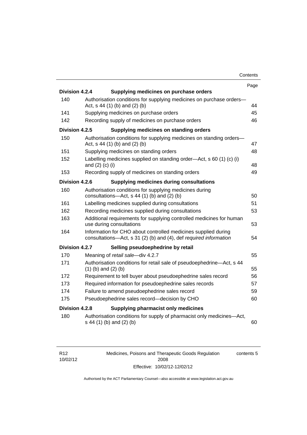| Contents |
|----------|
|----------|

|                |                                                                                                                                     | Page |
|----------------|-------------------------------------------------------------------------------------------------------------------------------------|------|
| Division 4.2.4 | Supplying medicines on purchase orders                                                                                              |      |
| 140            | Authorisation conditions for supplying medicines on purchase orders-<br>Act, s 44 (1) (b) and (2) (b)                               | 44   |
| 141            | Supplying medicines on purchase orders                                                                                              | 45   |
| 142            | Recording supply of medicines on purchase orders                                                                                    | 46   |
| Division 4.2.5 | Supplying medicines on standing orders                                                                                              |      |
| 150            | Authorisation conditions for supplying medicines on standing orders-<br>Act, s 44 (1) (b) and (2) (b)                               | 47   |
| 151            | Supplying medicines on standing orders                                                                                              | 48   |
| 152            | Labelling medicines supplied on standing order—Act, s 60 (1) (c) (i)<br>and $(2)$ $(c)$ $(i)$                                       | 48   |
| 153            | Recording supply of medicines on standing orders                                                                                    | 49   |
| Division 4.2.6 | Supplying medicines during consultations                                                                                            |      |
| 160            | Authorisation conditions for supplying medicines during<br>consultations- $-\text{Act}$ , s 44 (1) (b) and (2) (b)                  | 50   |
| 161            | Labelling medicines supplied during consultations                                                                                   | 51   |
| 162            | Recording medicines supplied during consultations                                                                                   | 53   |
| 163            | Additional requirements for supplying controlled medicines for human<br>use during consultations                                    | 53   |
| 164            | Information for CHO about controlled medicines supplied during<br>consultations—Act, s 31 (2) (b) and (4), def required information | 54   |
| Division 4.2.7 | Selling pseudoephedrine by retail                                                                                                   |      |
| 170            | Meaning of retail sale-div 4.2.7                                                                                                    | 55   |
| 171            | Authorisation conditions for retail sale of pseudoephedrine-Act, s 44<br>$(1)$ (b) and $(2)$ (b)                                    | 55   |
| 172            | Requirement to tell buyer about pseudoephedrine sales record                                                                        | 56   |
| 173            | Required information for pseudoephedrine sales records                                                                              | 57   |
| 174            | Failure to amend pseudoephedrine sales record                                                                                       | 59   |
| 175            | Pseudoephedrine sales record-decision by CHO                                                                                        | 60   |
| Division 4.2.8 | Supplying pharmacist only medicines                                                                                                 |      |
| 180            | Authorisation conditions for supply of pharmacist only medicines—Act,<br>s 44 (1) (b) and (2) (b)                                   | 60   |

| R12      |  |
|----------|--|
| 10/02/12 |  |

Medicines, Poisons and Therapeutic Goods Regulation 2008 Effective: 10/02/12-12/02/12 contents 5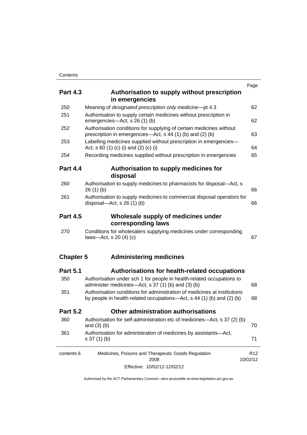|                  |                                                                                                                                                   | Page                        |
|------------------|---------------------------------------------------------------------------------------------------------------------------------------------------|-----------------------------|
| <b>Part 4.3</b>  | Authorisation to supply without prescription<br>in emergencies                                                                                    |                             |
| 250              | Meaning of designated prescription only medicine-pt 4.3                                                                                           | 62                          |
| 251              | Authorisation to supply certain medicines without prescription in<br>emergencies-Act, s 26 (1) (b)                                                | 62                          |
| 252              | Authorisation conditions for supplying of certain medicines without<br>prescription in emergencies-Act, s 44 (1) (b) and (2) (b)                  | 63                          |
| 253              | Labelling medicines supplied without prescription in emergencies-<br>Act, s 60 (1) (c) (i) and (2) (c) (i)                                        | 64                          |
| 254              | Recording medicines supplied without prescription in emergencies                                                                                  | 65                          |
| <b>Part 4.4</b>  | Authorisation to supply medicines for<br>disposal                                                                                                 |                             |
| 260              | Authorisation to supply medicines to pharmacists for disposal-Act, s<br>26(1)(b)                                                                  | 66                          |
| 261              | Authorisation to supply medicines to commercial disposal operators for<br>disposal- $-\text{Act}$ , s 26 (1) (b)                                  | 66                          |
| <b>Part 4.5</b>  | Wholesale supply of medicines under<br>corresponding laws                                                                                         |                             |
| 270              | Conditions for wholesalers supplying medicines under corresponding<br>laws-Act, s $20(4)(c)$                                                      | 67                          |
| <b>Chapter 5</b> | <b>Administering medicines</b>                                                                                                                    |                             |
| <b>Part 5.1</b>  | Authorisations for health-related occupations                                                                                                     |                             |
| 350              | Authorisation under sch 1 for people in health-related occupations to<br>administer medicines—Act, s 37 (1) (b) and (3) (b)                       | 68                          |
| 351              | Authorisation conditions for administration of medicines at institutions<br>by people in health-related occupations—Act, s 44 (1) (b) and (2) (b) | 68                          |
| <b>Part 5.2</b>  | <b>Other administration authorisations</b>                                                                                                        |                             |
| 360              | Authorisation for self-administration etc of medicines-Act, s 37 (2) (b)<br>and $(3)$ $(b)$                                                       | 70                          |
| 361              | Authorisation for administration of medicines by assistants-Act,<br>$s 37(1)$ (b)                                                                 | 71                          |
| contents 6       | Medicines, Poisons and Therapeutic Goods Regulation<br>2008                                                                                       | R <sub>12</sub><br>10/02/12 |
|                  | Effective: 10/02/12-12/02/12                                                                                                                      |                             |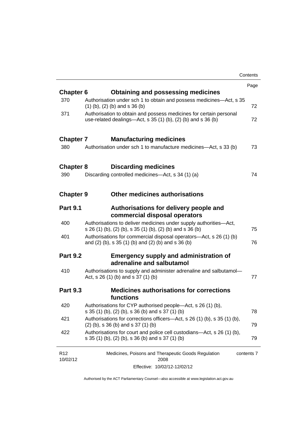|                             |                                                                                                                                       | Contents   |
|-----------------------------|---------------------------------------------------------------------------------------------------------------------------------------|------------|
|                             |                                                                                                                                       | Page       |
| <b>Chapter 6</b>            | Obtaining and possessing medicines                                                                                                    |            |
| 370                         | Authorisation under sch 1 to obtain and possess medicines-Act, s 35<br>$(1)$ (b), (2) (b) and s 36 (b)                                | 72         |
| 371                         | Authorisation to obtain and possess medicines for certain personal<br>use-related dealings—Act, s $35(1)(b)$ , $(2)(b)$ and s $36(b)$ | 72         |
| <b>Chapter 7</b>            | <b>Manufacturing medicines</b>                                                                                                        |            |
| 380                         | Authorisation under sch 1 to manufacture medicines—Act, s 33 (b)                                                                      | 73         |
| <b>Chapter 8</b>            | <b>Discarding medicines</b>                                                                                                           |            |
| 390                         | Discarding controlled medicines—Act, s 34 (1) (a)                                                                                     | 74         |
| <b>Chapter 9</b>            | Other medicines authorisations                                                                                                        |            |
| <b>Part 9.1</b>             | Authorisations for delivery people and<br>commercial disposal operators                                                               |            |
| 400                         | Authorisations to deliver medicines under supply authorities-Act,<br>s 26 (1) (b), (2) (b), s 35 (1) (b), (2) (b) and s 36 (b)        | 75         |
| 401                         | Authorisations for commercial disposal operators—Act, s 26 (1) (b)<br>and (2) (b), s 35 (1) (b) and (2) (b) and s 36 (b)              | 76         |
| <b>Part 9.2</b>             | <b>Emergency supply and administration of</b><br>adrenaline and salbutamol                                                            |            |
| 410                         | Authorisations to supply and administer adrenaline and salbutamol-<br>Act, s 26 (1) (b) and s 37 (1) (b)                              | 77         |
| <b>Part 9.3</b>             | <b>Medicines authorisations for corrections</b><br>functions                                                                          |            |
| 420                         | Authorisations for CYP authorised people—Act, s 26 (1) (b),<br>s 35 (1) (b), (2) (b), s 36 (b) and s 37 (1) (b)                       | 78         |
| 421                         | Authorisations for corrections officers-Act, s 26 (1) (b), s 35 (1) (b),<br>$(2)$ (b), s 36 (b) and s 37 (1) (b)                      | 79         |
| 422                         | Authorisations for court and police cell custodians—Act, s 26 (1) (b),<br>s 35 (1) (b), (2) (b), s 36 (b) and s 37 (1) (b)            | 79         |
| R <sub>12</sub><br>10/02/12 | Medicines, Poisons and Therapeutic Goods Regulation<br>2008                                                                           | contents 7 |
|                             | Effective: 10/02/12-12/02/12                                                                                                          |            |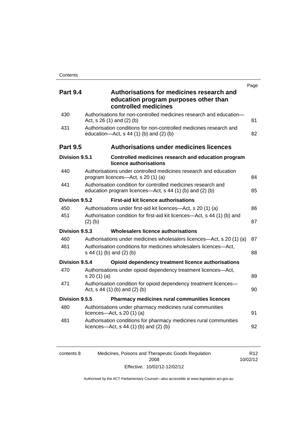|                 |                                                                                                                           | Page |
|-----------------|---------------------------------------------------------------------------------------------------------------------------|------|
| <b>Part 9.4</b> | Authorisations for medicines research and<br>education program purposes other than<br>controlled medicines                |      |
| 430             | Authorisations for non-controlled medicines research and education-<br>Act, $s$ 26 (1) and (2) (b)                        | 81   |
| 431             | Authorisation conditions for non-controlled medicines research and<br>education- $Act$ , s 44 (1) (b) and (2) (b)         | 82   |
| <b>Part 9.5</b> | <b>Authorisations under medicines licences</b>                                                                            |      |
| Division 9.5.1  | Controlled medicines research and education program<br>licence authorisations                                             |      |
| 440             | Authorisations under controlled medicines research and education<br>program licences—Act, s 20 (1) (a)                    | 84   |
| 441             | Authorisation condition for controlled medicines research and<br>education program licences—Act, s 44 (1) (b) and (2) (b) | 85   |
| Division 9.5.2  | <b>First-aid kit licence authorisations</b>                                                                               |      |
| 450             | Authorisations under first-aid kit licences—Act, s 20 (1) (a)                                                             | 86   |
| 451             | Authorisation condition for first-aid kit licences—Act, s 44 (1) (b) and<br>$(2)$ $(b)$                                   | 87   |
| Division 9.5.3  | Wholesalers licence authorisations                                                                                        |      |
| 460             | Authorisations under medicines wholesalers licences—Act, s 20 (1) (a)                                                     | 87   |
| 461             | Authorisation conditions for medicines wholesalers licences-Act,<br>s 44 (1) (b) and (2) (b)                              | 88   |
| Division 9.5.4  | Opioid dependency treatment licence authorisations                                                                        |      |
| 470             | Authorisations under opioid dependency treatment licences-Act,<br>s 20 (1) (a)                                            | 89   |
| 471             | Authorisation condition for opioid dependency treatment licences-<br>Act, $s$ 44 (1) (b) and (2) (b)                      | 90   |
| Division 9.5.5  | Pharmacy medicines rural communities licences                                                                             |      |
| 480             | Authorisations under pharmacy medicines rural communities<br>licences- $-\text{Act}$ , s 20 (1) (a)                       | 91   |
| 481             | Authorisation conditions for pharmacy medicines rural communities<br>licences—Act, $s$ 44 (1) (b) and (2) (b)             | 92   |
|                 |                                                                                                                           |      |

| contents 8 | Medicines, Poisons and Therapeutic Goods Regulation | R <sub>12</sub> |
|------------|-----------------------------------------------------|-----------------|
|            | 2008                                                | 10/02/12        |
|            | Effective: 10/02/12-12/02/12                        |                 |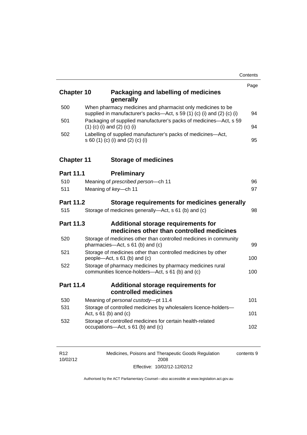| <b>Chapter 10</b> | Packaging and labelling of medicines<br>generally                                                                                     | Page |
|-------------------|---------------------------------------------------------------------------------------------------------------------------------------|------|
| 500               | When pharmacy medicines and pharmacist only medicines to be<br>supplied in manufacturer's packs-Act, s 59 (1) (c) (i) and (2) (c) (i) | 94   |
| 501               | Packaging of supplied manufacturer's packs of medicines-Act, s 59<br>$(1)$ (c) (i) and (2) (c) (i)                                    | 94   |
| 502               | Labelling of supplied manufacturer's packs of medicines-Act,<br>s 60 (1) (c) (i) and (2) (c) (i)                                      | 95   |
| <b>Chapter 11</b> | <b>Storage of medicines</b>                                                                                                           |      |
| <b>Part 11.1</b>  | <b>Preliminary</b>                                                                                                                    |      |
| 510               | Meaning of prescribed person-ch 11                                                                                                    | 96   |
| 511               | Meaning of key-ch 11                                                                                                                  | 97   |
| <b>Part 11.2</b>  | Storage requirements for medicines generally                                                                                          |      |
| 515               | Storage of medicines generally-Act, s 61 (b) and (c)                                                                                  | 98   |
| <b>Part 11.3</b>  | Additional storage requirements for<br>medicines other than controlled medicines                                                      |      |
| 520               | Storage of medicines other than controlled medicines in community<br>pharmacies-Act, s 61 (b) and (c)                                 | 99   |
| 521               | Storage of medicines other than controlled medicines by other<br>people—Act, s 61 (b) and (c)                                         | 100  |
| 522               | Storage of pharmacy medicines by pharmacy medicines rural<br>communities licence-holders-Act, s 61 (b) and (c)                        | 100  |
| <b>Part 11.4</b>  | Additional storage requirements for<br>controlled medicines                                                                           |      |
| 530               | Meaning of personal custody-pt 11.4                                                                                                   | 101  |
| 531               | Storage of controlled medicines by wholesalers licence-holders-<br>Act, $s 61$ (b) and (c)                                            | 101  |
| 532               | Storage of controlled medicines for certain health-related<br>occupations-Act, s 61 (b) and (c)                                       | 102  |

| R <sub>12</sub> | Medicines, Poisons and Therapeutic Goods Regulation | contents 9 |
|-----------------|-----------------------------------------------------|------------|
| 10/02/12        | 2008                                                |            |
|                 | Effective: 10/02/12-12/02/12                        |            |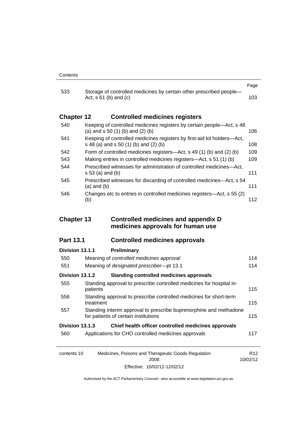|                   |                                                                                                                  | Page |
|-------------------|------------------------------------------------------------------------------------------------------------------|------|
| 533               | Storage of controlled medicines by certain other prescribed people-<br>Act, $s \, 61$ (b) and (c)                | 103. |
| <b>Chapter 12</b> | <b>Controlled medicines registers</b>                                                                            |      |
| 540               | Keeping of controlled medicines registers by certain people—Act, s 48<br>(a) and $s$ 50 (1) (b) and (2) (b)      | 106. |
| 541               | Keeping of controlled medicines registers by first-aid kit holders-Act,<br>s 48 (a) and s 50 (1) (b) and (2) (b) | 108  |
| 542               | Form of controlled medicines registers—Act, s 49 (1) (b) and (2) (b)                                             | 109  |
| 543               | Making entries in controlled medicines registers—Act, s 51 (1) (b)                                               | 109  |
| 544               | Prescribed witnesses for administration of controlled medicines—Act.<br>s 53 (a) and (b)                         | 111  |
| 545               | Prescribed witnesses for discarding of controlled medicines—Act, s 54<br>$(a)$ and $(b)$                         | 111  |

|     | 197 anu 197                                                                   | .   |
|-----|-------------------------------------------------------------------------------|-----|
| 546 | Changes etc to entries in controlled medicines registers—Act, s 55 (2)<br>(b) | 112 |
|     |                                                                               |     |

## **Chapter 13 [Controlled medicines and appendix D](#page-137-0)  [medicines approvals for human use](#page-137-0)**

### **Part 13.1 [Controlled medicines approvals](#page-137-1)**

## contents 10 Medicines, Poisons and Therapeutic Goods Regulation R12 **[Division 13.1.1](#page-137-2) Preliminary** 550 Meaning of *controlled medicines approval* [114](#page-137-3) 551 Meaning of *designated prescriber*[—pt 13.1 114](#page-137-4) **Division 13.1.2 [Standing controlled medicines approvals](#page-138-0)** 555 [Standing approval to prescribe controlled medicines for hospital in](#page-138-1)[patients 115](#page-138-1) 556 [Standing approval to prescribe controlled medicines for short-term](#page-138-2)  [treatment 115](#page-138-2) 557 [Standing interim approval to prescribe buprenorphine and methadone](#page-138-3)  [for patients of certain institutions 115](#page-138-3) **Division 13.1.3 [Chief health officer controlled medicines approvals](#page-140-0)** 560 [Applications for CHO controlled medicines approvals 117](#page-140-1)

2008 Effective: 10/02/12-12/02/12 10/02/12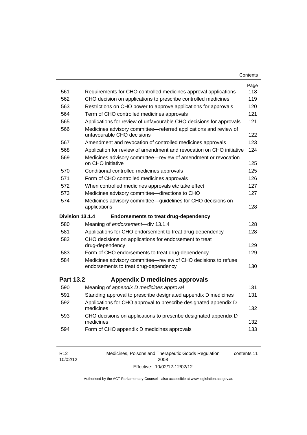| Contents |
|----------|
|----------|

| 561              |                                                                                                         | Page<br>118 |
|------------------|---------------------------------------------------------------------------------------------------------|-------------|
|                  | Requirements for CHO controlled medicines approval applications                                         |             |
| 562              | CHO decision on applications to prescribe controlled medicines                                          | 119         |
| 563              | Restrictions on CHO power to approve applications for approvals                                         | 120<br>121  |
| 564              | Term of CHO controlled medicines approvals                                                              | 121         |
| 565              | Applications for review of unfavourable CHO decisions for approvals                                     |             |
| 566              | Medicines advisory committee-referred applications and review of<br>unfavourable CHO decisions          | 122         |
| 567              | Amendment and revocation of controlled medicines approvals                                              | 123         |
| 568              | Application for review of amendment and revocation on CHO initiative                                    | 124         |
| 569              | Medicines advisory committee-review of amendment or revocation<br>on CHO initiative                     | 125         |
| 570              | Conditional controlled medicines approvals                                                              | 125         |
| 571              | Form of CHO controlled medicines approvals                                                              | 126         |
| 572              | When controlled medicines approvals etc take effect                                                     | 127         |
| 573              | Medicines advisory committee-directions to CHO                                                          | 127         |
| 574              | Medicines advisory committee-guidelines for CHO decisions on<br>applications                            | 128         |
|                  |                                                                                                         |             |
| Division 13.1.4  | <b>Endorsements to treat drug-dependency</b>                                                            |             |
| 580              | Meaning of endorsement-div 13.1.4                                                                       | 128         |
| 581              | Applications for CHO endorsement to treat drug-dependency                                               | 128         |
| 582              | CHO decisions on applications for endorsement to treat<br>drug-dependency                               | 129         |
| 583              | Form of CHO endorsements to treat drug-dependency                                                       | 129         |
| 584              | Medicines advisory committee-review of CHO decisions to refuse<br>endorsements to treat drug-dependency | 130         |
| <b>Part 13.2</b> | <b>Appendix D medicines approvals</b>                                                                   |             |
| 590              | Meaning of appendix D medicines approval                                                                | 131         |
| 591              | Standing approval to prescribe designated appendix D medicines                                          | 131         |
| 592              | Applications for CHO approval to prescribe designated appendix D<br>medicines                           | 132         |
| 593              | CHO decisions on applications to prescribe designated appendix D<br>medicines                           | 132         |

| R <sub>12</sub> | Medicines, Poisons and Therapeutic Goods Regulation | contents 11 |
|-----------------|-----------------------------------------------------|-------------|
| 10/02/12        | 2008                                                |             |
|                 | Effective: 10/02/12-12/02/12                        |             |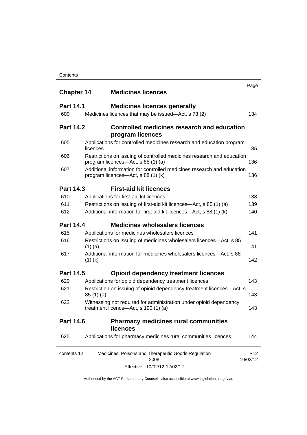| <b>Chapter 14</b> | <b>Medicines licences</b>                                                                                    | Page                        |
|-------------------|--------------------------------------------------------------------------------------------------------------|-----------------------------|
| <b>Part 14.1</b>  | <b>Medicines licences generally</b>                                                                          |                             |
| 600               | Medicines licences that may be issued—Act, s 78 (2)                                                          | 134                         |
| <b>Part 14.2</b>  | Controlled medicines research and education<br>program licences                                              |                             |
| 605               | Applications for controlled medicines research and education program<br>licences                             | 135                         |
| 606               | Restrictions on issuing of controlled medicines research and education<br>program licences—Act, s 85 (1) (a) | 136                         |
| 607               | Additional information for controlled medicines research and education<br>program licences—Act, s 88 (1) (k) | 136                         |
| <b>Part 14.3</b>  | <b>First-aid kit licences</b>                                                                                |                             |
| 610               | Applications for first-aid kit licences                                                                      | 138                         |
| 611               | Restrictions on issuing of first-aid kit licences—Act, s 85 (1) (a)                                          | 139                         |
| 612               | Additional information for first-aid kit licences—Act, s 88 (1) (k)                                          | 140                         |
| <b>Part 14.4</b>  | <b>Medicines wholesalers licences</b>                                                                        |                             |
| 615               | Applications for medicines wholesalers licences                                                              | 141                         |
| 616               | Restrictions on issuing of medicines wholesalers licences—Act, s 85<br>$(1)$ (a)                             | 141                         |
| 617               | Additional information for medicines wholesalers licences—Act, s 88<br>$(1)$ (k)                             | 142                         |
| <b>Part 14.5</b>  | <b>Opioid dependency treatment licences</b>                                                                  |                             |
| 620               | Applications for opioid dependency treatment licences                                                        | 143                         |
| 621               | Restriction on issuing of opioid dependency treatment licences-Act, s<br>85(1)(a)                            | 143                         |
| 622               | Witnessing not required for administration under opioid dependency<br>treatment licence—Act, s 190 (1) (a)   | 143                         |
| <b>Part 14.6</b>  | <b>Pharmacy medicines rural communities</b><br><b>licences</b>                                               |                             |
| 625               | Applications for pharmacy medicines rural communities licences                                               | 144                         |
| contents 12       | Medicines, Poisons and Therapeutic Goods Regulation<br>2008                                                  | R <sub>12</sub><br>10/02/12 |
|                   | Effective: 10/02/12-12/02/12                                                                                 |                             |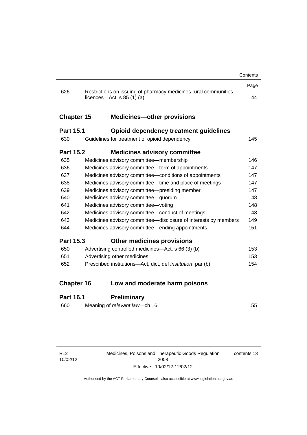|                   |                                                                                                          | Contents |
|-------------------|----------------------------------------------------------------------------------------------------------|----------|
|                   |                                                                                                          | Page     |
| 626               | Restrictions on issuing of pharmacy medicines rural communities<br>licences- $-\text{Act}, s 85 (1) (a)$ | 144      |
| <b>Chapter 15</b> | <b>Medicines-other provisions</b>                                                                        |          |
| <b>Part 15.1</b>  | Opioid dependency treatment guidelines                                                                   |          |
| 630               | Guidelines for treatment of opioid dependency                                                            | 145      |
| <b>Part 15.2</b>  | <b>Medicines advisory committee</b>                                                                      |          |
| 635               | Medicines advisory committee-membership                                                                  | 146      |
| 636               | Medicines advisory committee-term of appointments                                                        | 147      |
| 637               | Medicines advisory committee-conditions of appointments                                                  | 147      |
| 638               | Medicines advisory committee-time and place of meetings                                                  | 147      |
| 639               | Medicines advisory committee-presiding member                                                            | 147      |
| 640               | Medicines advisory committee-quorum                                                                      | 148      |
| 641               | Medicines advisory committee-voting                                                                      | 148      |
| 642               | Medicines advisory committee-conduct of meetings                                                         | 148      |
| 643               | Medicines advisory committee-disclosure of interests by members                                          | 149      |
| 644               | Medicines advisory committee—ending appointments                                                         | 151      |
| <b>Part 15.3</b>  | <b>Other medicines provisions</b>                                                                        |          |
| 650               | Advertising controlled medicines-Act, s 66 (3) (b)                                                       | 153      |
| 651               | Advertising other medicines                                                                              | 153      |
| 652               | Prescribed institutions-Act, dict, def institution, par (b)                                              | 154      |
| <b>Chapter 16</b> | Low and moderate harm poisons                                                                            |          |
| <b>Part 16.1</b>  | Preliminary                                                                                              |          |

660 Meaning of *relevant law*[—ch 16 155](#page-178-2)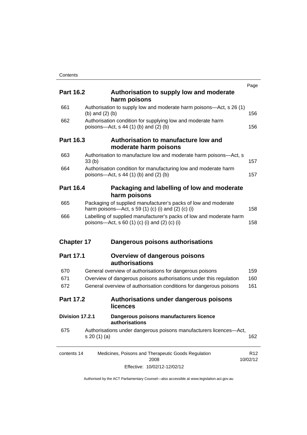|                   |                                                                                          | Page            |
|-------------------|------------------------------------------------------------------------------------------|-----------------|
| <b>Part 16.2</b>  | Authorisation to supply low and moderate                                                 |                 |
|                   | harm poisons                                                                             |                 |
| 661               | Authorisation to supply low and moderate harm poisons—Act, s 26 (1)<br>(b) and $(2)$ (b) | 156             |
| 662               | Authorisation condition for supplying low and moderate harm                              |                 |
|                   | poisons-Act, $s$ 44 (1) (b) and (2) (b)                                                  | 156             |
| <b>Part 16.3</b>  | Authorisation to manufacture low and                                                     |                 |
|                   | moderate harm poisons                                                                    |                 |
| 663               | Authorisation to manufacture low and moderate harm poisons-Act, s<br>33(b)               | 157             |
| 664               | Authorisation condition for manufacturing low and moderate harm                          |                 |
|                   | poisons—Act, s 44 (1) (b) and (2) (b)                                                    | 157             |
| <b>Part 16.4</b>  | Packaging and labelling of low and moderate                                              |                 |
|                   | harm poisons                                                                             |                 |
| 665               | Packaging of supplied manufacturer's packs of low and moderate                           |                 |
|                   | harm poisons—Act, s 59 $(1)$ $(c)$ $(i)$ and $(2)$ $(c)$ $(i)$                           | 158             |
| 666               | Labelling of supplied manufacturer's packs of low and moderate harm                      | 158             |
|                   | poisons—Act, s 60 (1) (c) (i) and (2) (c) (i)                                            |                 |
| <b>Chapter 17</b> | Dangerous poisons authorisations                                                         |                 |
| <b>Part 17.1</b>  | <b>Overview of dangerous poisons</b>                                                     |                 |
|                   | authorisations                                                                           |                 |
| 670               | General overview of authorisations for dangerous poisons                                 | 159             |
| 671               | Overview of dangerous poisons authorisations under this regulation                       | 160             |
| 672               | General overview of authorisation conditions for dangerous poisons                       | 161             |
| <b>Part 17.2</b>  | Authorisations under dangerous poisons                                                   |                 |
|                   | <b>licences</b>                                                                          |                 |
| Division 17.2.1   | Dangerous poisons manufacturers licence<br>authorisations                                |                 |
| 675               | Authorisations under dangerous poisons manufacturers licences-Act,                       |                 |
|                   | s 20(1)(a)                                                                               | 162             |
| contents 14       | Medicines, Poisons and Therapeutic Goods Regulation                                      | R <sub>12</sub> |
|                   | 2008                                                                                     | 10/02/12        |
|                   | Effective: 10/02/12-12/02/12                                                             |                 |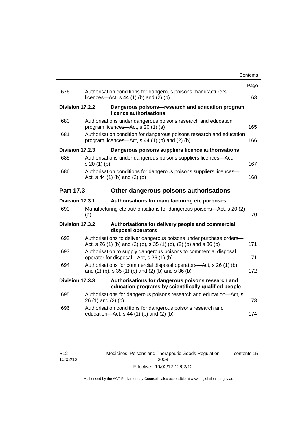|                  |                                                                                                                                         | Contents |
|------------------|-----------------------------------------------------------------------------------------------------------------------------------------|----------|
|                  |                                                                                                                                         | Page     |
| 676              | Authorisation conditions for dangerous poisons manufacturers<br>licences- $-\text{Act}$ , s 44 (1) (b) and (2) (b)                      | 163      |
| Division 17.2.2  | Dangerous poisons-research and education program<br>licence authorisations                                                              |          |
| 680              | Authorisations under dangerous poisons research and education<br>program licences—Act, s 20 (1) (a)                                     | 165      |
| 681              | Authorisation condition for dangerous poisons research and education<br>program licences—Act, s 44 (1) (b) and (2) (b)                  | 166      |
| Division 17.2.3  | Dangerous poisons suppliers licence authorisations                                                                                      |          |
| 685              | Authorisations under dangerous poisons suppliers licences—Act,<br>s 20(1)(b)                                                            | 167      |
| 686              | Authorisation conditions for dangerous poisons suppliers licences-<br>Act, $s$ 44 (1) (b) and (2) (b)                                   | 168      |
| <b>Part 17.3</b> | Other dangerous poisons authorisations                                                                                                  |          |
| Division 17.3.1  | Authorisations for manufacturing etc purposes                                                                                           |          |
| 690              | Manufacturing etc authorisations for dangerous poisons—Act, s 20 (2)<br>(a)                                                             | 170      |
| Division 17.3.2  | Authorisations for delivery people and commercial<br>disposal operators                                                                 |          |
| 692              | Authorisations to deliver dangerous poisons under purchase orders-<br>Act, s 26 (1) (b) and (2) (b), s 35 (1) (b), (2) (b) and s 36 (b) | 171      |
| 693              | Authorisation to supply dangerous poisons to commercial disposal<br>operator for disposal—Act, s 26 (1) (b)                             | 171      |
| 694              | Authorisations for commercial disposal operators-Act, s 26 (1) (b)<br>and (2) (b), s 35 (1) (b) and (2) (b) and s 36 (b)                | 172      |
| Division 17.3.3  | Authorisations for dangerous poisons research and<br>education programs by scientifically qualified people                              |          |
| 695              | Authorisations for dangerous poisons research and education-Act, s<br>26 (1) and (2) (b)                                                | 173      |
| 696              | Authorisation conditions for dangerous poisons research and<br>education-Act, s 44 (1) (b) and (2) (b)                                  | 174      |
|                  |                                                                                                                                         |          |

Medicines, Poisons and Therapeutic Goods Regulation 2008 Effective: 10/02/12-12/02/12 contents 15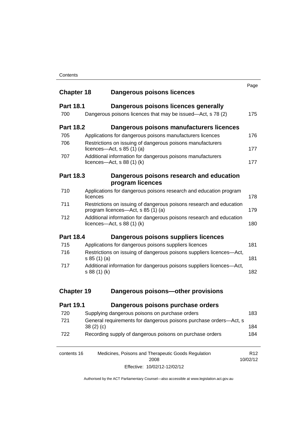| Contents |
|----------|
|----------|

|                   |                                                                                                           | Page                        |
|-------------------|-----------------------------------------------------------------------------------------------------------|-----------------------------|
| <b>Chapter 18</b> | Dangerous poisons licences                                                                                |                             |
| <b>Part 18.1</b>  | Dangerous poisons licences generally                                                                      |                             |
| 700               | Dangerous poisons licences that may be issued-Act, s 78 (2)                                               | 175                         |
| <b>Part 18.2</b>  | Dangerous poisons manufacturers licences                                                                  |                             |
| 705               | Applications for dangerous poisons manufacturers licences                                                 | 176                         |
| 706               | Restrictions on issuing of dangerous poisons manufacturers<br>licences—Act, $s$ 85 (1) (a)                | 177                         |
| 707               | Additional information for dangerous poisons manufacturers<br>licences—Act, $s$ 88 (1) (k)                | 177                         |
| <b>Part 18.3</b>  | Dangerous poisons research and education                                                                  |                             |
|                   | program licences                                                                                          |                             |
| 710               | Applications for dangerous poisons research and education program<br>licences                             | 178                         |
| 711               | Restrictions on issuing of dangerous poisons research and education<br>program licences—Act, s 85 (1) (a) | 179                         |
| 712               | Additional information for dangerous poisons research and education<br>licences—Act, $s$ 88 (1) (k)       | 180                         |
| <b>Part 18.4</b>  | Dangerous poisons suppliers licences                                                                      |                             |
| 715               | Applications for dangerous poisons suppliers licences                                                     | 181                         |
| 716               | Restrictions on issuing of dangerous poisons suppliers licences-Act,<br>s 85(1)(a)                        | 181                         |
| 717               | Additional information for dangerous poisons suppliers licences-Act,<br>s 88 (1) (k)                      | 182                         |
|                   |                                                                                                           |                             |
| <b>Chapter 19</b> | Dangerous poisons-other provisions                                                                        |                             |
| <b>Part 19.1</b>  | Dangerous poisons purchase orders                                                                         |                             |
| 720               | Supplying dangerous poisons on purchase orders                                                            | 183                         |
| 721               | General requirements for dangerous poisons purchase orders-Act, s<br>38(2)(c)                             | 184                         |
| 722               | Recording supply of dangerous poisons on purchase orders                                                  | 184                         |
| contents 16       | Medicines, Poisons and Therapeutic Goods Regulation<br>2008                                               | R <sub>12</sub><br>10/02/12 |

Effective: 10/02/12-12/02/12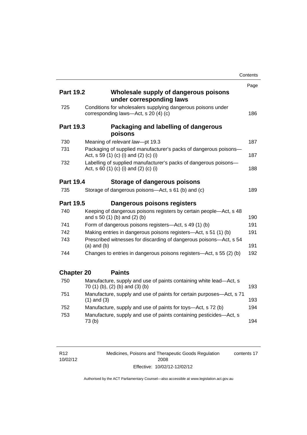|                   |                                                                                                           | Contents |
|-------------------|-----------------------------------------------------------------------------------------------------------|----------|
|                   |                                                                                                           | Page     |
| <b>Part 19.2</b>  | Wholesale supply of dangerous poisons<br>under corresponding laws                                         |          |
| 725               | Conditions for wholesalers supplying dangerous poisons under<br>corresponding laws-Act, s 20 (4) (c)      | 186      |
| <b>Part 19.3</b>  | Packaging and labelling of dangerous<br>poisons                                                           |          |
| 730               | Meaning of relevant law-pt 19.3                                                                           | 187      |
| 731               | Packaging of supplied manufacturer's packs of dangerous poisons-<br>Act, s 59 (1) (c) (i) and (2) (c) (i) | 187      |
| 732               | Labelling of supplied manufacturer's packs of dangerous poisons-<br>Act, s 60 (1) (c) (i) and (2) (c) (i) | 188      |
| <b>Part 19.4</b>  | Storage of dangerous poisons                                                                              |          |
| 735               | Storage of dangerous poisons-Act, s 61 (b) and (c)                                                        | 189      |
|                   |                                                                                                           |          |
| <b>Part 19.5</b>  | Dangerous poisons registers                                                                               |          |
| 740               | Keeping of dangerous poisons registers by certain people-Act, s 48<br>and s 50 (1) (b) and (2) (b)        | 190      |
| 741               | Form of dangerous poisons registers-Act, s 49 (1) (b)                                                     | 191      |
| 742               | Making entries in dangerous poisons registers—Act, s 51 (1) (b)                                           | 191      |
| 743               | Prescribed witnesses for discarding of dangerous poisons-Act, s 54<br>$(a)$ and $(b)$                     | 191      |
| 744               | Changes to entries in dangerous poisons registers—Act, s 55 (2) (b)                                       | 192      |
| <b>Chapter 20</b> | <b>Paints</b>                                                                                             |          |
| 750               | Manufacture, supply and use of paints containing white lead-Act, s<br>70 (1) (b), (2) (b) and (3) (b)     | 193      |
| 751               | Manufacture, supply and use of paints for certain purposes-Act, s 71<br>$(1)$ and $(3)$                   | 193      |
| 752               | Manufacture, supply and use of paints for toys—Act, s 72 (b)                                              | 194      |
| 753               | Manufacture, supply and use of paints containing pesticides-Act, s<br>73(b)                               | 194      |

R12 10/02/12 Medicines, Poisons and Therapeutic Goods Regulation 2008 Effective: 10/02/12-12/02/12 contents 17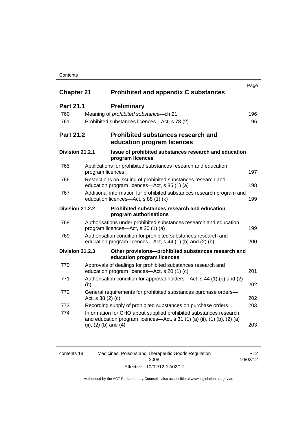### **Contents**

| <b>Chapter 21</b> |                           | <b>Prohibited and appendix C substances</b>                                                                                                    | Page |
|-------------------|---------------------------|------------------------------------------------------------------------------------------------------------------------------------------------|------|
| <b>Part 21.1</b>  |                           | <b>Preliminary</b>                                                                                                                             |      |
| 760               |                           | Meaning of prohibited substance-ch 21                                                                                                          | 196  |
| 761               |                           | Prohibited substances licences-Act, s 78 (2)                                                                                                   | 196  |
| <b>Part 21.2</b>  |                           | <b>Prohibited substances research and</b><br>education program licences                                                                        |      |
| Division 21.2.1   |                           | Issue of prohibited substances research and education<br>program licences                                                                      |      |
| 765               | program licences          | Applications for prohibited substances research and education                                                                                  | 197  |
| 766               |                           | Restrictions on issuing of prohibited substances research and<br>education program licences-Act, s 85 (1) (a)                                  | 198  |
| 767               |                           | Additional information for prohibited substances research program and<br>education licences-Act, s 88 (1) (k)                                  | 199  |
| Division 21.2.2   |                           | Prohibited substances research and education<br>program authorisations                                                                         |      |
| 768               |                           | Authorisations under prohibited substances research and education<br>program licences—Act, s 20 (1) (a)                                        | 199  |
| 769               |                           | Authorisation condition for prohibited substances research and<br>education program licences—Act, s 44 (1) (b) and (2) (b)                     | 200  |
| Division 21.2.3   |                           | Other provisions-prohibited substances research and<br>education program licences                                                              |      |
| 770               |                           | Approvals of dealings for prohibited substances research and<br>education program licences-Act, s 20 (1) (c)                                   | 201  |
| 771               | (b)                       | Authorisation condition for approval-holders—Act, s 44 (1) (b) and (2)                                                                         | 202  |
| 772               | Act, s 38 (2) (c)         | General requirements for prohibited substances purchase orders-                                                                                | 202  |
| 773               |                           | Recording supply of prohibited substances on purchase orders                                                                                   | 203  |
| 774               | (ii), $(2)$ (b) and $(4)$ | Information for CHO about supplied prohibited substances research<br>and education program licences—Act, s $31$ (1) (a) (ii), (1) (b), (2) (a) | 203  |

| contents 18 | Medicines, Poisons and Therapeutic Goods Regulation | R12      |
|-------------|-----------------------------------------------------|----------|
|             | 2008                                                | 10/02/12 |
|             | Effective: 10/02/12-12/02/12                        |          |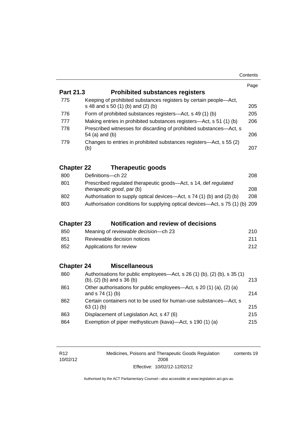| Contents |
|----------|
|----------|

|                   |                                                                                                        | Page |
|-------------------|--------------------------------------------------------------------------------------------------------|------|
| <b>Part 21.3</b>  | <b>Prohibited substances registers</b>                                                                 |      |
| 775               | Keeping of prohibited substances registers by certain people—Act,<br>s 48 and s 50 (1) (b) and (2) (b) | 205  |
| 776               | Form of prohibited substances registers—Act, s 49 (1) (b)                                              | 205  |
| 777               | Making entries in prohibited substances registers—Act, s 51 (1) (b)                                    | 206  |
| 778               | Prescribed witnesses for discarding of prohibited substances-Act, s<br>54 (a) and (b)                  | 206  |
| 779               | Changes to entries in prohibited substances registers—Act, s 55 (2)<br>(b)                             | 207  |
| <b>Chapter 22</b> | <b>Therapeutic goods</b>                                                                               |      |
| 800               | Definitions-ch 22                                                                                      | 208  |
| 801               | Prescribed regulated therapeutic goods—Act, s 14, def regulated<br>therapeutic good, par (b)           | 208  |
| 802               | Authorisation to supply optical devices—Act, s 74 (1) (b) and (2) (b)                                  | 208  |
| 803               | Authorisation conditions for supplying optical devices—Act, s 75 (1) (b) 209                           |      |
|                   |                                                                                                        |      |
| <b>Chapter 23</b> | <b>Notification and review of decisions</b>                                                            |      |
| 850               | Meaning of reviewable decision-ch 23                                                                   | 210  |
| 851               | Reviewable decision notices                                                                            | 211  |
| 852               | Applications for review                                                                                | 212  |
|                   |                                                                                                        |      |
| <b>Chapter 24</b> | <b>Miscellaneous</b>                                                                                   |      |
| 860               | Authorisations for public employees—Act, s 26 (1) (b), (2) (b), s 35 (1)<br>(b), (2) (b) and s 36 (b)  | 213  |
| 861               | Other authorisations for public employees—Act, s 20 (1) (a), (2) (a)<br>and s 74 (1) (b)               | 214  |
| 862               | Certain containers not to be used for human-use substances—Act, s<br>63(1)(b)                          | 215  |
| 863               | Displacement of Legislation Act, s 47 (6)                                                              | 215  |
| 864               | Exemption of piper methysticum (kava)—Act, s 190 (1) (a)                                               | 215  |
|                   |                                                                                                        |      |

| R <sub>12</sub> | Medicines, Poisons and Therapeutic Goods Regulation | contents 19 |
|-----------------|-----------------------------------------------------|-------------|
| 10/02/12        | 2008                                                |             |
|                 | Effective: 10/02/12-12/02/12                        |             |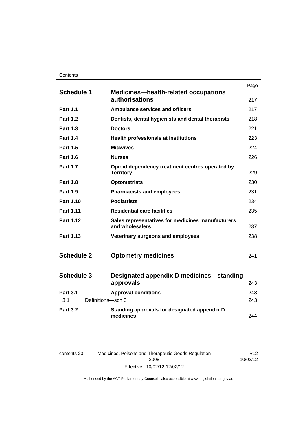|                          |                                                                      | Page |
|--------------------------|----------------------------------------------------------------------|------|
| <b>Schedule 1</b>        | <b>Medicines-health-related occupations</b><br>authorisations        | 217  |
| <b>Part 1.1</b>          | <b>Ambulance services and officers</b>                               | 217  |
| <b>Part 1.2</b>          | Dentists, dental hygienists and dental therapists                    | 218  |
| <b>Part 1.3</b>          | <b>Doctors</b>                                                       | 221  |
| <b>Part 1.4</b>          | <b>Health professionals at institutions</b>                          | 223  |
| <b>Part 1.5</b>          | <b>Midwives</b>                                                      | 224  |
| <b>Part 1.6</b>          | <b>Nurses</b>                                                        | 226  |
| <b>Part 1.7</b>          | Opioid dependency treatment centres operated by<br><b>Territory</b>  | 229  |
| <b>Part 1.8</b>          | <b>Optometrists</b>                                                  | 230  |
| <b>Part 1.9</b>          | <b>Pharmacists and employees</b>                                     | 231  |
| Part 1.10                | <b>Podiatrists</b>                                                   | 234  |
| Part 1.11                | <b>Residential care facilities</b>                                   | 235  |
| Part 1.12                | Sales representatives for medicines manufacturers<br>and wholesalers | 237  |
| Part 1.13                | Veterinary surgeons and employees                                    | 238  |
|                          |                                                                      |      |
| <b>Schedule 2</b>        | <b>Optometry medicines</b>                                           | 241  |
|                          |                                                                      |      |
| <b>Schedule 3</b>        | Designated appendix D medicines—standing                             |      |
|                          | approvals                                                            | 243  |
| <b>Part 3.1</b>          | <b>Approval conditions</b>                                           | 243  |
| 3.1<br>Definitions-sch 3 |                                                                      | 243  |
| <b>Part 3.2</b>          | Standing approvals for designated appendix D<br>medicines            | 244  |

| contents 20 | Medicines, Poisons and Therapeutic Goods Regulation |
|-------------|-----------------------------------------------------|
|             | 2008                                                |
|             | Effective: 10/02/12-12/02/12                        |

R12 10/02/12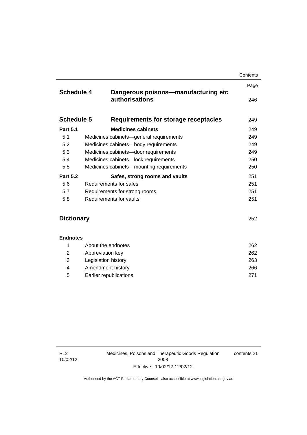|                   |                                                       | Contents |
|-------------------|-------------------------------------------------------|----------|
|                   |                                                       | Page     |
| <b>Schedule 4</b> | Dangerous poisons—manufacturing etc<br>authorisations | 246      |
| <b>Schedule 5</b> | Requirements for storage receptacles                  | 249      |
| <b>Part 5.1</b>   | <b>Medicines cabinets</b>                             | 249      |
| 5.1               | Medicines cabinets—general requirements               | 249      |
| 5.2               | Medicines cabinets-body requirements                  | 249      |
| 5.3               | Medicines cabinets-door requirements                  | 249      |
| 5.4               | Medicines cabinets-lock requirements                  | 250      |
| 5.5               | Medicines cabinets—mounting requirements              | 250      |
| <b>Part 5.2</b>   | Safes, strong rooms and vaults                        | 251      |
| 5.6               | Requirements for safes                                | 251      |
| 5.7               | Requirements for strong rooms                         | 251      |
| 5.8               | Requirements for vaults                               | 251      |
| <b>Dictionary</b> |                                                       | 252      |
| <b>Endnotes</b>   |                                                       |          |
| 1                 | About the endnotes                                    | 262      |
| 2                 | Abbreviation key                                      | 262      |
| 3                 | Legislation history                                   | 263      |
| 4                 | Amendment history                                     | 266      |
| 5                 | Earlier republications                                | 271      |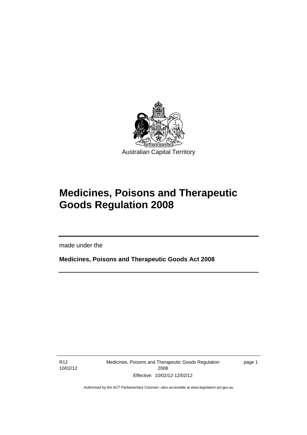

# **Medicines, Poisons and Therapeutic Goods Regulation 2008**

made under the

**Medicines, Poisons and Therapeutic Goods Act 2008** 

R12 10/02/12

l

Medicines, Poisons and Therapeutic Goods Regulation 2008 Effective: 10/02/12-12/02/12

page 1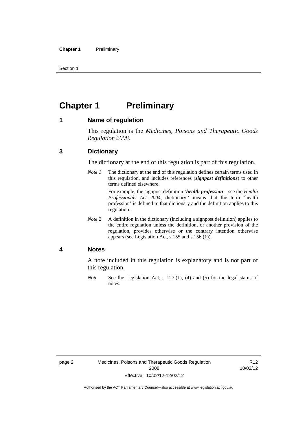Section 1

## <span id="page-25-0"></span>**Chapter 1** Preliminary

#### <span id="page-25-1"></span>**1 Name of regulation**

This regulation is the *Medicines, Poisons and Therapeutic Goods Regulation 2008*.

### <span id="page-25-2"></span>**3 Dictionary**

The dictionary at the end of this regulation is part of this regulation.

*Note 1* The dictionary at the end of this regulation defines certain terms used in this regulation, and includes references (*signpost definitions*) to other terms defined elsewhere.

> For example, the signpost definition '*health profession*—see the *Health Professionals Act 2004*, dictionary.' means that the term 'health profession' is defined in that dictionary and the definition applies to this regulation.

*Note 2* A definition in the dictionary (including a signpost definition) applies to the entire regulation unless the definition, or another provision of the regulation, provides otherwise or the contrary intention otherwise appears (see Legislation Act, s 155 and s 156 (1)).

#### <span id="page-25-3"></span>**4 Notes**

A note included in this regulation is explanatory and is not part of this regulation.

*Note* See the Legislation Act, s 127 (1), (4) and (5) for the legal status of notes.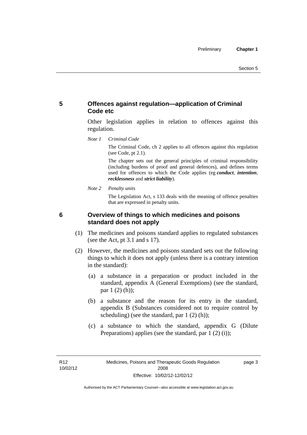## <span id="page-26-0"></span>**5 Offences against regulation—application of Criminal Code etc**

Other legislation applies in relation to offences against this regulation.

*Note 1 Criminal Code*

The Criminal Code, ch 2 applies to all offences against this regulation (see Code, pt 2.1).

The chapter sets out the general principles of criminal responsibility (including burdens of proof and general defences), and defines terms used for offences to which the Code applies (eg *conduct*, *intention*, *recklessness* and *strict liability*).

*Note 2 Penalty units* 

The Legislation Act, s 133 deals with the meaning of offence penalties that are expressed in penalty units.

## <span id="page-26-1"></span>**6 Overview of things to which medicines and poisons standard does not apply**

- (1) The medicines and poisons standard applies to regulated substances (see the Act, pt 3.1 and s 17).
- (2) However, the medicines and poisons standard sets out the following things to which it does not apply (unless there is a contrary intention in the standard):
	- (a) a substance in a preparation or product included in the standard, appendix A (General Exemptions) (see the standard, par 1 (2) (h));
	- (b) a substance and the reason for its entry in the standard, appendix B (Substances considered not to require control by scheduling) (see the standard, par 1 (2) (h));
	- (c) a substance to which the standard, appendix G (Dilute Preparations) applies (see the standard, par 1 (2) (i));

R12 10/02/12 page 3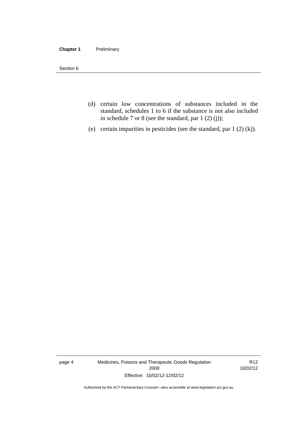#### **Chapter 1** Preliminary

Section 6

- (d) certain low concentrations of substances included in the standard, schedules 1 to 6 if the substance is not also included in schedule 7 or 8 (see the standard, par 1 (2) (j));
- (e) certain impurities in pesticides (see the standard, par 1 (2) (k)).

page 4 Medicines, Poisons and Therapeutic Goods Regulation 2008 Effective: 10/02/12-12/02/12

R12 10/02/12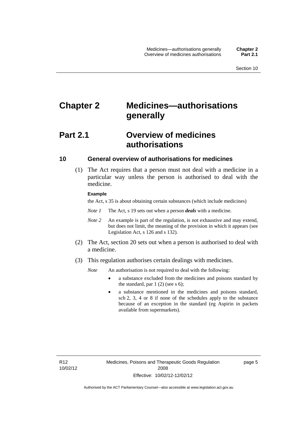## <span id="page-28-0"></span>**Chapter 2 Medicines—authorisations generally**

## <span id="page-28-1"></span>**Part 2.1 Overview of medicines authorisations**

### <span id="page-28-2"></span>**10 General overview of authorisations for medicines**

 (1) The Act requires that a person must not deal with a medicine in a particular way unless the person is authorised to deal with the medicine.

#### **Example**

the Act, s 35 is about obtaining certain substances (which include medicines)

- *Note 1* The Act, s 19 sets out when a person *deals* with a medicine.
- *Note 2* An example is part of the regulation, is not exhaustive and may extend, but does not limit, the meaning of the provision in which it appears (see Legislation Act, s 126 and s 132).
- (2) The Act, section 20 sets out when a person is authorised to deal with a medicine.
- (3) This regulation authorises certain dealings with medicines.

*Note* An authorisation is not required to deal with the following:

- a substance excluded from the medicines and poisons standard by the standard, par  $1(2)$  (see s 6);
- a substance mentioned in the medicines and poisons standard, sch 2, 3, 4 or 8 if none of the schedules apply to the substance because of an exception in the standard (eg Aspirin in packets available from supermarkets).

R12 10/02/12 page 5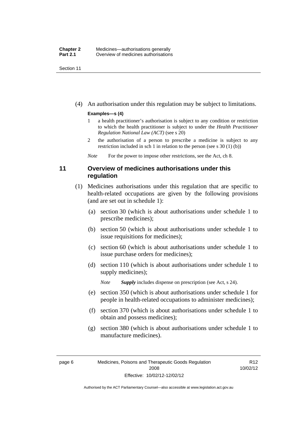Section 11

(4) An authorisation under this regulation may be subject to limitations.

#### **Examples—s (4)**

- 1 a health practitioner's authorisation is subject to any condition or restriction to which the health practitioner is subject to under the *Health Practitioner Regulation National Law (ACT)* (see s 20)
- 2 the authorisation of a person to prescribe a medicine is subject to any restriction included in sch 1 in relation to the person (see s 30 (1) (b))

*Note* For the power to impose other restrictions, see the Act, ch 8.

## <span id="page-29-0"></span>**11 Overview of medicines authorisations under this regulation**

- (1) Medicines authorisations under this regulation that are specific to health-related occupations are given by the following provisions (and are set out in schedule 1):
	- (a) section 30 (which is about authorisations under schedule 1 to prescribe medicines);
	- (b) section 50 (which is about authorisations under schedule 1 to issue requisitions for medicines);
	- (c) section 60 (which is about authorisations under schedule 1 to issue purchase orders for medicines);
	- (d) section 110 (which is about authorisations under schedule 1 to supply medicines);

*Note Supply* includes dispense on prescription (see Act, s 24).

- (e) section 350 (which is about authorisations under schedule 1 for people in health-related occupations to administer medicines);
- (f) section 370 (which is about authorisations under schedule 1 to obtain and possess medicines);
- (g) section 380 (which is about authorisations under schedule 1 to manufacture medicines).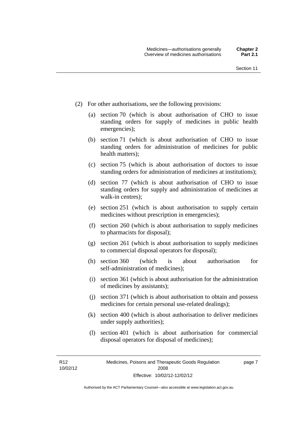- (2) For other authorisations, see the following provisions:
	- (a) section 70 (which is about authorisation of CHO to issue standing orders for supply of medicines in public health emergencies);
	- (b) section 71 (which is about authorisation of CHO to issue standing orders for administration of medicines for public health matters);
	- (c) section 75 (which is about authorisation of doctors to issue standing orders for administration of medicines at institutions);
	- (d) section 77 (which is about authorisation of CHO to issue standing orders for supply and administration of medicines at walk-in centres);
	- (e) section 251 (which is about authorisation to supply certain medicines without prescription in emergencies);
	- (f) section 260 (which is about authorisation to supply medicines to pharmacists for disposal);
	- (g) section 261 (which is about authorisation to supply medicines to commercial disposal operators for disposal);
	- (h) section 360 (which is about authorisation for self-administration of medicines);
	- (i) section 361 (which is about authorisation for the administration of medicines by assistants);
	- (j) section 371 (which is about authorisation to obtain and possess medicines for certain personal use-related dealings);
	- (k) section 400 (which is about authorisation to deliver medicines under supply authorities);
	- (l) section 401 (which is about authorisation for commercial disposal operators for disposal of medicines);

R12 10/02/12 page 7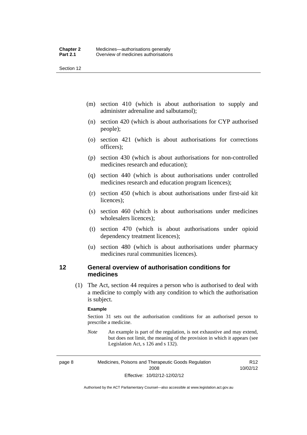Section 12

- (m) section 410 (which is about authorisation to supply and administer adrenaline and salbutamol);
- (n) section 420 (which is about authorisations for CYP authorised people);
- (o) section 421 (which is about authorisations for corrections officers);
- (p) section 430 (which is about authorisations for non-controlled medicines research and education);
- (q) section 440 (which is about authorisations under controlled medicines research and education program licences);
- (r) section 450 (which is about authorisations under first-aid kit licences);
- (s) section 460 (which is about authorisations under medicines wholesalers licences);
- (t) section 470 (which is about authorisations under opioid dependency treatment licences);
- (u) section 480 (which is about authorisations under pharmacy medicines rural communities licences).

### <span id="page-31-0"></span>**12 General overview of authorisation conditions for medicines**

(1) The Act, section 44 requires a person who is authorised to deal with a medicine to comply with any condition to which the authorisation is subject.

#### **Example**

Section 31 sets out the authorisation conditions for an authorised person to prescribe a medicine.

*Note* An example is part of the regulation, is not exhaustive and may extend, but does not limit, the meaning of the provision in which it appears (see Legislation Act, s 126 and s 132).

page 8 Medicines, Poisons and Therapeutic Goods Regulation 2008 Effective: 10/02/12-12/02/12

R12 10/02/12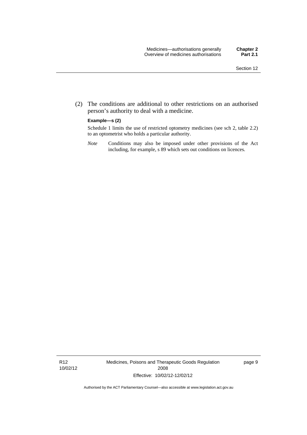(2) The conditions are additional to other restrictions on an authorised person's authority to deal with a medicine.

#### **Example—s (2)**

Schedule 1 limits the use of restricted optometry medicines (see sch 2, table 2.2) to an optometrist who holds a particular authority.

*Note* Conditions may also be imposed under other provisions of the Act including, for example, s 89 which sets out conditions on licences.

R12 10/02/12 Medicines, Poisons and Therapeutic Goods Regulation 2008 Effective: 10/02/12-12/02/12

page 9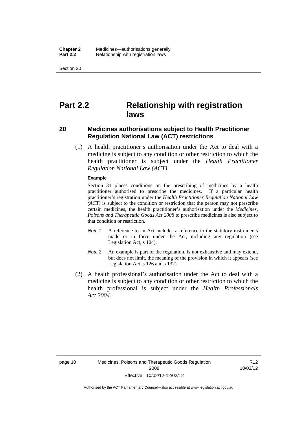Section 20

## <span id="page-33-0"></span>**Part 2.2 Relationship with registration laws**

### <span id="page-33-1"></span>**20 Medicines authorisations subject to Health Practitioner Regulation National Law (ACT) restrictions**

 (1) A health practitioner's authorisation under the Act to deal with a medicine is subject to any condition or other restriction to which the health practitioner is subject under the *Health Practitioner Regulation National Law (ACT)*.

#### **Example**

Section 31 places conditions on the prescribing of medicines by a health practitioner authorised to prescribe the medicines. If a particular health practitioner's registration under the *Health Practitioner Regulation National Law (ACT)* is subject to the condition or restriction that the person may not prescribe certain medicines, the health practitioner's authorisation under the *Medicines, Poisons and Therapeutic Goods Act 2008* to prescribe medicines is also subject to that condition or restriction.

- *Note 1* A reference to an Act includes a reference to the statutory instruments made or in force under the Act, including any regulation (see Legislation Act, s 104).
- *Note 2* An example is part of the regulation, is not exhaustive and may extend, but does not limit, the meaning of the provision in which it appears (see Legislation Act, s 126 and s 132).
- (2) A health professional's authorisation under the Act to deal with a medicine is subject to any condition or other restriction to which the health professional is subject under the *Health Professionals Act 2004*.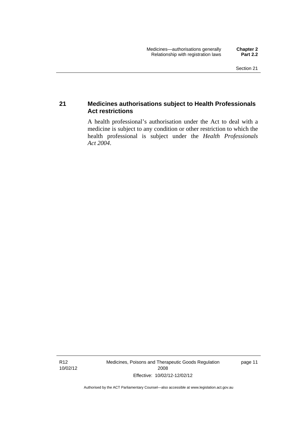## <span id="page-34-0"></span>**21 Medicines authorisations subject to Health Professionals Act restrictions**

A health professional's authorisation under the Act to deal with a medicine is subject to any condition or other restriction to which the health professional is subject under the *Health Professionals Act 2004*.

R12 10/02/12 Medicines, Poisons and Therapeutic Goods Regulation 2008 Effective: 10/02/12-12/02/12

page 11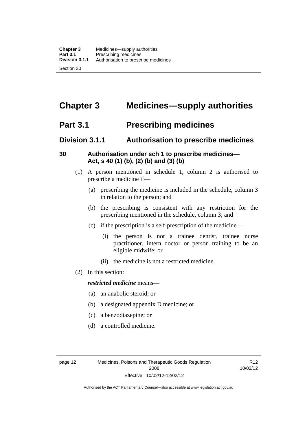## <span id="page-35-0"></span>**Chapter 3 Medicines—supply authorities**

## <span id="page-35-1"></span>**Part 3.1 Prescribing medicines**

## <span id="page-35-2"></span>**Division 3.1.1 Authorisation to prescribe medicines**

## <span id="page-35-3"></span>**30 Authorisation under sch 1 to prescribe medicines— Act, s 40 (1) (b), (2) (b) and (3) (b)**

- (1) A person mentioned in schedule 1, column 2 is authorised to prescribe a medicine if—
	- (a) prescribing the medicine is included in the schedule, column 3 in relation to the person; and
	- (b) the prescribing is consistent with any restriction for the prescribing mentioned in the schedule, column 3; and
	- (c) if the prescription is a self-prescription of the medicine—
		- (i) the person is not a trainee dentist, trainee nurse practitioner, intern doctor or person training to be an eligible midwife; or
		- (ii) the medicine is not a restricted medicine.
- (2) In this section:

### *restricted medicine* means—

- (a) an anabolic steroid; or
- (b) a designated appendix D medicine; or
- (c) a benzodiazepine; or
- (d) a controlled medicine.

R12 10/02/12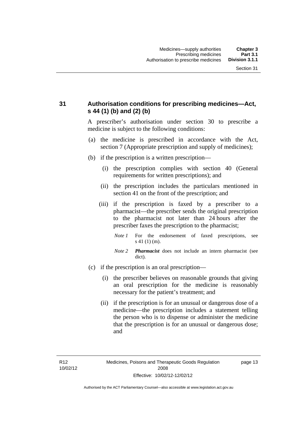## **31 Authorisation conditions for prescribing medicines—Act, s 44 (1) (b) and (2) (b)**

A prescriber's authorisation under section 30 to prescribe a medicine is subject to the following conditions:

- (a) the medicine is prescribed in accordance with the Act, section 7 (Appropriate prescription and supply of medicines);
- (b) if the prescription is a written prescription—
	- (i) the prescription complies with section 40 (General requirements for written prescriptions); and
	- (ii) the prescription includes the particulars mentioned in section 41 on the front of the prescription; and
	- (iii) if the prescription is faxed by a prescriber to a pharmacist—the prescriber sends the original prescription to the pharmacist not later than 24 hours after the prescriber faxes the prescription to the pharmacist;
		- *Note 1* For the endorsement of faxed prescriptions, see s 41 (1) (m).
		- *Note 2 Pharmacist* does not include an intern pharmacist (see dict).
- (c) if the prescription is an oral prescription—
	- (i) the prescriber believes on reasonable grounds that giving an oral prescription for the medicine is reasonably necessary for the patient's treatment; and
	- (ii) if the prescription is for an unusual or dangerous dose of a medicine—the prescription includes a statement telling the person who is to dispense or administer the medicine that the prescription is for an unusual or dangerous dose; and

page 13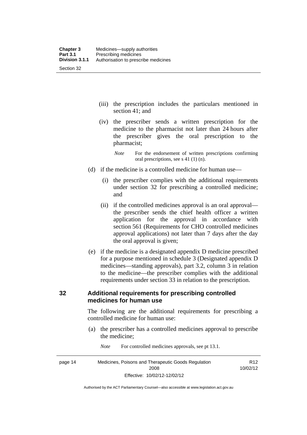- (iii) the prescription includes the particulars mentioned in section 41; and
- (iv) the prescriber sends a written prescription for the medicine to the pharmacist not later than 24 hours after the prescriber gives the oral prescription to the pharmacist;
	- *Note* For the endorsement of written prescriptions confirming oral prescriptions, see s 41 (1) (n).
- (d) if the medicine is a controlled medicine for human use—
	- (i) the prescriber complies with the additional requirements under section 32 for prescribing a controlled medicine; and
	- (ii) if the controlled medicines approval is an oral approval the prescriber sends the chief health officer a written application for the approval in accordance with section 561 (Requirements for CHO controlled medicines approval applications) not later than 7 days after the day the oral approval is given;
- (e) if the medicine is a designated appendix D medicine prescribed for a purpose mentioned in schedule 3 (Designated appendix D medicines—standing approvals), part 3.2, column 3 in relation to the medicine—the prescriber complies with the additional requirements under section 33 in relation to the prescription.

#### **32 Additional requirements for prescribing controlled medicines for human use**

The following are the additional requirements for prescribing a controlled medicine for human use:

- (a) the prescriber has a controlled medicines approval to prescribe the medicine;
- page 14 Medicines, Poisons and Therapeutic Goods Regulation 2008 Effective: 10/02/12-12/02/12 R12 10/02/12
- *Note* For controlled medicines approvals, see pt 13.1.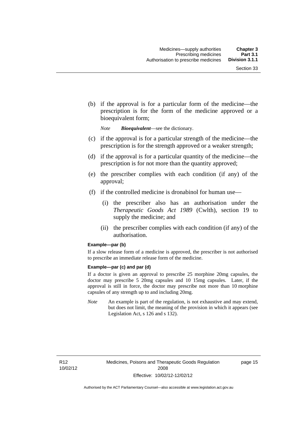(b) if the approval is for a particular form of the medicine—the prescription is for the form of the medicine approved or a bioequivalent form;

*Note Bioequivalent*—see the dictionary.

- (c) if the approval is for a particular strength of the medicine—the prescription is for the strength approved or a weaker strength;
- (d) if the approval is for a particular quantity of the medicine—the prescription is for not more than the quantity approved;
- (e) the prescriber complies with each condition (if any) of the approval;
- (f) if the controlled medicine is dronabinol for human use—
	- (i) the prescriber also has an authorisation under the *Therapeutic Goods Act 1989* (Cwlth), section 19 to supply the medicine; and
	- (ii) the prescriber complies with each condition (if any) of the authorisation.

#### **Example—par (b)**

If a slow release form of a medicine is approved, the prescriber is not authorised to prescribe an immediate release form of the medicine.

#### **Example—par (c) and par (d)**

If a doctor is given an approval to prescribe 25 morphine 20mg capsules, the doctor may prescribe 5 20mg capsules and 10 15mg capsules. Later, if the approval is still in force, the doctor may prescribe not more than 10 morphine capsules of any strength up to and including 20mg.

*Note* An example is part of the regulation, is not exhaustive and may extend, but does not limit, the meaning of the provision in which it appears (see Legislation Act, s 126 and s 132).

R12 10/02/12 page 15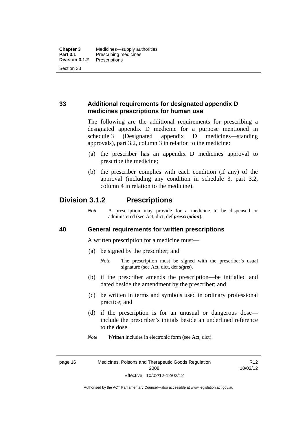## **33 Additional requirements for designated appendix D medicines prescriptions for human use**

The following are the additional requirements for prescribing a designated appendix D medicine for a purpose mentioned in schedule 3 (Designated appendix D medicines—standing approvals), part 3.2, column 3 in relation to the medicine:

- (a) the prescriber has an appendix D medicines approval to prescribe the medicine;
- (b) the prescriber complies with each condition (if any) of the approval (including any condition in schedule 3, part 3.2, column 4 in relation to the medicine).

## **Division 3.1.2 Prescriptions**

*Note* A prescription may provide for a medicine to be dispensed or administered (see Act, dict, def *prescription*).

#### **40 General requirements for written prescriptions**

A written prescription for a medicine must—

- (a) be signed by the prescriber; and
	- *Note* The prescription must be signed with the prescriber's usual signature (see Act, dict, def *signs*).
- (b) if the prescriber amends the prescription—be initialled and dated beside the amendment by the prescriber; and
- (c) be written in terms and symbols used in ordinary professional practice; and
- (d) if the prescription is for an unusual or dangerous dose include the prescriber's initials beside an underlined reference to the dose.
- *Note Written* includes in electronic form (see Act, dict).

page 16 Medicines, Poisons and Therapeutic Goods Regulation 2008 Effective: 10/02/12-12/02/12

R12 10/02/12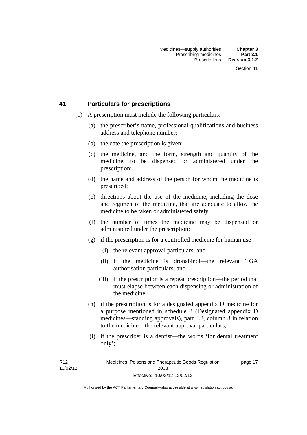#### **41 Particulars for prescriptions**

- (1) A prescription must include the following particulars:
	- (a) the prescriber's name, professional qualifications and business address and telephone number;
	- (b) the date the prescription is given;
	- (c) the medicine, and the form, strength and quantity of the medicine, to be dispensed or administered under the prescription;
	- (d) the name and address of the person for whom the medicine is prescribed;
	- (e) directions about the use of the medicine, including the dose and regimen of the medicine, that are adequate to allow the medicine to be taken or administered safely;
	- (f) the number of times the medicine may be dispensed or administered under the prescription;
	- (g) if the prescription is for a controlled medicine for human use—
		- (i) the relevant approval particulars; and
		- (ii) if the medicine is dronabinol—the relevant TGA authorisation particulars; and
		- (iii) if the prescription is a repeat prescription—the period that must elapse between each dispensing or administration of the medicine;
	- (h) if the prescription is for a designated appendix D medicine for a purpose mentioned in schedule 3 (Designated appendix D medicines—standing approvals), part 3.2, column 3 in relation to the medicine—the relevant approval particulars;
	- (i) if the prescriber is a dentist—the words 'for dental treatment only';

R12 10/02/12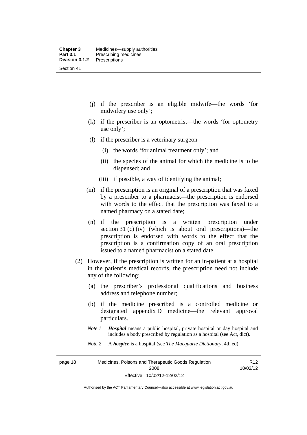- (j) if the prescriber is an eligible midwife—the words 'for midwifery use only';
- (k) if the prescriber is an optometrist—the words 'for optometry use only';
- (l) if the prescriber is a veterinary surgeon—
	- (i) the words 'for animal treatment only'; and
	- (ii) the species of the animal for which the medicine is to be dispensed; and
	- (iii) if possible, a way of identifying the animal;
- (m) if the prescription is an original of a prescription that was faxed by a prescriber to a pharmacist—the prescription is endorsed with words to the effect that the prescription was faxed to a named pharmacy on a stated date;
- (n) if the prescription is a written prescription under section 31 (c) (iv) (which is about oral prescriptions)—the prescription is endorsed with words to the effect that the prescription is a confirmation copy of an oral prescription issued to a named pharmacist on a stated date.
- (2) However, if the prescription is written for an in-patient at a hospital in the patient's medical records, the prescription need not include any of the following:
	- (a) the prescriber's professional qualifications and business address and telephone number;
	- (b) if the medicine prescribed is a controlled medicine or designated appendix D medicine—the relevant approval particulars.
	- *Note 1 Hospital* means a public hospital, private hospital or day hospital and includes a body prescribed by regulation as a hospital (see Act, dict).
	- *Note 2* A *hospice* is a hospital (see *The Macquarie Dictionary*, 4th ed).

page 18 Medicines, Poisons and Therapeutic Goods Regulation 2008 Effective: 10/02/12-12/02/12

R12 10/02/12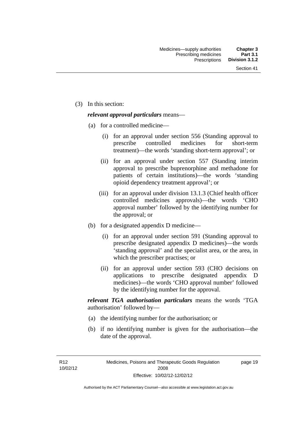(3) In this section:

#### *relevant approval particulars* means—

- (a) for a controlled medicine—
	- (i) for an approval under section 556 (Standing approval to prescribe controlled medicines for short-term treatment)—the words 'standing short-term approval'; or
	- (ii) for an approval under section 557 (Standing interim approval to prescribe buprenorphine and methadone for patients of certain institutions)—the words 'standing opioid dependency treatment approval'; or
	- (iii) for an approval under division 13.1.3 (Chief health officer controlled medicines approvals)—the words 'CHO approval number' followed by the identifying number for the approval; or
- (b) for a designated appendix D medicine—
	- (i) for an approval under section 591 (Standing approval to prescribe designated appendix D medicines)—the words 'standing approval' and the specialist area, or the area, in which the prescriber practises; or
	- (ii) for an approval under section 593 (CHO decisions on applications to prescribe designated appendix D medicines)—the words 'CHO approval number' followed by the identifying number for the approval.

*relevant TGA authorisation particulars* means the words 'TGA authorisation' followed by—

- (a) the identifying number for the authorisation; or
- (b) if no identifying number is given for the authorisation—the date of the approval.

R12 10/02/12 page 19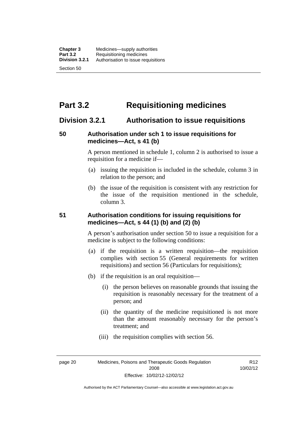# **Part 3.2 Requisitioning medicines**

## **Division 3.2.1 Authorisation to issue requisitions**

#### **50 Authorisation under sch 1 to issue requisitions for medicines—Act, s 41 (b)**

A person mentioned in schedule 1, column 2 is authorised to issue a requisition for a medicine if—

- (a) issuing the requisition is included in the schedule, column 3 in relation to the person; and
- (b) the issue of the requisition is consistent with any restriction for the issue of the requisition mentioned in the schedule, column 3.

#### **51 Authorisation conditions for issuing requisitions for medicines—Act, s 44 (1) (b) and (2) (b)**

A person's authorisation under section 50 to issue a requisition for a medicine is subject to the following conditions:

- (a) if the requisition is a written requisition—the requisition complies with section 55 (General requirements for written requisitions) and section 56 (Particulars for requisitions);
- (b) if the requisition is an oral requisition—
	- (i) the person believes on reasonable grounds that issuing the requisition is reasonably necessary for the treatment of a person; and
	- (ii) the quantity of the medicine requisitioned is not more than the amount reasonably necessary for the person's treatment; and
	- (iii) the requisition complies with section 56.

page 20 Medicines, Poisons and Therapeutic Goods Regulation 2008 Effective: 10/02/12-12/02/12

R12 10/02/12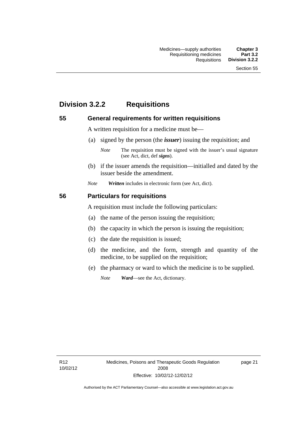# **Division 3.2.2 Requisitions**

#### **55 General requirements for written requisitions**

A written requisition for a medicine must be—

(a) signed by the person (the *issuer*) issuing the requisition; and

 (b) if the issuer amends the requisition—initialled and dated by the issuer beside the amendment.

*Note Written* includes in electronic form (see Act, dict).

#### **56 Particulars for requisitions**

A requisition must include the following particulars:

- (a) the name of the person issuing the requisition;
- (b) the capacity in which the person is issuing the requisition;
- (c) the date the requisition is issued;
- (d) the medicine, and the form, strength and quantity of the medicine, to be supplied on the requisition;
- (e) the pharmacy or ward to which the medicine is to be supplied.

*Note Ward*—see the Act, dictionary.

R12 10/02/12

*Note* The requisition must be signed with the issuer's usual signature (see Act, dict, def *signs*).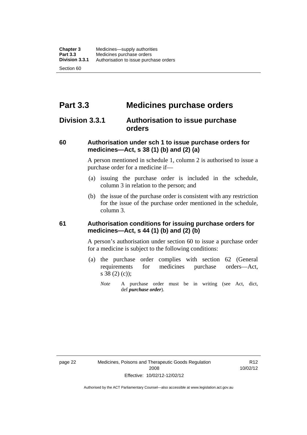# **Part 3.3 Medicines purchase orders**

## **Division 3.3.1 Authorisation to issue purchase orders**

#### **60 Authorisation under sch 1 to issue purchase orders for medicines—Act, s 38 (1) (b) and (2) (a)**

A person mentioned in schedule 1, column 2 is authorised to issue a purchase order for a medicine if—

- (a) issuing the purchase order is included in the schedule, column 3 in relation to the person; and
- (b) the issue of the purchase order is consistent with any restriction for the issue of the purchase order mentioned in the schedule, column 3.

#### **61 Authorisation conditions for issuing purchase orders for medicines—Act, s 44 (1) (b) and (2) (b)**

A person's authorisation under section 60 to issue a purchase order for a medicine is subject to the following conditions:

- (a) the purchase order complies with section 62 (General requirements for medicines purchase orders—Act, s 38 (2) (c));
	- *Note* A purchase order must be in writing (see Act, dict, def *purchase order*).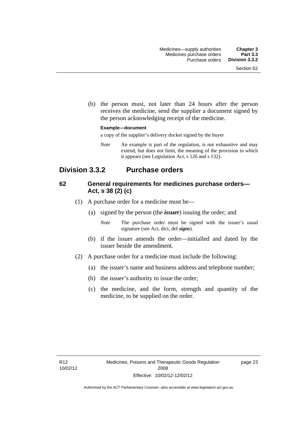(b) the person must, not later than 24 hours after the person receives the medicine, send the supplier a document signed by the person acknowledging receipt of the medicine.

#### **Example—document**

a copy of the supplier's delivery docket signed by the buyer

*Note* An example is part of the regulation, is not exhaustive and may extend, but does not limit, the meaning of the provision in which it appears (see Legislation Act, s 126 and s 132).

## **Division 3.3.2 Purchase orders**

#### **62 General requirements for medicines purchase orders— Act, s 38 (2) (c)**

- (1) A purchase order for a medicine must be—
	- (a) signed by the person (the *issuer*) issuing the order; and
		- *Note* The purchase order must be signed with the issuer's usual signature (see Act, dict, def *signs*).
	- (b) if the issuer amends the order—initialled and dated by the issuer beside the amendment.
- (2) A purchase order for a medicine must include the following:
	- (a) the issuer's name and business address and telephone number;
	- (b) the issuer's authority to issue the order;
	- (c) the medicine, and the form, strength and quantity of the medicine, to be supplied on the order.

page 23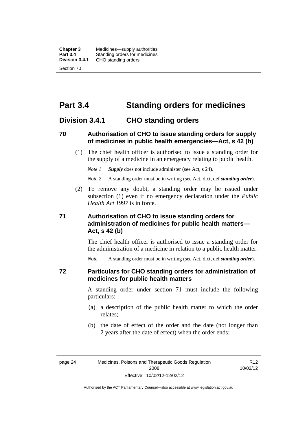**Chapter 3** Medicines—supply authorities<br>**Part 3.4** Standing orders for medicines **Part 3.4 Standing orders for medicines<br>
<b>Division 3.4.1** CHO standing orders **Division 3.4.1** CHO standing orders Section 70

# **Part 3.4 Standing orders for medicines**

## **Division 3.4.1 CHO standing orders**

#### **70 Authorisation of CHO to issue standing orders for supply of medicines in public health emergencies—Act, s 42 (b)**

 (1) The chief health officer is authorised to issue a standing order for the supply of a medicine in an emergency relating to public health.

*Note 1 Supply* does not include administer (see Act, s 24).

*Note 2* A standing order must be in writing (see Act, dict, def *standing order*).

 (2) To remove any doubt, a standing order may be issued under subsection (1) even if no emergency declaration under the *Public Health Act 1997* is in force.

#### **71 Authorisation of CHO to issue standing orders for administration of medicines for public health matters— Act, s 42 (b)**

The chief health officer is authorised to issue a standing order for the administration of a medicine in relation to a public health matter.

*Note* A standing order must be in writing (see Act, dict, def *standing order*).

#### **72 Particulars for CHO standing orders for administration of medicines for public health matters**

A standing order under section 71 must include the following particulars:

- (a) a description of the public health matter to which the order relates;
- (b) the date of effect of the order and the date (not longer than 2 years after the date of effect) when the order ends;

R12 10/02/12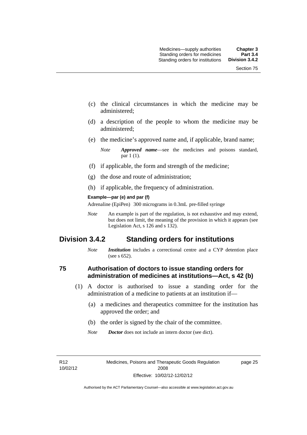- (c) the clinical circumstances in which the medicine may be administered;
- (d) a description of the people to whom the medicine may be administered;
- (e) the medicine's approved name and, if applicable, brand name;

- (f) if applicable, the form and strength of the medicine;
- (g) the dose and route of administration;
- (h) if applicable, the frequency of administration.

#### **Example—par (e) and par (f)**

Adrenaline (EpiPen) 300 micrograms in 0.3mL pre-filled syringe

*Note* An example is part of the regulation, is not exhaustive and may extend, but does not limit, the meaning of the provision in which it appears (see Legislation Act, s 126 and s 132).

## **Division 3.4.2 Standing orders for institutions**

*Note Institution* includes a correctional centre and a CYP detention place (see s 652).

#### **75 Authorisation of doctors to issue standing orders for administration of medicines at institutions—Act, s 42 (b)**

- (1) A doctor is authorised to issue a standing order for the administration of a medicine to patients at an institution if—
	- (a) a medicines and therapeutics committee for the institution has approved the order; and
	- (b) the order is signed by the chair of the committee.
	- *Note Doctor* does not include an intern doctor (see dict).

R12 10/02/12 page 25

*Note Approved name*—see the medicines and poisons standard, par 1 (1).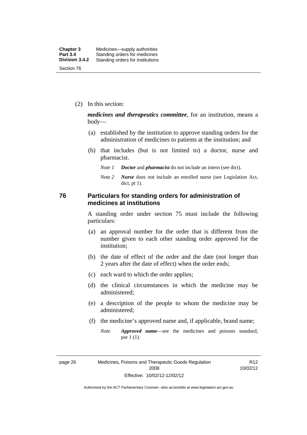(2) In this section:

*medicines and therapeutics committee*, for an institution, means a body—

- (a) established by the institution to approve standing orders for the administration of medicines to patients at the institution; and
- (b) that includes (but is not limited to) a doctor, nurse and pharmacist.
	- *Note 1 Doctor* and *pharmacist* do not include an intern (see dict).
	- *Note 2 Nurse* does not include an enrolled nurse (see Legislation Act, dict, pt 1).

#### **76 Particulars for standing orders for administration of medicines at institutions**

A standing order under section 75 must include the following particulars:

- (a) an approval number for the order that is different from the number given to each other standing order approved for the institution;
- (b) the date of effect of the order and the date (not longer than 2 years after the date of effect) when the order ends;
- (c) each ward to which the order applies;
- (d) the clinical circumstances in which the medicine may be administered;
- (e) a description of the people to whom the medicine may be administered;
- (f) the medicine's approved name and, if applicable, brand name;
	- *Note Approved name*—see the medicines and poisons standard, par 1 (1).

page 26 Medicines, Poisons and Therapeutic Goods Regulation 2008 Effective: 10/02/12-12/02/12

R12 10/02/12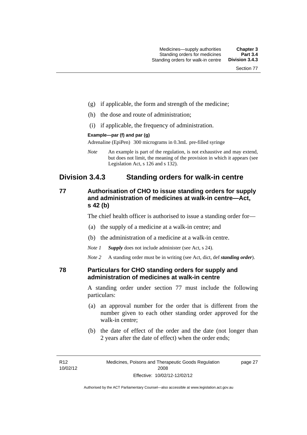- (g) if applicable, the form and strength of the medicine;
- (h) the dose and route of administration;
- (i) if applicable, the frequency of administration.

#### **Example—par (f) and par (g)**

Adrenaline (EpiPen) 300 micrograms in 0.3mL pre-filled syringe

*Note* An example is part of the regulation, is not exhaustive and may extend, but does not limit, the meaning of the provision in which it appears (see Legislation Act, s 126 and s 132).

## **Division 3.4.3 Standing orders for walk-in centre**

#### **77 Authorisation of CHO to issue standing orders for supply and administration of medicines at walk-in centre—Act, s 42 (b)**

The chief health officer is authorised to issue a standing order for—

- (a) the supply of a medicine at a walk-in centre; and
- (b) the administration of a medicine at a walk-in centre.

*Note 1 Supply* does not include administer (see Act, s 24).

*Note 2* A standing order must be in writing (see Act, dict, def *standing order*).

#### **78 Particulars for CHO standing orders for supply and administration of medicines at walk-in centre**

A standing order under section 77 must include the following particulars:

- (a) an approval number for the order that is different from the number given to each other standing order approved for the walk-in centre;
- (b) the date of effect of the order and the date (not longer than 2 years after the date of effect) when the order ends;

page 27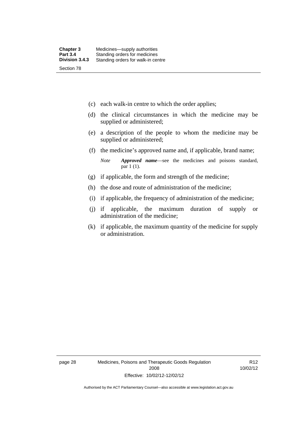- (c) each walk-in centre to which the order applies;
- (d) the clinical circumstances in which the medicine may be supplied or administered;
- (e) a description of the people to whom the medicine may be supplied or administered;
- (f) the medicine's approved name and, if applicable, brand name;

*Note Approved name*—see the medicines and poisons standard, par 1 (1).

- (g) if applicable, the form and strength of the medicine;
- (h) the dose and route of administration of the medicine;
- (i) if applicable, the frequency of administration of the medicine;
- (j) if applicable, the maximum duration of supply or administration of the medicine;
- (k) if applicable, the maximum quantity of the medicine for supply or administration.

page 28 Medicines, Poisons and Therapeutic Goods Regulation 2008 Effective: 10/02/12-12/02/12

R12 10/02/12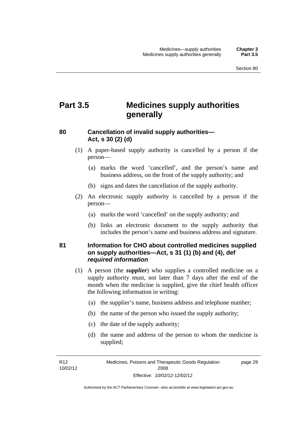# **Part 3.5 Medicines supply authorities generally**

#### **80 Cancellation of invalid supply authorities— Act, s 30 (2) (d)**

- (1) A paper-based supply authority is cancelled by a person if the person—
	- (a) marks the word 'cancelled', and the person's name and business address, on the front of the supply authority; and
	- (b) signs and dates the cancellation of the supply authority.
- (2) An electronic supply authority is cancelled by a person if the person—
	- (a) marks the word 'cancelled' on the supply authority; and
	- (b) links an electronic document to the supply authority that includes the person's name and business address and signature.

#### **81 Information for CHO about controlled medicines supplied on supply authorities—Act, s 31 (1) (b) and (4), def**  *required information*

- (1) A person (the *supplier*) who supplies a controlled medicine on a supply authority must, not later than 7 days after the end of the month when the medicine is supplied, give the chief health officer the following information in writing:
	- (a) the supplier's name, business address and telephone number;
	- (b) the name of the person who issued the supply authority;
	- (c) the date of the supply authority;
	- (d) the name and address of the person to whom the medicine is supplied;

R12 10/02/12 page 29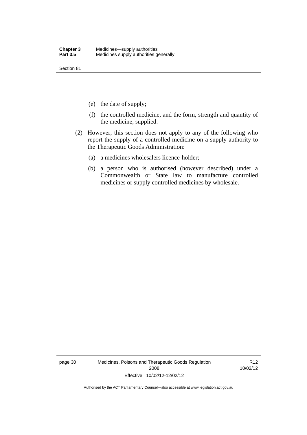Section 81

- (e) the date of supply;
- (f) the controlled medicine, and the form, strength and quantity of the medicine, supplied.
- (2) However, this section does not apply to any of the following who report the supply of a controlled medicine on a supply authority to the Therapeutic Goods Administration:
	- (a) a medicines wholesalers licence-holder;
	- (b) a person who is authorised (however described) under a Commonwealth or State law to manufacture controlled medicines or supply controlled medicines by wholesale.

page 30 Medicines, Poisons and Therapeutic Goods Regulation 2008 Effective: 10/02/12-12/02/12

R12 10/02/12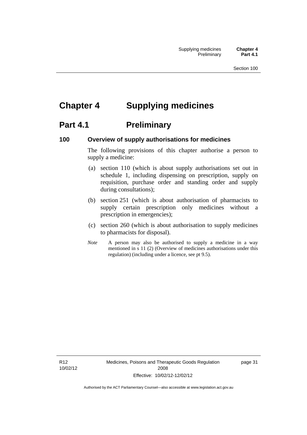# **Chapter 4 Supplying medicines**

# **Part 4.1** Preliminary

#### **100 Overview of supply authorisations for medicines**

The following provisions of this chapter authorise a person to supply a medicine:

- (a) section 110 (which is about supply authorisations set out in schedule 1, including dispensing on prescription, supply on requisition, purchase order and standing order and supply during consultations);
- (b) section 251 (which is about authorisation of pharmacists to supply certain prescription only medicines without a prescription in emergencies);
- (c) section 260 (which is about authorisation to supply medicines to pharmacists for disposal).
- *Note* A person may also be authorised to supply a medicine in a way mentioned in s 11 (2) (Overview of medicines authorisations under this regulation) (including under a licence, see pt 9.5).

R12 10/02/12 Medicines, Poisons and Therapeutic Goods Regulation 2008 Effective: 10/02/12-12/02/12

page 31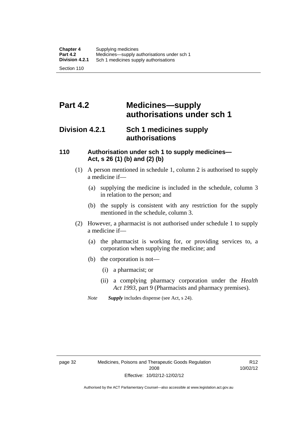# **Part 4.2 Medicines—supply authorisations under sch 1**

## **Division 4.2.1 Sch 1 medicines supply authorisations**

#### **110 Authorisation under sch 1 to supply medicines— Act, s 26 (1) (b) and (2) (b)**

- (1) A person mentioned in schedule 1, column 2 is authorised to supply a medicine if—
	- (a) supplying the medicine is included in the schedule, column 3 in relation to the person; and
	- (b) the supply is consistent with any restriction for the supply mentioned in the schedule, column 3.
- (2) However, a pharmacist is not authorised under schedule 1 to supply a medicine if—
	- (a) the pharmacist is working for, or providing services to, a corporation when supplying the medicine; and
	- (b) the corporation is not—
		- (i) a pharmacist; or
		- (ii) a complying pharmacy corporation under the *Health Act 1993*, part 9 (Pharmacists and pharmacy premises).
	- *Note Supply* includes dispense (see Act, s 24).

R12 10/02/12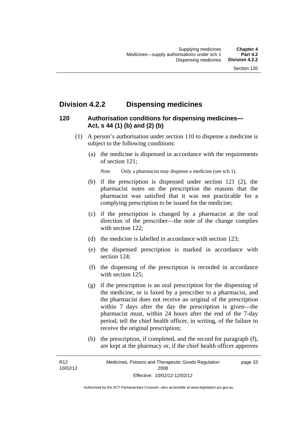# **Division 4.2.2 Dispensing medicines**

## **120 Authorisation conditions for dispensing medicines— Act, s 44 (1) (b) and (2) (b)**

- (1) A person's authorisation under section 110 to dispense a medicine is subject to the following conditions:
	- (a) the medicine is dispensed in accordance with the requirements of section 121;

*Note* Only a pharmacist may dispense a medicine (see sch 1).

- (b) if the prescription is dispensed under section 121 (2), the pharmacist notes on the prescription the reasons that the pharmacist was satisfied that it was not practicable for a complying prescription to be issued for the medicine;
- (c) if the prescription is changed by a pharmacist at the oral direction of the prescriber—the note of the change complies with section 122:
- (d) the medicine is labelled in accordance with section 123;
- (e) the dispensed prescription is marked in accordance with section 124;
- (f) the dispensing of the prescription is recorded in accordance with section 125:
- (g) if the prescription is an oral prescription for the dispensing of the medicine, or is faxed by a prescriber to a pharmacist, and the pharmacist does not receive an original of the prescription within 7 days after the day the prescription is given—the pharmacist must, within 24 hours after the end of the 7-day period, tell the chief health officer, in writing, of the failure to receive the original prescription;
- (h) the prescription, if completed, and the record for paragraph (f), are kept at the pharmacy or, if the chief health officer approves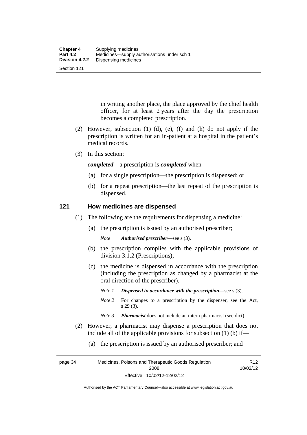Section 121

in writing another place, the place approved by the chief health officer, for at least 2 years after the day the prescription becomes a completed prescription.

- (2) However, subsection (1) (d), (e), (f) and (h) do not apply if the prescription is written for an in-patient at a hospital in the patient's medical records.
- (3) In this section:

*completed*—a prescription is *completed* when—

- (a) for a single prescription—the prescription is dispensed; or
- (b) for a repeat prescription—the last repeat of the prescription is dispensed.

#### **121 How medicines are dispensed**

- (1) The following are the requirements for dispensing a medicine:
	- (a) the prescription is issued by an authorised prescriber;

*Note Authorised prescriber*—see s (3).

- (b) the prescription complies with the applicable provisions of division 3.1.2 (Prescriptions);
- (c) the medicine is dispensed in accordance with the prescription (including the prescription as changed by a pharmacist at the oral direction of the prescriber).
	- *Note 1 Dispensed in accordance with the prescription*—see s (3).
	- *Note* 2 For changes to a prescription by the dispenser, see the Act, s 29 (3).
	- *Note 3 Pharmacist* does not include an intern pharmacist (see dict).
- (2) However, a pharmacist may dispense a prescription that does not include all of the applicable provisions for subsection (1) (b) if—
	- (a) the prescription is issued by an authorised prescriber; and

page 34 Medicines, Poisons and Therapeutic Goods Regulation 2008 Effective: 10/02/12-12/02/12 R12 10/02/12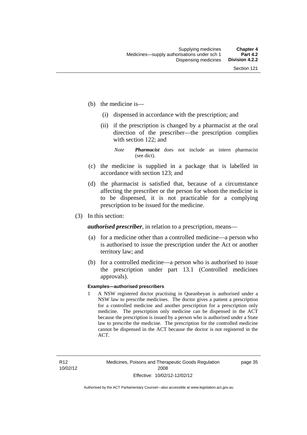- (b) the medicine is—
	- (i) dispensed in accordance with the prescription; and
	- (ii) if the prescription is changed by a pharmacist at the oral direction of the prescriber—the prescription complies with section 122; and

*Note Pharmacist* does not include an intern pharmacist (see dict).

- (c) the medicine is supplied in a package that is labelled in accordance with section 123; and
- (d) the pharmacist is satisfied that, because of a circumstance affecting the prescriber or the person for whom the medicine is to be dispensed, it is not practicable for a complying prescription to be issued for the medicine.
- (3) In this section:

*authorised prescriber*, in relation to a prescription, means—

- (a) for a medicine other than a controlled medicine—a person who is authorised to issue the prescription under the Act or another territory law; and
- (b) for a controlled medicine—a person who is authorised to issue the prescription under part 13.1 (Controlled medicines approvals).

#### **Examples—authorised prescribers**

1 A NSW registered doctor practising in Queanbeyan is authorised under a NSW law to prescribe medicines. The doctor gives a patient a prescription for a controlled medicine and another prescription for a prescription only medicine. The prescription only medicine can be dispensed in the ACT because the prescription is issued by a person who is authorised under a State law to prescribe the medicine. The prescription for the controlled medicine cannot be dispensed in the ACT because the doctor is not registered in the ACT.

page 35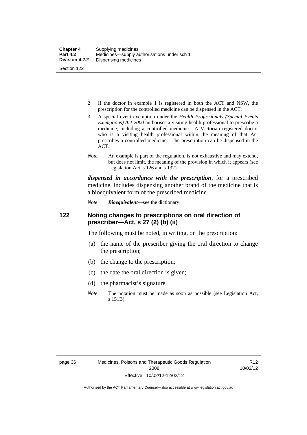- 2 If the doctor in example 1 is registered in both the ACT and NSW, the prescription for the controlled medicine can be dispensed in the ACT.
- 3 A special event exemption under the *Health Professionals (Special Events Exemptions) Act 2000* authorises a visiting health professional to prescribe a medicine, including a controlled medicine. A Victorian registered doctor who is a visiting health professional within the meaning of that Act prescribes a controlled medicine. The prescription can be dispensed in the ACT.
- *Note* An example is part of the regulation, is not exhaustive and may extend, but does not limit, the meaning of the provision in which it appears (see Legislation Act, s 126 and s 132).

*dispensed in accordance with the prescription*, for a prescribed medicine, includes dispensing another brand of the medicine that is a bioequivalent form of the prescribed medicine.

*Note Bioequivalent*—see the dictionary.

#### **122 Noting changes to prescriptions on oral direction of prescriber—Act, s 27 (2) (b) (ii)**

The following must be noted, in writing, on the prescription:

- (a) the name of the prescriber giving the oral direction to change the prescription;
- (b) the change to the prescription;
- (c) the date the oral direction is given;
- (d) the pharmacist's signature.
- *Note* The notation must be made as soon as possible (see Legislation Act, s 151B).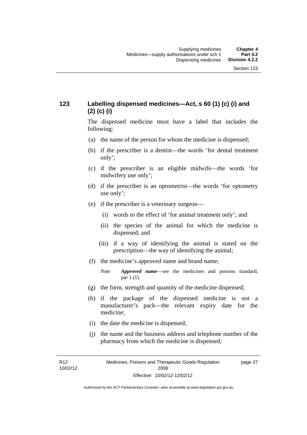## **123 Labelling dispensed medicines—Act, s 60 (1) (c) (i) and (2) (c) (i)**

The dispensed medicine must have a label that includes the following:

- (a) the name of the person for whom the medicine is dispensed;
- (b) if the prescriber is a dentist—the words 'for dental treatment only';
- (c) if the prescriber is an eligible midwife—the words 'for midwifery use only';
- (d) if the prescriber is an optometrist—the words 'for optometry use only';
- (e) if the prescriber is a veterinary surgeon—
	- (i) words to the effect of 'for animal treatment only'; and
	- (ii) the species of the animal for which the medicine is dispensed; and
	- (iii) if a way of identifying the animal is stated on the prescription—the way of identifying the animal;
- (f) the medicine's approved name and brand name;
	- *Note Approved name*—see the medicines and poisons standard, par 1 (1).
- (g) the form, strength and quantity of the medicine dispensed;
- (h) if the package of the dispensed medicine is not a manufacturer's pack—the relevant expiry date for the medicine;
- (i) the date the medicine is dispensed;
- (j) the name and the business address and telephone number of the pharmacy from which the medicine is dispensed;

R12 10/02/12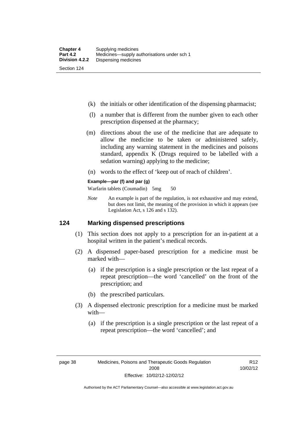- (k) the initials or other identification of the dispensing pharmacist;
- (l) a number that is different from the number given to each other prescription dispensed at the pharmacy;
- (m) directions about the use of the medicine that are adequate to allow the medicine to be taken or administered safely, including any warning statement in the medicines and poisons standard, appendix K (Drugs required to be labelled with a sedation warning) applying to the medicine;
- (n) words to the effect of 'keep out of reach of children'.

#### **Example—par (f) and par (g)**

Warfarin tablets (Coumadin) 5mg 50

*Note* An example is part of the regulation, is not exhaustive and may extend, but does not limit, the meaning of the provision in which it appears (see Legislation Act, s 126 and s 132).

#### **124 Marking dispensed prescriptions**

- (1) This section does not apply to a prescription for an in-patient at a hospital written in the patient's medical records.
- (2) A dispensed paper-based prescription for a medicine must be marked with—
	- (a) if the prescription is a single prescription or the last repeat of a repeat prescription—the word 'cancelled' on the front of the prescription; and
	- (b) the prescribed particulars.
- (3) A dispensed electronic prescription for a medicine must be marked with—
	- (a) if the prescription is a single prescription or the last repeat of a repeat prescription—the word 'cancelled'; and

R12 10/02/12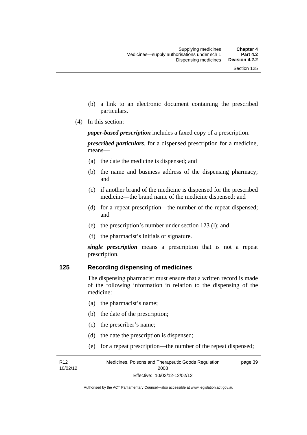- (b) a link to an electronic document containing the prescribed particulars.
- (4) In this section:

*paper-based prescription* includes a faxed copy of a prescription.

*prescribed particulars*, for a dispensed prescription for a medicine, means—

- (a) the date the medicine is dispensed; and
- (b) the name and business address of the dispensing pharmacy; and
- (c) if another brand of the medicine is dispensed for the prescribed medicine—the brand name of the medicine dispensed; and
- (d) for a repeat prescription—the number of the repeat dispensed; and
- (e) the prescription's number under section 123 (l); and
- (f) the pharmacist's initials or signature.

*single prescription* means a prescription that is not a repeat prescription.

#### **125 Recording dispensing of medicines**

The dispensing pharmacist must ensure that a written record is made of the following information in relation to the dispensing of the medicine:

- (a) the pharmacist's name;
- (b) the date of the prescription;
- (c) the prescriber's name;

R12 10/02/12

- (d) the date the prescription is dispensed;
- (e) for a repeat prescription—the number of the repeat dispensed;

Medicines, Poisons and Therapeutic Goods Regulation 2008 Effective: 10/02/12-12/02/12 page 39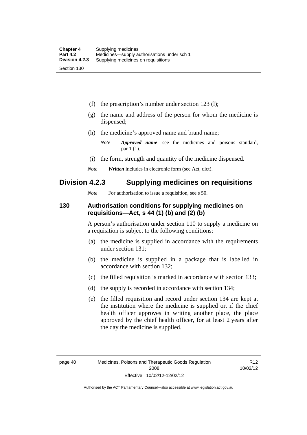(f) the prescription's number under section 123 (l);

- (g) the name and address of the person for whom the medicine is dispensed;
- (h) the medicine's approved name and brand name;
	- *Note Approved name*—see the medicines and poisons standard, par 1 (1).
- (i) the form, strength and quantity of the medicine dispensed.
- *Note Written* includes in electronic form (see Act, dict).

## **Division 4.2.3 Supplying medicines on requisitions**

*Note* For authorisation to issue a requisition, see s 50.

#### **130 Authorisation conditions for supplying medicines on requisitions—Act, s 44 (1) (b) and (2) (b)**

A person's authorisation under section 110 to supply a medicine on a requisition is subject to the following conditions:

- (a) the medicine is supplied in accordance with the requirements under section 131;
- (b) the medicine is supplied in a package that is labelled in accordance with section 132;
- (c) the filled requisition is marked in accordance with section 133;
- (d) the supply is recorded in accordance with section 134;
- (e) the filled requisition and record under section 134 are kept at the institution where the medicine is supplied or, if the chief health officer approves in writing another place, the place approved by the chief health officer, for at least 2 years after the day the medicine is supplied.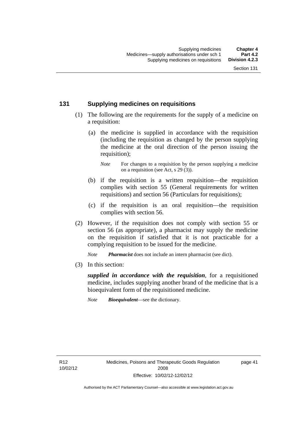#### **131 Supplying medicines on requisitions**

- (1) The following are the requirements for the supply of a medicine on a requisition:
	- (a) the medicine is supplied in accordance with the requisition (including the requisition as changed by the person supplying the medicine at the oral direction of the person issuing the requisition);

- (b) if the requisition is a written requisition—the requisition complies with section 55 (General requirements for written requisitions) and section 56 (Particulars for requisitions);
- (c) if the requisition is an oral requisition—the requisition complies with section 56.
- (2) However, if the requisition does not comply with section 55 or section 56 (as appropriate), a pharmacist may supply the medicine on the requisition if satisfied that it is not practicable for a complying requisition to be issued for the medicine.

*Note Pharmacist* does not include an intern pharmacist (see dict).

(3) In this section:

*supplied in accordance with the requisition*, for a requisitioned medicine, includes supplying another brand of the medicine that is a bioequivalent form of the requisitioned medicine.

*Note Bioequivalent*—see the dictionary.

*Note* For changes to a requisition by the person supplying a medicine on a requisition (see Act, s 29 (3)).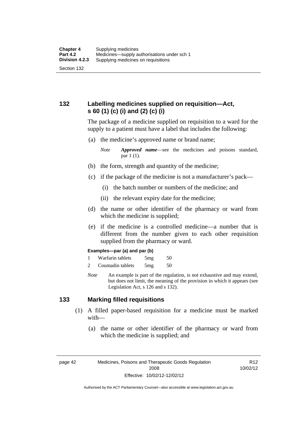## **132 Labelling medicines supplied on requisition—Act, s 60 (1) (c) (i) and (2) (c) (i)**

The package of a medicine supplied on requisition to a ward for the supply to a patient must have a label that includes the following:

(a) the medicine's approved name or brand name;

*Note Approved name*—see the medicines and poisons standard, par 1 (1).

- (b) the form, strength and quantity of the medicine;
- (c) if the package of the medicine is not a manufacturer's pack—
	- (i) the batch number or numbers of the medicine; and
	- (ii) the relevant expiry date for the medicine;
- (d) the name or other identifier of the pharmacy or ward from which the medicine is supplied;
- (e) if the medicine is a controlled medicine—a number that is different from the number given to each other requisition supplied from the pharmacy or ward.

#### **Examples—par (a) and par (b)**

- 1 Warfarin tablets 5mg 50
- 2 Coumadin tablets 5mg 50
- *Note* An example is part of the regulation, is not exhaustive and may extend, but does not limit, the meaning of the provision in which it appears (see Legislation Act, s 126 and s 132).

#### **133 Marking filled requisitions**

- (1) A filled paper-based requisition for a medicine must be marked with—
	- (a) the name or other identifier of the pharmacy or ward from which the medicine is supplied; and

page 42 Medicines, Poisons and Therapeutic Goods Regulation 2008 Effective: 10/02/12-12/02/12

R12 10/02/12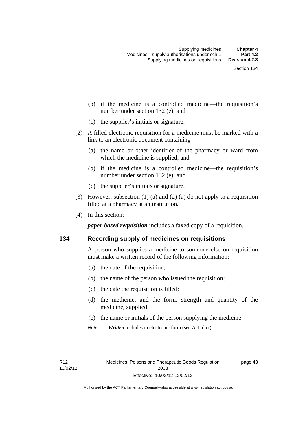- (b) if the medicine is a controlled medicine—the requisition's number under section 132 (e); and
- (c) the supplier's initials or signature.
- (2) A filled electronic requisition for a medicine must be marked with a link to an electronic document containing—
	- (a) the name or other identifier of the pharmacy or ward from which the medicine is supplied; and
	- (b) if the medicine is a controlled medicine—the requisition's number under section 132 (e); and
	- (c) the supplier's initials or signature.
- (3) However, subsection (1) (a) and (2) (a) do not apply to a requisition filled at a pharmacy at an institution.
- (4) In this section:

*paper-based requisition* includes a faxed copy of a requisition.

#### **134 Recording supply of medicines on requisitions**

A person who supplies a medicine to someone else on requisition must make a written record of the following information:

- (a) the date of the requisition;
- (b) the name of the person who issued the requisition;
- (c) the date the requisition is filled;
- (d) the medicine, and the form, strength and quantity of the medicine, supplied;
- (e) the name or initials of the person supplying the medicine.
- *Note Written* includes in electronic form (see Act, dict).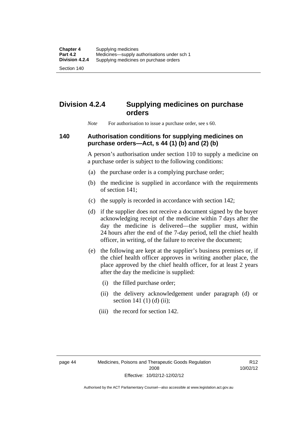Section 140

# **Division 4.2.4 Supplying medicines on purchase orders**

*Note* For authorisation to issue a purchase order, see s 60.

#### **140 Authorisation conditions for supplying medicines on purchase orders—Act, s 44 (1) (b) and (2) (b)**

A person's authorisation under section 110 to supply a medicine on a purchase order is subject to the following conditions:

- (a) the purchase order is a complying purchase order;
- (b) the medicine is supplied in accordance with the requirements of section 141;
- (c) the supply is recorded in accordance with section 142;
- (d) if the supplier does not receive a document signed by the buyer acknowledging receipt of the medicine within 7 days after the day the medicine is delivered—the supplier must, within 24 hours after the end of the 7-day period, tell the chief health officer, in writing, of the failure to receive the document;
- (e) the following are kept at the supplier's business premises or, if the chief health officer approves in writing another place, the place approved by the chief health officer, for at least 2 years after the day the medicine is supplied:
	- (i) the filled purchase order;
	- (ii) the delivery acknowledgement under paragraph (d) or section 141 $(1)$  $(d)$  $(ii)$ ;
	- (iii) the record for section 142.

R12 10/02/12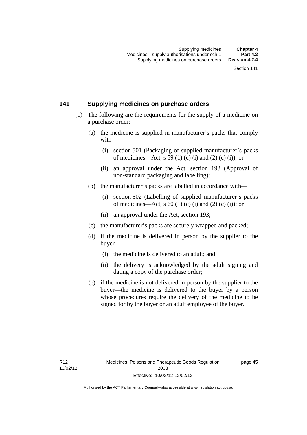#### **141 Supplying medicines on purchase orders**

- (1) The following are the requirements for the supply of a medicine on a purchase order:
	- (a) the medicine is supplied in manufacturer's packs that comply with—
		- (i) section 501 (Packaging of supplied manufacturer's packs of medicines—Act, s 59 (1) (c) (i) and (2) (c) (i)); or
		- (ii) an approval under the Act, section 193 (Approval of non-standard packaging and labelling);
	- (b) the manufacturer's packs are labelled in accordance with—
		- (i) section 502 (Labelling of supplied manufacturer's packs of medicines—Act, s  $60(1)$  (c) (i) and (2) (c) (i)); or
		- (ii) an approval under the Act, section 193;
	- (c) the manufacturer's packs are securely wrapped and packed;
	- (d) if the medicine is delivered in person by the supplier to the buyer—
		- (i) the medicine is delivered to an adult; and
		- (ii) the delivery is acknowledged by the adult signing and dating a copy of the purchase order;
	- (e) if the medicine is not delivered in person by the supplier to the buyer—the medicine is delivered to the buyer by a person whose procedures require the delivery of the medicine to be signed for by the buyer or an adult employee of the buyer.

page 45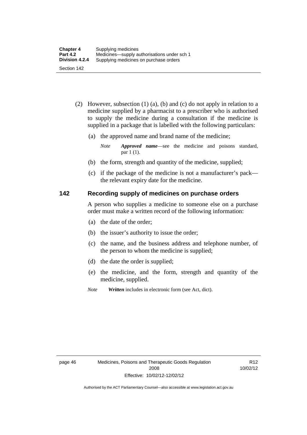- (2) However, subsection (1) (a), (b) and (c) do not apply in relation to a medicine supplied by a pharmacist to a prescriber who is authorised to supply the medicine during a consultation if the medicine is supplied in a package that is labelled with the following particulars:
	- (a) the approved name and brand name of the medicine;

*Note Approved name*—see the medicine and poisons standard, par 1 (1).

- (b) the form, strength and quantity of the medicine, supplied;
- (c) if the package of the medicine is not a manufacturer's pack the relevant expiry date for the medicine.

#### **142 Recording supply of medicines on purchase orders**

A person who supplies a medicine to someone else on a purchase order must make a written record of the following information:

- (a) the date of the order;
- (b) the issuer's authority to issue the order;
- (c) the name, and the business address and telephone number, of the person to whom the medicine is supplied;
- (d) the date the order is supplied;
- (e) the medicine, and the form, strength and quantity of the medicine, supplied.
- *Note Written* includes in electronic form (see Act, dict).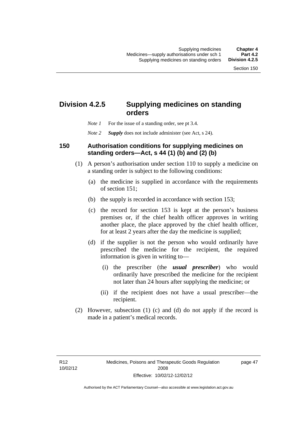## **Division 4.2.5 Supplying medicines on standing orders**

- *Note 1* For the issue of a standing order, see pt 3.4.
- *Note 2 Supply* does not include administer (see Act, s 24).

#### **150 Authorisation conditions for supplying medicines on standing orders—Act, s 44 (1) (b) and (2) (b)**

- (1) A person's authorisation under section 110 to supply a medicine on a standing order is subject to the following conditions:
	- (a) the medicine is supplied in accordance with the requirements of section 151;
	- (b) the supply is recorded in accordance with section 153;
	- (c) the record for section 153 is kept at the person's business premises or, if the chief health officer approves in writing another place, the place approved by the chief health officer, for at least 2 years after the day the medicine is supplied;
	- (d) if the supplier is not the person who would ordinarily have prescribed the medicine for the recipient, the required information is given in writing to—
		- (i) the prescriber (the *usual prescriber*) who would ordinarily have prescribed the medicine for the recipient not later than 24 hours after supplying the medicine; or
		- (ii) if the recipient does not have a usual prescriber—the recipient.
- (2) However, subsection (1) (c) and (d) do not apply if the record is made in a patient's medical records.

page 47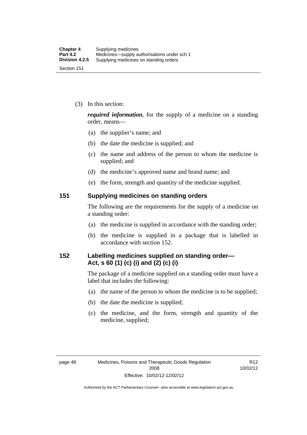(3) In this section:

*required information*, for the supply of a medicine on a standing order, means—

- (a) the supplier's name; and
- (b) the date the medicine is supplied; and
- (c) the name and address of the person to whom the medicine is supplied; and
- (d) the medicine's approved name and brand name; and
- (e) the form, strength and quantity of the medicine supplied.

#### **151 Supplying medicines on standing orders**

The following are the requirements for the supply of a medicine on a standing order:

- (a) the medicine is supplied in accordance with the standing order;
- (b) the medicine is supplied in a package that is labelled in accordance with section 152.

#### **152 Labelling medicines supplied on standing order— Act, s 60 (1) (c) (i) and (2) (c) (i)**

The package of a medicine supplied on a standing order must have a label that includes the following:

- (a) the name of the person to whom the medicine is to be supplied;
- (b) the date the medicine is supplied;
- (c) the medicine, and the form, strength and quantity of the medicine, supplied;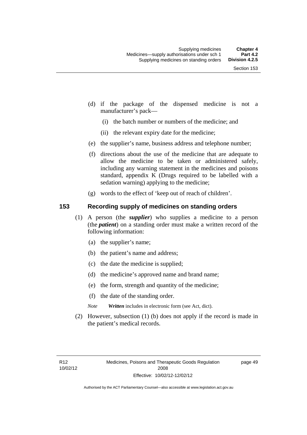- (d) if the package of the dispensed medicine is not a manufacturer's pack—
	- (i) the batch number or numbers of the medicine; and
	- (ii) the relevant expiry date for the medicine;
- (e) the supplier's name, business address and telephone number;
- (f) directions about the use of the medicine that are adequate to allow the medicine to be taken or administered safely, including any warning statement in the medicines and poisons standard, appendix K (Drugs required to be labelled with a sedation warning) applying to the medicine;
- (g) words to the effect of 'keep out of reach of children'.

#### **153 Recording supply of medicines on standing orders**

- (1) A person (the *supplier*) who supplies a medicine to a person (the *patient*) on a standing order must make a written record of the following information:
	- (a) the supplier's name;
	- (b) the patient's name and address;
	- (c) the date the medicine is supplied;
	- (d) the medicine's approved name and brand name;
	- (e) the form, strength and quantity of the medicine;
	- (f) the date of the standing order.
	- *Note Written* includes in electronic form (see Act, dict).
- (2) However, subsection (1) (b) does not apply if the record is made in the patient's medical records.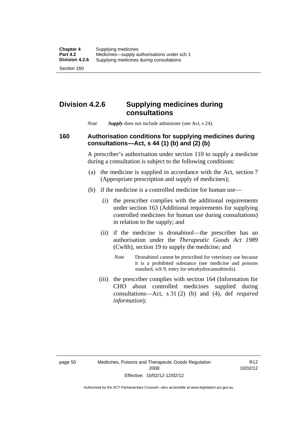### **Division 4.2.6 Supplying medicines during consultations**

*Note Supply* does not include administer (see Act, s 24).

### **160 Authorisation conditions for supplying medicines during consultations—Act, s 44 (1) (b) and (2) (b)**

A prescriber's authorisation under section 110 to supply a medicine during a consultation is subject to the following conditions:

- (a) the medicine is supplied in accordance with the Act, section 7 (Appropriate prescription and supply of medicines);
- (b) if the medicine is a controlled medicine for human use—
	- (i) the prescriber complies with the additional requirements under section 163 (Additional requirements for supplying controlled medicines for human use during consultations) in relation to the supply; and
	- (ii) if the medicine is dronabinol—the prescriber has an authorisation under the *Therapeutic Goods Act 1989* (Cwlth), section 19 to supply the medicine; and
		- *Note* Dronabinol cannot be prescribed for veterinary use because it is a prohibited substance (see medicine and poisons standard, sch 9, entry for tetrahydrocannabinols).
	- (iii) the prescriber complies with section 164 (Information for CHO about controlled medicines supplied during consultations—Act, s 31 (2) (b) and (4), def *required information*);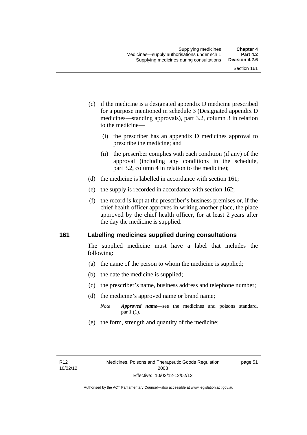- (c) if the medicine is a designated appendix D medicine prescribed for a purpose mentioned in schedule 3 (Designated appendix D medicines—standing approvals), part 3.2, column 3 in relation to the medicine—
	- (i) the prescriber has an appendix D medicines approval to prescribe the medicine; and
	- (ii) the prescriber complies with each condition (if any) of the approval (including any conditions in the schedule, part 3.2, column 4 in relation to the medicine);
- (d) the medicine is labelled in accordance with section 161;
- (e) the supply is recorded in accordance with section 162;
- (f) the record is kept at the prescriber's business premises or, if the chief health officer approves in writing another place, the place approved by the chief health officer, for at least 2 years after the day the medicine is supplied.

#### **161 Labelling medicines supplied during consultations**

The supplied medicine must have a label that includes the following:

- (a) the name of the person to whom the medicine is supplied;
- (b) the date the medicine is supplied;
- (c) the prescriber's name, business address and telephone number;
- (d) the medicine's approved name or brand name;
	- *Note Approved name*—see the medicines and poisons standard, par 1 (1).
- (e) the form, strength and quantity of the medicine;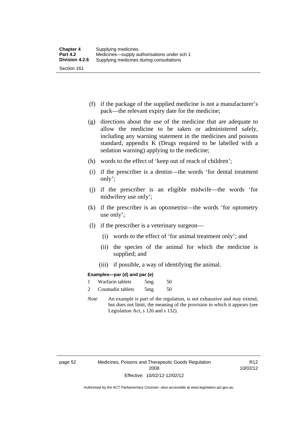- (f) if the package of the supplied medicine is not a manufacturer's pack—the relevant expiry date for the medicine;
- (g) directions about the use of the medicine that are adequate to allow the medicine to be taken or administered safely, including any warning statement in the medicines and poisons standard, appendix K (Drugs required to be labelled with a sedation warning) applying to the medicine;
- (h) words to the effect of 'keep out of reach of children';
- (i) if the prescriber is a dentist—the words 'for dental treatment only';
- (j) if the prescriber is an eligible midwife—the words 'for midwifery use only';
- (k) if the prescriber is an optometrist—the words 'for optometry use only';
- (l) if the prescriber is a veterinary surgeon—
	- (i) words to the effect of 'for animal treatment only'; and
	- (ii) the species of the animal for which the medicine is supplied; and
	- (iii) if possible, a way of identifying the animal.

#### **Examples—par (d) and par (e)**

| Warfarin tablets | 5mg | 50 |
|------------------|-----|----|
| Coumadin tablets | 5mg | 50 |

*Note* An example is part of the regulation, is not exhaustive and may extend, but does not limit, the meaning of the provision in which it appears (see Legislation Act, s 126 and s 132).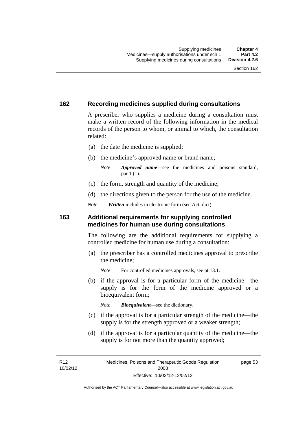#### **162 Recording medicines supplied during consultations**

A prescriber who supplies a medicine during a consultation must make a written record of the following information in the medical records of the person to whom, or animal to which, the consultation related:

- (a) the date the medicine is supplied;
- (b) the medicine's approved name or brand name;

*Note Approved name*—see the medicines and poisons standard, par 1 (1).

- (c) the form, strength and quantity of the medicine;
- (d) the directions given to the person for the use of the medicine.

*Note Written* includes in electronic form (see Act, dict).

#### **163 Additional requirements for supplying controlled medicines for human use during consultations**

The following are the additional requirements for supplying a controlled medicine for human use during a consultation:

- (a) the prescriber has a controlled medicines approval to prescribe the medicine;
	- *Note* For controlled medicines approvals, see pt 13.1.
- (b) if the approval is for a particular form of the medicine—the supply is for the form of the medicine approved or a bioequivalent form;

*Note Bioequivalent*—see the dictionary.

- (c) if the approval is for a particular strength of the medicine—the supply is for the strength approved or a weaker strength;
- (d) if the approval is for a particular quantity of the medicine—the supply is for not more than the quantity approved;

R12 10/02/12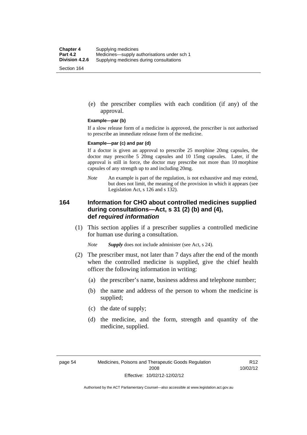(e) the prescriber complies with each condition (if any) of the approval.

#### **Example—par (b)**

If a slow release form of a medicine is approved, the prescriber is not authorised to prescribe an immediate release form of the medicine.

#### **Example—par (c) and par (d)**

If a doctor is given an approval to prescribe 25 morphine 20mg capsules, the doctor may prescribe 5 20mg capsules and 10 15mg capsules. Later, if the approval is still in force, the doctor may prescribe not more than 10 morphine capsules of any strength up to and including 20mg.

*Note* An example is part of the regulation, is not exhaustive and may extend, but does not limit, the meaning of the provision in which it appears (see Legislation Act, s 126 and s 132).

#### **164 Information for CHO about controlled medicines supplied during consultations—Act, s 31 (2) (b) and (4), def** *required information*

 (1) This section applies if a prescriber supplies a controlled medicine for human use during a consultation.

*Note Supply* does not include administer (see Act, s 24).

- (2) The prescriber must, not later than 7 days after the end of the month when the controlled medicine is supplied, give the chief health officer the following information in writing:
	- (a) the prescriber's name, business address and telephone number;
	- (b) the name and address of the person to whom the medicine is supplied;
	- (c) the date of supply;
	- (d) the medicine, and the form, strength and quantity of the medicine, supplied.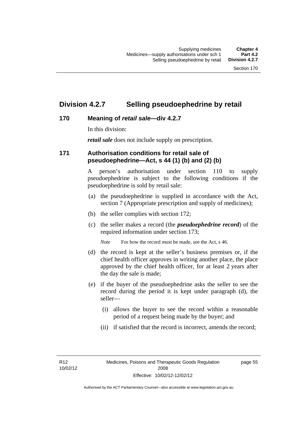### **Division 4.2.7 Selling pseudoephedrine by retail**

#### **170 Meaning of** *retail sale***—div 4.2.7**

In this division:

*retail sale* does not include supply on prescription.

#### **171 Authorisation conditions for retail sale of pseudoephedrine—Act, s 44 (1) (b) and (2) (b)**

A person's authorisation under section 110 to supply pseudoephedrine is subject to the following conditions if the pseudoephedrine is sold by retail sale:

- (a) the pseudoephedrine is supplied in accordance with the Act, section 7 (Appropriate prescription and supply of medicines);
- (b) the seller complies with section 172;
- (c) the seller makes a record (the *pseudoephedrine record*) of the required information under section 173;

*Note* For how the record must be made, see the Act, s 46.

- (d) the record is kept at the seller's business premises or, if the chief health officer approves in writing another place, the place approved by the chief health officer, for at least 2 years after the day the sale is made;
- (e) if the buyer of the pseudoephedrine asks the seller to see the record during the period it is kept under paragraph (d), the seller—
	- (i) allows the buyer to see the record within a reasonable period of a request being made by the buyer; and
	- (ii) if satisfied that the record is incorrect, amends the record;

R12 10/02/12 page 55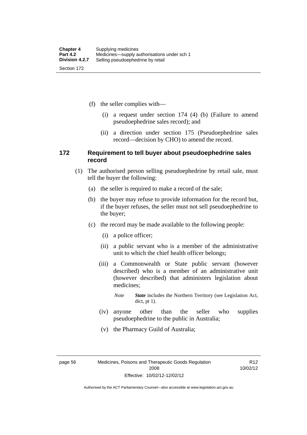(f) the seller complies with—

- (i) a request under section 174 (4) (b) (Failure to amend pseudoephedrine sales record); and
- (ii) a direction under section 175 (Pseudoephedrine sales record—decision by CHO) to amend the record.

#### **172 Requirement to tell buyer about pseudoephedrine sales record**

- (1) The authorised person selling pseudoephedrine by retail sale, must tell the buyer the following:
	- (a) the seller is required to make a record of the sale;
	- (b) the buyer may refuse to provide information for the record but, if the buyer refuses, the seller must not sell pseudoephedrine to the buyer;
	- (c) the record may be made available to the following people:
		- (i) a police officer;
		- (ii) a public servant who is a member of the administrative unit to which the chief health officer belongs;
		- (iii) a Commonwealth or State public servant (however described) who is a member of an administrative unit (however described) that administers legislation about medicines;
			- *Note State* includes the Northern Territory (see Legislation Act, dict, pt 1).
		- (iv) anyone other than the seller who supplies pseudoephedrine to the public in Australia;
		- (v) the Pharmacy Guild of Australia;

page 56 Medicines, Poisons and Therapeutic Goods Regulation 2008 Effective: 10/02/12-12/02/12

R12 10/02/12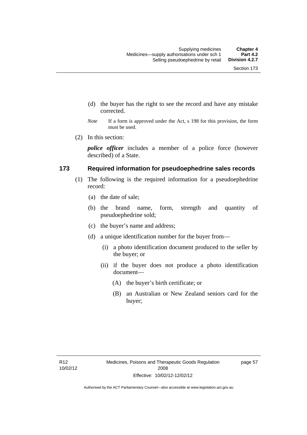- (d) the buyer has the right to see the record and have any mistake corrected.
- *Note* If a form is approved under the Act, s 198 for this provision, the form must be used.
- (2) In this section:

*police officer* includes a member of a police force (however described) of a State.

#### **173 Required information for pseudoephedrine sales records**

- (1) The following is the required information for a pseudoephedrine record:
	- (a) the date of sale;
	- (b) the brand name, form, strength and quantity of pseudoephedrine sold;
	- (c) the buyer's name and address;
	- (d) a unique identification number for the buyer from—
		- (i) a photo identification document produced to the seller by the buyer; or
		- (ii) if the buyer does not produce a photo identification document—
			- (A) the buyer's birth certificate; or
			- (B) an Australian or New Zealand seniors card for the buyer;

page 57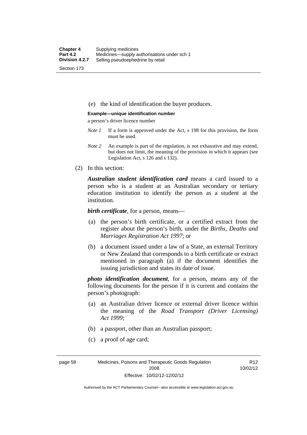(e) the kind of identification the buyer produces.

#### **Example—unique identification number**

a person's driver licence number

- *Note 1* If a form is approved under the Act, s 198 for this provision, the form must be used.
- *Note 2* An example is part of the regulation, is not exhaustive and may extend, but does not limit, the meaning of the provision in which it appears (see Legislation Act, s 126 and s 132).
- (2) In this section:

*Australian student identification card* means a card issued to a person who is a student at an Australian secondary or tertiary education institution to identify the person as a student at the institution.

*birth certificate*, for a person, means—

- (a) the person's birth certificate, or a certified extract from the register about the person's birth, under the *Births, Deaths and Marriages Registration Act 1997*; or
- (b) a document issued under a law of a State, an external Territory or New Zealand that corresponds to a birth certificate or extract mentioned in paragraph (a) if the document identifies the issuing jurisdiction and states its date of issue.

*photo identification document*, for a person, means any of the following documents for the person if it is current and contains the person's photograph:

- (a) an Australian driver licence or external driver licence within the meaning of the *Road Transport (Driver Licensing) Act 1999*;
- (b) a passport, other than an Australian passport;
- (c) a proof of age card;

page 58 Medicines, Poisons and Therapeutic Goods Regulation 2008 Effective: 10/02/12-12/02/12

R12 10/02/12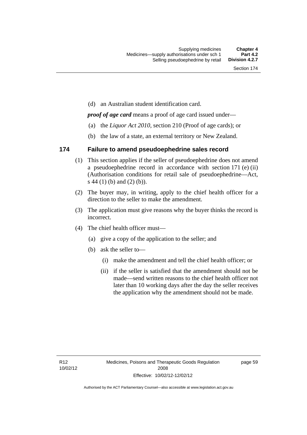(d) an Australian student identification card.

*proof of age card* means a proof of age card issued under—

- (a) the *Liquor Act 2010*, section 210 (Proof of age cards); or
- (b) the law of a state, an external territory or New Zealand.

### **174 Failure to amend pseudoephedrine sales record**

- (1) This section applies if the seller of pseudoephedrine does not amend a pseudoephedrine record in accordance with section 171 (e) (ii) (Authorisation conditions for retail sale of pseudoephedrine—Act, s 44 (1) (b) and (2) (b)).
- (2) The buyer may, in writing, apply to the chief health officer for a direction to the seller to make the amendment.
- (3) The application must give reasons why the buyer thinks the record is incorrect.
- (4) The chief health officer must—
	- (a) give a copy of the application to the seller; and
	- (b) ask the seller to—
		- (i) make the amendment and tell the chief health officer; or
		- (ii) if the seller is satisfied that the amendment should not be made—send written reasons to the chief health officer not later than 10 working days after the day the seller receives the application why the amendment should not be made.

page 59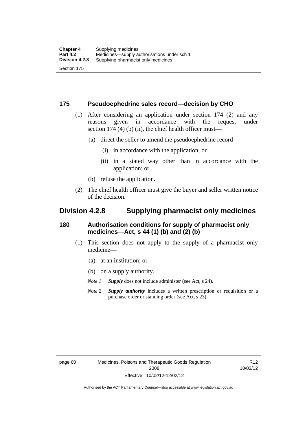#### **175 Pseudoephedrine sales record—decision by CHO**

- (1) After considering an application under section 174 (2) and any reasons given in accordance with the request under section 174  $(4)$  (b)  $(ii)$ , the chief health officer must—
	- (a) direct the seller to amend the pseudoephedrine record—
		- (i) in accordance with the application; or
		- (ii) in a stated way other than in accordance with the application; or
	- (b) refuse the application.
- (2) The chief health officer must give the buyer and seller written notice of the decision.

### **Division 4.2.8 Supplying pharmacist only medicines**

#### **180 Authorisation conditions for supply of pharmacist only medicines—Act, s 44 (1) (b) and (2) (b)**

- (1) This section does not apply to the supply of a pharmacist only medicine—
	- (a) at an institution; or
	- (b) on a supply authority.
	- *Note 1 Supply* does not include administer (see Act, s 24).
	- *Note 2 Supply authority* includes a written prescription or requisition or a purchase order or standing order (see Act, s 23).

R12 10/02/12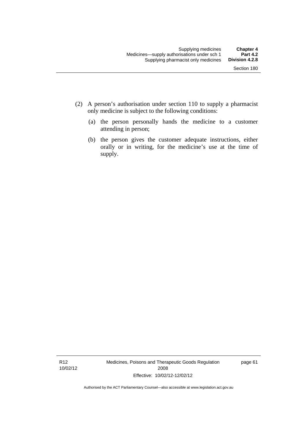- (2) A person's authorisation under section 110 to supply a pharmacist only medicine is subject to the following conditions:
	- (a) the person personally hands the medicine to a customer attending in person;
	- (b) the person gives the customer adequate instructions, either orally or in writing, for the medicine's use at the time of supply.

R12 10/02/12 Medicines, Poisons and Therapeutic Goods Regulation 2008 Effective: 10/02/12-12/02/12

page 61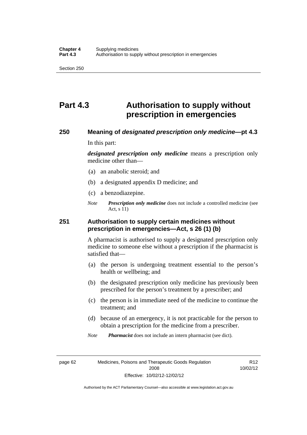# **Part 4.3 Authorisation to supply without prescription in emergencies**

#### **250 Meaning of** *designated prescription only medicine***—pt 4.3**

In this part:

*designated prescription only medicine* means a prescription only medicine other than—

- (a) an anabolic steroid; and
- (b) a designated appendix D medicine; and
- (c) a benzodiazepine.
- *Note Prescription only medicine* does not include a controlled medicine (see Act, s 11)

#### **251 Authorisation to supply certain medicines without prescription in emergencies—Act, s 26 (1) (b)**

A pharmacist is authorised to supply a designated prescription only medicine to someone else without a prescription if the pharmacist is satisfied that—

- (a) the person is undergoing treatment essential to the person's health or wellbeing; and
- (b) the designated prescription only medicine has previously been prescribed for the person's treatment by a prescriber; and
- (c) the person is in immediate need of the medicine to continue the treatment; and
- (d) because of an emergency, it is not practicable for the person to obtain a prescription for the medicine from a prescriber.

*Note Pharmacist* does not include an intern pharmacist (see dict).

page 62 Medicines, Poisons and Therapeutic Goods Regulation 2008 Effective: 10/02/12-12/02/12

R12 10/02/12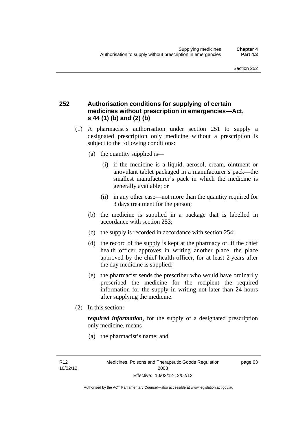### **252 Authorisation conditions for supplying of certain medicines without prescription in emergencies—Act, s 44 (1) (b) and (2) (b)**

- (1) A pharmacist's authorisation under section 251 to supply a designated prescription only medicine without a prescription is subject to the following conditions:
	- (a) the quantity supplied is—
		- (i) if the medicine is a liquid, aerosol, cream, ointment or anovulant tablet packaged in a manufacturer's pack—the smallest manufacturer's pack in which the medicine is generally available; or
		- (ii) in any other case—not more than the quantity required for 3 days treatment for the person;
	- (b) the medicine is supplied in a package that is labelled in accordance with section 253;
	- (c) the supply is recorded in accordance with section 254;
	- (d) the record of the supply is kept at the pharmacy or, if the chief health officer approves in writing another place, the place approved by the chief health officer, for at least 2 years after the day medicine is supplied;
	- (e) the pharmacist sends the prescriber who would have ordinarily prescribed the medicine for the recipient the required information for the supply in writing not later than 24 hours after supplying the medicine.
- (2) In this section:

*required information*, for the supply of a designated prescription only medicine, means—

(a) the pharmacist's name; and

page 63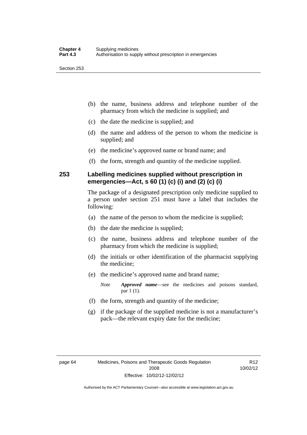- (b) the name, business address and telephone number of the pharmacy from which the medicine is supplied; and
- (c) the date the medicine is supplied; and
- (d) the name and address of the person to whom the medicine is supplied; and
- (e) the medicine's approved name or brand name; and
- (f) the form, strength and quantity of the medicine supplied.

### **253 Labelling medicines supplied without prescription in emergencies—Act, s 60 (1) (c) (i) and (2) (c) (i)**

The package of a designated prescription only medicine supplied to a person under section 251 must have a label that includes the following:

- (a) the name of the person to whom the medicine is supplied;
- (b) the date the medicine is supplied;
- (c) the name, business address and telephone number of the pharmacy from which the medicine is supplied;
- (d) the initials or other identification of the pharmacist supplying the medicine;
- (e) the medicine's approved name and brand name;

*Note Approved name*—see the medicines and poisons standard, par 1 (1).

- (f) the form, strength and quantity of the medicine;
- (g) if the package of the supplied medicine is not a manufacturer's pack—the relevant expiry date for the medicine;

R12 10/02/12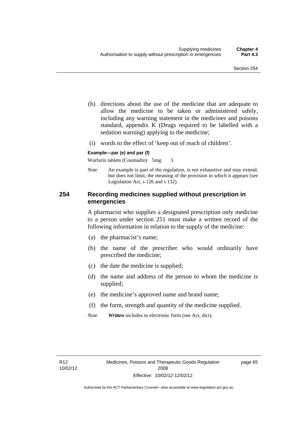- (h) directions about the use of the medicine that are adequate to allow the medicine to be taken or administered safely, including any warning statement in the medicines and poisons standard, appendix K (Drugs required to be labelled with a sedation warning) applying to the medicine;
- (i) words to the effect of 'keep out of reach of children'.

#### **Example—par (e) and par (f)**

Warfarin tablets (Coumadin) 5mg 3

*Note* An example is part of the regulation, is not exhaustive and may extend, but does not limit, the meaning of the provision in which it appears (see Legislation Act, s 126 and s 132).

#### **254 Recording medicines supplied without prescription in emergencies**

A pharmacist who supplies a designated prescription only medicine to a person under section 251 must make a written record of the following information in relation to the supply of the medicine:

- (a) the pharmacist's name;
- (b) the name of the prescriber who would ordinarily have prescribed the medicine;
- (c) the date the medicine is supplied;
- (d) the name and address of the person to whom the medicine is supplied;
- (e) the medicine's approved name and brand name;
- (f) the form, strength and quantity of the medicine supplied.
- *Note Written* includes in electronic form (see Act, dict).

page 65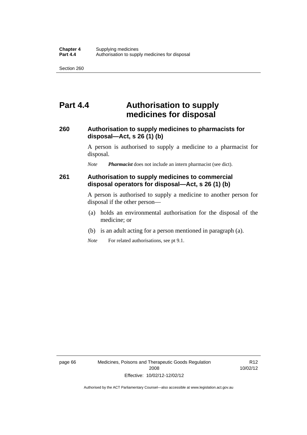## **Part 4.4 Authorisation to supply medicines for disposal**

#### **260 Authorisation to supply medicines to pharmacists for disposal—Act, s 26 (1) (b)**

A person is authorised to supply a medicine to a pharmacist for disposal.

*Note Pharmacist* does not include an intern pharmacist (see dict).

### **261 Authorisation to supply medicines to commercial disposal operators for disposal—Act, s 26 (1) (b)**

A person is authorised to supply a medicine to another person for disposal if the other person—

- (a) holds an environmental authorisation for the disposal of the medicine; or
- (b) is an adult acting for a person mentioned in paragraph (a).
- *Note* For related authorisations, see pt 9.1.

page 66 Medicines, Poisons and Therapeutic Goods Regulation 2008 Effective: 10/02/12-12/02/12

R12 10/02/12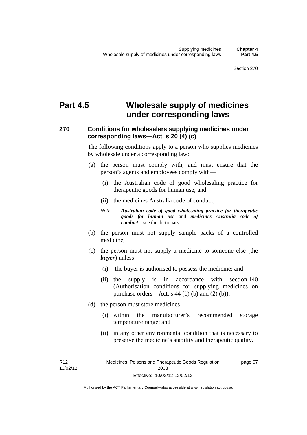# **Part 4.5 Wholesale supply of medicines under corresponding laws**

### **270 Conditions for wholesalers supplying medicines under corresponding laws—Act, s 20 (4) (c)**

The following conditions apply to a person who supplies medicines by wholesale under a corresponding law:

- (a) the person must comply with, and must ensure that the person's agents and employees comply with—
	- (i) the Australian code of good wholesaling practice for therapeutic goods for human use; and
	- (ii) the medicines Australia code of conduct;
	- *Note Australian code of good wholesaling practice for therapeutic goods for human use* and *medicines Australia code of conduct*—see the dictionary.
- (b) the person must not supply sample packs of a controlled medicine;
- (c) the person must not supply a medicine to someone else (the *buyer*) unless—
	- (i) the buyer is authorised to possess the medicine; and
	- (ii) the supply is in accordance with section 140 (Authorisation conditions for supplying medicines on purchase orders—Act, s  $44$  (1) (b) and (2) (b));
- (d) the person must store medicines—
	- (i) within the manufacturer's recommended storage temperature range; and
	- (ii) in any other environmental condition that is necessary to preserve the medicine's stability and therapeutic quality.

R12 10/02/12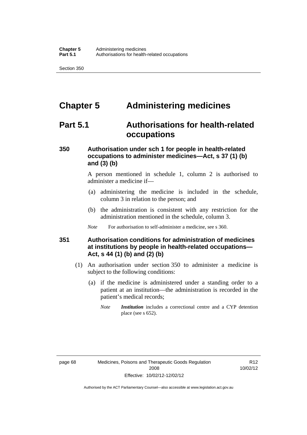# **Chapter 5 Administering medicines**

## **Part 5.1 Authorisations for health-related occupations**

### **350 Authorisation under sch 1 for people in health-related occupations to administer medicines—Act, s 37 (1) (b) and (3) (b)**

A person mentioned in schedule 1, column 2 is authorised to administer a medicine if—

- (a) administering the medicine is included in the schedule, column 3 in relation to the person; and
- (b) the administration is consistent with any restriction for the administration mentioned in the schedule, column 3.
- *Note* For authorisation to self-administer a medicine, see s 360.

#### **351 Authorisation conditions for administration of medicines at institutions by people in health-related occupations— Act, s 44 (1) (b) and (2) (b)**

- (1) An authorisation under section 350 to administer a medicine is subject to the following conditions:
	- (a) if the medicine is administered under a standing order to a patient at an institution—the administration is recorded in the patient's medical records;
		- *Note Institution* includes a correctional centre and a CYP detention place (see s 652).

R12 10/02/12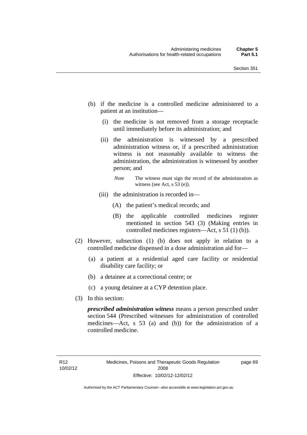- (b) if the medicine is a controlled medicine administered to a patient at an institution—
	- (i) the medicine is not removed from a storage receptacle until immediately before its administration; and
	- (ii) the administration is witnessed by a prescribed administration witness or, if a prescribed administration witness is not reasonably available to witness the administration, the administration is witnessed by another person; and
		- *Note* The witness must sign the record of the administration as witness (see Act, s 53 (e)).
	- (iii) the administration is recorded in—
		- (A) the patient's medical records; and
		- (B) the applicable controlled medicines register mentioned in section 543 (3) (Making entries in controlled medicines registers—Act, s 51 (1) (b)).
- (2) However, subsection (1) (b) does not apply in relation to a controlled medicine dispensed in a dose administration aid for—
	- (a) a patient at a residential aged care facility or residential disability care facility; or
	- (b) a detainee at a correctional centre; or
	- (c) a young detainee at a CYP detention place.
- (3) In this section:

*prescribed administration witness* means a person prescribed under section 544 (Prescribed witnesses for administration of controlled medicines—Act, s 53 (a) and (b)) for the administration of a controlled medicine.

page 69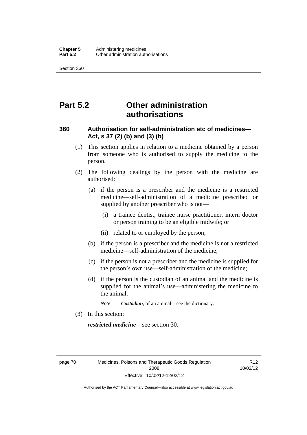# **Part 5.2 Other administration authorisations**

#### **360 Authorisation for self-administration etc of medicines— Act, s 37 (2) (b) and (3) (b)**

- (1) This section applies in relation to a medicine obtained by a person from someone who is authorised to supply the medicine to the person.
- (2) The following dealings by the person with the medicine are authorised:
	- (a) if the person is a prescriber and the medicine is a restricted medicine—self-administration of a medicine prescribed or supplied by another prescriber who is not—
		- (i) a trainee dentist, trainee nurse practitioner, intern doctor or person training to be an eligible midwife; or
		- (ii) related to or employed by the person;
	- (b) if the person is a prescriber and the medicine is not a restricted medicine—self-administration of the medicine;
	- (c) if the person is not a prescriber and the medicine is supplied for the person's own use—self-administration of the medicine;
	- (d) if the person is the custodian of an animal and the medicine is supplied for the animal's use—administering the medicine to the animal.
		- *Note Custodian*, of an animal—see the dictionary.
- (3) In this section:

*restricted medicine*—see section 30.

page 70 Medicines, Poisons and Therapeutic Goods Regulation 2008 Effective: 10/02/12-12/02/12

R12 10/02/12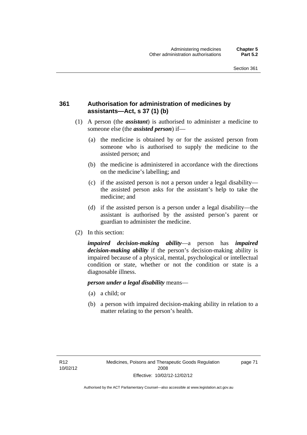### **361 Authorisation for administration of medicines by assistants—Act, s 37 (1) (b)**

- (1) A person (the *assistant*) is authorised to administer a medicine to someone else (the *assisted person*) if—
	- (a) the medicine is obtained by or for the assisted person from someone who is authorised to supply the medicine to the assisted person; and
	- (b) the medicine is administered in accordance with the directions on the medicine's labelling; and
	- (c) if the assisted person is not a person under a legal disability the assisted person asks for the assistant's help to take the medicine; and
	- (d) if the assisted person is a person under a legal disability—the assistant is authorised by the assisted person's parent or guardian to administer the medicine.
- (2) In this section:

*impaired decision-making ability*—a person has *impaired decision-making ability* if the person's decision-making ability is impaired because of a physical, mental, psychological or intellectual condition or state, whether or not the condition or state is a diagnosable illness.

#### *person under a legal disability* means—

- (a) a child; or
- (b) a person with impaired decision-making ability in relation to a matter relating to the person's health.

page 71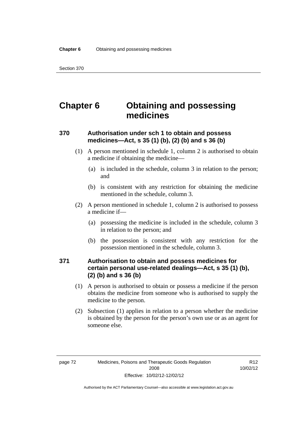# **Chapter 6 Obtaining and possessing medicines**

### **370 Authorisation under sch 1 to obtain and possess medicines—Act, s 35 (1) (b), (2) (b) and s 36 (b)**

- (1) A person mentioned in schedule 1, column 2 is authorised to obtain a medicine if obtaining the medicine—
	- (a) is included in the schedule, column 3 in relation to the person; and
	- (b) is consistent with any restriction for obtaining the medicine mentioned in the schedule, column 3.
- (2) A person mentioned in schedule 1, column 2 is authorised to possess a medicine if—
	- (a) possessing the medicine is included in the schedule, column 3 in relation to the person; and
	- (b) the possession is consistent with any restriction for the possession mentioned in the schedule, column 3.

### **371 Authorisation to obtain and possess medicines for certain personal use-related dealings—Act, s 35 (1) (b), (2) (b) and s 36 (b)**

- (1) A person is authorised to obtain or possess a medicine if the person obtains the medicine from someone who is authorised to supply the medicine to the person.
- (2) Subsection (1) applies in relation to a person whether the medicine is obtained by the person for the person's own use or as an agent for someone else.

R12 10/02/12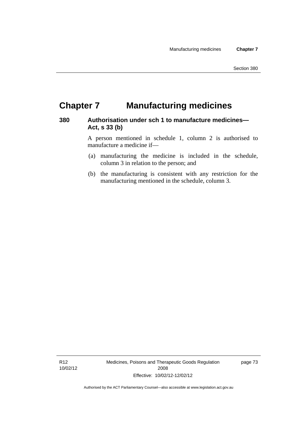# **Chapter 7 Manufacturing medicines**

#### **380 Authorisation under sch 1 to manufacture medicines— Act, s 33 (b)**

A person mentioned in schedule 1, column 2 is authorised to manufacture a medicine if—

- (a) manufacturing the medicine is included in the schedule, column 3 in relation to the person; and
- (b) the manufacturing is consistent with any restriction for the manufacturing mentioned in the schedule, column 3.

R12 10/02/12 Medicines, Poisons and Therapeutic Goods Regulation 2008 Effective: 10/02/12-12/02/12

page 73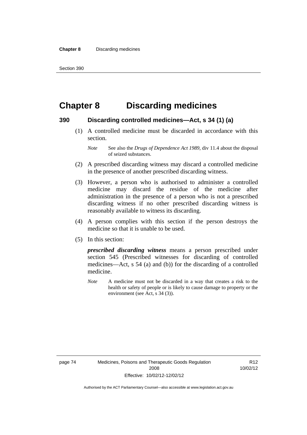# **Chapter 8 Discarding medicines**

#### **390 Discarding controlled medicines—Act, s 34 (1) (a)**

 (1) A controlled medicine must be discarded in accordance with this section.

- (2) A prescribed discarding witness may discard a controlled medicine in the presence of another prescribed discarding witness.
- (3) However, a person who is authorised to administer a controlled medicine may discard the residue of the medicine after administration in the presence of a person who is not a prescribed discarding witness if no other prescribed discarding witness is reasonably available to witness its discarding.
- (4) A person complies with this section if the person destroys the medicine so that it is unable to be used.
- (5) In this section:

*prescribed discarding witness* means a person prescribed under section 545 (Prescribed witnesses for discarding of controlled medicines—Act, s 54 (a) and (b)) for the discarding of a controlled medicine.

*Note* A medicine must not be discarded in a way that creates a risk to the health or safety of people or is likely to cause damage to property or the environment (see Act, s 34 (3)).

*Note* See also the *Drugs of Dependence Act 1989*, div 11.4 about the disposal of seized substances.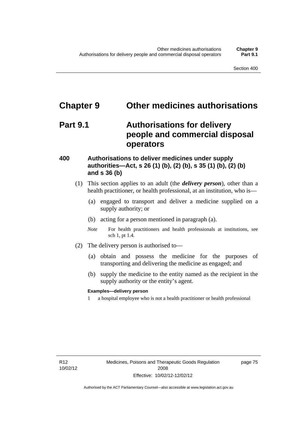# **Chapter 9 Other medicines authorisations**

## **Part 9.1 Authorisations for delivery people and commercial disposal operators**

#### **400 Authorisations to deliver medicines under supply authorities—Act, s 26 (1) (b), (2) (b), s 35 (1) (b), (2) (b) and s 36 (b)**

- (1) This section applies to an adult (the *delivery person*), other than a health practitioner, or health professional, at an institution, who is—
	- (a) engaged to transport and deliver a medicine supplied on a supply authority; or
	- (b) acting for a person mentioned in paragraph (a).
	- *Note* For health practitioners and health professionals at institutions, see sch 1, pt 1.4.
- (2) The delivery person is authorised to—
	- (a) obtain and possess the medicine for the purposes of transporting and delivering the medicine as engaged; and
	- (b) supply the medicine to the entity named as the recipient in the supply authority or the entity's agent.

#### **Examples—delivery person**

1 a hospital employee who is not a health practitioner or health professional

page 75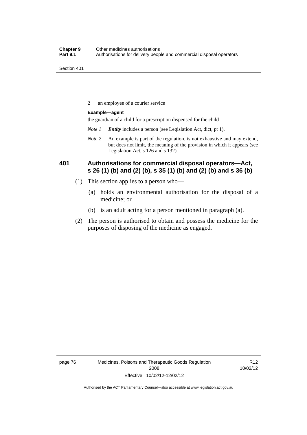2 an employee of a courier service

#### **Example—agent**

the guardian of a child for a prescription dispensed for the child

- *Note 1 Entity* includes a person (see Legislation Act, dict, pt 1).
- *Note 2* An example is part of the regulation, is not exhaustive and may extend, but does not limit, the meaning of the provision in which it appears (see Legislation Act, s 126 and s 132).

### **401 Authorisations for commercial disposal operators—Act, s 26 (1) (b) and (2) (b), s 35 (1) (b) and (2) (b) and s 36 (b)**

- (1) This section applies to a person who—
	- (a) holds an environmental authorisation for the disposal of a medicine; or
	- (b) is an adult acting for a person mentioned in paragraph (a).
- (2) The person is authorised to obtain and possess the medicine for the purposes of disposing of the medicine as engaged.

page 76 Medicines, Poisons and Therapeutic Goods Regulation 2008 Effective: 10/02/12-12/02/12

R12 10/02/12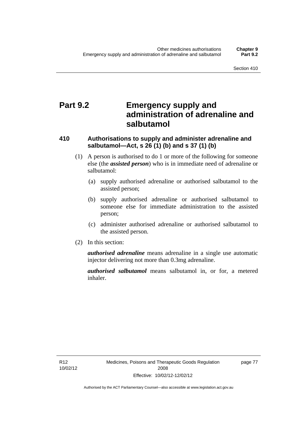# **Part 9.2 Emergency supply and administration of adrenaline and salbutamol**

### **410 Authorisations to supply and administer adrenaline and salbutamol—Act, s 26 (1) (b) and s 37 (1) (b)**

- (1) A person is authorised to do 1 or more of the following for someone else (the *assisted person*) who is in immediate need of adrenaline or salbutamol:
	- (a) supply authorised adrenaline or authorised salbutamol to the assisted person;
	- (b) supply authorised adrenaline or authorised salbutamol to someone else for immediate administration to the assisted person;
	- (c) administer authorised adrenaline or authorised salbutamol to the assisted person.
- (2) In this section:

*authorised adrenaline* means adrenaline in a single use automatic injector delivering not more than 0.3mg adrenaline.

*authorised salbutamol* means salbutamol in, or for, a metered inhaler.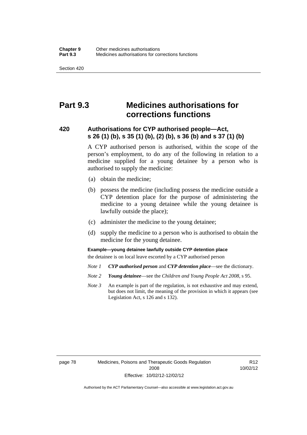# **Part 9.3 Medicines authorisations for corrections functions**

#### **420 Authorisations for CYP authorised people—Act, s 26 (1) (b), s 35 (1) (b), (2) (b), s 36 (b) and s 37 (1) (b)**

A CYP authorised person is authorised, within the scope of the person's employment, to do any of the following in relation to a medicine supplied for a young detainee by a person who is authorised to supply the medicine:

- (a) obtain the medicine;
- (b) possess the medicine (including possess the medicine outside a CYP detention place for the purpose of administering the medicine to a young detainee while the young detainee is lawfully outside the place);
- (c) administer the medicine to the young detainee;
- (d) supply the medicine to a person who is authorised to obtain the medicine for the young detainee.

#### **Example—young detainee lawfully outside CYP detention place**

the detainee is on local leave escorted by a CYP authorised person

- *Note 1 CYP authorised person* and *CYP detention place*—see the dictionary.
- *Note 2 Young detainee*—see the *Children and Young People Act 2008*, s 95.
- *Note 3* An example is part of the regulation, is not exhaustive and may extend, but does not limit, the meaning of the provision in which it appears (see Legislation Act, s 126 and s 132).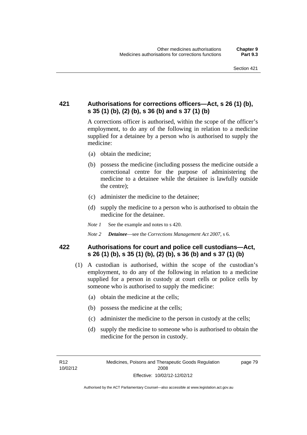### **421 Authorisations for corrections officers—Act, s 26 (1) (b), s 35 (1) (b), (2) (b), s 36 (b) and s 37 (1) (b)**

A corrections officer is authorised, within the scope of the officer's employment, to do any of the following in relation to a medicine supplied for a detainee by a person who is authorised to supply the medicine:

- (a) obtain the medicine;
- (b) possess the medicine (including possess the medicine outside a correctional centre for the purpose of administering the medicine to a detainee while the detainee is lawfully outside the centre);
- (c) administer the medicine to the detainee;
- (d) supply the medicine to a person who is authorised to obtain the medicine for the detainee.
- *Note 1* See the example and notes to s 420.
- *Note 2 Detainee*—see the *Corrections Management Act 2007*, s 6.

#### **422 Authorisations for court and police cell custodians—Act, s 26 (1) (b), s 35 (1) (b), (2) (b), s 36 (b) and s 37 (1) (b)**

- (1) A custodian is authorised, within the scope of the custodian's employment, to do any of the following in relation to a medicine supplied for a person in custody at court cells or police cells by someone who is authorised to supply the medicine:
	- (a) obtain the medicine at the cells;
	- (b) possess the medicine at the cells;
	- (c) administer the medicine to the person in custody at the cells;
	- (d) supply the medicine to someone who is authorised to obtain the medicine for the person in custody.

R12 10/02/12 page 79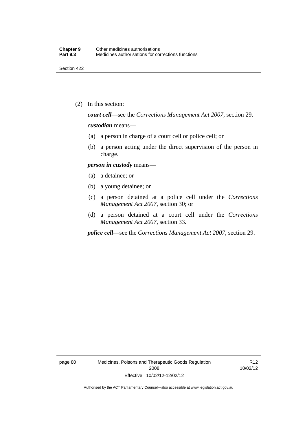(2) In this section:

*court cell*—see the *Corrections Management Act 2007*, section 29.

#### *custodian* means—

- (a) a person in charge of a court cell or police cell; or
- (b) a person acting under the direct supervision of the person in charge.

#### *person in custody* means—

- (a) a detainee; or
- (b) a young detainee; or
- (c) a person detained at a police cell under the *Corrections Management Act 2007*, section 30; or
- (d) a person detained at a court cell under the *Corrections Management Act 2007*, section 33.

*police cell*—see the *Corrections Management Act 2007*, section 29.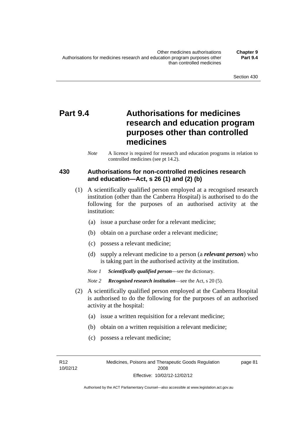# **Part 9.4 Authorisations for medicines research and education program purposes other than controlled medicines**

*Note* A licence is required for research and education programs in relation to controlled medicines (see pt 14.2).

### **430 Authorisations for non-controlled medicines research and education—Act, s 26 (1) and (2) (b)**

- (1) A scientifically qualified person employed at a recognised research institution (other than the Canberra Hospital) is authorised to do the following for the purposes of an authorised activity at the institution:
	- (a) issue a purchase order for a relevant medicine;
	- (b) obtain on a purchase order a relevant medicine;
	- (c) possess a relevant medicine;
	- (d) supply a relevant medicine to a person (a *relevant person*) who is taking part in the authorised activity at the institution.
	- *Note 1 Scientifically qualified person*—see the dictionary.

*Note 2 Recognised research institution*—see the Act, s 20 (5).

- (2) A scientifically qualified person employed at the Canberra Hospital is authorised to do the following for the purposes of an authorised activity at the hospital:
	- (a) issue a written requisition for a relevant medicine;
	- (b) obtain on a written requisition a relevant medicine;
	- (c) possess a relevant medicine;

R12 10/02/12 page 81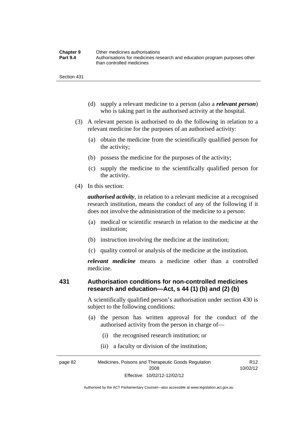| <b>Chapter 9</b> | Other medicines authorisations                                             |
|------------------|----------------------------------------------------------------------------|
| <b>Part 9.4</b>  | Authorisations for medicines research and education program purposes other |
|                  | than controlled medicines                                                  |

- (d) supply a relevant medicine to a person (also a *relevant person*) who is taking part in the authorised activity at the hospital.
- (3) A relevant person is authorised to do the following in relation to a relevant medicine for the purposes of an authorised activity:
	- (a) obtain the medicine from the scientifically qualified person for the activity;
	- (b) possess the medicine for the purposes of the activity;
	- (c) supply the medicine to the scientifically qualified person for the activity.
- (4) In this section:

*authorised activity*, in relation to a relevant medicine at a recognised research institution, means the conduct of any of the following if it does not involve the administration of the medicine to a person:

- (a) medical or scientific research in relation to the medicine at the institution;
- (b) instruction involving the medicine at the institution;
- (c) quality control or analysis of the medicine at the institution.

*relevant medicine* means a medicine other than a controlled medicine.

#### **431 Authorisation conditions for non-controlled medicines research and education—Act, s 44 (1) (b) and (2) (b)**

A scientifically qualified person's authorisation under section 430 is subject to the following conditions:

- (a) the person has written approval for the conduct of the authorised activity from the person in charge of—
	- (i) the recognised research institution; or
	- (ii) a faculty or division of the institution;

page 82 Medicines, Poisons and Therapeutic Goods Regulation 2008 Effective: 10/02/12-12/02/12 R12 10/02/12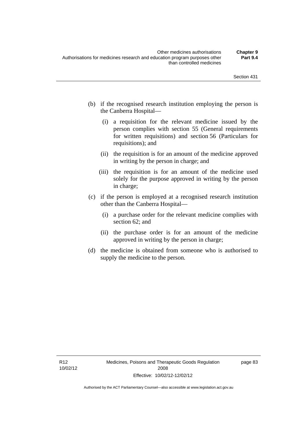- (b) if the recognised research institution employing the person is the Canberra Hospital—
	- (i) a requisition for the relevant medicine issued by the person complies with section 55 (General requirements for written requisitions) and section 56 (Particulars for requisitions); and
	- (ii) the requisition is for an amount of the medicine approved in writing by the person in charge; and
	- (iii) the requisition is for an amount of the medicine used solely for the purpose approved in writing by the person in charge;
- (c) if the person is employed at a recognised research institution other than the Canberra Hospital—
	- (i) a purchase order for the relevant medicine complies with section 62; and
	- (ii) the purchase order is for an amount of the medicine approved in writing by the person in charge;
- (d) the medicine is obtained from someone who is authorised to supply the medicine to the person.

page 83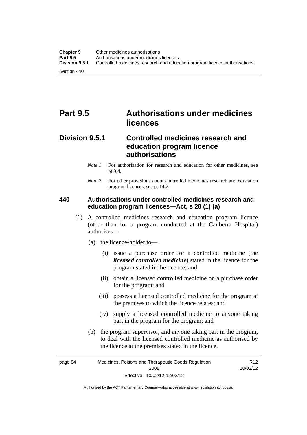# **Part 9.5 Authorisations under medicines licences**

### **Division 9.5.1 Controlled medicines research and education program licence authorisations**

- *Note 1* For authorisation for research and education for other medicines, see pt 9.4.
- *Note* 2 For other provisions about controlled medicines research and education program licences, see pt 14.2.

#### **440 Authorisations under controlled medicines research and education program licences—Act, s 20 (1) (a)**

- (1) A controlled medicines research and education program licence (other than for a program conducted at the Canberra Hospital) authorises—
	- (a) the licence-holder to—
		- (i) issue a purchase order for a controlled medicine (the *licensed controlled medicine*) stated in the licence for the program stated in the licence; and
		- (ii) obtain a licensed controlled medicine on a purchase order for the program; and
		- (iii) possess a licensed controlled medicine for the program at the premises to which the licence relates; and
		- (iv) supply a licensed controlled medicine to anyone taking part in the program for the program; and
	- (b) the program supervisor, and anyone taking part in the program, to deal with the licensed controlled medicine as authorised by the licence at the premises stated in the licence.

page 84 Medicines, Poisons and Therapeutic Goods Regulation 2008 Effective: 10/02/12-12/02/12 R12 10/02/12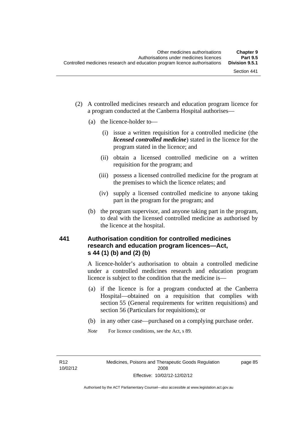- (2) A controlled medicines research and education program licence for a program conducted at the Canberra Hospital authorises—
	- (a) the licence-holder to—
		- (i) issue a written requisition for a controlled medicine (the *licensed controlled medicine*) stated in the licence for the program stated in the licence; and
		- (ii) obtain a licensed controlled medicine on a written requisition for the program; and
		- (iii) possess a licensed controlled medicine for the program at the premises to which the licence relates; and
		- (iv) supply a licensed controlled medicine to anyone taking part in the program for the program; and
	- (b) the program supervisor, and anyone taking part in the program, to deal with the licensed controlled medicine as authorised by the licence at the hospital.

# **441 Authorisation condition for controlled medicines research and education program licences—Act, s 44 (1) (b) and (2) (b)**

A licence-holder's authorisation to obtain a controlled medicine under a controlled medicines research and education program licence is subject to the condition that the medicine is—

- (a) if the licence is for a program conducted at the Canberra Hospital—obtained on a requisition that complies with section 55 (General requirements for written requisitions) and section 56 (Particulars for requisitions); or
- (b) in any other case—purchased on a complying purchase order.
- *Note* For licence conditions, see the Act, s 89.

R12 10/02/12 page 85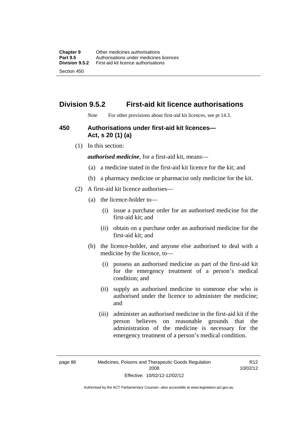# **Division 9.5.2 First-aid kit licence authorisations**

*Note* For other provisions about first-aid kit licences, see pt 14.3.

# **450 Authorisations under first-aid kit licences— Act, s 20 (1) (a)**

(1) In this section:

*authorised medicine*, for a first-aid kit, means—

- (a) a medicine stated in the first-aid kit licence for the kit; and
- (b) a pharmacy medicine or pharmacist only medicine for the kit.
- (2) A first-aid kit licence authorises—
	- (a) the licence-holder to—
		- (i) issue a purchase order for an authorised medicine for the first-aid kit; and
		- (ii) obtain on a purchase order an authorised medicine for the first-aid kit; and
	- (b) the licence-holder, and anyone else authorised to deal with a medicine by the licence, to—
		- (i) possess an authorised medicine as part of the first-aid kit for the emergency treatment of a person's medical condition; and
		- (ii) supply an authorised medicine to someone else who is authorised under the licence to administer the medicine; and
		- (iii) administer an authorised medicine in the first-aid kit if the person believes on reasonable grounds that the administration of the medicine is necessary for the emergency treatment of a person's medical condition.

R12 10/02/12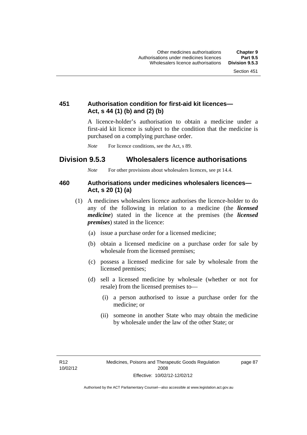# **451 Authorisation condition for first-aid kit licences— Act, s 44 (1) (b) and (2) (b)**

A licence-holder's authorisation to obtain a medicine under a first-aid kit licence is subject to the condition that the medicine is purchased on a complying purchase order.

*Note* For licence conditions, see the Act, s 89.

# **Division 9.5.3 Wholesalers licence authorisations**

*Note* For other provisions about wholesalers licences, see pt 14.4.

# **460 Authorisations under medicines wholesalers licences— Act, s 20 (1) (a)**

- (1) A medicines wholesalers licence authorises the licence-holder to do any of the following in relation to a medicine (the *licensed medicine*) stated in the licence at the premises (the *licensed premises*) stated in the licence:
	- (a) issue a purchase order for a licensed medicine;
	- (b) obtain a licensed medicine on a purchase order for sale by wholesale from the licensed premises;
	- (c) possess a licensed medicine for sale by wholesale from the licensed premises;
	- (d) sell a licensed medicine by wholesale (whether or not for resale) from the licensed premises to—
		- (i) a person authorised to issue a purchase order for the medicine; or
		- (ii) someone in another State who may obtain the medicine by wholesale under the law of the other State; or

page 87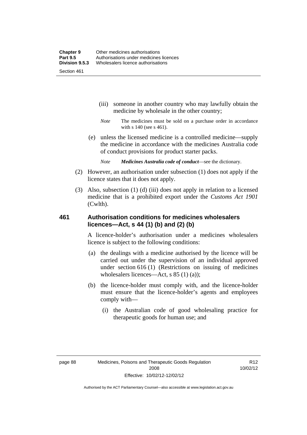- (iii) someone in another country who may lawfully obtain the medicine by wholesale in the other country;
- *Note* The medicines must be sold on a purchase order in accordance with s 140 (see s 461).
- (e) unless the licensed medicine is a controlled medicine—supply the medicine in accordance with the medicines Australia code of conduct provisions for product starter packs.
	- *Note Medicines Australia code of conduct*—see the dictionary.
- (2) However, an authorisation under subsection (1) does not apply if the licence states that it does not apply.
- (3) Also, subsection (1) (d) (iii) does not apply in relation to a licensed medicine that is a prohibited export under the *Customs Act 1901* (Cwlth).

# **461 Authorisation conditions for medicines wholesalers licences—Act, s 44 (1) (b) and (2) (b)**

A licence-holder's authorisation under a medicines wholesalers licence is subject to the following conditions:

- (a) the dealings with a medicine authorised by the licence will be carried out under the supervision of an individual approved under section 616 (1) (Restrictions on issuing of medicines wholesalers licences—Act, s 85 (1) (a));
- (b) the licence-holder must comply with, and the licence-holder must ensure that the licence-holder's agents and employees comply with—
	- (i) the Australian code of good wholesaling practice for therapeutic goods for human use; and

R12 10/02/12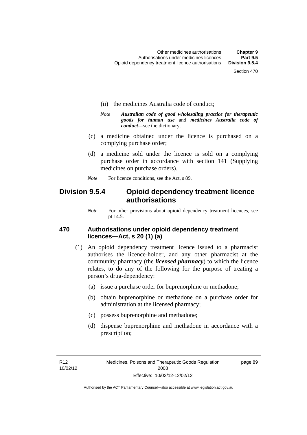- (ii) the medicines Australia code of conduct;
- *Note Australian code of good wholesaling practice for therapeutic goods for human use* and *medicines Australia code of conduct*—see the dictionary.
- (c) a medicine obtained under the licence is purchased on a complying purchase order;
- (d) a medicine sold under the licence is sold on a complying purchase order in accordance with section 141 (Supplying medicines on purchase orders).
- *Note* For licence conditions, see the Act, s 89.

# **Division 9.5.4 Opioid dependency treatment licence authorisations**

*Note* For other provisions about opioid dependency treatment licences, see pt 14.5.

# **470 Authorisations under opioid dependency treatment licences—Act, s 20 (1) (a)**

- (1) An opioid dependency treatment licence issued to a pharmacist authorises the licence-holder, and any other pharmacist at the community pharmacy (the *licensed pharmacy*) to which the licence relates, to do any of the following for the purpose of treating a person's drug-dependency:
	- (a) issue a purchase order for buprenorphine or methadone;
	- (b) obtain buprenorphine or methadone on a purchase order for administration at the licensed pharmacy;
	- (c) possess buprenorphine and methadone;
	- (d) dispense buprenorphine and methadone in accordance with a prescription;

R12 10/02/12 page 89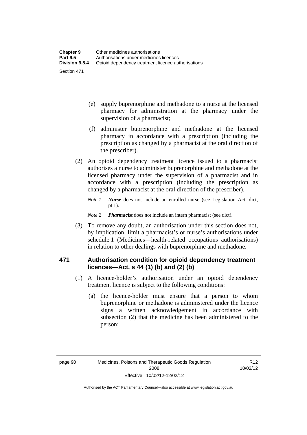- (e) supply buprenorphine and methadone to a nurse at the licensed pharmacy for administration at the pharmacy under the supervision of a pharmacist;
- (f) administer buprenorphine and methadone at the licensed pharmacy in accordance with a prescription (including the prescription as changed by a pharmacist at the oral direction of the prescriber).
- (2) An opioid dependency treatment licence issued to a pharmacist authorises a nurse to administer buprenorphine and methadone at the licensed pharmacy under the supervision of a pharmacist and in accordance with a prescription (including the prescription as changed by a pharmacist at the oral direction of the prescriber).
	- *Note 1 Nurse* does not include an enrolled nurse (see Legislation Act, dict, pt 1).

#### *Note 2 Pharmacist* does not include an intern pharmacist (see dict).

 (3) To remove any doubt, an authorisation under this section does not, by implication, limit a pharmacist's or nurse's authorisations under schedule 1 (Medicines—health-related occupations authorisations) in relation to other dealings with buprenorphine and methadone.

# **471 Authorisation condition for opioid dependency treatment licences—Act, s 44 (1) (b) and (2) (b)**

- (1) A licence-holder's authorisation under an opioid dependency treatment licence is subject to the following conditions:
	- (a) the licence-holder must ensure that a person to whom buprenorphine or methadone is administered under the licence signs a written acknowledgement in accordance with subsection (2) that the medicine has been administered to the person;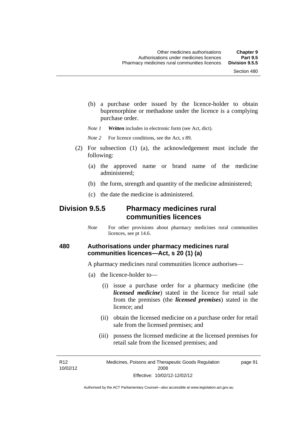(b) a purchase order issued by the licence-holder to obtain buprenorphine or methadone under the licence is a complying purchase order.

*Note 1 Written* includes in electronic form (see Act, dict).

*Note* 2 For licence conditions, see the Act, s 89.

- (2) For subsection (1) (a), the acknowledgement must include the following:
	- (a) the approved name or brand name of the medicine administered;
	- (b) the form, strength and quantity of the medicine administered;
	- (c) the date the medicine is administered.

# **Division 9.5.5 Pharmacy medicines rural communities licences**

*Note* For other provisions about pharmacy medicines rural communities licences, see pt 14.6.

# **480 Authorisations under pharmacy medicines rural communities licences—Act, s 20 (1) (a)**

A pharmacy medicines rural communities licence authorises—

- (a) the licence-holder to—
	- (i) issue a purchase order for a pharmacy medicine (the *licensed medicine*) stated in the licence for retail sale from the premises (the *licensed premises*) stated in the licence; and
	- (ii) obtain the licensed medicine on a purchase order for retail sale from the licensed premises; and
	- (iii) possess the licensed medicine at the licensed premises for retail sale from the licensed premises; and

R12 10/02/12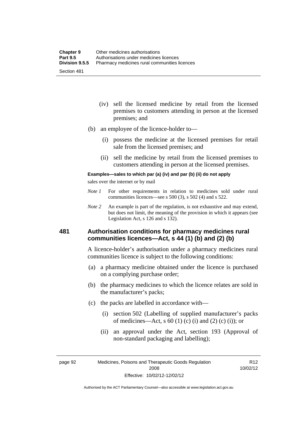- (iv) sell the licensed medicine by retail from the licensed premises to customers attending in person at the licensed premises; and
- (b) an employee of the licence-holder to—
	- (i) possess the medicine at the licensed premises for retail sale from the licensed premises; and
	- (ii) sell the medicine by retail from the licensed premises to customers attending in person at the licensed premises.

#### **Examples—sales to which par (a) (iv) and par (b) (ii) do not apply**

sales over the internet or by mail

- *Note 1* For other requirements in relation to medicines sold under rural communities licences—see s 500 (3), s 502 (4) and s 522.
- *Note 2* An example is part of the regulation, is not exhaustive and may extend, but does not limit, the meaning of the provision in which it appears (see Legislation Act, s 126 and s 132).

# **481 Authorisation conditions for pharmacy medicines rural communities licences—Act, s 44 (1) (b) and (2) (b)**

A licence-holder's authorisation under a pharmacy medicines rural communities licence is subject to the following conditions:

- (a) a pharmacy medicine obtained under the licence is purchased on a complying purchase order;
- (b) the pharmacy medicines to which the licence relates are sold in the manufacturer's packs;
- (c) the packs are labelled in accordance with—
	- (i) section 502 (Labelling of supplied manufacturer's packs of medicines—Act, s  $60(1)$  (c) (i) and (2) (c) (i)); or
	- (ii) an approval under the Act, section 193 (Approval of non-standard packaging and labelling);

page 92 Medicines, Poisons and Therapeutic Goods Regulation 2008 Effective: 10/02/12-12/02/12

R12 10/02/12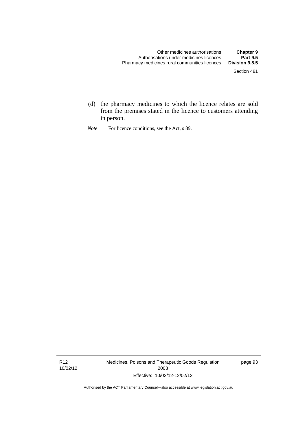- (d) the pharmacy medicines to which the licence relates are sold from the premises stated in the licence to customers attending in person.
- *Note* For licence conditions, see the Act, s 89.

R12 10/02/12 Medicines, Poisons and Therapeutic Goods Regulation 2008 Effective: 10/02/12-12/02/12

page 93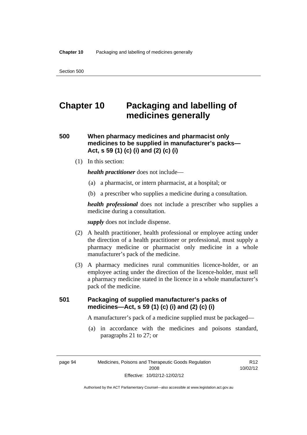# **Chapter 10 Packaging and labelling of medicines generally**

# **500 When pharmacy medicines and pharmacist only medicines to be supplied in manufacturer's packs— Act, s 59 (1) (c) (i) and (2) (c) (i)**

(1) In this section:

*health practitioner* does not include—

- (a) a pharmacist, or intern pharmacist, at a hospital; or
- (b) a prescriber who supplies a medicine during a consultation.

*health professional* does not include a prescriber who supplies a medicine during a consultation.

*supply* does not include dispense.

- (2) A health practitioner, health professional or employee acting under the direction of a health practitioner or professional, must supply a pharmacy medicine or pharmacist only medicine in a whole manufacturer's pack of the medicine.
- (3) A pharmacy medicines rural communities licence-holder, or an employee acting under the direction of the licence-holder, must sell a pharmacy medicine stated in the licence in a whole manufacturer's pack of the medicine.

# **501 Packaging of supplied manufacturer's packs of medicines—Act, s 59 (1) (c) (i) and (2) (c) (i)**

A manufacturer's pack of a medicine supplied must be packaged—

 (a) in accordance with the medicines and poisons standard, paragraphs 21 to 27; or

page 94 Medicines, Poisons and Therapeutic Goods Regulation 2008 Effective: 10/02/12-12/02/12

R12 10/02/12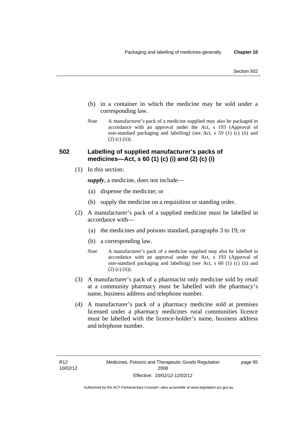- (b) in a container in which the medicine may be sold under a corresponding law.
- *Note* A manufacturer's pack of a medicine supplied may also be packaged in accordance with an approval under the Act, s 193 (Approval of non-standard packaging and labelling) (see Act, s 59 (1) (c) (ii) and  $(2)$  (c) (ii)).

# **502 Labelling of supplied manufacturer's packs of medicines—Act, s 60 (1) (c) (i) and (2) (c) (i)**

(1) In this section:

*supply*, a medicine, does not include—

- (a) dispense the medicine; or
- (b) supply the medicine on a requisition or standing order.
- (2) A manufacturer's pack of a supplied medicine must be labelled in accordance with—
	- (a) the medicines and poisons standard, paragraphs 3 to 19; or
	- (b) a corresponding law.
	- *Note* A manufacturer's pack of a medicine supplied may also be labelled in accordance with an approval under the Act, s 193 (Approval of non-standard packaging and labelling) (see Act, s 60 (1) (c) (ii) and  $(2)$  (c) (ii)).
- (3) A manufacturer's pack of a pharmacist only medicine sold by retail at a community pharmacy must be labelled with the pharmacy's name, business address and telephone number.
- (4) A manufacturer's pack of a pharmacy medicine sold at premises licensed under a pharmacy medicines rural communities licence must be labelled with the licence-holder's name, business address and telephone number.

page 95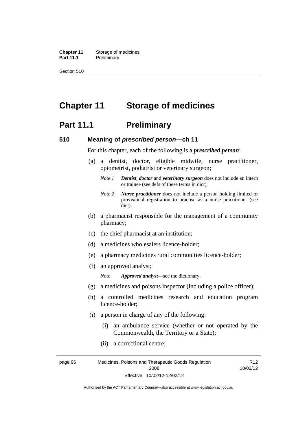**Chapter 11** Storage of medicines Part 11.1 Preliminary

Section 510

# **Chapter 11 Storage of medicines**

# **Part 11.1** Preliminary

### **510 Meaning of** *prescribed person***—ch 11**

For this chapter, each of the following is a *prescribed person*:

- (a) a dentist, doctor, eligible midwife, nurse practitioner, optometrist, podiatrist or veterinary surgeon;
	- *Note 1 Dentist*, *doctor* and *veterinary surgeon* does not include an intern or trainee (see defs of these terms in dict).
	- *Note 2 Nurse practitioner* does not include a person holding limited or provisional registration to practise as a nurse practitioner (see dict).
- (b) a pharmacist responsible for the management of a community pharmacy;
- (c) the chief pharmacist at an institution;
- (d) a medicines wholesalers licence-holder;
- (e) a pharmacy medicines rural communities licence-holder;
- (f) an approved analyst;

*Note Approved analyst*—see the dictionary.

- (g) a medicines and poisons inspector (including a police officer);
- (h) a controlled medicines research and education program licence-holder;
- (i) a person in charge of any of the following:
	- (i) an ambulance service (whether or not operated by the Commonwealth, the Territory or a State);
	- (ii) a correctional centre;

page 96 Medicines, Poisons and Therapeutic Goods Regulation 2008 Effective: 10/02/12-12/02/12 R12 10/02/12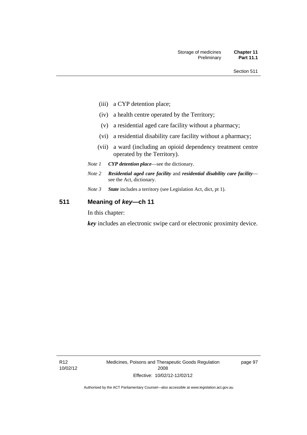- (iii) a CYP detention place;
- (iv) a health centre operated by the Territory;
- (v) a residential aged care facility without a pharmacy;
- (vi) a residential disability care facility without a pharmacy;
- (vii) a ward (including an opioid dependency treatment centre operated by the Territory).
- *Note 1 CYP detention place*—see the dictionary.
- *Note 2 Residential aged care facility* and *residential disability care facility* see the Act, dictionary.
- *Note 3 State* includes a territory (see Legislation Act, dict, pt 1).

# **511 Meaning of** *key***—ch 11**

In this chapter:

*key* includes an electronic swipe card or electronic proximity device.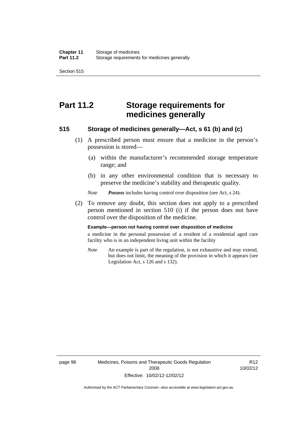Section 515

# **Part 11.2 Storage requirements for medicines generally**

# **515 Storage of medicines generally—Act, s 61 (b) and (c)**

- (1) A prescribed person must ensure that a medicine in the person's possession is stored—
	- (a) within the manufacturer's recommended storage temperature range; and
	- (b) in any other environmental condition that is necessary to preserve the medicine's stability and therapeutic quality.

*Note Possess* includes having control over disposition (see Act, s 24).

 (2) To remove any doubt, this section does not apply to a prescribed person mentioned in section 510 (i) if the person does not have control over the disposition of the medicine.

#### **Example—person not having control over disposition of medicine**

a medicine in the personal possession of a resident of a residential aged care facility who is in an independent living unit within the facility

*Note* An example is part of the regulation, is not exhaustive and may extend, but does not limit, the meaning of the provision in which it appears (see Legislation Act, s 126 and s 132).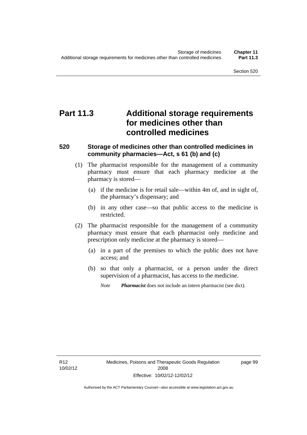# **Part 11.3 Additional storage requirements for medicines other than controlled medicines**

# **520 Storage of medicines other than controlled medicines in community pharmacies—Act, s 61 (b) and (c)**

- (1) The pharmacist responsible for the management of a community pharmacy must ensure that each pharmacy medicine at the pharmacy is stored—
	- (a) if the medicine is for retail sale—within 4m of, and in sight of, the pharmacy's dispensary; and
	- (b) in any other case—so that public access to the medicine is restricted.
- (2) The pharmacist responsible for the management of a community pharmacy must ensure that each pharmacist only medicine and prescription only medicine at the pharmacy is stored—
	- (a) in a part of the premises to which the public does not have access; and
	- (b) so that only a pharmacist, or a person under the direct supervision of a pharmacist, has access to the medicine.
		- *Note Pharmacist* does not include an intern pharmacist (see dict).

R12 10/02/12 page 99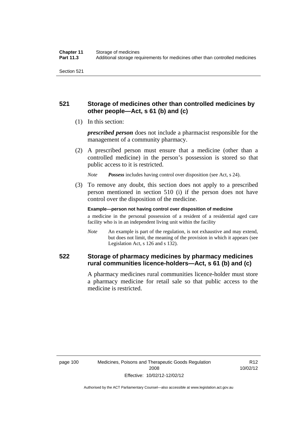# **521 Storage of medicines other than controlled medicines by other people—Act, s 61 (b) and (c)**

(1) In this section:

*prescribed person* does not include a pharmacist responsible for the management of a community pharmacy.

 (2) A prescribed person must ensure that a medicine (other than a controlled medicine) in the person's possession is stored so that public access to it is restricted.

*Note Possess* includes having control over disposition (see Act, s 24).

 (3) To remove any doubt, this section does not apply to a prescribed person mentioned in section 510 (i) if the person does not have control over the disposition of the medicine.

**Example—person not having control over disposition of medicine** 

a medicine in the personal possession of a resident of a residential aged care facility who is in an independent living unit within the facility

*Note* An example is part of the regulation, is not exhaustive and may extend, but does not limit, the meaning of the provision in which it appears (see Legislation Act, s 126 and s 132).

# **522 Storage of pharmacy medicines by pharmacy medicines rural communities licence-holders—Act, s 61 (b) and (c)**

A pharmacy medicines rural communities licence-holder must store a pharmacy medicine for retail sale so that public access to the medicine is restricted.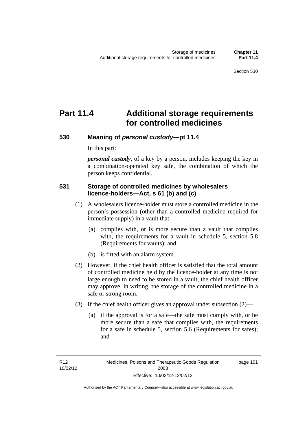# **Part 11.4 Additional storage requirements for controlled medicines**

### **530 Meaning of** *personal custody***—pt 11.4**

In this part:

*personal custody*, of a key by a person, includes keeping the key in a combination-operated key safe, the combination of which the person keeps confidential.

# **531 Storage of controlled medicines by wholesalers licence-holders—Act, s 61 (b) and (c)**

- (1) A wholesalers licence-holder must store a controlled medicine in the person's possession (other than a controlled medicine required for immediate supply) in a vault that—
	- (a) complies with, or is more secure than a vault that complies with, the requirements for a vault in schedule 5, section 5.8 (Requirements for vaults); and
	- (b) is fitted with an alarm system.
- (2) However, if the chief health officer is satisfied that the total amount of controlled medicine held by the licence-holder at any time is not large enough to need to be stored in a vault, the chief health officer may approve, in writing, the storage of the controlled medicine in a safe or strong room.
- (3) If the chief health officer gives an approval under subsection (2)—
	- (a) if the approval is for a safe—the safe must comply with, or be more secure than a safe that complies with, the requirements for a safe in schedule 5, section 5.6 (Requirements for safes); and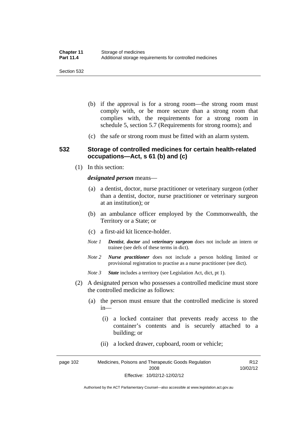- (b) if the approval is for a strong room—the strong room must comply with, or be more secure than a strong room that complies with, the requirements for a strong room in schedule 5, section 5.7 (Requirements for strong rooms); and
- (c) the safe or strong room must be fitted with an alarm system.

### **532 Storage of controlled medicines for certain health-related occupations—Act, s 61 (b) and (c)**

(1) In this section:

### *designated person* means—

- (a) a dentist, doctor, nurse practitioner or veterinary surgeon (other than a dentist, doctor, nurse practitioner or veterinary surgeon at an institution); or
- (b) an ambulance officer employed by the Commonwealth, the Territory or a State; or
- (c) a first-aid kit licence-holder.
- *Note 1 Dentist*, *doctor* and *veterinary surgeon* does not include an intern or trainee (see defs of these terms in dict).
- *Note 2 Nurse practitioner* does not include a person holding limited or provisional registration to practise as a nurse practitioner (see dict).
- *Note 3 State* includes a territory (see Legislation Act, dict, pt 1).
- (2) A designated person who possesses a controlled medicine must store the controlled medicine as follows:
	- (a) the person must ensure that the controlled medicine is stored in—
		- (i) a locked container that prevents ready access to the container's contents and is securely attached to a building; or
		- (ii) a locked drawer, cupboard, room or vehicle;

page 102 Medicines, Poisons and Therapeutic Goods Regulation 2008 Effective: 10/02/12-12/02/12 R12 10/02/12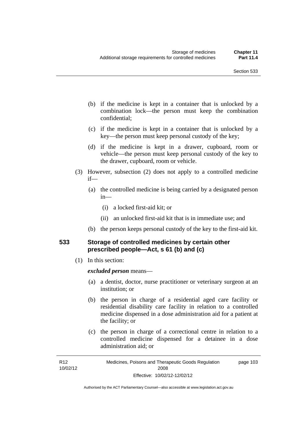- (b) if the medicine is kept in a container that is unlocked by a combination lock—the person must keep the combination confidential;
- (c) if the medicine is kept in a container that is unlocked by a key—the person must keep personal custody of the key;
- (d) if the medicine is kept in a drawer, cupboard, room or vehicle—the person must keep personal custody of the key to the drawer, cupboard, room or vehicle.
- (3) However, subsection (2) does not apply to a controlled medicine if—
	- (a) the controlled medicine is being carried by a designated person in—
		- (i) a locked first-aid kit; or
		- (ii) an unlocked first-aid kit that is in immediate use; and
	- (b) the person keeps personal custody of the key to the first-aid kit.

# **533 Storage of controlled medicines by certain other prescribed people—Act, s 61 (b) and (c)**

(1) In this section:

### *excluded person* means—

- (a) a dentist, doctor, nurse practitioner or veterinary surgeon at an institution; or
- (b) the person in charge of a residential aged care facility or residential disability care facility in relation to a controlled medicine dispensed in a dose administration aid for a patient at the facility; or
- (c) the person in charge of a correctional centre in relation to a controlled medicine dispensed for a detainee in a dose administration aid; or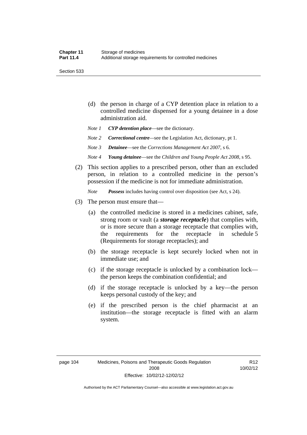Section 533

- (d) the person in charge of a CYP detention place in relation to a controlled medicine dispensed for a young detainee in a dose administration aid.
- *Note 1 CYP detention place*—see the dictionary.
- *Note 2 Correctional centre—see the Legislation Act, dictionary, pt 1.*
- *Note 3 Detainee*—see the *Corrections Management Act 2007*, s 6.
- *Note 4 Young detainee*—see the *Children and Young People Act 2008*, s 95.
- (2) This section applies to a prescribed person, other than an excluded person, in relation to a controlled medicine in the person's possession if the medicine is not for immediate administration.

*Note Possess* includes having control over disposition (see Act, s 24).

- (3) The person must ensure that—
	- (a) the controlled medicine is stored in a medicines cabinet, safe, strong room or vault (a *storage receptacle*) that complies with, or is more secure than a storage receptacle that complies with, the requirements for the receptacle in schedule 5 (Requirements for storage receptacles); and
	- (b) the storage receptacle is kept securely locked when not in immediate use; and
	- (c) if the storage receptacle is unlocked by a combination lock the person keeps the combination confidential; and
	- (d) if the storage receptacle is unlocked by a key—the person keeps personal custody of the key; and
	- (e) if the prescribed person is the chief pharmacist at an institution—the storage receptacle is fitted with an alarm system.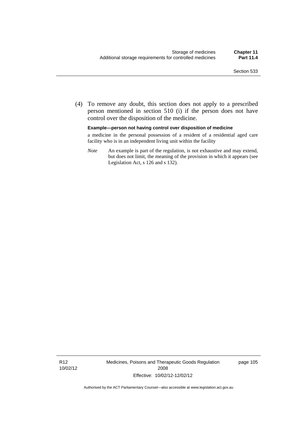(4) To remove any doubt, this section does not apply to a prescribed person mentioned in section 510 (i) if the person does not have control over the disposition of the medicine.

**Example—person not having control over disposition of medicine** 

a medicine in the personal possession of a resident of a residential aged care facility who is in an independent living unit within the facility

*Note* An example is part of the regulation, is not exhaustive and may extend, but does not limit, the meaning of the provision in which it appears (see Legislation Act, s 126 and s 132).

R12 10/02/12 Medicines, Poisons and Therapeutic Goods Regulation 2008 Effective: 10/02/12-12/02/12

page 105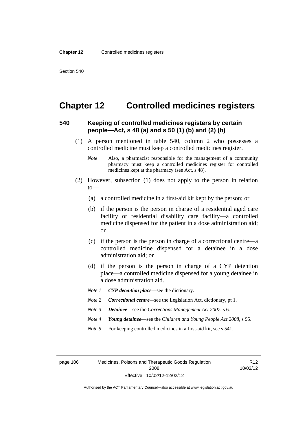# **Chapter 12 Controlled medicines registers**

# **540 Keeping of controlled medicines registers by certain people—Act, s 48 (a) and s 50 (1) (b) and (2) (b)**

- (1) A person mentioned in table 540, column 2 who possesses a controlled medicine must keep a controlled medicines register.
	- *Note* Also, a pharmacist responsible for the management of a community pharmacy must keep a controlled medicines register for controlled medicines kept at the pharmacy (see Act, s 48).
- (2) However, subsection (1) does not apply to the person in relation  $to$ —
	- (a) a controlled medicine in a first-aid kit kept by the person; or
	- (b) if the person is the person in charge of a residential aged care facility or residential disability care facility—a controlled medicine dispensed for the patient in a dose administration aid; or
	- (c) if the person is the person in charge of a correctional centre—a controlled medicine dispensed for a detainee in a dose administration aid; or
	- (d) if the person is the person in charge of a CYP detention place—a controlled medicine dispensed for a young detainee in a dose administration aid.
	- *Note 1 CYP detention place*—see the dictionary.
	- *Note 2 Correctional centre*—see the Legislation Act, dictionary, pt 1.
	- *Note 3 Detainee*—see the *Corrections Management Act 2007*, s 6.
	- *Note 4 Young detainee*—see the *Children and Young People Act 2008*, s 95.
	- *Note* 5 For keeping controlled medicines in a first-aid kit, see s 541.

page 106 Medicines, Poisons and Therapeutic Goods Regulation 2008 Effective: 10/02/12-12/02/12

R12 10/02/12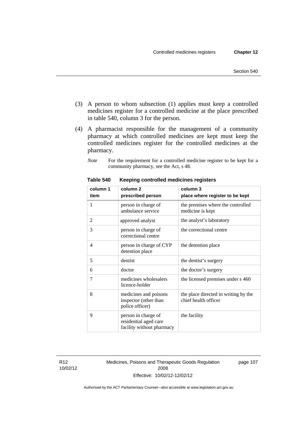- (3) A person to whom subsection (1) applies must keep a controlled medicines register for a controlled medicine at the place prescribed in table 540, column 3 for the person.
- (4) A pharmacist responsible for the management of a community pharmacy at which controlled medicines are kept must keep the controlled medicines register for the controlled medicines at the pharmacy.
	- *Note* For the requirement for a controlled medicine register to be kept for a community pharmacy, see the Act, s 48.

| column 1       | column <sub>2</sub>                                                       | column 3                                                     |
|----------------|---------------------------------------------------------------------------|--------------------------------------------------------------|
| item           | prescribed person                                                         | place where register to be kept                              |
| 1              | person in charge of<br>ambulance service                                  | the premises where the controlled<br>medicine is kept        |
| 2              | approved analyst                                                          | the analyst's laboratory                                     |
| 3              | person in charge of<br>correctional centre                                | the correctional centre                                      |
| $\overline{4}$ | person in charge of CYP<br>detention place                                | the detention place                                          |
| 5              | dentist                                                                   | the dentist's surgery                                        |
| 6              | doctor                                                                    | the doctor's surgery                                         |
| 7              | medicines wholesalers<br>licence-holder                                   | the licensed premises under s 460                            |
| 8              | medicines and poisons<br>inspector (other than<br>police officer)         | the place directed in writing by the<br>chief health officer |
| 9              | person in charge of<br>residential aged care<br>facility without pharmacy | the facility                                                 |

**Table 540 Keeping controlled medicines registers** 

R12 10/02/12 Medicines, Poisons and Therapeutic Goods Regulation 2008 Effective: 10/02/12-12/02/12

page 107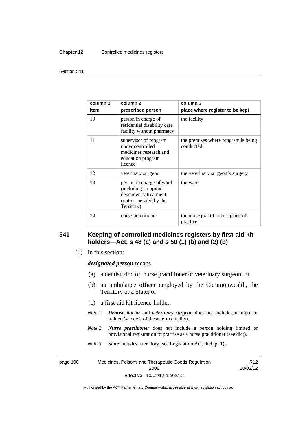#### **Chapter 12** Controlled medicines registers

#### Section 541

| column 1<br>item | column 2<br>prescribed person                                                                                    | column 3<br>place where register to be kept      |
|------------------|------------------------------------------------------------------------------------------------------------------|--------------------------------------------------|
| 10               | person in charge of<br>residential disability care<br>facility without pharmacy                                  | the facility                                     |
| 11               | supervisor of program<br>under controlled<br>medicines research and<br>education program<br>licence              | the premises where program is being<br>conducted |
| 12               | veterinary surgeon                                                                                               | the veterinary surgeon's surgery                 |
| 13               | person in charge of ward<br>(including an opioid<br>dependency treatment<br>centre operated by the<br>Territory) | the ward                                         |
| 14               | nurse practitioner                                                                                               | the nurse practitioner's place of<br>practice    |

# **541 Keeping of controlled medicines registers by first-aid kit holders—Act, s 48 (a) and s 50 (1) (b) and (2) (b)**

(1) In this section:

*designated person* means—

- (a) a dentist, doctor, nurse practitioner or veterinary surgeon; or
- (b) an ambulance officer employed by the Commonwealth, the Territory or a State; or
- (c) a first-aid kit licence-holder.
- *Note 1 Dentist*, *doctor* and *veterinary surgeon* does not include an intern or trainee (see defs of these terms in dict).
- *Note 2 Nurse practitioner* does not include a person holding limited or provisional registration to practise as a nurse practitioner (see dict).
- *Note 3 State* includes a territory (see Legislation Act, dict, pt 1).

page 108 Medicines, Poisons and Therapeutic Goods Regulation 2008 Effective: 10/02/12-12/02/12

R12 10/02/12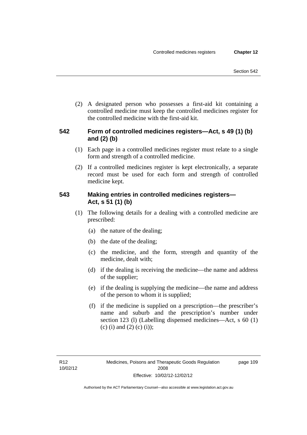(2) A designated person who possesses a first-aid kit containing a controlled medicine must keep the controlled medicines register for the controlled medicine with the first-aid kit.

# **542 Form of controlled medicines registers—Act, s 49 (1) (b) and (2) (b)**

- (1) Each page in a controlled medicines register must relate to a single form and strength of a controlled medicine.
- (2) If a controlled medicines register is kept electronically, a separate record must be used for each form and strength of controlled medicine kept.

# **543 Making entries in controlled medicines registers— Act, s 51 (1) (b)**

- (1) The following details for a dealing with a controlled medicine are prescribed:
	- (a) the nature of the dealing;
	- (b) the date of the dealing;
	- (c) the medicine, and the form, strength and quantity of the medicine, dealt with;
	- (d) if the dealing is receiving the medicine—the name and address of the supplier;
	- (e) if the dealing is supplying the medicine—the name and address of the person to whom it is supplied;
	- (f) if the medicine is supplied on a prescription—the prescriber's name and suburb and the prescription's number under section 123 (l) (Labelling dispensed medicines—Act, s 60 (1) (c) (i) and (2) (c) (i));

page 109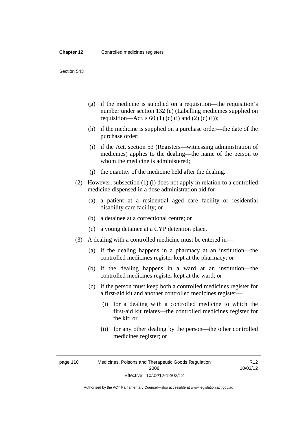Section 543

- (g) if the medicine is supplied on a requisition—the requisition's number under section 132 (e) (Labelling medicines supplied on requisition—Act, s 60 (1) (c) (i) and (2) (c) (i));
- (h) if the medicine is supplied on a purchase order—the date of the purchase order;
- (i) if the Act, section 53 (Registers—witnessing administration of medicines) applies to the dealing—the name of the person to whom the medicine is administered;
- (j) the quantity of the medicine held after the dealing.
- (2) However, subsection (1) (i) does not apply in relation to a controlled medicine dispensed in a dose administration aid for—
	- (a) a patient at a residential aged care facility or residential disability care facility; or
	- (b) a detainee at a correctional centre; or
	- (c) a young detainee at a CYP detention place.
- (3) A dealing with a controlled medicine must be entered in—
	- (a) if the dealing happens in a pharmacy at an institution—the controlled medicines register kept at the pharmacy; or
	- (b) if the dealing happens in a ward at an institution—the controlled medicines register kept at the ward; or
	- (c) if the person must keep both a controlled medicines register for a first-aid kit and another controlled medicines register—
		- (i) for a dealing with a controlled medicine to which the first-aid kit relates—the controlled medicines register for the kit; or
		- (ii) for any other dealing by the person—the other controlled medicines register; or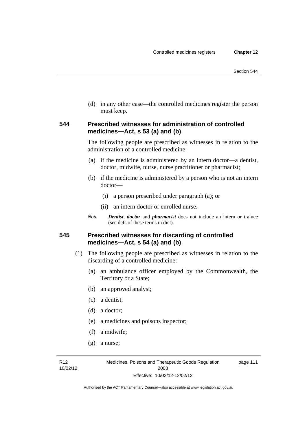(d) in any other case—the controlled medicines register the person must keep.

# **544 Prescribed witnesses for administration of controlled medicines—Act, s 53 (a) and (b)**

The following people are prescribed as witnesses in relation to the administration of a controlled medicine:

- (a) if the medicine is administered by an intern doctor—a dentist, doctor, midwife, nurse, nurse practitioner or pharmacist;
- (b) if the medicine is administered by a person who is not an intern doctor—
	- (i) a person prescribed under paragraph (a); or
	- (ii) an intern doctor or enrolled nurse.
- *Note Dentist*, *doctor* and *pharmacist* does not include an intern or trainee (see defs of these terms in dict).

# **545 Prescribed witnesses for discarding of controlled medicines—Act, s 54 (a) and (b)**

- (1) The following people are prescribed as witnesses in relation to the discarding of a controlled medicine:
	- (a) an ambulance officer employed by the Commonwealth, the Territory or a State;
	- (b) an approved analyst;
	- (c) a dentist;
	- (d) a doctor;
	- (e) a medicines and poisons inspector;
	- (f) a midwife;
	- (g) a nurse;

R12 10/02/12 page 111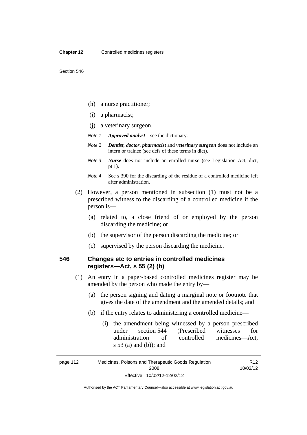- (h) a nurse practitioner;
- (i) a pharmacist;
- (j) a veterinary surgeon.
- *Note 1 Approved analyst*—see the dictionary.
- *Note 2 Dentist*, *doctor*, *pharmacist* and *veterinary surgeon* does not include an intern or trainee (see defs of these terms in dict).
- *Note 3 Nurse* does not include an enrolled nurse (see Legislation Act, dict, pt 1).
- *Note 4* See s 390 for the discarding of the residue of a controlled medicine left after administration.
- (2) However, a person mentioned in subsection (1) must not be a prescribed witness to the discarding of a controlled medicine if the person is—
	- (a) related to, a close friend of or employed by the person discarding the medicine; or
	- (b) the supervisor of the person discarding the medicine; or
	- (c) supervised by the person discarding the medicine.

# **546 Changes etc to entries in controlled medicines registers—Act, s 55 (2) (b)**

- (1) An entry in a paper-based controlled medicines register may be amended by the person who made the entry by—
	- (a) the person signing and dating a marginal note or footnote that gives the date of the amendment and the amended details; and
	- (b) if the entry relates to administering a controlled medicine—
		- (i) the amendment being witnessed by a person prescribed under section 544 (Prescribed witnesses for administration of controlled medicines—Act, s 53 (a) and (b)); and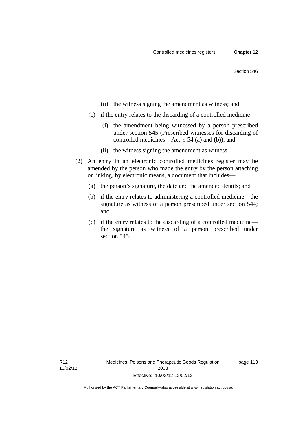- (ii) the witness signing the amendment as witness; and
- (c) if the entry relates to the discarding of a controlled medicine—
	- (i) the amendment being witnessed by a person prescribed under section 545 (Prescribed witnesses for discarding of controlled medicines—Act, s 54 (a) and (b)); and
	- (ii) the witness signing the amendment as witness.
- (2) An entry in an electronic controlled medicines register may be amended by the person who made the entry by the person attaching or linking, by electronic means, a document that includes—
	- (a) the person's signature, the date and the amended details; and
	- (b) if the entry relates to administering a controlled medicine—the signature as witness of a person prescribed under section 544; and
	- (c) if the entry relates to the discarding of a controlled medicine the signature as witness of a person prescribed under section 545.

R12 10/02/12 page 113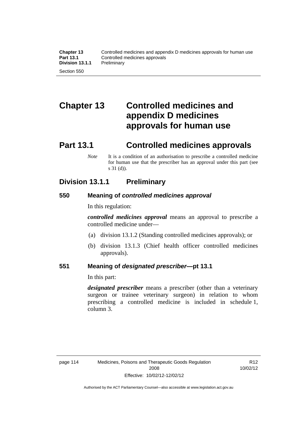# **Chapter 13 Controlled medicines and appendix D medicines approvals for human use**

# **Part 13.1 Controlled medicines approvals**

*Note* It is a condition of an authorisation to prescribe a controlled medicine for human use that the prescriber has an approval under this part (see s 31 (d)).

# **Division 13.1.1 Preliminary**

# **550 Meaning of** *controlled medicines approval*

In this regulation:

*controlled medicines approval* means an approval to prescribe a controlled medicine under—

- (a) division 13.1.2 (Standing controlled medicines approvals); or
- (b) division 13.1.3 (Chief health officer controlled medicines approvals).

# **551 Meaning of** *designated prescriber***—pt 13.1**

In this part:

*designated prescriber* means a prescriber (other than a veterinary surgeon or trainee veterinary surgeon) in relation to whom prescribing a controlled medicine is included in schedule 1, column 3.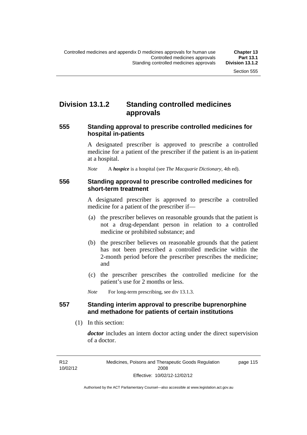# **Division 13.1.2 Standing controlled medicines approvals**

### **555 Standing approval to prescribe controlled medicines for hospital in-patients**

A designated prescriber is approved to prescribe a controlled medicine for a patient of the prescriber if the patient is an in-patient at a hospital.

*Note* A *hospice* is a hospital (see *The Macquarie Dictionary*, 4th ed).

### **556 Standing approval to prescribe controlled medicines for short-term treatment**

A designated prescriber is approved to prescribe a controlled medicine for a patient of the prescriber if—

- (a) the prescriber believes on reasonable grounds that the patient is not a drug-dependant person in relation to a controlled medicine or prohibited substance; and
- (b) the prescriber believes on reasonable grounds that the patient has not been prescribed a controlled medicine within the 2-month period before the prescriber prescribes the medicine; and
- (c) the prescriber prescribes the controlled medicine for the patient's use for 2 months or less.

*Note* For long-term prescribing, see div 13.1.3.

# **557 Standing interim approval to prescribe buprenorphine and methadone for patients of certain institutions**

(1) In this section:

*doctor* includes an intern doctor acting under the direct supervision of a doctor.

page 115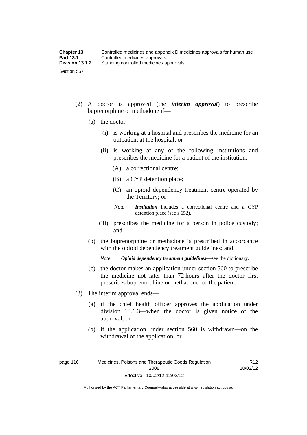- (2) A doctor is approved (the *interim approval*) to prescribe buprenorphine or methadone if—
	- (a) the doctor—
		- (i) is working at a hospital and prescribes the medicine for an outpatient at the hospital; or
		- (ii) is working at any of the following institutions and prescribes the medicine for a patient of the institution:
			- (A) a correctional centre;
			- (B) a CYP detention place;
			- (C) an opioid dependency treatment centre operated by the Territory; or
			- *Note Institution* includes a correctional centre and a CYP detention place (see s 652).
		- (iii) prescribes the medicine for a person in police custody; and
	- (b) the buprenorphine or methadone is prescribed in accordance with the opioid dependency treatment guidelines; and

*Note Opioid dependency treatment guidelines*—see the dictionary.

- (c) the doctor makes an application under section 560 to prescribe the medicine not later than 72 hours after the doctor first prescribes buprenorphine or methadone for the patient.
- (3) The interim approval ends—
	- (a) if the chief health officer approves the application under division 13.1.3—when the doctor is given notice of the approval; or
	- (b) if the application under section 560 is withdrawn—on the withdrawal of the application; or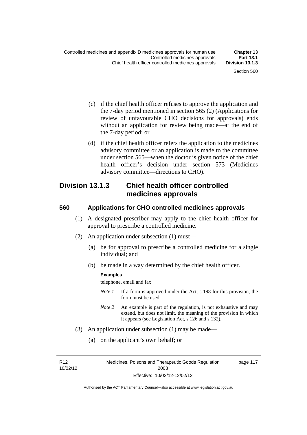- (c) if the chief health officer refuses to approve the application and the 7-day period mentioned in section 565 (2) (Applications for review of unfavourable CHO decisions for approvals) ends without an application for review being made—at the end of the 7-day period; or
- (d) if the chief health officer refers the application to the medicines advisory committee or an application is made to the committee under section 565—when the doctor is given notice of the chief health officer's decision under section 573 (Medicines advisory committee—directions to CHO).

# **Division 13.1.3 Chief health officer controlled medicines approvals**

# **560 Applications for CHO controlled medicines approvals**

- (1) A designated prescriber may apply to the chief health officer for approval to prescribe a controlled medicine.
- (2) An application under subsection (1) must—
	- (a) be for approval to prescribe a controlled medicine for a single individual; and
	- (b) be made in a way determined by the chief health officer.

#### **Examples**

telephone, email and fax

- *Note 1* If a form is approved under the Act, s 198 for this provision, the form must be used.
- *Note 2* An example is part of the regulation, is not exhaustive and may extend, but does not limit, the meaning of the provision in which it appears (see Legislation Act, s 126 and s 132).
- (3) An application under subsection (1) may be made—
	- (a) on the applicant's own behalf; or

R12 10/02/12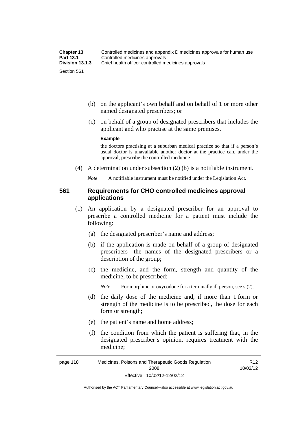- (b) on the applicant's own behalf and on behalf of 1 or more other named designated prescribers; or
- (c) on behalf of a group of designated prescribers that includes the applicant and who practise at the same premises.

#### **Example**

the doctors practising at a suburban medical practice so that if a person's usual doctor is unavailable another doctor at the practice can, under the approval, prescribe the controlled medicine

(4) A determination under subsection (2) (b) is a notifiable instrument.

*Note* A notifiable instrument must be notified under the Legislation Act.

### **561 Requirements for CHO controlled medicines approval applications**

- (1) An application by a designated prescriber for an approval to prescribe a controlled medicine for a patient must include the following:
	- (a) the designated prescriber's name and address;
	- (b) if the application is made on behalf of a group of designated prescribers—the names of the designated prescribers or a description of the group;
	- (c) the medicine, and the form, strength and quantity of the medicine, to be prescribed;

*Note* For morphine or oxycodone for a terminally ill person, see s (2).

- (d) the daily dose of the medicine and, if more than 1 form or strength of the medicine is to be prescribed, the dose for each form or strength;
- (e) the patient's name and home address;
- (f) the condition from which the patient is suffering that, in the designated prescriber's opinion, requires treatment with the medicine;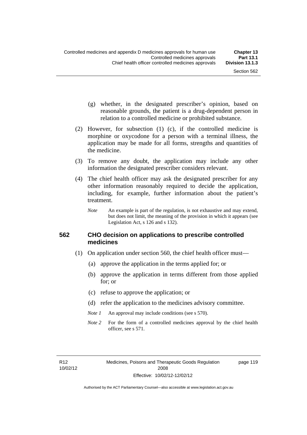page 119

- (g) whether, in the designated prescriber's opinion, based on reasonable grounds, the patient is a drug-dependent person in relation to a controlled medicine or prohibited substance.
- (2) However, for subsection (1) (c), if the controlled medicine is morphine or oxycodone for a person with a terminal illness, the application may be made for all forms, strengths and quantities of the medicine.
- (3) To remove any doubt, the application may include any other information the designated prescriber considers relevant.
- (4) The chief health officer may ask the designated prescriber for any other information reasonably required to decide the application, including, for example, further information about the patient's treatment.
	- *Note* An example is part of the regulation, is not exhaustive and may extend, but does not limit, the meaning of the provision in which it appears (see Legislation Act, s 126 and s 132).

### **562 CHO decision on applications to prescribe controlled medicines**

- (1) On application under section 560, the chief health officer must—
	- (a) approve the application in the terms applied for; or
	- (b) approve the application in terms different from those applied for; or
	- (c) refuse to approve the application; or
	- (d) refer the application to the medicines advisory committee.
	- *Note 1* An approval may include conditions (see s 570).
	- *Note* 2 For the form of a controlled medicines approval by the chief health officer, see s 571.

R12 10/02/12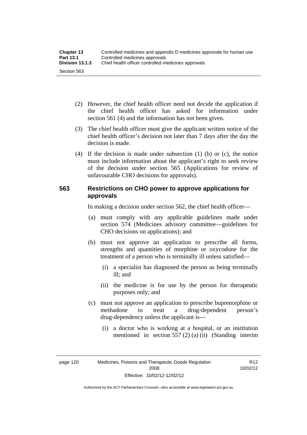| <b>Chapter 13</b> | Controlled medicines and appendix D medicines approvals for human use |  |
|-------------------|-----------------------------------------------------------------------|--|
| <b>Part 13.1</b>  | Controlled medicines approvals                                        |  |
| Division 13.1.3   | Chief health officer controlled medicines approvals                   |  |
| Section 563       |                                                                       |  |

- (2) However, the chief health officer need not decide the application if the chief health officer has asked for information under section 561 (4) and the information has not been given.
- (3) The chief health officer must give the applicant written notice of the chief health officer's decision not later than 7 days after the day the decision is made.
- (4) If the decision is made under subsection (1) (b) or (c), the notice must include information about the applicant's right to seek review of the decision under section 565 (Applications for review of unfavourable CHO decisions for approvals).

# **563 Restrictions on CHO power to approve applications for approvals**

In making a decision under section 562, the chief health officer—

- (a) must comply with any applicable guidelines made under section 574 (Medicines advisory committee—guidelines for CHO decisions on applications); and
- (b) must not approve an application to prescribe all forms, strengths and quantities of morphine or oxycodone for the treatment of a person who is terminally ill unless satisfied—
	- (i) a specialist has diagnosed the person as being terminally ill; and
	- (ii) the medicine is for use by the person for therapeutic purposes only; and
- (c) must not approve an application to prescribe buprenorphine or methadone to treat a drug-dependent person's drug-dependency unless the applicant is—
	- (i) a doctor who is working at a hospital, or an institution mentioned in section 557 (2) (a) (ii) (Standing interim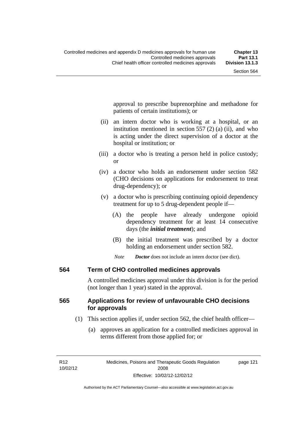approval to prescribe buprenorphine and methadone for patients of certain institutions); or

- (ii) an intern doctor who is working at a hospital, or an institution mentioned in section 557 (2) (a) (ii), and who is acting under the direct supervision of a doctor at the hospital or institution; or
- (iii) a doctor who is treating a person held in police custody; or
- (iv) a doctor who holds an endorsement under section 582 (CHO decisions on applications for endorsement to treat drug-dependency); or
- (v) a doctor who is prescribing continuing opioid dependency treatment for up to 5 drug-dependent people if—
	- (A) the people have already undergone opioid dependency treatment for at least 14 consecutive days (the *initial treatment*); and
	- (B) the initial treatment was prescribed by a doctor holding an endorsement under section 582.
	- *Note Doctor* does not include an intern doctor (see dict).

## **564 Term of CHO controlled medicines approvals**

A controlled medicines approval under this division is for the period (not longer than 1 year) stated in the approval.

## **565 Applications for review of unfavourable CHO decisions for approvals**

- (1) This section applies if, under section 562, the chief health officer—
	- (a) approves an application for a controlled medicines approval in terms different from those applied for; or

page 121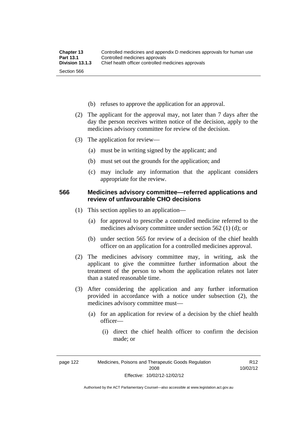- (b) refuses to approve the application for an approval.
- (2) The applicant for the approval may, not later than 7 days after the day the person receives written notice of the decision, apply to the medicines advisory committee for review of the decision.
- (3) The application for review—
	- (a) must be in writing signed by the applicant; and
	- (b) must set out the grounds for the application; and
	- (c) may include any information that the applicant considers appropriate for the review.

### **566 Medicines advisory committee—referred applications and review of unfavourable CHO decisions**

- (1) This section applies to an application—
	- (a) for approval to prescribe a controlled medicine referred to the medicines advisory committee under section 562 (1) (d); or
	- (b) under section 565 for review of a decision of the chief health officer on an application for a controlled medicines approval.
- (2) The medicines advisory committee may, in writing, ask the applicant to give the committee further information about the treatment of the person to whom the application relates not later than a stated reasonable time.
- (3) After considering the application and any further information provided in accordance with a notice under subsection (2), the medicines advisory committee must—
	- (a) for an application for review of a decision by the chief health officer—
		- (i) direct the chief health officer to confirm the decision made; or

R12 10/02/12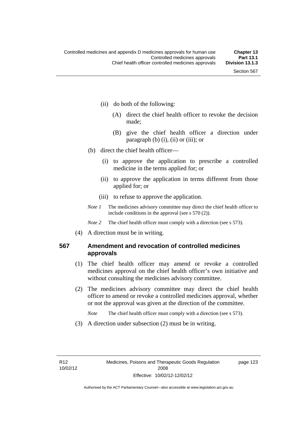page 123

- (ii) do both of the following:
	- (A) direct the chief health officer to revoke the decision made;
	- (B) give the chief health officer a direction under paragraph  $(b)$   $(i)$ ,  $(ii)$  or  $(iii)$ ; or
- (b) direct the chief health officer—
	- (i) to approve the application to prescribe a controlled medicine in the terms applied for; or
	- (ii) to approve the application in terms different from those applied for; or
	- (iii) to refuse to approve the application.
- *Note 1* The medicines advisory committee may direct the chief health officer to include conditions in the approval (see s 570 (2)).

*Note* 2 The chief health officer must comply with a direction (see s 573).

(4) A direction must be in writing.

## **567 Amendment and revocation of controlled medicines approvals**

- (1) The chief health officer may amend or revoke a controlled medicines approval on the chief health officer's own initiative and without consulting the medicines advisory committee.
- (2) The medicines advisory committee may direct the chief health officer to amend or revoke a controlled medicines approval, whether or not the approval was given at the direction of the committee.

*Note* The chief health officer must comply with a direction (see s 573).

(3) A direction under subsection (2) must be in writing.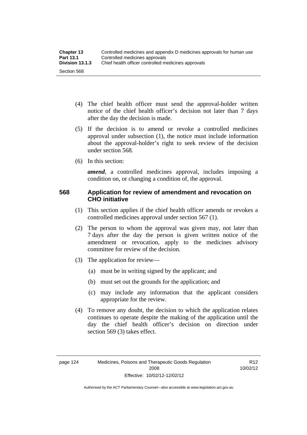- (4) The chief health officer must send the approval-holder written notice of the chief health officer's decision not later than 7 days after the day the decision is made.
- (5) If the decision is to amend or revoke a controlled medicines approval under subsection (1), the notice must include information about the approval-holder's right to seek review of the decision under section 568.
- (6) In this section:

*amend*, a controlled medicines approval, includes imposing a condition on, or changing a condition of, the approval.

## **568 Application for review of amendment and revocation on CHO initiative**

- (1) This section applies if the chief health officer amends or revokes a controlled medicines approval under section 567 (1).
- (2) The person to whom the approval was given may, not later than 7 days after the day the person is given written notice of the amendment or revocation, apply to the medicines advisory committee for review of the decision.
- (3) The application for review—
	- (a) must be in writing signed by the applicant; and
	- (b) must set out the grounds for the application; and
	- (c) may include any information that the applicant considers appropriate for the review.
- (4) To remove any doubt, the decision to which the application relates continues to operate despite the making of the application until the day the chief health officer's decision on direction under section 569 (3) takes effect.

R12 10/02/12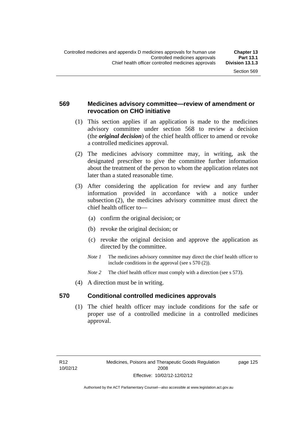## **569 Medicines advisory committee—review of amendment or revocation on CHO initiative**

- (1) This section applies if an application is made to the medicines advisory committee under section 568 to review a decision (the *original decision*) of the chief health officer to amend or revoke a controlled medicines approval.
- (2) The medicines advisory committee may, in writing, ask the designated prescriber to give the committee further information about the treatment of the person to whom the application relates not later than a stated reasonable time.
- (3) After considering the application for review and any further information provided in accordance with a notice under subsection (2), the medicines advisory committee must direct the chief health officer to—
	- (a) confirm the original decision; or
	- (b) revoke the original decision; or
	- (c) revoke the original decision and approve the application as directed by the committee.
	- *Note 1* The medicines advisory committee may direct the chief health officer to include conditions in the approval (see s 570 (2)).
	- *Note* 2 The chief health officer must comply with a direction (see s 573).
- (4) A direction must be in writing.

## **570 Conditional controlled medicines approvals**

(1) The chief health officer may include conditions for the safe or proper use of a controlled medicine in a controlled medicines approval.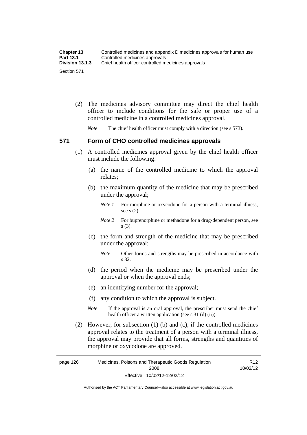| <b>Chapter 13</b> | Controlled medicines and appendix D medicines approvals for human use |
|-------------------|-----------------------------------------------------------------------|
| <b>Part 13.1</b>  | Controlled medicines approvals                                        |
| Division 13.1.3   | Chief health officer controlled medicines approvals                   |
| Section 571       |                                                                       |

 (2) The medicines advisory committee may direct the chief health officer to include conditions for the safe or proper use of a controlled medicine in a controlled medicines approval.

*Note* The chief health officer must comply with a direction (see s 573).

### **571 Form of CHO controlled medicines approvals**

- (1) A controlled medicines approval given by the chief health officer must include the following:
	- (a) the name of the controlled medicine to which the approval relates;
	- (b) the maximum quantity of the medicine that may be prescribed under the approval;
		- *Note 1* For morphine or oxycodone for a person with a terminal illness, see s (2).
		- *Note* 2 For buprenorphine or methadone for a drug-dependent person, see s (3).
	- (c) the form and strength of the medicine that may be prescribed under the approval;
		- *Note* Other forms and strengths may be prescribed in accordance with s 32.
	- (d) the period when the medicine may be prescribed under the approval or when the approval ends;
	- (e) an identifying number for the approval;
	- (f) any condition to which the approval is subject.
	- *Note* If the approval is an oral approval, the prescriber must send the chief health officer a written application (see s  $31$  (d) (ii)).
- (2) However, for subsection (1) (b) and (c), if the controlled medicines approval relates to the treatment of a person with a terminal illness, the approval may provide that all forms, strengths and quantities of morphine or oxycodone are approved.

page 126 Medicines, Poisons and Therapeutic Goods Regulation 2008 Effective: 10/02/12-12/02/12 R12 10/02/12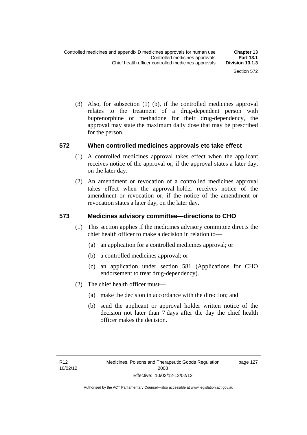(3) Also, for subsection (1) (b), if the controlled medicines approval relates to the treatment of a drug-dependent person with buprenorphine or methadone for their drug-dependency, the approval may state the maximum daily dose that may be prescribed for the person.

### **572 When controlled medicines approvals etc take effect**

- (1) A controlled medicines approval takes effect when the applicant receives notice of the approval or, if the approval states a later day, on the later day.
- (2) An amendment or revocation of a controlled medicines approval takes effect when the approval-holder receives notice of the amendment or revocation or, if the notice of the amendment or revocation states a later day, on the later day.

## **573 Medicines advisory committee—directions to CHO**

- (1) This section applies if the medicines advisory committee directs the chief health officer to make a decision in relation to—
	- (a) an application for a controlled medicines approval; or
	- (b) a controlled medicines approval; or
	- (c) an application under section 581 (Applications for CHO endorsement to treat drug-dependency).
- (2) The chief health officer must—
	- (a) make the decision in accordance with the direction; and
	- (b) send the applicant or approval holder written notice of the decision not later than 7 days after the day the chief health officer makes the decision.

page 127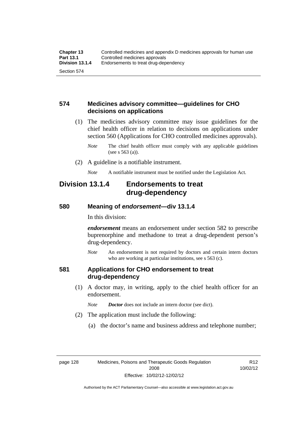## **574 Medicines advisory committee—guidelines for CHO decisions on applications**

 (1) The medicines advisory committee may issue guidelines for the chief health officer in relation to decisions on applications under section 560 (Applications for CHO controlled medicines approvals).

- (2) A guideline is a notifiable instrument.
	- *Note* A notifiable instrument must be notified under the Legislation Act.

## **Division 13.1.4 Endorsements to treat drug-dependency**

#### **580 Meaning of** *endorsement***—div 13.1.4**

In this division:

*endorsement* means an endorsement under section 582 to prescribe buprenorphine and methadone to treat a drug-dependent person's drug-dependency.

*Note* An endorsement is not required by doctors and certain intern doctors who are working at particular institutions, see s 563 (c).

## **581 Applications for CHO endorsement to treat drug-dependency**

 (1) A doctor may, in writing, apply to the chief health officer for an endorsement.

*Note Doctor* does not include an intern doctor (see dict).

- (2) The application must include the following:
	- (a) the doctor's name and business address and telephone number;

R12 10/02/12

*Note* The chief health officer must comply with any applicable guidelines (see s 563 (a)).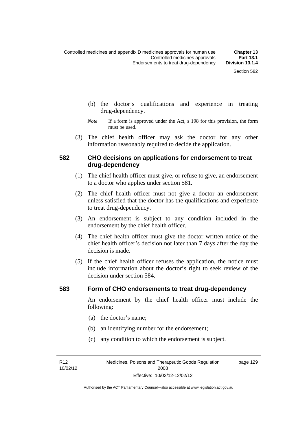- (b) the doctor's qualifications and experience in treating drug-dependency.
- *Note* If a form is approved under the Act, s 198 for this provision, the form must be used.
- (3) The chief health officer may ask the doctor for any other information reasonably required to decide the application.

### **582 CHO decisions on applications for endorsement to treat drug-dependency**

- (1) The chief health officer must give, or refuse to give, an endorsement to a doctor who applies under section 581.
- (2) The chief health officer must not give a doctor an endorsement unless satisfied that the doctor has the qualifications and experience to treat drug-dependency.
- (3) An endorsement is subject to any condition included in the endorsement by the chief health officer.
- (4) The chief health officer must give the doctor written notice of the chief health officer's decision not later than 7 days after the day the decision is made.
- (5) If the chief health officer refuses the application, the notice must include information about the doctor's right to seek review of the decision under section 584.

#### **583 Form of CHO endorsements to treat drug-dependency**

An endorsement by the chief health officer must include the following:

- (a) the doctor's name;
- (b) an identifying number for the endorsement;
- (c) any condition to which the endorsement is subject.

R12 10/02/12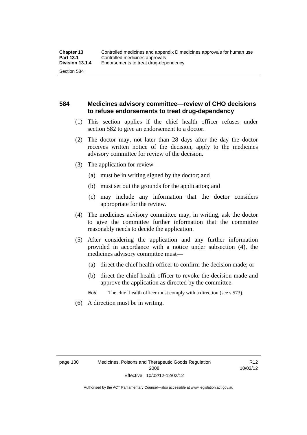## **584 Medicines advisory committee—review of CHO decisions to refuse endorsements to treat drug-dependency**

- (1) This section applies if the chief health officer refuses under section 582 to give an endorsement to a doctor.
- (2) The doctor may, not later than 28 days after the day the doctor receives written notice of the decision, apply to the medicines advisory committee for review of the decision.
- (3) The application for review—
	- (a) must be in writing signed by the doctor; and
	- (b) must set out the grounds for the application; and
	- (c) may include any information that the doctor considers appropriate for the review.
- (4) The medicines advisory committee may, in writing, ask the doctor to give the committee further information that the committee reasonably needs to decide the application.
- (5) After considering the application and any further information provided in accordance with a notice under subsection (4), the medicines advisory committee must—
	- (a) direct the chief health officer to confirm the decision made; or
	- (b) direct the chief health officer to revoke the decision made and approve the application as directed by the committee.

*Note* The chief health officer must comply with a direction (see s 573).

(6) A direction must be in writing.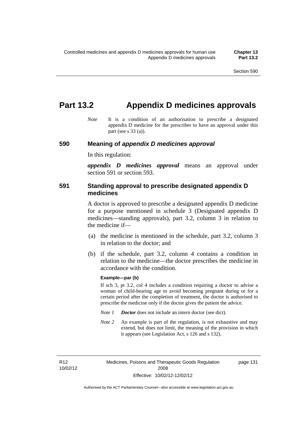# **Part 13.2 Appendix D medicines approvals**

*Note* It is a condition of an authorisation to prescribe a designated appendix D medicine for the prescriber to have an approval under this part (see s 33 (a)).

#### **590 Meaning of** *appendix D medicines approval*

In this regulation:

*appendix D medicines approval* means an approval under section 591 or section 593.

## **591 Standing approval to prescribe designated appendix D medicines**

A doctor is approved to prescribe a designated appendix D medicine for a purpose mentioned in schedule 3 (Designated appendix D medicines—standing approvals), part 3.2, column 3 in relation to the medicine if—

- (a) the medicine is mentioned in the schedule, part 3.2, column 3 in relation to the doctor; and
- (b) if the schedule, part 3.2, column 4 contains a condition in relation to the medicine—the doctor prescribes the medicine in accordance with the condition.

#### **Example—par (b)**

If sch 3, pt 3.2, col 4 includes a condition requiring a doctor to advise a woman of child-bearing age to avoid becoming pregnant during or for a certain period after the completion of treatment, the doctor is authorised to prescribe the medicine only if the doctor gives the patient the advice.

- *Note 1 Doctor* does not include an intern doctor (see dict).
- *Note 2* An example is part of the regulation, is not exhaustive and may extend, but does not limit, the meaning of the provision in which it appears (see Legislation Act, s 126 and s 132).

R12 10/02/12 page 131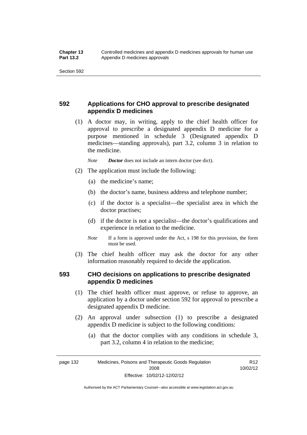## **592 Applications for CHO approval to prescribe designated appendix D medicines**

 (1) A doctor may, in writing, apply to the chief health officer for approval to prescribe a designated appendix D medicine for a purpose mentioned in schedule 3 (Designated appendix D medicines—standing approvals), part 3.2, column 3 in relation to the medicine.

*Note Doctor* does not include an intern doctor (see dict).

- (2) The application must include the following:
	- (a) the medicine's name;
	- (b) the doctor's name, business address and telephone number;
	- (c) if the doctor is a specialist—the specialist area in which the doctor practises;
	- (d) if the doctor is not a specialist—the doctor's qualifications and experience in relation to the medicine.
	- *Note* If a form is approved under the Act, s 198 for this provision, the form must be used.
- (3) The chief health officer may ask the doctor for any other information reasonably required to decide the application.

## **593 CHO decisions on applications to prescribe designated appendix D medicines**

- (1) The chief health officer must approve, or refuse to approve, an application by a doctor under section 592 for approval to prescribe a designated appendix D medicine.
- (2) An approval under subsection (1) to prescribe a designated appendix D medicine is subject to the following conditions:
	- (a) that the doctor complies with any conditions in schedule 3, part 3.2, column 4 in relation to the medicine;

R12 10/02/12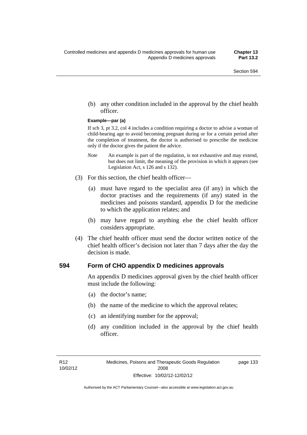(b) any other condition included in the approval by the chief health officer.

#### **Example—par (a)**

If sch 3, pt 3.2, col 4 includes a condition requiring a doctor to advise a woman of child-bearing age to avoid becoming pregnant during or for a certain period after the completion of treatment, the doctor is authorised to prescribe the medicine only if the doctor gives the patient the advice.

- *Note* An example is part of the regulation, is not exhaustive and may extend, but does not limit, the meaning of the provision in which it appears (see Legislation Act, s 126 and s 132).
- (3) For this section, the chief health officer—
	- (a) must have regard to the specialist area (if any) in which the doctor practises and the requirements (if any) stated in the medicines and poisons standard, appendix D for the medicine to which the application relates; and
	- (b) may have regard to anything else the chief health officer considers appropriate.
- (4) The chief health officer must send the doctor written notice of the chief health officer's decision not later than 7 days after the day the decision is made.

#### **594 Form of CHO appendix D medicines approvals**

An appendix D medicines approval given by the chief health officer must include the following:

- (a) the doctor's name;
- (b) the name of the medicine to which the approval relates;
- (c) an identifying number for the approval;
- (d) any condition included in the approval by the chief health officer.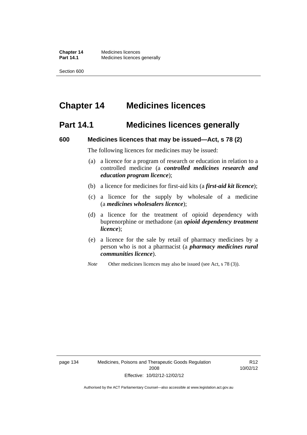# **Chapter 14 Medicines licences**

## **Part 14.1 Medicines licences generally**

#### **600 Medicines licences that may be issued—Act, s 78 (2)**

The following licences for medicines may be issued:

- (a) a licence for a program of research or education in relation to a controlled medicine (a *controlled medicines research and education program licence*);
- (b) a licence for medicines for first-aid kits (a *first-aid kit licence*);
- (c) a licence for the supply by wholesale of a medicine (a *medicines wholesalers licence*);
- (d) a licence for the treatment of opioid dependency with buprenorphine or methadone (an *opioid dependency treatment licence*);
- (e) a licence for the sale by retail of pharmacy medicines by a person who is not a pharmacist (a *pharmacy medicines rural communities licence*).
- *Note* Other medicines licences may also be issued (see Act, s 78 (3)).

R12 10/02/12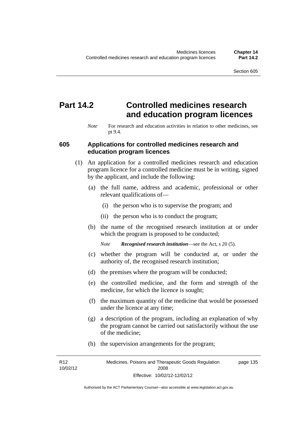# **Part 14.2 Controlled medicines research and education program licences**

*Note* For research and education activities in relation to other medicines, see pt 9.4.

### **605 Applications for controlled medicines research and education program licences**

- (1) An application for a controlled medicines research and education program licence for a controlled medicine must be in writing, signed by the applicant, and include the following:
	- (a) the full name, address and academic, professional or other relevant qualifications of—
		- (i) the person who is to supervise the program; and
		- (ii) the person who is to conduct the program;
	- (b) the name of the recognised research institution at or under which the program is proposed to be conducted;
		- *Note Recognised research institution*—see the Act, s 20 (5).
	- (c) whether the program will be conducted at, or under the authority of, the recognised research institution;
	- (d) the premises where the program will be conducted;
	- (e) the controlled medicine, and the form and strength of the medicine, for which the licence is sought;
	- (f) the maximum quantity of the medicine that would be possessed under the licence at any time;
	- (g) a description of the program, including an explanation of why the program cannot be carried out satisfactorily without the use of the medicine;
	- (h) the supervision arrangements for the program;

R12 10/02/12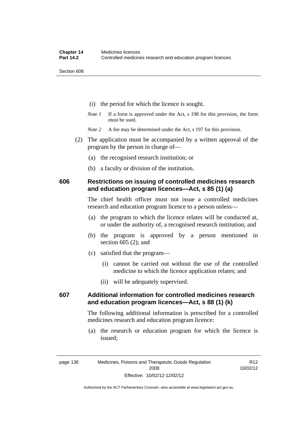- (i) the period for which the licence is sought.
- *Note 1* If a form is approved under the Act, s 198 for this provision, the form must be used.
- *Note* 2 A fee may be determined under the Act, s 197 for this provision.
- (2) The application must be accompanied by a written approval of the program by the person in charge of—
	- (a) the recognised research institution; or
	- (b) a faculty or division of the institution.

## **606 Restrictions on issuing of controlled medicines research and education program licences—Act, s 85 (1) (a)**

The chief health officer must not issue a controlled medicines research and education program licence to a person unless—

- (a) the program to which the licence relates will be conducted at, or under the authority of, a recognised research institution; and
- (b) the program is approved by a person mentioned in section 605 (2); and
- (c) satisfied that the program—
	- (i) cannot be carried out without the use of the controlled medicine to which the licence application relates; and
	- (ii) will be adequately supervised.

## **607 Additional information for controlled medicines research and education program licences—Act, s 88 (1) (k)**

The following additional information is prescribed for a controlled medicines research and education program licence:

 (a) the research or education program for which the licence is issued;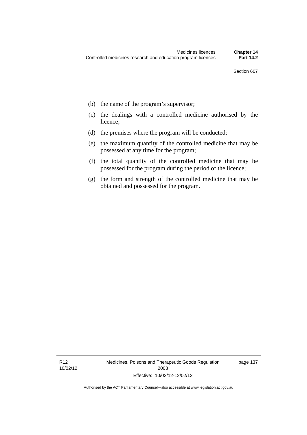- (b) the name of the program's supervisor;
- (c) the dealings with a controlled medicine authorised by the licence;
- (d) the premises where the program will be conducted;
- (e) the maximum quantity of the controlled medicine that may be possessed at any time for the program;
- (f) the total quantity of the controlled medicine that may be possessed for the program during the period of the licence;
- (g) the form and strength of the controlled medicine that may be obtained and possessed for the program.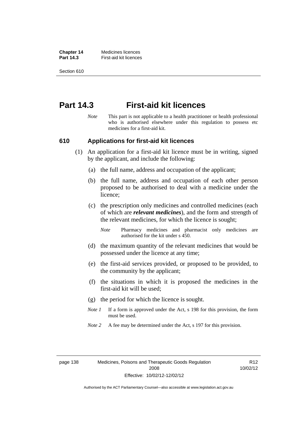**Chapter 14** Medicines licences **Part 14.3 First-aid kit licences** 

Section 610

## **Part 14.3 First-aid kit licences**

*Note* This part is not applicable to a health practitioner or health professional who is authorised elsewhere under this regulation to possess etc medicines for a first-aid kit.

#### **610 Applications for first-aid kit licences**

- (1) An application for a first-aid kit licence must be in writing, signed by the applicant, and include the following:
	- (a) the full name, address and occupation of the applicant;
	- (b) the full name, address and occupation of each other person proposed to be authorised to deal with a medicine under the licence;
	- (c) the prescription only medicines and controlled medicines (each of which are *relevant medicines*), and the form and strength of the relevant medicines, for which the licence is sought;

*Note* Pharmacy medicines and pharmacist only medicines are authorised for the kit under s 450.

- (d) the maximum quantity of the relevant medicines that would be possessed under the licence at any time;
- (e) the first-aid services provided, or proposed to be provided, to the community by the applicant;
- (f) the situations in which it is proposed the medicines in the first-aid kit will be used;
- (g) the period for which the licence is sought.
- *Note 1* If a form is approved under the Act, s 198 for this provision, the form must be used.
- *Note 2* A fee may be determined under the Act, s 197 for this provision.

R12 10/02/12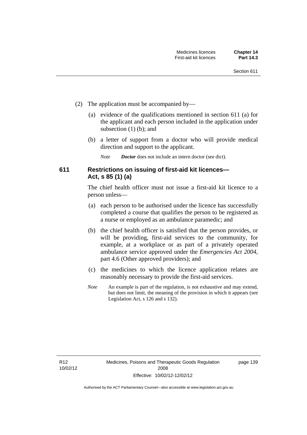- (2) The application must be accompanied by—
	- (a) evidence of the qualifications mentioned in section 611 (a) for the applicant and each person included in the application under subsection (1) (b); and
	- (b) a letter of support from a doctor who will provide medical direction and support to the applicant.
		- *Note Doctor* does not include an intern doctor (see dict).

## **611 Restrictions on issuing of first-aid kit licences— Act, s 85 (1) (a)**

The chief health officer must not issue a first-aid kit licence to a person unless—

- (a) each person to be authorised under the licence has successfully completed a course that qualifies the person to be registered as a nurse or employed as an ambulance paramedic; and
- (b) the chief health officer is satisfied that the person provides, or will be providing, first-aid services to the community, for example, at a workplace or as part of a privately operated ambulance service approved under the *Emergencies Act 2004*, part 4.6 (Other approved providers); and
- (c) the medicines to which the licence application relates are reasonably necessary to provide the first-aid services.
- *Note* An example is part of the regulation, is not exhaustive and may extend, but does not limit, the meaning of the provision in which it appears (see Legislation Act, s 126 and s 132).

page 139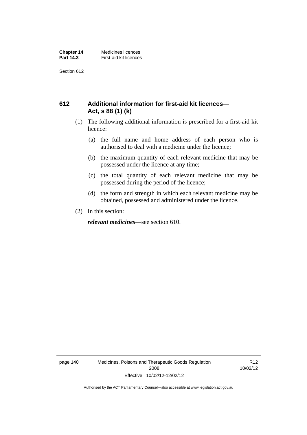## **612 Additional information for first-aid kit licences— Act, s 88 (1) (k)**

- (1) The following additional information is prescribed for a first-aid kit licence:
	- (a) the full name and home address of each person who is authorised to deal with a medicine under the licence;
	- (b) the maximum quantity of each relevant medicine that may be possessed under the licence at any time;
	- (c) the total quantity of each relevant medicine that may be possessed during the period of the licence;
	- (d) the form and strength in which each relevant medicine may be obtained, possessed and administered under the licence.
- (2) In this section:

*relevant medicines*—see section 610.

page 140 Medicines, Poisons and Therapeutic Goods Regulation 2008 Effective: 10/02/12-12/02/12

R12 10/02/12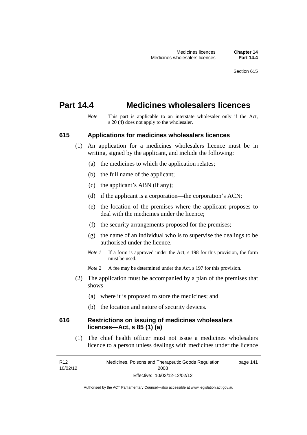## **Part 14.4 Medicines wholesalers licences**

*Note* This part is applicable to an interstate wholesaler only if the Act, s  $20(4)$  does not apply to the wholesaler.

#### **615 Applications for medicines wholesalers licences**

- (1) An application for a medicines wholesalers licence must be in writing, signed by the applicant, and include the following:
	- (a) the medicines to which the application relates;
	- (b) the full name of the applicant;
	- (c) the applicant's ABN (if any);
	- (d) if the applicant is a corporation—the corporation's ACN;
	- (e) the location of the premises where the applicant proposes to deal with the medicines under the licence;
	- (f) the security arrangements proposed for the premises;
	- (g) the name of an individual who is to supervise the dealings to be authorised under the licence.
	- *Note 1* If a form is approved under the Act, s 198 for this provision, the form must be used.
	- *Note* 2 A fee may be determined under the Act, s 197 for this provision.
- (2) The application must be accompanied by a plan of the premises that shows—
	- (a) where it is proposed to store the medicines; and
	- (b) the location and nature of security devices.

### **616 Restrictions on issuing of medicines wholesalers licences—Act, s 85 (1) (a)**

 (1) The chief health officer must not issue a medicines wholesalers licence to a person unless dealings with medicines under the licence

R12 10/02/12 Medicines, Poisons and Therapeutic Goods Regulation 2008 Effective: 10/02/12-12/02/12 page 141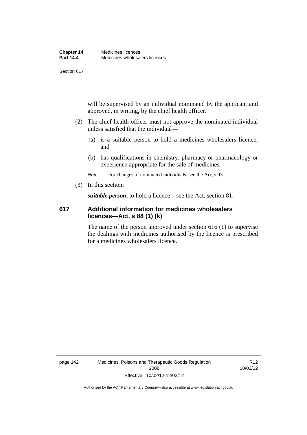will be supervised by an individual nominated by the applicant and approved, in writing, by the chief health officer.

- (2) The chief health officer must not approve the nominated individual unless satisfied that the individual—
	- (a) is a suitable person to hold a medicines wholesalers licence; and
	- (b) has qualifications in chemistry, pharmacy or pharmacology or experience appropriate for the sale of medicines.

*Note* For changes of nominated individuals, see the Act, s 93.

(3) In this section:

*suitable person*, to hold a licence—see the Act, section 81.

## **617 Additional information for medicines wholesalers licences—Act, s 88 (1) (k)**

The name of the person approved under section 616 (1) to supervise the dealings with medicines authorised by the licence is prescribed for a medicines wholesalers licence.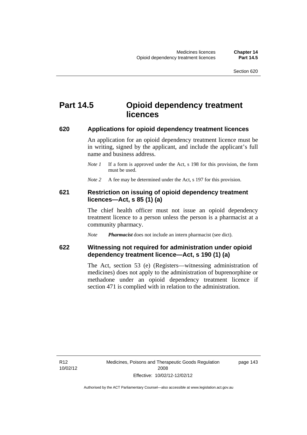# **Part 14.5 Opioid dependency treatment licences**

#### **620 Applications for opioid dependency treatment licences**

An application for an opioid dependency treatment licence must be in writing, signed by the applicant, and include the applicant's full name and business address.

- *Note 1* If a form is approved under the Act, s 198 for this provision, the form must be used.
- *Note 2* A fee may be determined under the Act, s 197 for this provision.

## **621 Restriction on issuing of opioid dependency treatment licences—Act, s 85 (1) (a)**

The chief health officer must not issue an opioid dependency treatment licence to a person unless the person is a pharmacist at a community pharmacy.

*Note Pharmacist* does not include an intern pharmacist (see dict).

## **622 Witnessing not required for administration under opioid dependency treatment licence—Act, s 190 (1) (a)**

The Act, section 53 (e) (Registers—witnessing administration of medicines) does not apply to the administration of buprenorphine or methadone under an opioid dependency treatment licence if section 471 is complied with in relation to the administration.

page 143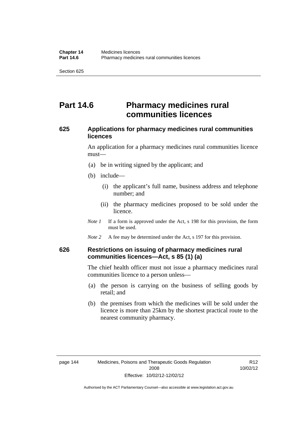# **Part 14.6 Pharmacy medicines rural communities licences**

## **625 Applications for pharmacy medicines rural communities licences**

An application for a pharmacy medicines rural communities licence must—

- (a) be in writing signed by the applicant; and
- (b) include—
	- (i) the applicant's full name, business address and telephone number; and
	- (ii) the pharmacy medicines proposed to be sold under the licence.
- *Note 1* If a form is approved under the Act, s 198 for this provision, the form must be used.
- *Note 2* A fee may be determined under the Act, s 197 for this provision.

## **626 Restrictions on issuing of pharmacy medicines rural communities licences—Act, s 85 (1) (a)**

The chief health officer must not issue a pharmacy medicines rural communities licence to a person unless—

- (a) the person is carrying on the business of selling goods by retail; and
- (b) the premises from which the medicines will be sold under the licence is more than 25km by the shortest practical route to the nearest community pharmacy.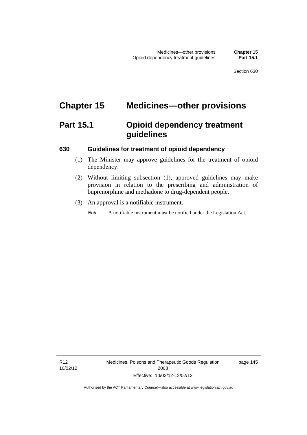# **Chapter 15 Medicines—other provisions**

# **Part 15.1 Opioid dependency treatment guidelines**

### **630 Guidelines for treatment of opioid dependency**

- (1) The Minister may approve guidelines for the treatment of opioid dependency.
- (2) Without limiting subsection (1), approved guidelines may make provision in relation to the prescribing and administration of buprenorphine and methadone to drug-dependent people.
- (3) An approval is a notifiable instrument.

*Note* A notifiable instrument must be notified under the Legislation Act.

R12 10/02/12 Medicines, Poisons and Therapeutic Goods Regulation 2008 Effective: 10/02/12-12/02/12

page 145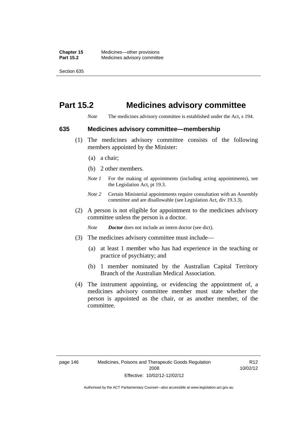# **Part 15.2 Medicines advisory committee**

*Note* The medicines advisory committee is established under the Act, s 194.

#### **635 Medicines advisory committee—membership**

- (1) The medicines advisory committee consists of the following members appointed by the Minister:
	- (a) a chair;
	- (b) 2 other members.
	- *Note 1* For the making of appointments (including acting appointments), see the Legislation Act, pt 19.3.
	- *Note 2* Certain Ministerial appointments require consultation with an Assembly committee and are disallowable (see Legislation Act, div 19.3.3).
- (2) A person is not eligible for appointment to the medicines advisory committee unless the person is a doctor.

*Note Doctor* does not include an intern doctor (see dict).

- (3) The medicines advisory committee must include—
	- (a) at least 1 member who has had experience in the teaching or practice of psychiatry; and
	- (b) 1 member nominated by the Australian Capital Territory Branch of the Australian Medical Association.
- (4) The instrument appointing, or evidencing the appointment of, a medicines advisory committee member must state whether the person is appointed as the chair, or as another member, of the committee.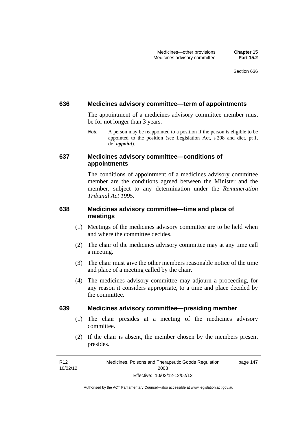#### **636 Medicines advisory committee—term of appointments**

The appointment of a medicines advisory committee member must be for not longer than 3 years.

*Note* A person may be reappointed to a position if the person is eligible to be appointed to the position (see Legislation Act, s 208 and dict, pt 1, def *appoint*).

## **637 Medicines advisory committee—conditions of appointments**

The conditions of appointment of a medicines advisory committee member are the conditions agreed between the Minister and the member, subject to any determination under the *Remuneration Tribunal Act 1995*.

## **638 Medicines advisory committee—time and place of meetings**

- (1) Meetings of the medicines advisory committee are to be held when and where the committee decides.
- (2) The chair of the medicines advisory committee may at any time call a meeting.
- (3) The chair must give the other members reasonable notice of the time and place of a meeting called by the chair.
- (4) The medicines advisory committee may adjourn a proceeding, for any reason it considers appropriate, to a time and place decided by the committee.

#### **639 Medicines advisory committee—presiding member**

- (1) The chair presides at a meeting of the medicines advisory committee.
- (2) If the chair is absent, the member chosen by the members present presides.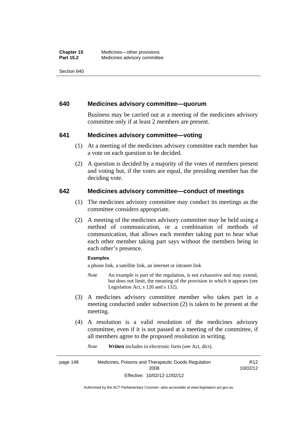#### **640 Medicines advisory committee—quorum**

Business may be carried out at a meeting of the medicines advisory committee only if at least 2 members are present.

### **641 Medicines advisory committee—voting**

- (1) At a meeting of the medicines advisory committee each member has a vote on each question to be decided.
- (2) A question is decided by a majority of the votes of members present and voting but, if the votes are equal, the presiding member has the deciding vote.

### **642 Medicines advisory committee—conduct of meetings**

- (1) The medicines advisory committee may conduct its meetings as the committee considers appropriate.
- (2) A meeting of the medicines advisory committee may be held using a method of communication, or a combination of methods of communication, that allows each member taking part to hear what each other member taking part says without the members being in each other's presence.

#### **Examples**

a phone link, a satellite link, an internet or intranet link

- *Note* An example is part of the regulation, is not exhaustive and may extend, but does not limit, the meaning of the provision in which it appears (see Legislation Act, s 126 and s 132).
- (3) A medicines advisory committee member who takes part in a meeting conducted under subsection (2) is taken to be present at the meeting.
- (4) A resolution is a valid resolution of the medicines advisory committee, even if it is not passed at a meeting of the committee, if all members agree to the proposed resolution in writing.

*Note Written* includes in electronic form (see Act, dict).

page 148 Medicines, Poisons and Therapeutic Goods Regulation 2008 Effective: 10/02/12-12/02/12 R12 10/02/12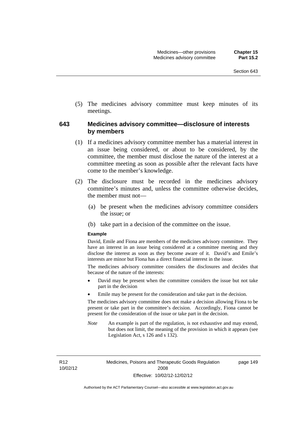(5) The medicines advisory committee must keep minutes of its meetings.

## **643 Medicines advisory committee—disclosure of interests by members**

- (1) If a medicines advisory committee member has a material interest in an issue being considered, or about to be considered, by the committee, the member must disclose the nature of the interest at a committee meeting as soon as possible after the relevant facts have come to the member's knowledge.
- (2) The disclosure must be recorded in the medicines advisory committee's minutes and, unless the committee otherwise decides, the member must not—
	- (a) be present when the medicines advisory committee considers the issue; or
	- (b) take part in a decision of the committee on the issue.

#### **Example**

David, Emile and Fiona are members of the medicines advisory committee. They have an interest in an issue being considered at a committee meeting and they disclose the interest as soon as they become aware of it. David's and Emile's interests are minor but Fiona has a direct financial interest in the issue.

The medicines advisory committee considers the disclosures and decides that because of the nature of the interests:

- David may be present when the committee considers the issue but not take part in the decision
- Emile may be present for the consideration and take part in the decision.

The medicines advisory committee does not make a decision allowing Fiona to be present or take part in the committee's decision. Accordingly, Fiona cannot be present for the consideration of the issue or take part in the decision.

*Note* An example is part of the regulation, is not exhaustive and may extend, but does not limit, the meaning of the provision in which it appears (see Legislation Act, s 126 and s 132).

R12 10/02/12 page 149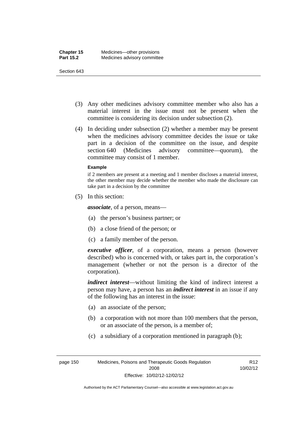- (3) Any other medicines advisory committee member who also has a material interest in the issue must not be present when the committee is considering its decision under subsection (2).
- (4) In deciding under subsection (2) whether a member may be present when the medicines advisory committee decides the issue or take part in a decision of the committee on the issue, and despite section 640 (Medicines advisory committee—quorum), the committee may consist of 1 member.

#### **Example**

if 2 members are present at a meeting and 1 member discloses a material interest, the other member may decide whether the member who made the disclosure can take part in a decision by the committee

(5) In this section:

*associate*, of a person, means—

- (a) the person's business partner; or
- (b) a close friend of the person; or
- (c) a family member of the person.

*executive officer*, of a corporation, means a person (however described) who is concerned with, or takes part in, the corporation's management (whether or not the person is a director of the corporation).

*indirect interest*—without limiting the kind of indirect interest a person may have, a person has an *indirect interest* in an issue if any of the following has an interest in the issue:

- (a) an associate of the person;
- (b) a corporation with not more than 100 members that the person, or an associate of the person, is a member of;
- (c) a subsidiary of a corporation mentioned in paragraph (b);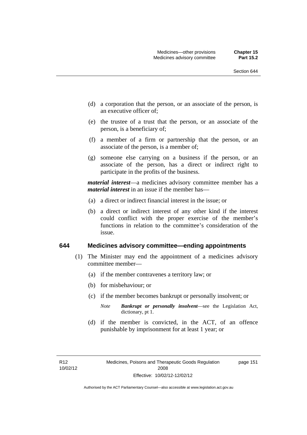- (d) a corporation that the person, or an associate of the person, is an executive officer of;
- (e) the trustee of a trust that the person, or an associate of the person, is a beneficiary of;
- (f) a member of a firm or partnership that the person, or an associate of the person, is a member of;
- (g) someone else carrying on a business if the person, or an associate of the person, has a direct or indirect right to participate in the profits of the business.

*material interest*—a medicines advisory committee member has a *material interest* in an issue if the member has—

- (a) a direct or indirect financial interest in the issue; or
- (b) a direct or indirect interest of any other kind if the interest could conflict with the proper exercise of the member's functions in relation to the committee's consideration of the issue.

#### **644 Medicines advisory committee—ending appointments**

- (1) The Minister may end the appointment of a medicines advisory committee member—
	- (a) if the member contravenes a territory law; or
	- (b) for misbehaviour; or
	- (c) if the member becomes bankrupt or personally insolvent; or
		- *Note Bankrupt or personally insolvent*—see the Legislation Act, dictionary, pt 1.
	- (d) if the member is convicted, in the ACT, of an offence punishable by imprisonment for at least 1 year; or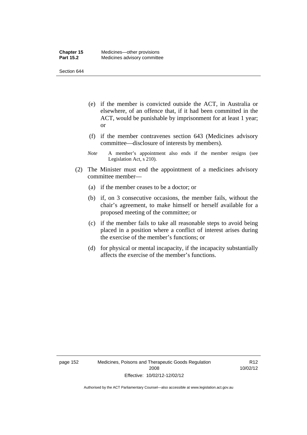- (e) if the member is convicted outside the ACT, in Australia or elsewhere, of an offence that, if it had been committed in the ACT, would be punishable by imprisonment for at least 1 year; or
- (f) if the member contravenes section 643 (Medicines advisory committee—disclosure of interests by members).
- *Note* A member's appointment also ends if the member resigns (see Legislation Act, s 210).
- (2) The Minister must end the appointment of a medicines advisory committee member—
	- (a) if the member ceases to be a doctor; or
	- (b) if, on 3 consecutive occasions, the member fails, without the chair's agreement, to make himself or herself available for a proposed meeting of the committee; or
	- (c) if the member fails to take all reasonable steps to avoid being placed in a position where a conflict of interest arises during the exercise of the member's functions; or
	- (d) for physical or mental incapacity, if the incapacity substantially affects the exercise of the member's functions.

R12 10/02/12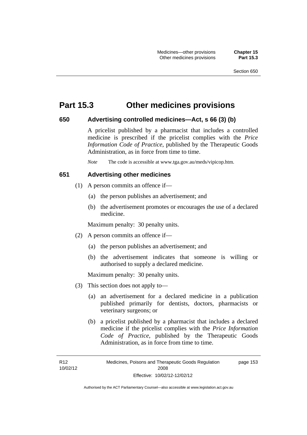## **Part 15.3 Other medicines provisions**

## **650 Advertising controlled medicines—Act, s 66 (3) (b)**

A pricelist published by a pharmacist that includes a controlled medicine is prescribed if the pricelist complies with the *Price Information Code of Practice*, published by the Therapeutic Goods Administration, as in force from time to time.

*Note* The code is accessible at www.tga.gov.au/meds/vipicop.htm.

### **651 Advertising other medicines**

- (1) A person commits an offence if—
	- (a) the person publishes an advertisement; and
	- (b) the advertisement promotes or encourages the use of a declared medicine.

Maximum penalty: 30 penalty units.

- (2) A person commits an offence if—
	- (a) the person publishes an advertisement; and
	- (b) the advertisement indicates that someone is willing or authorised to supply a declared medicine.

Maximum penalty: 30 penalty units.

- (3) This section does not apply to—
	- (a) an advertisement for a declared medicine in a publication published primarily for dentists, doctors, pharmacists or veterinary surgeons; or
	- (b) a pricelist published by a pharmacist that includes a declared medicine if the pricelist complies with the *Price Information Code of Practice*, published by the Therapeutic Goods Administration, as in force from time to time.

R12 10/02/12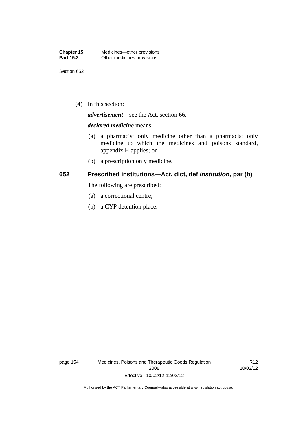(4) In this section:

*advertisement*—see the Act, section 66.

#### *declared medicine* means—

- (a) a pharmacist only medicine other than a pharmacist only medicine to which the medicines and poisons standard, appendix H applies; or
- (b) a prescription only medicine.

## **652 Prescribed institutions—Act, dict, def** *institution***, par (b)**

The following are prescribed:

- (a) a correctional centre;
- (b) a CYP detention place.

page 154 Medicines, Poisons and Therapeutic Goods Regulation 2008 Effective: 10/02/12-12/02/12

R12 10/02/12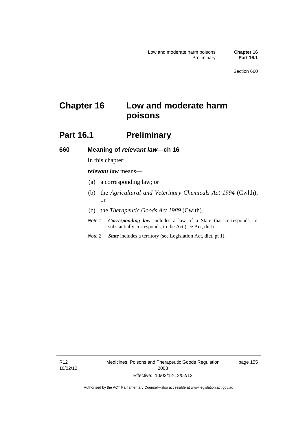# **Chapter 16 Low and moderate harm poisons**

# **Part 16.1** Preliminary

**660 Meaning of** *relevant law***—ch 16** 

# In this chapter:

*relevant law* means—

- (a) a corresponding law; or
- (b) the *Agricultural and Veterinary Chemicals Act 1994* (Cwlth); or
- (c) the *Therapeutic Goods Act 1989* (Cwlth).
- *Note 1 Corresponding law* includes a law of a State that corresponds, or substantially corresponds, to the Act (see Act, dict).
- *Note 2 State* includes a territory (see Legislation Act, dict, pt 1).

R12 10/02/12 Medicines, Poisons and Therapeutic Goods Regulation 2008 Effective: 10/02/12-12/02/12

page 155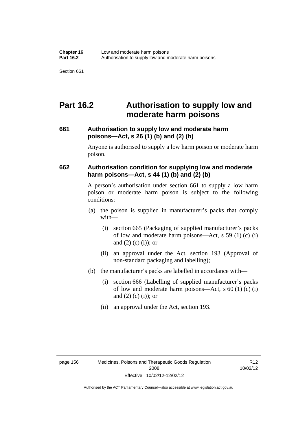# **Part 16.2 Authorisation to supply low and moderate harm poisons**

## **661 Authorisation to supply low and moderate harm poisons—Act, s 26 (1) (b) and (2) (b)**

Anyone is authorised to supply a low harm poison or moderate harm poison.

## **662 Authorisation condition for supplying low and moderate harm poisons—Act, s 44 (1) (b) and (2) (b)**

A person's authorisation under section 661 to supply a low harm poison or moderate harm poison is subject to the following conditions:

- (a) the poison is supplied in manufacturer's packs that comply with—
	- (i) section 665 (Packaging of supplied manufacturer's packs of low and moderate harm poisons—Act, s  $59(1)(c)$  (i) and  $(2)$  (c) (i)); or
	- (ii) an approval under the Act, section 193 (Approval of non-standard packaging and labelling);
- (b) the manufacturer's packs are labelled in accordance with—
	- (i) section 666 (Labelling of supplied manufacturer's packs of low and moderate harm poisons—Act, s  $60(1)(c)(i)$ and  $(2)$   $(c)$   $(i)$ ; or
	- (ii) an approval under the Act, section 193.

R12 10/02/12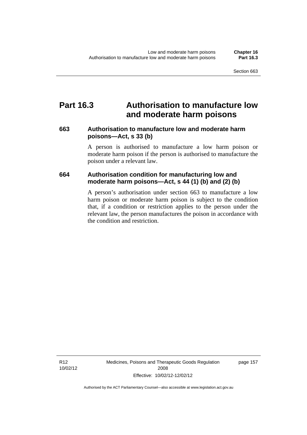### **Part 16.3 Authorisation to manufacture low and moderate harm poisons**

### **663 Authorisation to manufacture low and moderate harm poisons—Act, s 33 (b)**

A person is authorised to manufacture a low harm poison or moderate harm poison if the person is authorised to manufacture the poison under a relevant law.

### **664 Authorisation condition for manufacturing low and moderate harm poisons—Act, s 44 (1) (b) and (2) (b)**

A person's authorisation under section 663 to manufacture a low harm poison or moderate harm poison is subject to the condition that, if a condition or restriction applies to the person under the relevant law, the person manufactures the poison in accordance with the condition and restriction.

page 157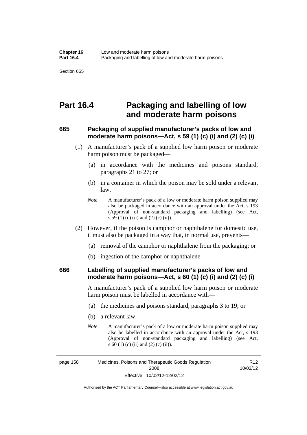### **Part 16.4 Packaging and labelling of low and moderate harm poisons**

### **665 Packaging of supplied manufacturer's packs of low and moderate harm poisons—Act, s 59 (1) (c) (i) and (2) (c) (i)**

- (1) A manufacturer's pack of a supplied low harm poison or moderate harm poison must be packaged—
	- (a) in accordance with the medicines and poisons standard, paragraphs 21 to 27; or
	- (b) in a container in which the poison may be sold under a relevant law.
	- *Note* A manufacturer's pack of a low or moderate harm poison supplied may also be packaged in accordance with an approval under the Act, s 193 (Approval of non-standard packaging and labelling) (see Act, s 59 (1) (c) (ii) and (2) (c) (ii)).
- (2) However, if the poison is camphor or naphthalene for domestic use, it must also be packaged in a way that, in normal use, prevents—
	- (a) removal of the camphor or naphthalene from the packaging; or
	- (b) ingestion of the camphor or naphthalene.

### **666 Labelling of supplied manufacturer's packs of low and moderate harm poisons—Act, s 60 (1) (c) (i) and (2) (c) (i)**

A manufacturer's pack of a supplied low harm poison or moderate harm poison must be labelled in accordance with—

- (a) the medicines and poisons standard, paragraphs 3 to 19; or
- (b) a relevant law.
- *Note* A manufacturer's pack of a low or moderate harm poison supplied may also be labelled in accordance with an approval under the Act, s 193 (Approval of non-standard packaging and labelling) (see Act, s 60 (1) (c) (ii) and (2) (c) (ii)).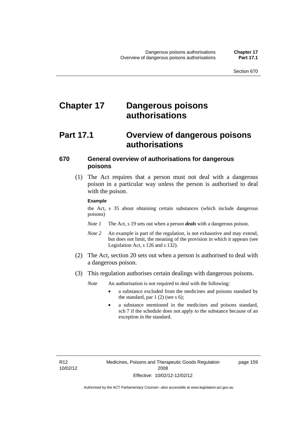# **Chapter 17 Dangerous poisons authorisations**

## **Part 17.1 Overview of dangerous poisons authorisations**

### **670 General overview of authorisations for dangerous poisons**

 (1) The Act requires that a person must not deal with a dangerous poison in a particular way unless the person is authorised to deal with the poison.

#### **Example**

the Act, s 35 about obtaining certain substances (which include dangerous poisons)

- *Note 1* The Act, s 19 sets out when a person *deals* with a dangerous poison.
- *Note 2* An example is part of the regulation, is not exhaustive and may extend, but does not limit, the meaning of the provision in which it appears (see Legislation Act, s 126 and s 132).
- (2) The Act, section 20 sets out when a person is authorised to deal with a dangerous poison.
- (3) This regulation authorises certain dealings with dangerous poisons.

*Note* An authorisation is not required to deal with the following:

- a substance excluded from the medicines and poisons standard by the standard, par  $1(2)$  (see s 6);
- a substance mentioned in the medicines and poisons standard, sch 7 if the schedule does not apply to the substance because of an exception in the standard.

R12 10/02/12 page 159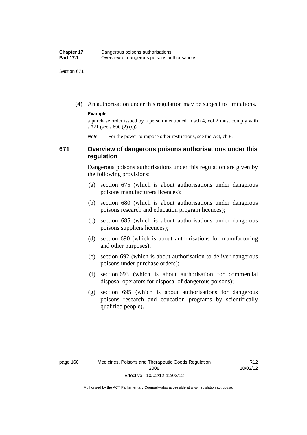(4) An authorisation under this regulation may be subject to limitations.

#### **Example**

a purchase order issued by a person mentioned in sch 4, col 2 must comply with s 721 (see s 690 (2) (c))

*Note* For the power to impose other restrictions, see the Act, ch 8.

### **671 Overview of dangerous poisons authorisations under this regulation**

Dangerous poisons authorisations under this regulation are given by the following provisions:

- (a) section 675 (which is about authorisations under dangerous poisons manufacturers licences);
- (b) section 680 (which is about authorisations under dangerous poisons research and education program licences);
- (c) section 685 (which is about authorisations under dangerous poisons suppliers licences);
- (d) section 690 (which is about authorisations for manufacturing and other purposes);
- (e) section 692 (which is about authorisation to deliver dangerous poisons under purchase orders);
- (f) section 693 (which is about authorisation for commercial disposal operators for disposal of dangerous poisons);
- (g) section 695 (which is about authorisations for dangerous poisons research and education programs by scientifically qualified people).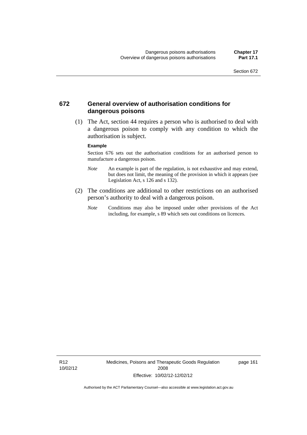### **672 General overview of authorisation conditions for dangerous poisons**

 (1) The Act, section 44 requires a person who is authorised to deal with a dangerous poison to comply with any condition to which the authorisation is subject.

#### **Example**

Section 676 sets out the authorisation conditions for an authorised person to manufacture a dangerous poison.

- *Note* An example is part of the regulation, is not exhaustive and may extend, but does not limit, the meaning of the provision in which it appears (see Legislation Act, s  $126$  and s  $132$ ).
- (2) The conditions are additional to other restrictions on an authorised person's authority to deal with a dangerous poison.
	- *Note* Conditions may also be imposed under other provisions of the Act including, for example, s 89 which sets out conditions on licences.

R12 10/02/12 Medicines, Poisons and Therapeutic Goods Regulation 2008 Effective: 10/02/12-12/02/12

page 161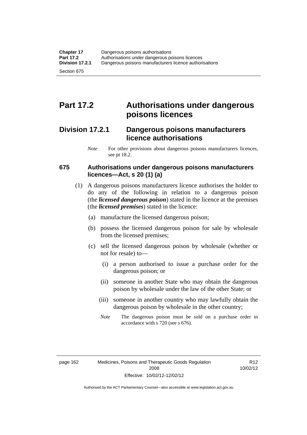# **Part 17.2 Authorisations under dangerous poisons licences**

### **Division 17.2.1 Dangerous poisons manufacturers licence authorisations**

*Note* For other provisions about dangerous poisons manufacturers licences, see pt 18.2.

### **675 Authorisations under dangerous poisons manufacturers licences—Act, s 20 (1) (a)**

- (1) A dangerous poisons manufacturers licence authorises the holder to do any of the following in relation to a dangerous poison (the *licensed dangerous poison*) stated in the licence at the premises (the *licensed premises*) stated in the licence:
	- (a) manufacture the licensed dangerous poison;
	- (b) possess the licensed dangerous poison for sale by wholesale from the licensed premises;
	- (c) sell the licensed dangerous poison by wholesale (whether or not for resale) to—
		- (i) a person authorised to issue a purchase order for the dangerous poison; or
		- (ii) someone in another State who may obtain the dangerous poison by wholesale under the law of the other State; or
		- (iii) someone in another country who may lawfully obtain the dangerous poison by wholesale in the other country;
		- *Note* The dangerous poison must be sold on a purchase order in accordance with s 720 (see s 676).

R12 10/02/12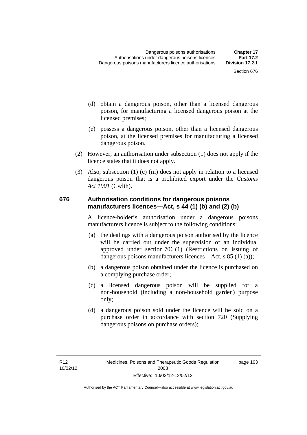page 163

- (d) obtain a dangerous poison, other than a licensed dangerous poison, for manufacturing a licensed dangerous poison at the licensed premises;
- (e) possess a dangerous poison, other than a licensed dangerous poison, at the licensed premises for manufacturing a licensed dangerous poison.
- (2) However, an authorisation under subsection (1) does not apply if the licence states that it does not apply.
- (3) Also, subsection (1) (c) (iii) does not apply in relation to a licensed dangerous poison that is a prohibited export under the *Customs Act 1901* (Cwlth).

#### **676 Authorisation conditions for dangerous poisons manufacturers licences—Act, s 44 (1) (b) and (2) (b)**

A licence-holder's authorisation under a dangerous poisons manufacturers licence is subject to the following conditions:

- (a) the dealings with a dangerous poison authorised by the licence will be carried out under the supervision of an individual approved under section 706 (1) (Restrictions on issuing of dangerous poisons manufacturers licences—Act, s 85 (1) (a));
- (b) a dangerous poison obtained under the licence is purchased on a complying purchase order;
- (c) a licensed dangerous poison will be supplied for a non-household (including a non-household garden) purpose only;
- (d) a dangerous poison sold under the licence will be sold on a purchase order in accordance with section 720 (Supplying dangerous poisons on purchase orders);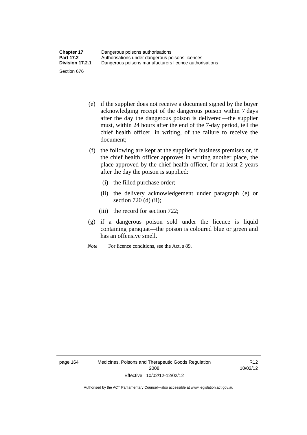- (e) if the supplier does not receive a document signed by the buyer acknowledging receipt of the dangerous poison within 7 days after the day the dangerous poison is delivered—the supplier must, within 24 hours after the end of the 7-day period, tell the chief health officer, in writing, of the failure to receive the document;
- (f) the following are kept at the supplier's business premises or, if the chief health officer approves in writing another place, the place approved by the chief health officer, for at least 2 years after the day the poison is supplied:
	- (i) the filled purchase order;
	- (ii) the delivery acknowledgement under paragraph (e) or section 720 (d) (ii);
	- (iii) the record for section 722;
- (g) if a dangerous poison sold under the licence is liquid containing paraquat—the poison is coloured blue or green and has an offensive smell.
- *Note* For licence conditions, see the Act, s 89.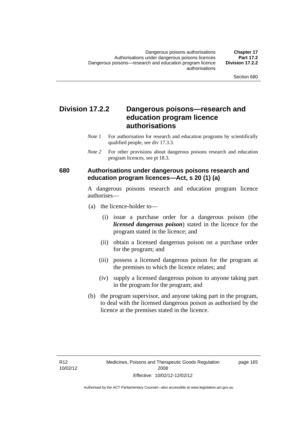### **Division 17.2.2 Dangerous poisons—research and education program licence authorisations**

- *Note 1* For authorisation for research and education programs by scientifically qualified people, see div 17.3.3.
- *Note 2* For other provisions about dangerous poisons research and education program licences, see pt 18.3.

### **680 Authorisations under dangerous poisons research and education program licences—Act, s 20 (1) (a)**

A dangerous poisons research and education program licence authorises—

- (a) the licence-holder to—
	- (i) issue a purchase order for a dangerous poison (the *licensed dangerous poison*) stated in the licence for the program stated in the licence; and
	- (ii) obtain a licensed dangerous poison on a purchase order for the program; and
	- (iii) possess a licensed dangerous poison for the program at the premises to which the licence relates; and
	- (iv) supply a licensed dangerous poison to anyone taking part in the program for the program; and
- (b) the program supervisor, and anyone taking part in the program, to deal with the licensed dangerous poison as authorised by the licence at the premises stated in the licence.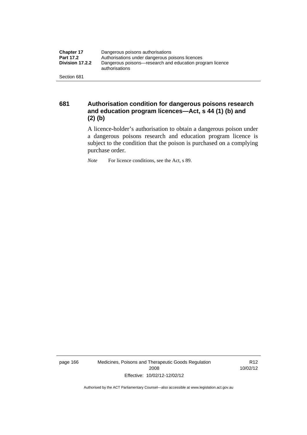| <b>Chapter 17</b> | Dangerous poisons authorisations                                           |  |  |
|-------------------|----------------------------------------------------------------------------|--|--|
| <b>Part 17.2</b>  | Authorisations under dangerous poisons licences                            |  |  |
| Division 17.2.2   | Dangerous poisons—research and education program licence<br>authorisations |  |  |
| Section 681       |                                                                            |  |  |

**681 Authorisation condition for dangerous poisons research and education program licences—Act, s 44 (1) (b) and (2) (b)** 

A licence-holder's authorisation to obtain a dangerous poison under a dangerous poisons research and education program licence is subject to the condition that the poison is purchased on a complying purchase order.

*Note* For licence conditions, see the Act, s 89.

page 166 Medicines, Poisons and Therapeutic Goods Regulation 2008 Effective: 10/02/12-12/02/12

R12 10/02/12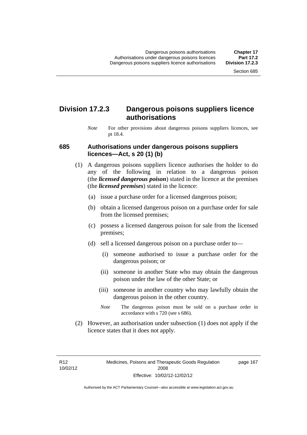### **Division 17.2.3 Dangerous poisons suppliers licence authorisations**

*Note* For other provisions about dangerous poisons suppliers licences, see pt 18.4.

#### **685 Authorisations under dangerous poisons suppliers licences—Act, s 20 (1) (b)**

- (1) A dangerous poisons suppliers licence authorises the holder to do any of the following in relation to a dangerous poison (the *licensed dangerous poison*) stated in the licence at the premises (the *licensed premises*) stated in the licence:
	- (a) issue a purchase order for a licensed dangerous poison;
	- (b) obtain a licensed dangerous poison on a purchase order for sale from the licensed premises;
	- (c) possess a licensed dangerous poison for sale from the licensed premises;
	- (d) sell a licensed dangerous poison on a purchase order to—
		- (i) someone authorised to issue a purchase order for the dangerous poison; or
		- (ii) someone in another State who may obtain the dangerous poison under the law of the other State; or
		- (iii) someone in another country who may lawfully obtain the dangerous poison in the other country.
		- *Note* The dangerous poison must be sold on a purchase order in accordance with s 720 (see s 686).
- (2) However, an authorisation under subsection (1) does not apply if the licence states that it does not apply.

R12 10/02/12 page 167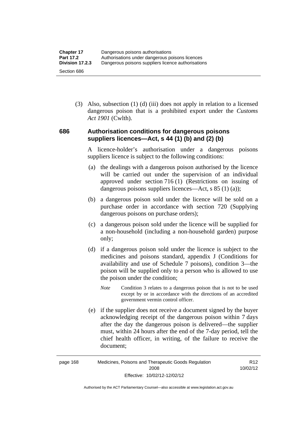(3) Also, subsection (1) (d) (iii) does not apply in relation to a licensed dangerous poison that is a prohibited export under the *Customs Act 1901* (Cwlth).

### **686 Authorisation conditions for dangerous poisons suppliers licences—Act, s 44 (1) (b) and (2) (b)**

A licence-holder's authorisation under a dangerous poisons suppliers licence is subject to the following conditions:

- (a) the dealings with a dangerous poison authorised by the licence will be carried out under the supervision of an individual approved under section 716 (1) (Restrictions on issuing of dangerous poisons suppliers licences—Act, s 85 (1) (a));
- (b) a dangerous poison sold under the licence will be sold on a purchase order in accordance with section 720 (Supplying dangerous poisons on purchase orders);
- (c) a dangerous poison sold under the licence will be supplied for a non-household (including a non-household garden) purpose only;
- (d) if a dangerous poison sold under the licence is subject to the medicines and poisons standard, appendix J (Conditions for availability and use of Schedule 7 poisons), condition 3—the poison will be supplied only to a person who is allowed to use the poison under the condition;
	- *Note* Condition 3 relates to a dangerous poison that is not to be used except by or in accordance with the directions of an accredited government vermin control officer.
- (e) if the supplier does not receive a document signed by the buyer acknowledging receipt of the dangerous poison within 7 days after the day the dangerous poison is delivered—the supplier must, within 24 hours after the end of the 7-day period, tell the chief health officer, in writing, of the failure to receive the document;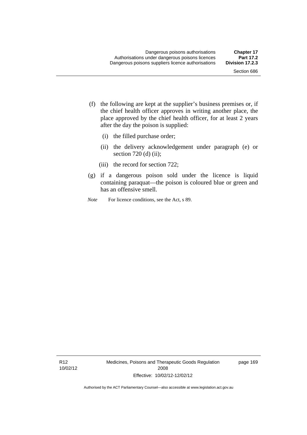- (f) the following are kept at the supplier's business premises or, if the chief health officer approves in writing another place, the place approved by the chief health officer, for at least 2 years after the day the poison is supplied:
	- (i) the filled purchase order;
	- (ii) the delivery acknowledgement under paragraph (e) or section 720 (d) (ii);
	- (iii) the record for section 722;
- (g) if a dangerous poison sold under the licence is liquid containing paraquat—the poison is coloured blue or green and has an offensive smell.
- *Note* For licence conditions, see the Act, s 89.

R12 10/02/12 Medicines, Poisons and Therapeutic Goods Regulation 2008 Effective: 10/02/12-12/02/12

page 169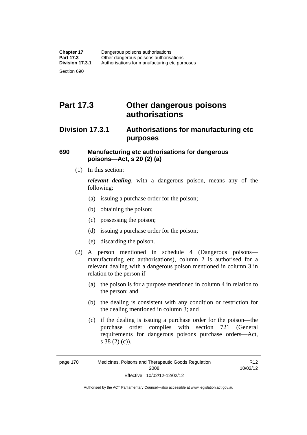# **Part 17.3 Other dangerous poisons authorisations**

### **Division 17.3.1 Authorisations for manufacturing etc purposes**

### **690 Manufacturing etc authorisations for dangerous poisons—Act, s 20 (2) (a)**

(1) In this section:

*relevant dealing*, with a dangerous poison, means any of the following:

- (a) issuing a purchase order for the poison;
- (b) obtaining the poison;
- (c) possessing the poison;
- (d) issuing a purchase order for the poison;
- (e) discarding the poison.
- (2) A person mentioned in schedule 4 (Dangerous poisons manufacturing etc authorisations), column 2 is authorised for a relevant dealing with a dangerous poison mentioned in column 3 in relation to the person if—
	- (a) the poison is for a purpose mentioned in column 4 in relation to the person; and
	- (b) the dealing is consistent with any condition or restriction for the dealing mentioned in column 3; and
	- (c) if the dealing is issuing a purchase order for the poison—the purchase order complies with section 721 (General requirements for dangerous poisons purchase orders—Act, s 38 (2) (c)).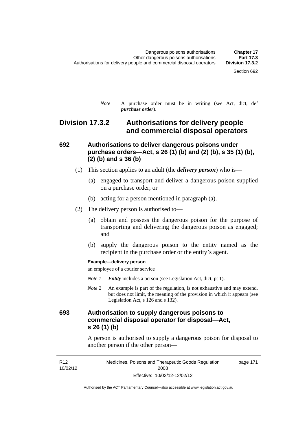*Note* A purchase order must be in writing (see Act, dict, def *purchase order*).

### **Division 17.3.2 Authorisations for delivery people and commercial disposal operators**

### **692 Authorisations to deliver dangerous poisons under purchase orders—Act, s 26 (1) (b) and (2) (b), s 35 (1) (b), (2) (b) and s 36 (b)**

- (1) This section applies to an adult (the *delivery person*) who is—
	- (a) engaged to transport and deliver a dangerous poison supplied on a purchase order; or
	- (b) acting for a person mentioned in paragraph (a).
- (2) The delivery person is authorised to—
	- (a) obtain and possess the dangerous poison for the purpose of transporting and delivering the dangerous poison as engaged; and
	- (b) supply the dangerous poison to the entity named as the recipient in the purchase order or the entity's agent.

#### **Example—delivery person**

an employee of a courier service

- *Note 1 Entity* includes a person (see Legislation Act, dict, pt 1).
- *Note 2* An example is part of the regulation, is not exhaustive and may extend, but does not limit, the meaning of the provision in which it appears (see Legislation Act, s 126 and s 132).

### **693 Authorisation to supply dangerous poisons to commercial disposal operator for disposal—Act, s 26 (1) (b)**

A person is authorised to supply a dangerous poison for disposal to another person if the other person—

R12 10/02/12 Medicines, Poisons and Therapeutic Goods Regulation 2008 Effective: 10/02/12-12/02/12 page 171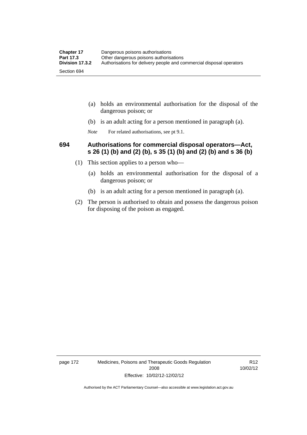| <b>Chapter 17</b> | Dangerous poisons authorisations                                     |  |
|-------------------|----------------------------------------------------------------------|--|
| <b>Part 17.3</b>  | Other dangerous poisons authorisations                               |  |
| Division 17.3.2   | Authorisations for delivery people and commercial disposal operators |  |
| Section 694       |                                                                      |  |

- (a) holds an environmental authorisation for the disposal of the dangerous poison; or
- (b) is an adult acting for a person mentioned in paragraph (a).
- *Note* For related authorisations, see pt 9.1.

### **694 Authorisations for commercial disposal operators—Act, s 26 (1) (b) and (2) (b), s 35 (1) (b) and (2) (b) and s 36 (b)**

- (1) This section applies to a person who—
	- (a) holds an environmental authorisation for the disposal of a dangerous poison; or
	- (b) is an adult acting for a person mentioned in paragraph (a).
- (2) The person is authorised to obtain and possess the dangerous poison for disposing of the poison as engaged.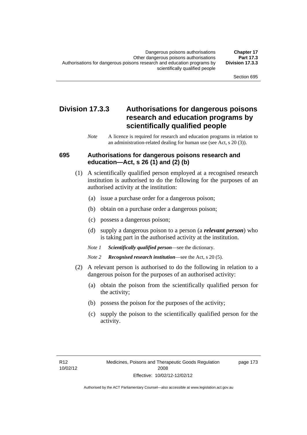### **Division 17.3.3 Authorisations for dangerous poisons research and education programs by scientifically qualified people**

*Note* A licence is required for research and education programs in relation to an administration-related dealing for human use (see Act, s 20 (3)).

### **695 Authorisations for dangerous poisons research and education—Act, s 26 (1) and (2) (b)**

- (1) A scientifically qualified person employed at a recognised research institution is authorised to do the following for the purposes of an authorised activity at the institution:
	- (a) issue a purchase order for a dangerous poison;
	- (b) obtain on a purchase order a dangerous poison;
	- (c) possess a dangerous poison;
	- (d) supply a dangerous poison to a person (a *relevant person*) who is taking part in the authorised activity at the institution.
	- *Note 1 Scientifically qualified person*—see the dictionary.
	- *Note 2 Recognised research institution*—see the Act, s 20 (5).
- (2) A relevant person is authorised to do the following in relation to a dangerous poison for the purposes of an authorised activity:
	- (a) obtain the poison from the scientifically qualified person for the activity;
	- (b) possess the poison for the purposes of the activity;
	- (c) supply the poison to the scientifically qualified person for the activity.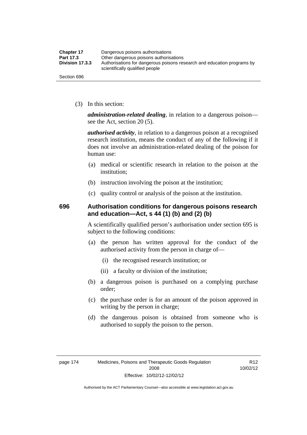| <b>Chapter 17</b> | Dangerous poisons authorisations                                                                           |  |
|-------------------|------------------------------------------------------------------------------------------------------------|--|
| Part 17.3         | Other dangerous poisons authorisations                                                                     |  |
| Division 17.3.3   | Authorisations for dangerous poisons research and education programs by<br>scientifically qualified people |  |
| Section 696       |                                                                                                            |  |

(3) In this section:

*administration-related dealing*, in relation to a dangerous poison see the Act, section 20 (5).

*authorised activity*, in relation to a dangerous poison at a recognised research institution, means the conduct of any of the following if it does not involve an administration-related dealing of the poison for human use:

- (a) medical or scientific research in relation to the poison at the institution;
- (b) instruction involving the poison at the institution;
- (c) quality control or analysis of the poison at the institution.

### **696 Authorisation conditions for dangerous poisons research and education—Act, s 44 (1) (b) and (2) (b)**

A scientifically qualified person's authorisation under section 695 is subject to the following conditions:

- (a) the person has written approval for the conduct of the authorised activity from the person in charge of—
	- (i) the recognised research institution; or
	- (ii) a faculty or division of the institution;
- (b) a dangerous poison is purchased on a complying purchase order;
- (c) the purchase order is for an amount of the poison approved in writing by the person in charge;
- (d) the dangerous poison is obtained from someone who is authorised to supply the poison to the person.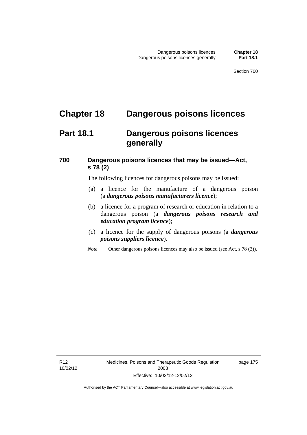# **Chapter 18 Dangerous poisons licences**

## **Part 18.1 Dangerous poisons licences generally**

### **700 Dangerous poisons licences that may be issued—Act, s 78 (2)**

The following licences for dangerous poisons may be issued:

- (a) a licence for the manufacture of a dangerous poison (a *dangerous poisons manufacturers licence*);
- (b) a licence for a program of research or education in relation to a dangerous poison (a *dangerous poisons research and education program licence*);
- (c) a licence for the supply of dangerous poisons (a *dangerous poisons suppliers licence*).
- *Note* Other dangerous poisons licences may also be issued (see Act, s 78 (3)).

R12 10/02/12 page 175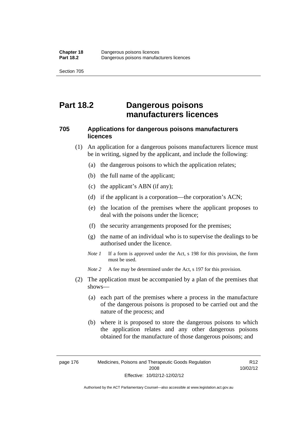## **Part 18.2 Dangerous poisons manufacturers licences**

### **705 Applications for dangerous poisons manufacturers licences**

- (1) An application for a dangerous poisons manufacturers licence must be in writing, signed by the applicant, and include the following:
	- (a) the dangerous poisons to which the application relates;
	- (b) the full name of the applicant;
	- (c) the applicant's ABN (if any);
	- (d) if the applicant is a corporation—the corporation's ACN;
	- (e) the location of the premises where the applicant proposes to deal with the poisons under the licence;
	- (f) the security arrangements proposed for the premises;
	- (g) the name of an individual who is to supervise the dealings to be authorised under the licence.
	- *Note 1* If a form is approved under the Act, s 198 for this provision, the form must be used.

*Note 2* A fee may be determined under the Act, s 197 for this provision.

- (2) The application must be accompanied by a plan of the premises that shows—
	- (a) each part of the premises where a process in the manufacture of the dangerous poisons is proposed to be carried out and the nature of the process; and
	- (b) where it is proposed to store the dangerous poisons to which the application relates and any other dangerous poisons obtained for the manufacture of those dangerous poisons; and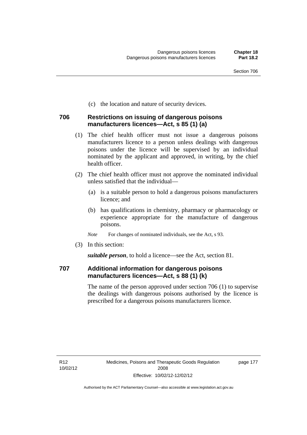(c) the location and nature of security devices.

### **706 Restrictions on issuing of dangerous poisons manufacturers licences—Act, s 85 (1) (a)**

- (1) The chief health officer must not issue a dangerous poisons manufacturers licence to a person unless dealings with dangerous poisons under the licence will be supervised by an individual nominated by the applicant and approved, in writing, by the chief health officer.
- (2) The chief health officer must not approve the nominated individual unless satisfied that the individual—
	- (a) is a suitable person to hold a dangerous poisons manufacturers licence; and
	- (b) has qualifications in chemistry, pharmacy or pharmacology or experience appropriate for the manufacture of dangerous poisons.
	- *Note* For changes of nominated individuals, see the Act, s 93.
- (3) In this section:

*suitable person*, to hold a licence—see the Act, section 81.

### **707 Additional information for dangerous poisons manufacturers licences—Act, s 88 (1) (k)**

The name of the person approved under section 706 (1) to supervise the dealings with dangerous poisons authorised by the licence is prescribed for a dangerous poisons manufacturers licence.

page 177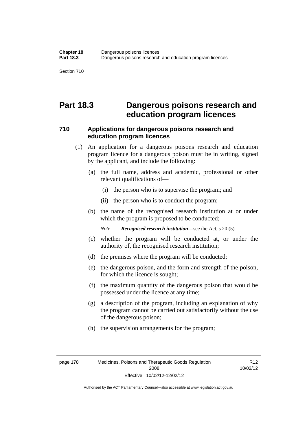## **Part 18.3 Dangerous poisons research and education program licences**

### **710 Applications for dangerous poisons research and education program licences**

- (1) An application for a dangerous poisons research and education program licence for a dangerous poison must be in writing, signed by the applicant, and include the following:
	- (a) the full name, address and academic, professional or other relevant qualifications of—
		- (i) the person who is to supervise the program; and
		- (ii) the person who is to conduct the program;
	- (b) the name of the recognised research institution at or under which the program is proposed to be conducted;

*Note Recognised research institution*—see the Act, s 20 (5).

- (c) whether the program will be conducted at, or under the authority of, the recognised research institution;
- (d) the premises where the program will be conducted;
- (e) the dangerous poison, and the form and strength of the poison, for which the licence is sought;
- (f) the maximum quantity of the dangerous poison that would be possessed under the licence at any time;
- (g) a description of the program, including an explanation of why the program cannot be carried out satisfactorily without the use of the dangerous poison;
- (h) the supervision arrangements for the program;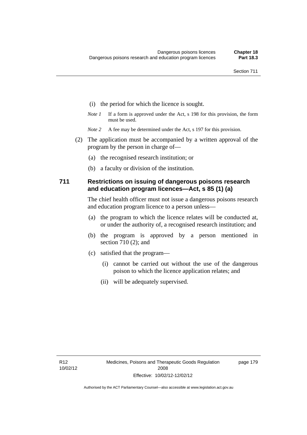- (i) the period for which the licence is sought.
- *Note 1* If a form is approved under the Act, s 198 for this provision, the form must be used.
- *Note* 2 A fee may be determined under the Act, s 197 for this provision.
- (2) The application must be accompanied by a written approval of the program by the person in charge of—
	- (a) the recognised research institution; or
	- (b) a faculty or division of the institution.

### **711 Restrictions on issuing of dangerous poisons research and education program licences—Act, s 85 (1) (a)**

The chief health officer must not issue a dangerous poisons research and education program licence to a person unless—

- (a) the program to which the licence relates will be conducted at, or under the authority of, a recognised research institution; and
- (b) the program is approved by a person mentioned in section 710 (2); and
- (c) satisfied that the program—
	- (i) cannot be carried out without the use of the dangerous poison to which the licence application relates; and
	- (ii) will be adequately supervised.

page 179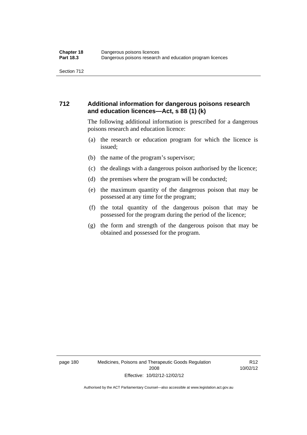### **712 Additional information for dangerous poisons research and education licences—Act, s 88 (1) (k)**

The following additional information is prescribed for a dangerous poisons research and education licence:

- (a) the research or education program for which the licence is issued;
- (b) the name of the program's supervisor;
- (c) the dealings with a dangerous poison authorised by the licence;
- (d) the premises where the program will be conducted;
- (e) the maximum quantity of the dangerous poison that may be possessed at any time for the program;
- (f) the total quantity of the dangerous poison that may be possessed for the program during the period of the licence;
- (g) the form and strength of the dangerous poison that may be obtained and possessed for the program.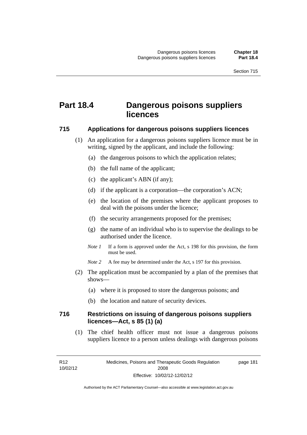# **Part 18.4 Dangerous poisons suppliers licences**

#### **715 Applications for dangerous poisons suppliers licences**

- (1) An application for a dangerous poisons suppliers licence must be in writing, signed by the applicant, and include the following:
	- (a) the dangerous poisons to which the application relates;
	- (b) the full name of the applicant;
	- (c) the applicant's ABN (if any);
	- (d) if the applicant is a corporation—the corporation's ACN;
	- (e) the location of the premises where the applicant proposes to deal with the poisons under the licence;
	- (f) the security arrangements proposed for the premises;
	- (g) the name of an individual who is to supervise the dealings to be authorised under the licence.
	- *Note 1* If a form is approved under the Act, s 198 for this provision, the form must be used.
	- *Note* 2 A fee may be determined under the Act, s 197 for this provision.
- (2) The application must be accompanied by a plan of the premises that shows—
	- (a) where it is proposed to store the dangerous poisons; and
	- (b) the location and nature of security devices.

### **716 Restrictions on issuing of dangerous poisons suppliers licences—Act, s 85 (1) (a)**

(1) The chief health officer must not issue a dangerous poisons suppliers licence to a person unless dealings with dangerous poisons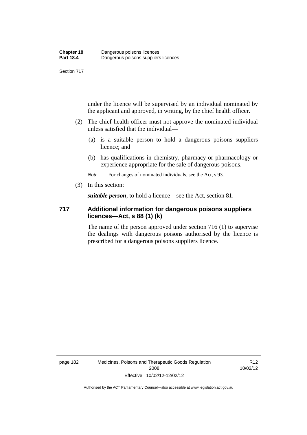under the licence will be supervised by an individual nominated by the applicant and approved, in writing, by the chief health officer.

- (2) The chief health officer must not approve the nominated individual unless satisfied that the individual—
	- (a) is a suitable person to hold a dangerous poisons suppliers licence; and
	- (b) has qualifications in chemistry, pharmacy or pharmacology or experience appropriate for the sale of dangerous poisons.

*Note* For changes of nominated individuals, see the Act, s 93.

(3) In this section:

*suitable person*, to hold a licence—see the Act, section 81.

### **717 Additional information for dangerous poisons suppliers licences—Act, s 88 (1) (k)**

The name of the person approved under section 716 (1) to supervise the dealings with dangerous poisons authorised by the licence is prescribed for a dangerous poisons suppliers licence.

R12 10/02/12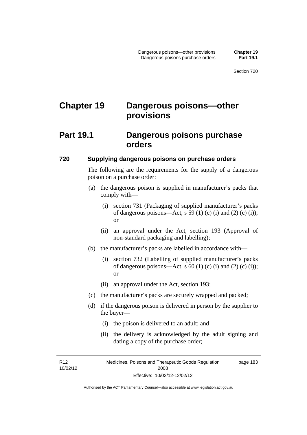# **Chapter 19 Dangerous poisons—other provisions**

### **Part 19.1 Dangerous poisons purchase orders**

#### **720 Supplying dangerous poisons on purchase orders**

The following are the requirements for the supply of a dangerous poison on a purchase order:

- (a) the dangerous poison is supplied in manufacturer's packs that comply with—
	- (i) section 731 (Packaging of supplied manufacturer's packs of dangerous poisons—Act, s 59 (1) (c) (i) and (2) (c) (i)); or
	- (ii) an approval under the Act, section 193 (Approval of non-standard packaging and labelling);
- (b) the manufacturer's packs are labelled in accordance with—
	- (i) section 732 (Labelling of supplied manufacturer's packs of dangerous poisons—Act,  $s$  60 (1) (c) (i) and (2) (c) (i)); or
	- (ii) an approval under the Act, section 193;
- (c) the manufacturer's packs are securely wrapped and packed;
- (d) if the dangerous poison is delivered in person by the supplier to the buyer—
	- (i) the poison is delivered to an adult; and
	- (ii) the delivery is acknowledged by the adult signing and dating a copy of the purchase order;

R12 10/02/12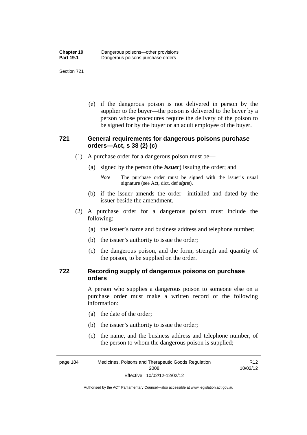(e) if the dangerous poison is not delivered in person by the supplier to the buyer—the poison is delivered to the buyer by a person whose procedures require the delivery of the poison to be signed for by the buyer or an adult employee of the buyer.

### **721 General requirements for dangerous poisons purchase orders—Act, s 38 (2) (c)**

- (1) A purchase order for a dangerous poison must be—
	- (a) signed by the person (the *issuer*) issuing the order; and
		- *Note* The purchase order must be signed with the issuer's usual signature (see Act, dict, def *signs*).
	- (b) if the issuer amends the order—initialled and dated by the issuer beside the amendment.
- (2) A purchase order for a dangerous poison must include the following:
	- (a) the issuer's name and business address and telephone number;
	- (b) the issuer's authority to issue the order;
	- (c) the dangerous poison, and the form, strength and quantity of the poison, to be supplied on the order.

### **722 Recording supply of dangerous poisons on purchase orders**

A person who supplies a dangerous poison to someone else on a purchase order must make a written record of the following information:

- (a) the date of the order;
- (b) the issuer's authority to issue the order;
- (c) the name, and the business address and telephone number, of the person to whom the dangerous poison is supplied;

R12

page 184 Medicines, Poisons and Therapeutic Goods Regulation 2008 Effective: 10/02/12-12/02/12 10/02/12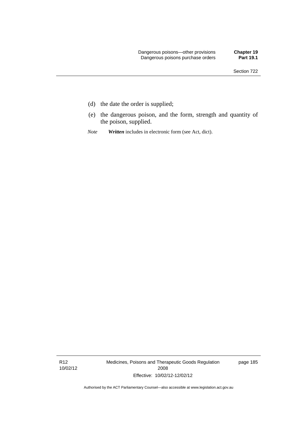- (d) the date the order is supplied;
- (e) the dangerous poison, and the form, strength and quantity of the poison, supplied.
- *Note Written* includes in electronic form (see Act, dict).

R12 10/02/12 Medicines, Poisons and Therapeutic Goods Regulation 2008 Effective: 10/02/12-12/02/12

page 185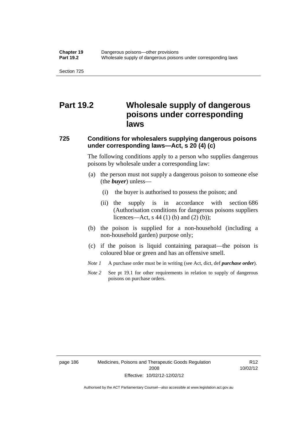## **Part 19.2 Wholesale supply of dangerous poisons under corresponding laws**

### **725 Conditions for wholesalers supplying dangerous poisons under corresponding laws—Act, s 20 (4) (c)**

The following conditions apply to a person who supplies dangerous poisons by wholesale under a corresponding law:

- (a) the person must not supply a dangerous poison to someone else (the *buyer*) unless—
	- (i) the buyer is authorised to possess the poison; and
	- (ii) the supply is in accordance with section 686 (Authorisation conditions for dangerous poisons suppliers licences—Act, s 44 (1) (b) and (2) (b));
- (b) the poison is supplied for a non-household (including a non-household garden) purpose only;
- (c) if the poison is liquid containing paraquat—the poison is coloured blue or green and has an offensive smell.
- *Note 1* A purchase order must be in writing (see Act, dict, def *purchase order*).
- *Note* 2 See pt 19.1 for other requirements in relation to supply of dangerous poisons on purchase orders.

page 186 Medicines, Poisons and Therapeutic Goods Regulation 2008 Effective: 10/02/12-12/02/12

R12 10/02/12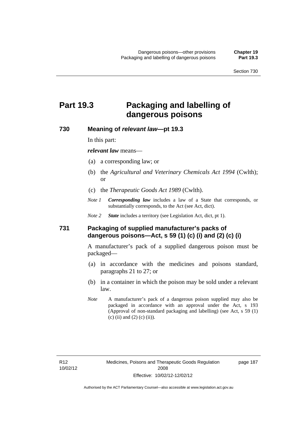# **Part 19.3 Packaging and labelling of dangerous poisons**

### **730 Meaning of** *relevant law***—pt 19.3**

In this part:

*relevant law* means—

- (a) a corresponding law; or
- (b) the *Agricultural and Veterinary Chemicals Act 1994* (Cwlth); or
- (c) the *Therapeutic Goods Act 1989* (Cwlth).
- *Note 1 Corresponding law* includes a law of a State that corresponds, or substantially corresponds, to the Act (see Act, dict).

*Note 2 State* includes a territory (see Legislation Act, dict, pt 1).

#### **731 Packaging of supplied manufacturer's packs of dangerous poisons—Act, s 59 (1) (c) (i) and (2) (c) (i)**

A manufacturer's pack of a supplied dangerous poison must be packaged—

- (a) in accordance with the medicines and poisons standard, paragraphs 21 to 27; or
- (b) in a container in which the poison may be sold under a relevant law.
- *Note* A manufacturer's pack of a dangerous poison supplied may also be packaged in accordance with an approval under the Act, s 193 (Approval of non-standard packaging and labelling) (see Act, s 59 (1)  $(c)$  (ii) and (2) (c) (ii)).

page 187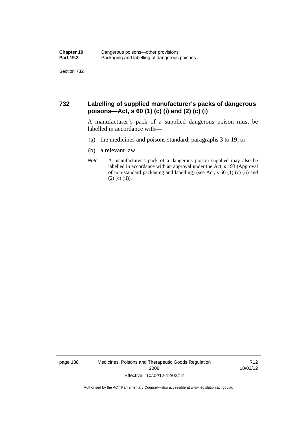### **732 Labelling of supplied manufacturer's packs of dangerous poisons—Act, s 60 (1) (c) (i) and (2) (c) (i)**

A manufacturer's pack of a supplied dangerous poison must be labelled in accordance with—

- (a) the medicines and poisons standard, paragraphs 3 to 19; or
- (b) a relevant law.
- *Note* A manufacturer's pack of a dangerous poison supplied may also be labelled in accordance with an approval under the Act, s 193 (Approval of non-standard packaging and labelling) (see Act, s 60 (1) (c) (ii) and  $(2)$  (c) (ii)).

page 188 Medicines, Poisons and Therapeutic Goods Regulation 2008 Effective: 10/02/12-12/02/12

R12 10/02/12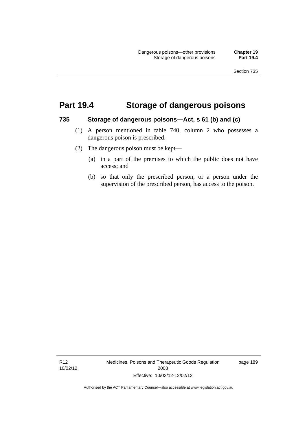page 189

## **Part 19.4 Storage of dangerous poisons**

#### **735 Storage of dangerous poisons—Act, s 61 (b) and (c)**

- (1) A person mentioned in table 740, column 2 who possesses a dangerous poison is prescribed.
- (2) The dangerous poison must be kept—
	- (a) in a part of the premises to which the public does not have access; and
	- (b) so that only the prescribed person, or a person under the supervision of the prescribed person, has access to the poison.

R12 10/02/12 Medicines, Poisons and Therapeutic Goods Regulation 2008 Effective: 10/02/12-12/02/12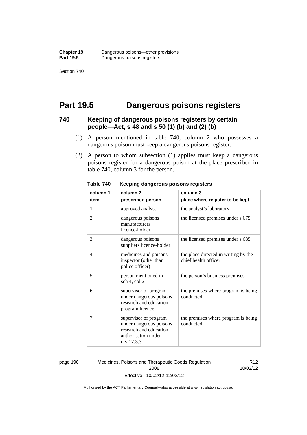### **Part 19.5 Dangerous poisons registers**

### **740 Keeping of dangerous poisons registers by certain people—Act, s 48 and s 50 (1) (b) and (2) (b)**

- (1) A person mentioned in table 740, column 2 who possesses a dangerous poison must keep a dangerous poisons register.
- (2) A person to whom subsection (1) applies must keep a dangerous poisons register for a dangerous poison at the place prescribed in table 740, column 3 for the person.

| column 1<br>item | column <sub>2</sub><br>prescribed person                                                                        | column 3<br>place where register to be kept                  |
|------------------|-----------------------------------------------------------------------------------------------------------------|--------------------------------------------------------------|
| 1                | approved analyst                                                                                                | the analyst's laboratory                                     |
| 2                | dangerous poisons<br>manufacturers<br>licence-holder                                                            | the licensed premises under s 675                            |
| 3                | dangerous poisons<br>suppliers licence-holder                                                                   | the licensed premises under s 685                            |
| 4                | medicines and poisons<br>inspector (other than<br>police officer)                                               | the place directed in writing by the<br>chief health officer |
| 5                | person mentioned in<br>sch 4, col 2                                                                             | the person's business premises                               |
| 6                | supervisor of program<br>under dangerous poisons<br>research and education<br>program licence                   | the premises where program is being<br>conducted             |
| 7                | supervisor of program<br>under dangerous poisons<br>research and education<br>authorisation under<br>div 17.3.3 | the premises where program is being<br>conducted             |

**Table 740 Keeping dangerous poisons registers** 

page 190 Medicines, Poisons and Therapeutic Goods Regulation 2008 Effective: 10/02/12-12/02/12

R12 10/02/12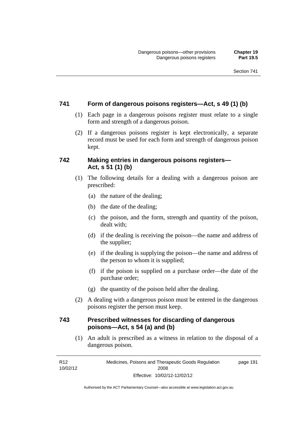### **741 Form of dangerous poisons registers—Act, s 49 (1) (b)**

- (1) Each page in a dangerous poisons register must relate to a single form and strength of a dangerous poison.
- (2) If a dangerous poisons register is kept electronically, a separate record must be used for each form and strength of dangerous poison kept.

### **742 Making entries in dangerous poisons registers— Act, s 51 (1) (b)**

- (1) The following details for a dealing with a dangerous poison are prescribed:
	- (a) the nature of the dealing;
	- (b) the date of the dealing;
	- (c) the poison, and the form, strength and quantity of the poison, dealt with;
	- (d) if the dealing is receiving the poison—the name and address of the supplier;
	- (e) if the dealing is supplying the poison—the name and address of the person to whom it is supplied;
	- (f) if the poison is supplied on a purchase order—the date of the purchase order;
	- (g) the quantity of the poison held after the dealing.
- (2) A dealing with a dangerous poison must be entered in the dangerous poisons register the person must keep.

### **743 Prescribed witnesses for discarding of dangerous poisons—Act, s 54 (a) and (b)**

 (1) An adult is prescribed as a witness in relation to the disposal of a dangerous poison.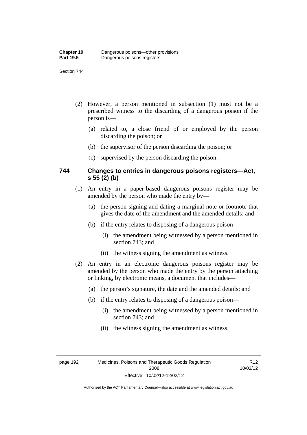- (2) However, a person mentioned in subsection (1) must not be a prescribed witness to the discarding of a dangerous poison if the person is—
	- (a) related to, a close friend of or employed by the person discarding the poison; or
	- (b) the supervisor of the person discarding the poison; or
	- (c) supervised by the person discarding the poison.

### **744 Changes to entries in dangerous poisons registers—Act, s 55 (2) (b)**

- (1) An entry in a paper-based dangerous poisons register may be amended by the person who made the entry by—
	- (a) the person signing and dating a marginal note or footnote that gives the date of the amendment and the amended details; and
	- (b) if the entry relates to disposing of a dangerous poison—
		- (i) the amendment being witnessed by a person mentioned in section 743; and
		- (ii) the witness signing the amendment as witness.
- (2) An entry in an electronic dangerous poisons register may be amended by the person who made the entry by the person attaching or linking, by electronic means, a document that includes—
	- (a) the person's signature, the date and the amended details; and
	- (b) if the entry relates to disposing of a dangerous poison—
		- (i) the amendment being witnessed by a person mentioned in section 743; and
		- (ii) the witness signing the amendment as witness.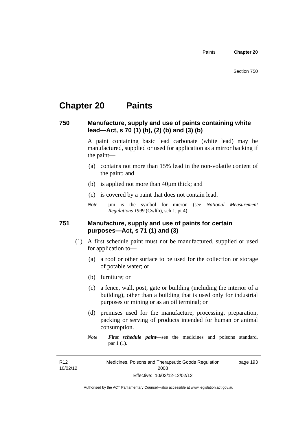## **Chapter 20 Paints**

#### **750 Manufacture, supply and use of paints containing white lead—Act, s 70 (1) (b), (2) (b) and (3) (b)**

A paint containing basic lead carbonate (white lead) may be manufactured, supplied or used for application as a mirror backing if the paint—

- (a) contains not more than 15% lead in the non-volatile content of the paint; and
- (b) is applied not more than 40µm thick; and
- (c) is covered by a paint that does not contain lead.
- *Note* µm is the symbol for micron (see *National Measurement Regulations 1999* (Cwlth), sch 1, pt 4).

#### **751 Manufacture, supply and use of paints for certain purposes—Act, s 71 (1) and (3)**

- (1) A first schedule paint must not be manufactured, supplied or used for application to—
	- (a) a roof or other surface to be used for the collection or storage of potable water; or
	- (b) furniture; or
	- (c) a fence, wall, post, gate or building (including the interior of a building), other than a building that is used only for industrial purposes or mining or as an oil terminal; or
	- (d) premises used for the manufacture, processing, preparation, packing or serving of products intended for human or animal consumption.
	- *Note First schedule paint*—see the medicines and poisons standard, par 1 (1).

R12 10/02/12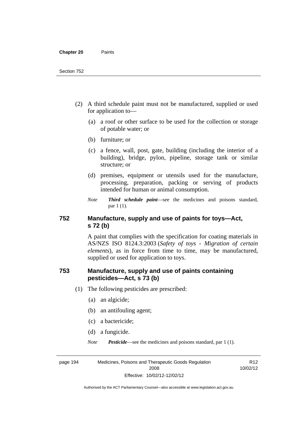- (2) A third schedule paint must not be manufactured, supplied or used for application to—
	- (a) a roof or other surface to be used for the collection or storage of potable water; or
	- (b) furniture; or
	- (c) a fence, wall, post, gate, building (including the interior of a building), bridge, pylon, pipeline, storage tank or similar structure; or
	- (d) premises, equipment or utensils used for the manufacture, processing, preparation, packing or serving of products intended for human or animal consumption.
	- *Note Third schedule paint*—see the medicines and poisons standard, par 1 (1).

#### **752 Manufacture, supply and use of paints for toys—Act, s 72 (b)**

A paint that complies with the specification for coating materials in AS/NZS ISO 8124.3:2003 (*Safety of toys - Migration of certain elements*), as in force from time to time, may be manufactured, supplied or used for application to toys.

#### **753 Manufacture, supply and use of paints containing pesticides—Act, s 73 (b)**

- (1) The following pesticides are prescribed:
	- (a) an algicide;
	- (b) an antifouling agent;
	- (c) a bactericide;
	- (d) a fungicide.
	- *Note Pesticide*—see the medicines and poisons standard, par 1 (1).

page 194 Medicines, Poisons and Therapeutic Goods Regulation 2008 Effective: 10/02/12-12/02/12

R12 10/02/12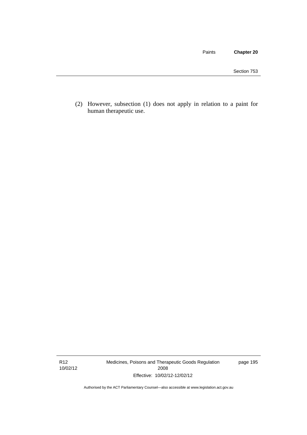Paints **Chapter 20**

 (2) However, subsection (1) does not apply in relation to a paint for human therapeutic use.

R12 10/02/12 Medicines, Poisons and Therapeutic Goods Regulation 2008 Effective: 10/02/12-12/02/12

page 195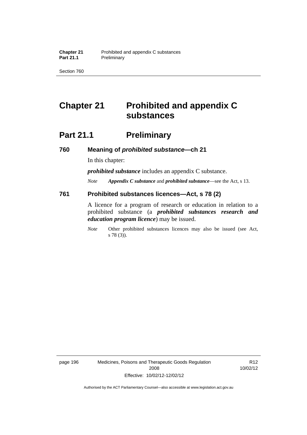Section 760

# **Chapter 21 Prohibited and appendix C substances**

## **Part 21.1** Preliminary

**760 Meaning of** *prohibited substance***—ch 21** 

In this chapter:

*prohibited substance* includes an appendix C substance.

*Note Appendix C substance* and *prohibited substance*—see the Act, s 13.

#### **761 Prohibited substances licences—Act, s 78 (2)**

A licence for a program of research or education in relation to a prohibited substance (a *prohibited substances research and education program licence*) may be issued.

*Note* Other prohibited substances licences may also be issued (see Act, s 78 (3)).

page 196 Medicines, Poisons and Therapeutic Goods Regulation 2008 Effective: 10/02/12-12/02/12

R12 10/02/12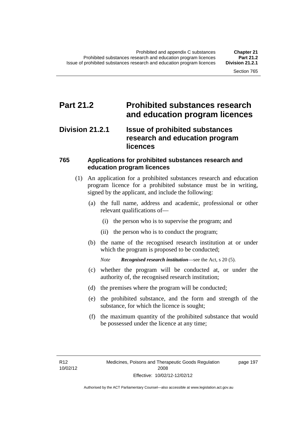## **Part 21.2 Prohibited substances research and education program licences**

## **Division 21.2.1 Issue of prohibited substances research and education program licences**

### **765 Applications for prohibited substances research and education program licences**

- (1) An application for a prohibited substances research and education program licence for a prohibited substance must be in writing, signed by the applicant, and include the following:
	- (a) the full name, address and academic, professional or other relevant qualifications of—
		- (i) the person who is to supervise the program; and
		- (ii) the person who is to conduct the program;
	- (b) the name of the recognised research institution at or under which the program is proposed to be conducted;
		- *Note Recognised research institution*—see the Act, s 20 (5).
	- (c) whether the program will be conducted at, or under the authority of, the recognised research institution;
	- (d) the premises where the program will be conducted;
	- (e) the prohibited substance, and the form and strength of the substance, for which the licence is sought;
	- (f) the maximum quantity of the prohibited substance that would be possessed under the licence at any time;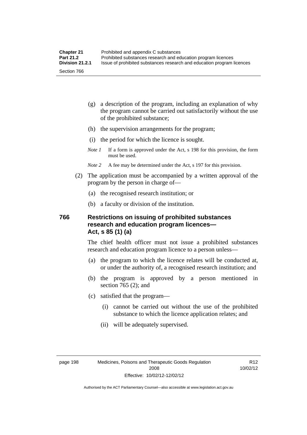- (g) a description of the program, including an explanation of why the program cannot be carried out satisfactorily without the use of the prohibited substance;
- (h) the supervision arrangements for the program;
- (i) the period for which the licence is sought.
- *Note 1* If a form is approved under the Act, s 198 for this provision, the form must be used.
- *Note 2* A fee may be determined under the Act, s 197 for this provision.
- (2) The application must be accompanied by a written approval of the program by the person in charge of—
	- (a) the recognised research institution; or
	- (b) a faculty or division of the institution.

#### **766 Restrictions on issuing of prohibited substances research and education program licences— Act, s 85 (1) (a)**

The chief health officer must not issue a prohibited substances research and education program licence to a person unless—

- (a) the program to which the licence relates will be conducted at, or under the authority of, a recognised research institution; and
- (b) the program is approved by a person mentioned in section 765 (2); and
- (c) satisfied that the program—
	- (i) cannot be carried out without the use of the prohibited substance to which the licence application relates; and
	- (ii) will be adequately supervised.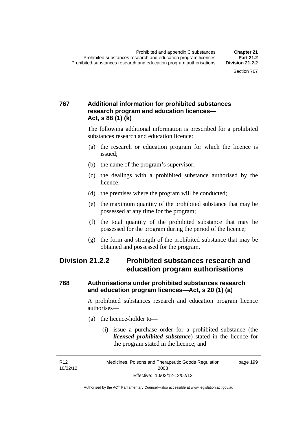### **767 Additional information for prohibited substances research program and education licences— Act, s 88 (1) (k)**

The following additional information is prescribed for a prohibited substances research and education licence:

- (a) the research or education program for which the licence is issued;
- (b) the name of the program's supervisor;
- (c) the dealings with a prohibited substance authorised by the licence;
- (d) the premises where the program will be conducted;
- (e) the maximum quantity of the prohibited substance that may be possessed at any time for the program;
- (f) the total quantity of the prohibited substance that may be possessed for the program during the period of the licence;
- (g) the form and strength of the prohibited substance that may be obtained and possessed for the program.

## **Division 21.2.2 Prohibited substances research and education program authorisations**

#### **768 Authorisations under prohibited substances research and education program licences—Act, s 20 (1) (a)**

A prohibited substances research and education program licence authorises—

- (a) the licence-holder to—
	- (i) issue a purchase order for a prohibited substance (the *licensed prohibited substance*) stated in the licence for the program stated in the licence; and

R12 10/02/12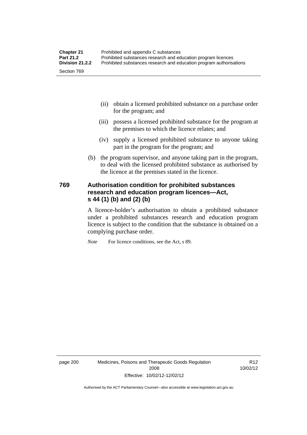- (ii) obtain a licensed prohibited substance on a purchase order for the program; and
- (iii) possess a licensed prohibited substance for the program at the premises to which the licence relates; and
- (iv) supply a licensed prohibited substance to anyone taking part in the program for the program; and
- (b) the program supervisor, and anyone taking part in the program, to deal with the licensed prohibited substance as authorised by the licence at the premises stated in the licence.

#### **769 Authorisation condition for prohibited substances research and education program licences—Act, s 44 (1) (b) and (2) (b)**

A licence-holder's authorisation to obtain a prohibited substance under a prohibited substances research and education program licence is subject to the condition that the substance is obtained on a complying purchase order.

*Note* For licence conditions, see the Act, s 89.

page 200 Medicines, Poisons and Therapeutic Goods Regulation 2008 Effective: 10/02/12-12/02/12

R12 10/02/12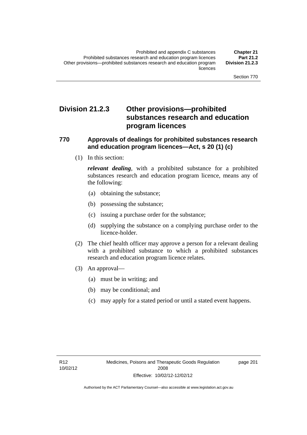page 201

## **Division 21.2.3 Other provisions—prohibited substances research and education program licences**

#### **770 Approvals of dealings for prohibited substances research and education program licences—Act, s 20 (1) (c)**

(1) In this section:

*relevant dealing*, with a prohibited substance for a prohibited substances research and education program licence, means any of the following:

- (a) obtaining the substance;
- (b) possessing the substance;
- (c) issuing a purchase order for the substance;
- (d) supplying the substance on a complying purchase order to the licence-holder.
- (2) The chief health officer may approve a person for a relevant dealing with a prohibited substance to which a prohibited substances research and education program licence relates.
- (3) An approval—
	- (a) must be in writing; and
	- (b) may be conditional; and
	- (c) may apply for a stated period or until a stated event happens.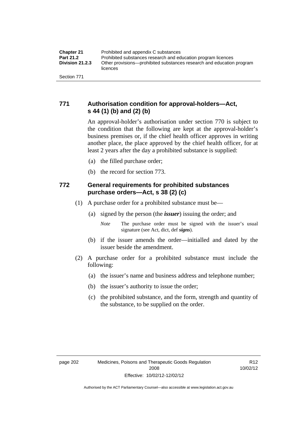## **771 Authorisation condition for approval-holders—Act, s 44 (1) (b) and (2) (b)**

An approval-holder's authorisation under section 770 is subject to the condition that the following are kept at the approval-holder's business premises or, if the chief health officer approves in writing another place, the place approved by the chief health officer, for at least 2 years after the day a prohibited substance is supplied:

- (a) the filled purchase order;
- (b) the record for section 773.

#### **772 General requirements for prohibited substances purchase orders—Act, s 38 (2) (c)**

- (1) A purchase order for a prohibited substance must be—
	- (a) signed by the person (the *issuer*) issuing the order; and
		- *Note* The purchase order must be signed with the issuer's usual signature (see Act, dict, def *signs*).
	- (b) if the issuer amends the order—initialled and dated by the issuer beside the amendment.
- (2) A purchase order for a prohibited substance must include the following:
	- (a) the issuer's name and business address and telephone number;
	- (b) the issuer's authority to issue the order;
	- (c) the prohibited substance, and the form, strength and quantity of the substance, to be supplied on the order.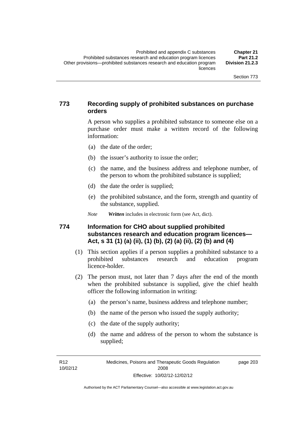#### **773 Recording supply of prohibited substances on purchase orders**

A person who supplies a prohibited substance to someone else on a purchase order must make a written record of the following information:

- (a) the date of the order;
- (b) the issuer's authority to issue the order;
- (c) the name, and the business address and telephone number, of the person to whom the prohibited substance is supplied;
- (d) the date the order is supplied;
- (e) the prohibited substance, and the form, strength and quantity of the substance, supplied.

*Note Written* includes in electronic form (see Act, dict).

#### **774 Information for CHO about supplied prohibited substances research and education program licences— Act, s 31 (1) (a) (ii), (1) (b), (2) (a) (ii), (2) (b) and (4)**

- (1) This section applies if a person supplies a prohibited substance to a prohibited substances research and education program licence-holder.
- (2) The person must, not later than 7 days after the end of the month when the prohibited substance is supplied, give the chief health officer the following information in writing:
	- (a) the person's name, business address and telephone number;
	- (b) the name of the person who issued the supply authority;
	- (c) the date of the supply authority;
	- (d) the name and address of the person to whom the substance is supplied;

R12 10/02/12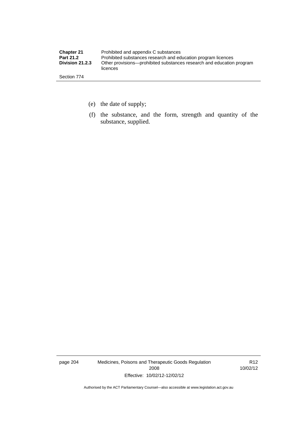| <b>Chapter 21</b>      | Prohibited and appendix C substances                                              |
|------------------------|-----------------------------------------------------------------------------------|
| <b>Part 21.2</b>       | Prohibited substances research and education program licences                     |
| <b>Division 21.2.3</b> | Other provisions—prohibited substances research and education program<br>licences |
| Section 774            |                                                                                   |

- (e) the date of supply;
- (f) the substance, and the form, strength and quantity of the substance, supplied.

page 204 Medicines, Poisons and Therapeutic Goods Regulation 2008 Effective: 10/02/12-12/02/12

R12 10/02/12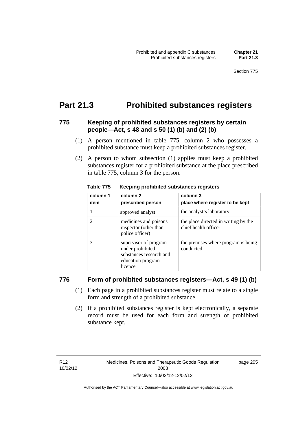## **Part 21.3 Prohibited substances registers**

#### **775 Keeping of prohibited substances registers by certain people—Act, s 48 and s 50 (1) (b) and (2) (b)**

- (1) A person mentioned in table 775, column 2 who possesses a prohibited substance must keep a prohibited substances register.
- (2) A person to whom subsection (1) applies must keep a prohibited substances register for a prohibited substance at the place prescribed in table 775, column 3 for the person.

| column 1<br>item | column 2<br>prescribed person                                                                        | column 3<br>place where register to be kept                  |
|------------------|------------------------------------------------------------------------------------------------------|--------------------------------------------------------------|
|                  | approved analyst                                                                                     | the analyst's laboratory                                     |
|                  | medicines and poisons<br>inspector (other than<br>police officer)                                    | the place directed in writing by the<br>chief health officer |
| 3                | supervisor of program<br>under prohibited<br>substances research and<br>education program<br>licence | the premises where program is being<br>conducted             |

**Table 775 Keeping prohibited substances registers** 

#### **776 Form of prohibited substances registers—Act, s 49 (1) (b)**

- (1) Each page in a prohibited substances register must relate to a single form and strength of a prohibited substance.
- (2) If a prohibited substances register is kept electronically, a separate record must be used for each form and strength of prohibited substance kept.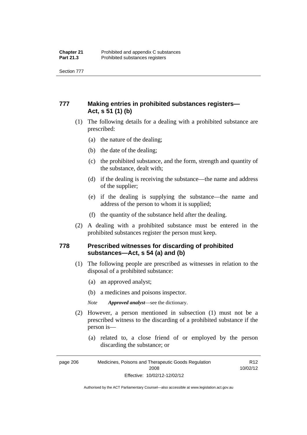Section 777

## **777 Making entries in prohibited substances registers— Act, s 51 (1) (b)**

- (1) The following details for a dealing with a prohibited substance are prescribed:
	- (a) the nature of the dealing;
	- (b) the date of the dealing;
	- (c) the prohibited substance, and the form, strength and quantity of the substance, dealt with;
	- (d) if the dealing is receiving the substance—the name and address of the supplier;
	- (e) if the dealing is supplying the substance—the name and address of the person to whom it is supplied;
	- (f) the quantity of the substance held after the dealing.
- (2) A dealing with a prohibited substance must be entered in the prohibited substances register the person must keep.

#### **778 Prescribed witnesses for discarding of prohibited substances—Act, s 54 (a) and (b)**

- (1) The following people are prescribed as witnesses in relation to the disposal of a prohibited substance:
	- (a) an approved analyst;
	- (b) a medicines and poisons inspector.

*Note Approved analyst*—see the dictionary.

- (2) However, a person mentioned in subsection (1) must not be a prescribed witness to the discarding of a prohibited substance if the person is—
	- (a) related to, a close friend of or employed by the person discarding the substance; or

Authorised by the ACT Parliamentary Counsel—also accessible at www.legislation.act.gov.au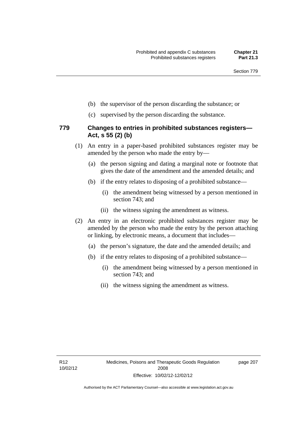- (b) the supervisor of the person discarding the substance; or
- (c) supervised by the person discarding the substance.

#### **779 Changes to entries in prohibited substances registers— Act, s 55 (2) (b)**

- (1) An entry in a paper-based prohibited substances register may be amended by the person who made the entry by—
	- (a) the person signing and dating a marginal note or footnote that gives the date of the amendment and the amended details; and
	- (b) if the entry relates to disposing of a prohibited substance—
		- (i) the amendment being witnessed by a person mentioned in section 743; and
		- (ii) the witness signing the amendment as witness.
- (2) An entry in an electronic prohibited substances register may be amended by the person who made the entry by the person attaching or linking, by electronic means, a document that includes—
	- (a) the person's signature, the date and the amended details; and
	- (b) if the entry relates to disposing of a prohibited substance—
		- (i) the amendment being witnessed by a person mentioned in section 743; and
		- (ii) the witness signing the amendment as witness.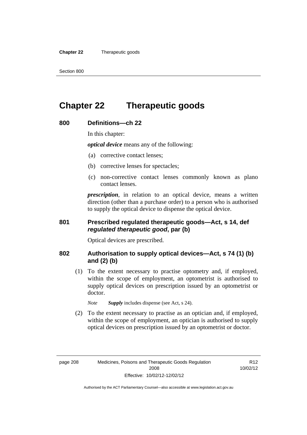**Chapter 22** Therapeutic goods

## **Chapter 22 Therapeutic goods**

## **800 Definitions—ch 22**

In this chapter:

*optical device* means any of the following:

- (a) corrective contact lenses;
- (b) corrective lenses for spectacles;
- (c) non-corrective contact lenses commonly known as plano contact lenses.

*prescription*, in relation to an optical device, means a written direction (other than a purchase order) to a person who is authorised to supply the optical device to dispense the optical device.

#### **801 Prescribed regulated therapeutic goods—Act, s 14, def**  *regulated therapeutic good***, par (b)**

Optical devices are prescribed.

#### **802 Authorisation to supply optical devices—Act, s 74 (1) (b) and (2) (b)**

 (1) To the extent necessary to practise optometry and, if employed, within the scope of employment, an optometrist is authorised to supply optical devices on prescription issued by an optometrist or doctor.

*Note Supply* includes dispense (see Act, s 24).

 (2) To the extent necessary to practise as an optician and, if employed, within the scope of employment, an optician is authorised to supply optical devices on prescription issued by an optometrist or doctor.

R12 10/02/12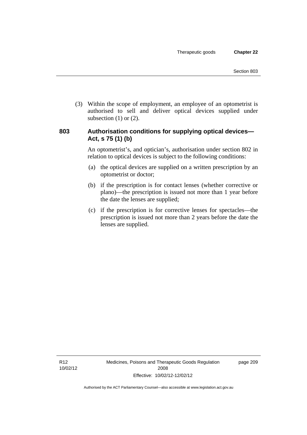(3) Within the scope of employment, an employee of an optometrist is authorised to sell and deliver optical devices supplied under subsection  $(1)$  or  $(2)$ .

#### **803 Authorisation conditions for supplying optical devices— Act, s 75 (1) (b)**

An optometrist's, and optician's, authorisation under section 802 in relation to optical devices is subject to the following conditions:

- (a) the optical devices are supplied on a written prescription by an optometrist or doctor;
- (b) if the prescription is for contact lenses (whether corrective or plano)—the prescription is issued not more than 1 year before the date the lenses are supplied;
- (c) if the prescription is for corrective lenses for spectacles—the prescription is issued not more than 2 years before the date the lenses are supplied.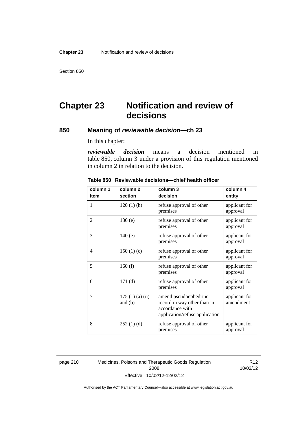# **Chapter 23 Notification and review of decisions**

#### **850 Meaning of** *reviewable decision—***ch 23**

In this chapter:

*reviewable decision* means a decision mentioned in table 850, column 3 under a provision of this regulation mentioned in column 2 in relation to the decision.

| column 1       | column <sub>2</sub>        | column 3                                                                                                  | column 4                   |
|----------------|----------------------------|-----------------------------------------------------------------------------------------------------------|----------------------------|
| item           | section                    | decision                                                                                                  | entity                     |
| 1              | $120(1)$ (h)               | refuse approval of other<br>premises                                                                      | applicant for<br>approval  |
| $\overline{2}$ | 130(e)                     | refuse approval of other<br>premises                                                                      | applicant for<br>approval  |
| 3              | 140(e)                     | refuse approval of other<br>premises                                                                      | applicant for<br>approval  |
| 4              | 150(1)(c)                  | refuse approval of other<br>premises                                                                      | applicant for<br>approval  |
| 5              | 160(f)                     | refuse approval of other<br>premises                                                                      | applicant for<br>approval  |
| 6              | 171(d)                     | refuse approval of other<br>premises                                                                      | applicant for<br>approval  |
| 7              | 175(1)(a)(ii)<br>and $(b)$ | amend pseudoephedrine<br>record in way other than in<br>accordance with<br>application/refuse application | applicant for<br>amendment |
| 8              | 252(1)(d)                  | refuse approval of other<br>premises                                                                      | applicant for<br>approval  |

**Table 850 Reviewable decisions—chief health officer** 

page 210 Medicines, Poisons and Therapeutic Goods Regulation 2008 Effective: 10/02/12-12/02/12

R12 10/02/12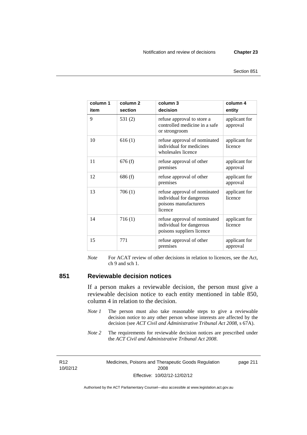page 211

| column 1<br>item | column <sub>2</sub><br>section | column 3<br>decision                                                                         | column 4<br>entity        |
|------------------|--------------------------------|----------------------------------------------------------------------------------------------|---------------------------|
| 9                | 531(2)                         | refuse approval to store a<br>controlled medicine in a safe<br>or strongroom                 | applicant for<br>approval |
| 10               | 616(1)                         | refuse approval of nominated<br>individual for medicines<br>wholesales licence               | applicant for<br>licence  |
| 11               | 676(f)                         | refuse approval of other<br>premises                                                         | applicant for<br>approval |
| 12               | 686(f)                         | refuse approval of other<br>premises                                                         | applicant for<br>approval |
| 13               | 706(1)                         | refuse approval of nominated<br>individual for dangerous<br>poisons manufacturers<br>licence | applicant for<br>licence  |
| 14               | 716(1)                         | refuse approval of nominated<br>individual for dangerous<br>poisons suppliers licence        | applicant for<br>licence  |
| 15               | 771                            | refuse approval of other<br>premises                                                         | applicant for<br>approval |

*Note* For ACAT review of other decisions in relation to licences, see the Act, ch 9 and sch 1.

#### **851 Reviewable decision notices**

If a person makes a reviewable decision, the person must give a reviewable decision notice to each entity mentioned in table 850, column 4 in relation to the decision.

- *Note 1* The person must also take reasonable steps to give a reviewable decision notice to any other person whose interests are affected by the decision (see *ACT Civil and Administrative Tribunal Act 2008*, s 67A).
- *Note* 2 The requirements for reviewable decision notices are prescribed under the *ACT Civil and Administrative Tribunal Act 2008*.

R12 10/02/12 Medicines, Poisons and Therapeutic Goods Regulation 2008 Effective: 10/02/12-12/02/12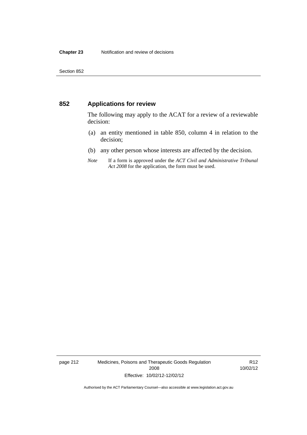#### **852 Applications for review**

The following may apply to the ACAT for a review of a reviewable decision:

- (a) an entity mentioned in table 850, column 4 in relation to the decision;
- (b) any other person whose interests are affected by the decision.
- *Note* If a form is approved under the *ACT Civil and Administrative Tribunal Act 2008* for the application, the form must be used.

page 212 Medicines, Poisons and Therapeutic Goods Regulation 2008 Effective: 10/02/12-12/02/12

R12 10/02/12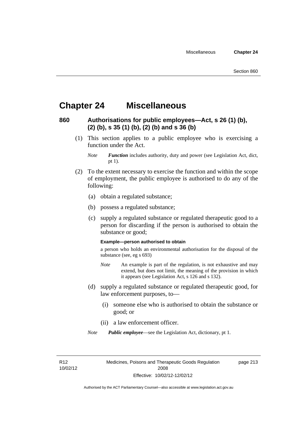## **Chapter 24 Miscellaneous**

#### **860 Authorisations for public employees—Act, s 26 (1) (b), (2) (b), s 35 (1) (b), (2) (b) and s 36 (b)**

 (1) This section applies to a public employee who is exercising a function under the Act.

- (2) To the extent necessary to exercise the function and within the scope of employment, the public employee is authorised to do any of the following:
	- (a) obtain a regulated substance;
	- (b) possess a regulated substance;
	- (c) supply a regulated substance or regulated therapeutic good to a person for discarding if the person is authorised to obtain the substance or good;

#### **Example—person authorised to obtain**

a person who holds an environmental authorisation for the disposal of the substance (see, eg s 693)

- *Note* An example is part of the regulation, is not exhaustive and may extend, but does not limit, the meaning of the provision in which it appears (see Legislation Act, s 126 and s 132).
- (d) supply a regulated substance or regulated therapeutic good, for law enforcement purposes, to—
	- (i) someone else who is authorised to obtain the substance or good; or
	- (ii) a law enforcement officer.

*Note Public employee*—see the Legislation Act, dictionary, pt 1.

R12 10/02/12 Medicines, Poisons and Therapeutic Goods Regulation 2008 Effective: 10/02/12-12/02/12

page 213

*Note Function* includes authority, duty and power (see Legislation Act, dict, pt 1).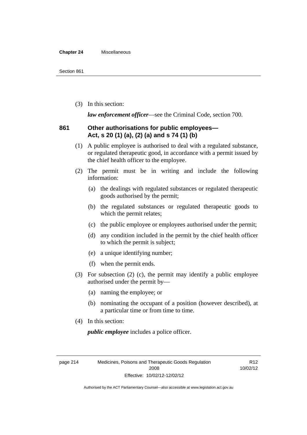#### **Chapter 24** Miscellaneous

(3) In this section:

*law enforcement officer*—see the Criminal Code, section 700.

#### **861 Other authorisations for public employees— Act, s 20 (1) (a), (2) (a) and s 74 (1) (b)**

- (1) A public employee is authorised to deal with a regulated substance, or regulated therapeutic good, in accordance with a permit issued by the chief health officer to the employee.
- (2) The permit must be in writing and include the following information:
	- (a) the dealings with regulated substances or regulated therapeutic goods authorised by the permit;
	- (b) the regulated substances or regulated therapeutic goods to which the permit relates;
	- (c) the public employee or employees authorised under the permit;
	- (d) any condition included in the permit by the chief health officer to which the permit is subject;
	- (e) a unique identifying number;
	- (f) when the permit ends.
- (3) For subsection (2) (c), the permit may identify a public employee authorised under the permit by—
	- (a) naming the employee; or
	- (b) nominating the occupant of a position (however described), at a particular time or from time to time.
- (4) In this section:

*public employee* includes a police officer.

page 214 Medicines, Poisons and Therapeutic Goods Regulation 2008 Effective: 10/02/12-12/02/12

R12 10/02/12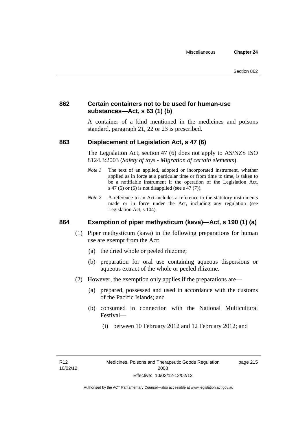#### **862 Certain containers not to be used for human-use substances—Act, s 63 (1) (b)**

A container of a kind mentioned in the medicines and poisons standard, paragraph 21, 22 or 23 is prescribed.

#### **863 Displacement of Legislation Act, s 47 (6)**

The Legislation Act, section 47 (6) does not apply to AS/NZS ISO 8124.3:2003 (*Safety of toys - Migration of certain elements*).

- *Note 1* The text of an applied, adopted or incorporated instrument, whether applied as in force at a particular time or from time to time, is taken to be a notifiable instrument if the operation of the Legislation Act, s 47 (5) or (6) is not disapplied (see s 47 (7)).
- *Note 2* A reference to an Act includes a reference to the statutory instruments made or in force under the Act, including any regulation (see Legislation Act, s 104).

#### **864 Exemption of piper methysticum (kava)—Act, s 190 (1) (a)**

- (1) Piper methysticum (kava) in the following preparations for human use are exempt from the Act:
	- (a) the dried whole or peeled rhizome;
	- (b) preparation for oral use containing aqueous dispersions or aqueous extract of the whole or peeled rhizome.
- (2) However, the exemption only applies if the preparations are—
	- (a) prepared, possessed and used in accordance with the customs of the Pacific Islands; and
	- (b) consumed in connection with the National Multicultural Festival—
		- (i) between 10 February 2012 and 12 February 2012; and

page 215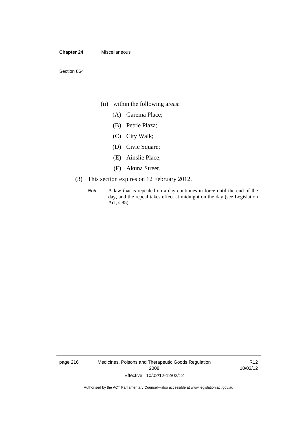#### **Chapter 24** Miscellaneous

- (ii) within the following areas:
	- (A) Garema Place;
	- (B) Petrie Plaza;
	- (C) City Walk;
	- (D) Civic Square;
	- (E) Ainslie Place;
	- (F) Akuna Street.
- (3) This section expires on 12 February 2012.
	- *Note* A law that is repealed on a day continues in force until the end of the day, and the repeal takes effect at midnight on the day (see Legislation Act, s 85).

page 216 Medicines, Poisons and Therapeutic Goods Regulation 2008 Effective: 10/02/12-12/02/12

R12 10/02/12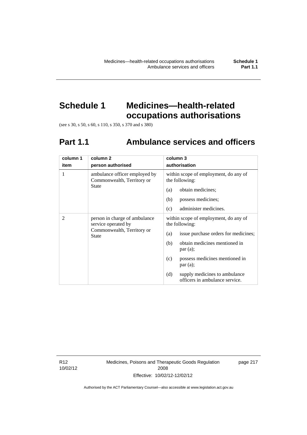# **Schedule 1 Medicines—health-related occupations authorisations**

(see s 30, s 50, s 60, s 110, s 350, s 370 and s 380)

# **Part 1.1 Ambulance services and officers**

| column 1       | column <sub>2</sub>                                                                                | column 3                                                               |
|----------------|----------------------------------------------------------------------------------------------------|------------------------------------------------------------------------|
| item           | person authorised                                                                                  | authorisation                                                          |
| 1              | ambulance officer employed by<br>Commonwealth, Territory or                                        | within scope of employment, do any of<br>the following:                |
|                | <b>State</b>                                                                                       | obtain medicines;<br>(a)                                               |
|                |                                                                                                    | possess medicines;<br>(b)                                              |
|                |                                                                                                    | administer medicines.<br>(c)                                           |
| $\mathfrak{D}$ | person in charge of ambulance<br>service operated by<br>Commonwealth, Territory or<br><b>State</b> | within scope of employment, do any of<br>the following:                |
|                |                                                                                                    | issue purchase orders for medicines;<br>(a)                            |
|                |                                                                                                    | obtain medicines mentioned in<br>(b)<br>par(a);                        |
|                |                                                                                                    | possess medicines mentioned in<br>(c)<br>par(a);                       |
|                |                                                                                                    | supply medicines to ambulance<br>(d)<br>officers in ambulance service. |

R12 10/02/12 Medicines, Poisons and Therapeutic Goods Regulation 2008 Effective: 10/02/12-12/02/12

page 217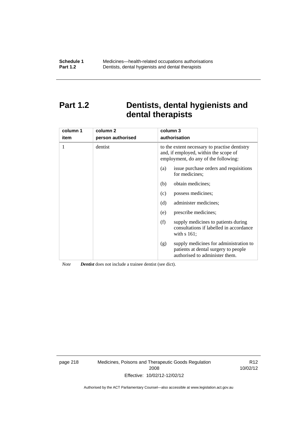## **Part 1.2 Dentists, dental hygienists and dental therapists**

| column 1<br>item | column 2<br>person authorised | column 3<br>authorisation                                                                                                      |
|------------------|-------------------------------|--------------------------------------------------------------------------------------------------------------------------------|
| 1                | dentist                       | to the extent necessary to practise dentistry<br>and, if employed, within the scope of<br>employment, do any of the following: |
|                  |                               | issue purchase orders and requisitions<br>(a)<br>for medicines;                                                                |
|                  |                               | obtain medicines;<br>(b)                                                                                                       |
|                  |                               | possess medicines;<br>(c)                                                                                                      |
|                  |                               | (d)<br>administer medicines;                                                                                                   |
|                  |                               | prescribe medicines;<br>(e)                                                                                                    |
|                  |                               | (f)<br>supply medicines to patients during<br>consultations if labelled in accordance<br>with $s$ 161;                         |
|                  |                               | supply medicines for administration to<br>(g)<br>patients at dental surgery to people<br>authorised to administer them.        |

*Note Dentist* does not include a trainee dentist (see dict).

page 218 Medicines, Poisons and Therapeutic Goods Regulation 2008 Effective: 10/02/12-12/02/12

R12 10/02/12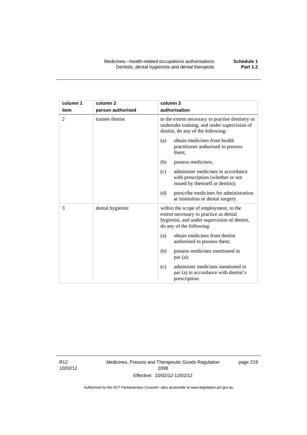| column 1       | column <sub>2</sub> | column 3                                                                                                                                                     |
|----------------|---------------------|--------------------------------------------------------------------------------------------------------------------------------------------------------------|
| item           | person authorised   | authorisation                                                                                                                                                |
| $\overline{2}$ | trainee dentist     | to the extent necessary to practise dentistry or<br>undertake training, and under supervision of<br>dentist, do any of the following:                        |
|                |                     | obtain medicines from health<br>(a)<br>practitioner authorised to possess<br>them;                                                                           |
|                |                     | (b)<br>possess medicines;                                                                                                                                    |
|                |                     | administer medicines in accordance<br>(c)<br>with prescription (whether or not<br>issued by themself or dentist);                                            |
|                |                     | (d)<br>prescribe medicines for administration<br>at institution or dental surgery.                                                                           |
| 3              | dental hygienist    | within the scope of employment, to the<br>extent necessary to practice as dental<br>hygienist, and under supervision of dentist,<br>do any of the following: |
|                |                     | obtain medicines from dentist<br>(a)<br>authorised to possess them;                                                                                          |
|                |                     | possess medicines mentioned in<br>(b)<br>par(a);                                                                                                             |
|                |                     | administer medicines mentioned in<br>(c)<br>par (a) in accordance with dentist's<br>prescription.                                                            |

R12 10/02/12 Medicines, Poisons and Therapeutic Goods Regulation 2008 Effective: 10/02/12-12/02/12

page 219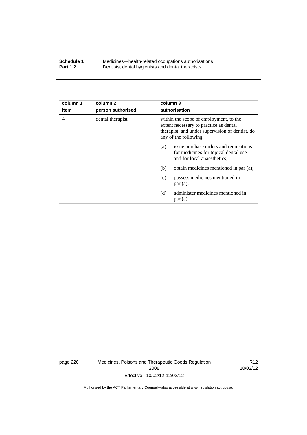#### **Schedule 1** Medicines—health-related occupations authorisations<br>**Part 1.2** Dentists, dental hygienists and dental therapists **Part 1.2** Dentists, dental hygienists and dental therapists

| column 1<br>item | column <sub>2</sub><br>person authorised | column 3<br>authorisation                                                                                                                                    |
|------------------|------------------------------------------|--------------------------------------------------------------------------------------------------------------------------------------------------------------|
| $\overline{4}$   | dental therapist                         | within the scope of employment, to the<br>extent necessary to practice as dental<br>therapist, and under supervision of dentist, do<br>any of the following: |
|                  |                                          | issue purchase orders and requisitions<br>(a)<br>for medicines for topical dental use<br>and for local anaesthetics;                                         |
|                  |                                          | obtain medicines mentioned in par (a);<br>(b)                                                                                                                |
|                  |                                          | possess medicines mentioned in<br>(c)<br>par(a);                                                                                                             |
|                  |                                          | administer medicines mentioned in<br>(d)<br>par(a).                                                                                                          |

page 220 Medicines, Poisons and Therapeutic Goods Regulation 2008 Effective: 10/02/12-12/02/12

R12 10/02/12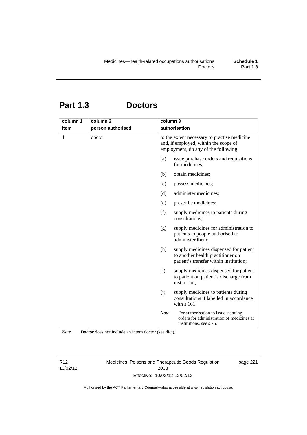## **Part 1.3 Doctors**

| column 1<br>item | column <sub>2</sub><br>person authorised | column 3    | authorisation                                                                                                                 |
|------------------|------------------------------------------|-------------|-------------------------------------------------------------------------------------------------------------------------------|
| 1                | doctor                                   |             | to the extent necessary to practise medicine<br>and, if employed, within the scope of<br>employment, do any of the following: |
|                  |                                          | (a)         | issue purchase orders and requisitions<br>for medicines;                                                                      |
|                  |                                          | (b)         | obtain medicines;                                                                                                             |
|                  |                                          | (c)         | possess medicines;                                                                                                            |
|                  |                                          | (d)         | administer medicines;                                                                                                         |
|                  |                                          | (e)         | prescribe medicines;                                                                                                          |
|                  |                                          | (f)         | supply medicines to patients during<br>consultations;                                                                         |
|                  |                                          | (g)         | supply medicines for administration to<br>patients to people authorised to<br>administer them;                                |
|                  |                                          | (h)         | supply medicines dispensed for patient<br>to another health practitioner on<br>patient's transfer within institution;         |
|                  |                                          | (i)         | supply medicines dispensed for patient<br>to patient on patient's discharge from<br>institution;                              |
|                  |                                          | (j)         | supply medicines to patients during<br>consultations if labelled in accordance<br>with s 161.                                 |
|                  |                                          | <b>Note</b> | For authorisation to issue standing<br>orders for administration of medicines at<br>institutions, see s 75.                   |

*Note Doctor* does not include an intern doctor (see dict).

R12 10/02/12 Medicines, Poisons and Therapeutic Goods Regulation 2008 Effective: 10/02/12-12/02/12

page 221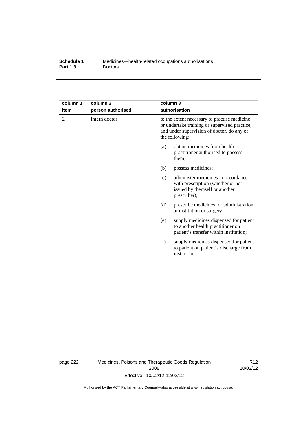| Schedule 1      | Medicines—health-related occupations authorisations |
|-----------------|-----------------------------------------------------|
| <b>Part 1.3</b> | <b>Doctors</b>                                      |

| column 1 | column 2          | column 3                                                                                                                                                      |
|----------|-------------------|---------------------------------------------------------------------------------------------------------------------------------------------------------------|
| item     | person authorised | authorisation                                                                                                                                                 |
| 2        | intern doctor     | to the extent necessary to practise medicine<br>or undertake training or supervised practice,<br>and under supervision of doctor, do any of<br>the following: |
|          |                   | obtain medicines from health<br>(a)<br>practitioner authorised to possess<br>them;                                                                            |
|          |                   | (b)<br>possess medicines;                                                                                                                                     |
|          |                   | administer medicines in accordance<br>(c)<br>with prescription (whether or not<br>issued by themself or another<br>prescriber);                               |
|          |                   | prescribe medicines for administration<br>(d)<br>at institution or surgery;                                                                                   |
|          |                   | supply medicines dispensed for patient<br>(e)<br>to another health practitioner on<br>patient's transfer within institution;                                  |
|          |                   | (f)<br>supply medicines dispensed for patient<br>to patient on patient's discharge from<br>institution.                                                       |

page 222 Medicines, Poisons and Therapeutic Goods Regulation 2008 Effective: 10/02/12-12/02/12

R12 10/02/12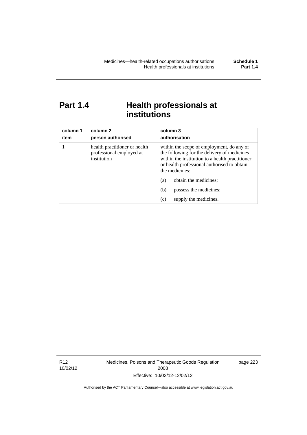# Part 1.4 **Health professionals at institutions**

| column 1<br>item | column 2<br>person authorised                                            | column 3<br>authorisation                                                                                                                                                                                    |
|------------------|--------------------------------------------------------------------------|--------------------------------------------------------------------------------------------------------------------------------------------------------------------------------------------------------------|
|                  | health practitioner or health<br>professional employed at<br>institution | within the scope of employment, do any of<br>the following for the delivery of medicines<br>within the institution to a health practitioner<br>or health professional authorised to obtain<br>the medicines: |
|                  |                                                                          | obtain the medicines;<br>(a)                                                                                                                                                                                 |
|                  |                                                                          | possess the medicines;<br>(b)                                                                                                                                                                                |
|                  |                                                                          | supply the medicines.<br>(c)                                                                                                                                                                                 |

R12 10/02/12 Medicines, Poisons and Therapeutic Goods Regulation 2008 Effective: 10/02/12-12/02/12

page 223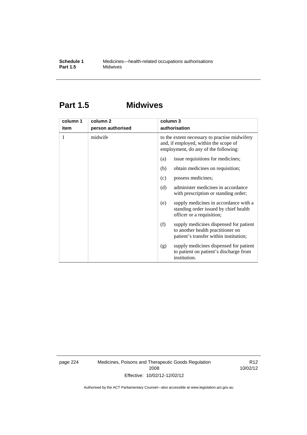## **Part 1.5 Midwives**

| column 1 | column <sub>2</sub> | column 3                                                                                                                       |  |
|----------|---------------------|--------------------------------------------------------------------------------------------------------------------------------|--|
| item     | person authorised   | authorisation                                                                                                                  |  |
| 1        | midwife             | to the extent necessary to practise midwifery<br>and, if employed, within the scope of<br>employment, do any of the following: |  |
|          |                     | issue requisitions for medicines;<br>(a)                                                                                       |  |
|          |                     | obtain medicines on requisition;<br>(b)                                                                                        |  |
|          |                     | possess medicines;<br>(c)                                                                                                      |  |
|          |                     | administer medicines in accordance<br>(d)<br>with prescription or standing order;                                              |  |
|          |                     | supply medicines in accordance with a<br>(e)<br>standing order issued by chief health<br>officer or a requisition;             |  |
|          |                     | (f)<br>supply medicines dispensed for patient<br>to another health practitioner on<br>patient's transfer within institution;   |  |
|          |                     | supply medicines dispensed for patient<br>(g)<br>to patient on patient's discharge from<br>institution.                        |  |

page 224 Medicines, Poisons and Therapeutic Goods Regulation 2008 Effective: 10/02/12-12/02/12

R12 10/02/12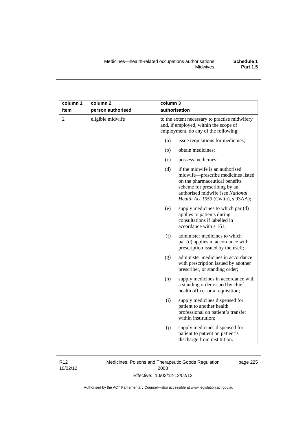| column 1<br>item | column <sub>2</sub> | column 3 | authorisation                                                                                                                                                                                                    |
|------------------|---------------------|----------|------------------------------------------------------------------------------------------------------------------------------------------------------------------------------------------------------------------|
|                  | person authorised   |          |                                                                                                                                                                                                                  |
| $\overline{2}$   | eligible midwife    |          | to the extent necessary to practise midwifery<br>and, if employed, within the scope of<br>employment, do any of the following:                                                                                   |
|                  |                     | (a)      | issue requisitions for medicines;                                                                                                                                                                                |
|                  |                     | (b)      | obtain medicines;                                                                                                                                                                                                |
|                  |                     | (c)      | possess medicines;                                                                                                                                                                                               |
|                  |                     | (d)      | if the midwife is an authorised<br>midwife-prescribe medicines listed<br>on the pharmaceutical benefits<br>scheme for prescribing by an<br>authorised midwife (see National<br>Health Act 1953 (Cwlth), s 93AA); |
|                  |                     | (e)      | supply medicines to which par (d)<br>applies to patients during<br>consultations if labelled in<br>accordance with s 161;                                                                                        |
|                  |                     | (f)      | administer medicines to which<br>par (d) applies in accordance with<br>prescription issued by themself;                                                                                                          |
|                  |                     | (g)      | administer medicines in accordance<br>with prescription issued by another<br>prescriber, or standing order;                                                                                                      |
|                  |                     | (h)      | supply medicines in accordance with<br>a standing order issued by chief<br>health officer or a requisition;                                                                                                      |
|                  |                     | (i)      | supply medicines dispensed for<br>patient to another health<br>professional on patient's transfer<br>within institution;                                                                                         |
|                  |                     | (i)      | supply medicines dispensed for<br>patient to patient on patient's<br>discharge from institution.                                                                                                                 |

R12 10/02/12 Medicines, Poisons and Therapeutic Goods Regulation 2008 Effective: 10/02/12-12/02/12

page 225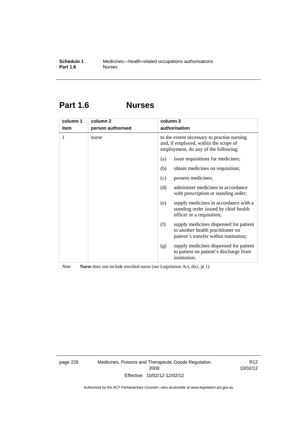## **Part 1.6 Nurses**

| column 1<br>item | column <sub>2</sub><br>person authorised | column 3<br>authorisation                                                                                                    |  |
|------------------|------------------------------------------|------------------------------------------------------------------------------------------------------------------------------|--|
| 1                | nurse                                    | to the extent necessary to practise nursing<br>and, if employed, within the scope of<br>employment, do any of the following: |  |
|                  |                                          | issue requisitions for medicines;<br>(a)                                                                                     |  |
|                  |                                          | obtain medicines on requisition;<br>(b)                                                                                      |  |
|                  |                                          | possess medicines;<br>(c)                                                                                                    |  |
|                  |                                          | (d)<br>administer medicines in accordance<br>with prescription or standing order;                                            |  |
|                  |                                          | supply medicines in accordance with a<br>(e)<br>standing order issued by chief health<br>officer or a requisition;           |  |
|                  |                                          | (f)<br>supply medicines dispensed for patient<br>to another health practitioner on<br>patient's transfer within institution; |  |
|                  |                                          | supply medicines dispensed for patient<br>(g)<br>to patient on patient's discharge from<br>institution.                      |  |

*Note Nurse* does not include enrolled nurse (see Legislation Act, dict, pt 1).

page 226 Medicines, Poisons and Therapeutic Goods Regulation 2008 Effective: 10/02/12-12/02/12

R12 10/02/12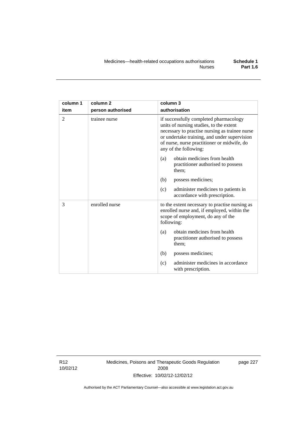| column 1       | column <sub>2</sub> | column 3                                                                                                                                                                                                                                                    |
|----------------|---------------------|-------------------------------------------------------------------------------------------------------------------------------------------------------------------------------------------------------------------------------------------------------------|
| item           | person authorised   | authorisation                                                                                                                                                                                                                                               |
| $\overline{2}$ | trainee nurse       | if successfully completed pharmacology<br>units of nursing studies, to the extent<br>necessary to practise nursing as trainee nurse<br>or undertake training, and under supervision<br>of nurse, nurse practitioner or midwife, do<br>any of the following: |
|                |                     | obtain medicines from health<br>(a)<br>practitioner authorised to possess<br>them;                                                                                                                                                                          |
|                |                     | (b)<br>possess medicines;                                                                                                                                                                                                                                   |
|                |                     | administer medicines to patients in<br>(c)<br>accordance with prescription.                                                                                                                                                                                 |
| 3              | enrolled nurse      | to the extent necessary to practise nursing as<br>enrolled nurse and, if employed, within the<br>scope of employment, do any of the<br>following:                                                                                                           |
|                |                     | obtain medicines from health<br>(a)<br>practitioner authorised to possess<br>them;                                                                                                                                                                          |
|                |                     | (b)<br>possess medicines;                                                                                                                                                                                                                                   |
|                |                     | administer medicines in accordance<br>(c)<br>with prescription.                                                                                                                                                                                             |

R12 10/02/12 Medicines, Poisons and Therapeutic Goods Regulation 2008 Effective: 10/02/12-12/02/12

page 227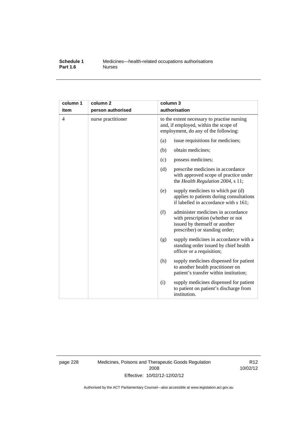#### **Schedule 1** Medicines—health-related occupations authorisations<br>**Part 1.6** Murses **Part 1.6**

| column 1<br>item | column <sub>2</sub><br>person authorised | column 3<br>authorisation                                                                                                                         |  |
|------------------|------------------------------------------|---------------------------------------------------------------------------------------------------------------------------------------------------|--|
| 4                | nurse practitioner                       | to the extent necessary to practise nursing<br>and, if employed, within the scope of<br>employment, do any of the following:                      |  |
|                  |                                          | issue requisitions for medicines;<br>(a)                                                                                                          |  |
|                  |                                          | obtain medicines;<br>(b)                                                                                                                          |  |
|                  |                                          | possess medicines;<br>(c)                                                                                                                         |  |
|                  |                                          | (d)<br>prescribe medicines in accordance<br>with approved scope of practice under<br>the Health Regulation 2004, s 11;                            |  |
|                  |                                          | supply medicines to which par (d)<br>(e)<br>applies to patients during consultations<br>if labelled in accordance with s 161;                     |  |
|                  |                                          | administer medicines in accordance<br>(f)<br>with prescription (whether or not<br>issued by themself or another<br>prescriber) or standing order; |  |
|                  |                                          | supply medicines in accordance with a<br>(g)<br>standing order issued by chief health<br>officer or a requisition;                                |  |
|                  |                                          | (h)<br>supply medicines dispensed for patient<br>to another health practitioner on<br>patient's transfer within institution;                      |  |
|                  |                                          | (i)<br>supply medicines dispensed for patient<br>to patient on patient's discharge from<br>institution.                                           |  |

page 228 Medicines, Poisons and Therapeutic Goods Regulation 2008 Effective: 10/02/12-12/02/12

R12 10/02/12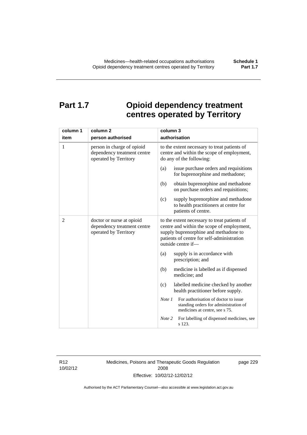# **Part 1.7 Opioid dependency treatment centres operated by Territory**

| column 1       | column <sub>2</sub>                                                                | column 3                                                                                                                                                                                                |  |  |
|----------------|------------------------------------------------------------------------------------|---------------------------------------------------------------------------------------------------------------------------------------------------------------------------------------------------------|--|--|
| item           | person authorised                                                                  | authorisation                                                                                                                                                                                           |  |  |
| 1              | person in charge of opioid<br>dependency treatment centre<br>operated by Territory | to the extent necessary to treat patients of<br>centre and within the scope of employment,<br>do any of the following:                                                                                  |  |  |
|                |                                                                                    | issue purchase orders and requisitions<br>(a)<br>for buprenorphine and methadone;                                                                                                                       |  |  |
|                |                                                                                    | obtain buprenorphine and methadone<br>(b)<br>on purchase orders and requisitions;                                                                                                                       |  |  |
|                |                                                                                    | (c)<br>supply buprenorphine and methadone<br>to health practitioners at centre for<br>patients of centre.                                                                                               |  |  |
| $\overline{2}$ | doctor or nurse at opioid<br>dependency treatment centre<br>operated by Territory  | to the extent necessary to treat patients of<br>centre and within the scope of employment,<br>supply buprenorphine and methadone to<br>patients of centre for self-administration<br>outside centre if- |  |  |
|                |                                                                                    | supply is in accordance with<br>(a)<br>prescription; and                                                                                                                                                |  |  |
|                |                                                                                    | (b)<br>medicine is labelled as if dispensed<br>medicine; and                                                                                                                                            |  |  |
|                |                                                                                    | labelled medicine checked by another<br>(c)<br>health practitioner before supply.                                                                                                                       |  |  |
|                |                                                                                    | For authorisation of doctor to issue<br>Note <sub>1</sub><br>standing orders for administration of<br>medicines at centre, see s 75.                                                                    |  |  |
|                |                                                                                    | For labelling of dispensed medicines, see<br>Note 2<br>s 123.                                                                                                                                           |  |  |

R12 10/02/12 Medicines, Poisons and Therapeutic Goods Regulation 2008 Effective: 10/02/12-12/02/12

page 229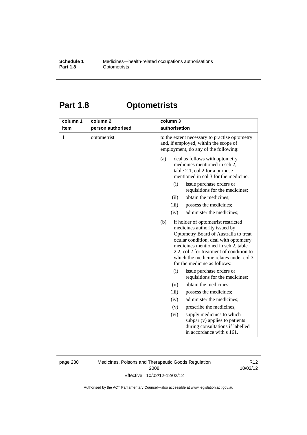# **Part 1.8 Optometrists**

| column 1     | column <sub>2</sub> | column 3                                                                                                                                                                                                                                                                                                                                                                                                                                                                                                                                                                                                                                                                                                                            |  |  |
|--------------|---------------------|-------------------------------------------------------------------------------------------------------------------------------------------------------------------------------------------------------------------------------------------------------------------------------------------------------------------------------------------------------------------------------------------------------------------------------------------------------------------------------------------------------------------------------------------------------------------------------------------------------------------------------------------------------------------------------------------------------------------------------------|--|--|
| item         | person authorised   | authorisation                                                                                                                                                                                                                                                                                                                                                                                                                                                                                                                                                                                                                                                                                                                       |  |  |
| $\mathbf{1}$ | optometrist         | to the extent necessary to practise optometry<br>and, if employed, within the scope of<br>employment, do any of the following:                                                                                                                                                                                                                                                                                                                                                                                                                                                                                                                                                                                                      |  |  |
|              |                     | deal as follows with optometry<br>(a)<br>medicines mentioned in sch 2,<br>table 2.1, col 2 for a purpose<br>mentioned in col 3 for the medicine:<br>(i)<br>issue purchase orders or<br>requisitions for the medicines;<br>obtain the medicines;<br>(ii)<br>possess the medicines;<br>(iii)<br>administer the medicines;<br>(iv)<br>(b)<br>if holder of optometrist restricted<br>medicines authority issued by<br>Optometry Board of Australia to treat<br>ocular condition, deal with optometry<br>medicines mentioned in sch 2, table<br>2.2, col 2 for treatment of condition to<br>which the medicine relates under col 3<br>for the medicine as follows:<br>(i)<br>issue purchase orders or<br>requisitions for the medicines; |  |  |
|              |                     | obtain the medicines;<br>(ii)                                                                                                                                                                                                                                                                                                                                                                                                                                                                                                                                                                                                                                                                                                       |  |  |
|              |                     | possess the medicines;<br>(iii)                                                                                                                                                                                                                                                                                                                                                                                                                                                                                                                                                                                                                                                                                                     |  |  |
|              |                     | administer the medicines;<br>(iv)                                                                                                                                                                                                                                                                                                                                                                                                                                                                                                                                                                                                                                                                                                   |  |  |
|              |                     | prescribe the medicines;<br>(v)                                                                                                                                                                                                                                                                                                                                                                                                                                                                                                                                                                                                                                                                                                     |  |  |
|              |                     | supply medicines to which<br>(vi)<br>subpar (v) applies to patients<br>during consultations if labelled<br>in accordance with s 161.                                                                                                                                                                                                                                                                                                                                                                                                                                                                                                                                                                                                |  |  |

page 230 Medicines, Poisons and Therapeutic Goods Regulation 2008 Effective: 10/02/12-12/02/12

R12 10/02/12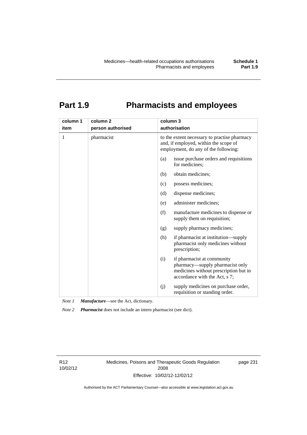# **Part 1.9 Pharmacists and employees**

| column 1<br>item | column <sub>2</sub><br>person authorised |     | column 3<br>authorisation                                                                                                               |  |  |
|------------------|------------------------------------------|-----|-----------------------------------------------------------------------------------------------------------------------------------------|--|--|
| 1                | pharmacist                               |     | to the extent necessary to practise pharmacy<br>and, if employed, within the scope of<br>employment, do any of the following:           |  |  |
|                  |                                          | (a) | issue purchase orders and requisitions<br>for medicines;                                                                                |  |  |
|                  |                                          | (b) | obtain medicines;                                                                                                                       |  |  |
|                  |                                          | (c) | possess medicines;                                                                                                                      |  |  |
|                  |                                          | (d) | dispense medicines;                                                                                                                     |  |  |
|                  |                                          | (e) | administer medicines;                                                                                                                   |  |  |
|                  |                                          | (f) | manufacture medicines to dispense or<br>supply them on requisition;                                                                     |  |  |
|                  |                                          | (g) | supply pharmacy medicines;                                                                                                              |  |  |
|                  |                                          | (h) | if pharmacist at institution—supply<br>pharmacist only medicines without<br>prescription;                                               |  |  |
|                  |                                          | (i) | if pharmacist at community<br>pharmacy—supply pharmacist only<br>medicines without prescription but in<br>accordance with the Act, s 7; |  |  |
|                  |                                          | (j) | supply medicines on purchase order,<br>requisition or standing order.                                                                   |  |  |

*Note 1 Manufacture*—see the Act, dictionary.

*Note 2 Pharmacist* does not include an intern pharmacist (see dict).

R12 10/02/12 Medicines, Poisons and Therapeutic Goods Regulation 2008 Effective: 10/02/12-12/02/12

page 231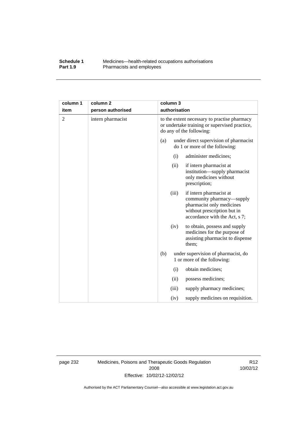## **Schedule 1** Medicines—health-related occupations authorisations<br>**Part 1.9** Pharmacists and employees Pharmacists and employees

| column 1 | column <sub>2</sub> |                                                                                                                           | column 3      |                                                                                                                                                   |
|----------|---------------------|---------------------------------------------------------------------------------------------------------------------------|---------------|---------------------------------------------------------------------------------------------------------------------------------------------------|
| item     | person authorised   |                                                                                                                           | authorisation |                                                                                                                                                   |
| 2        | intern pharmacist   | to the extent necessary to practise pharmacy<br>or undertake training or supervised practice,<br>do any of the following: |               |                                                                                                                                                   |
|          |                     | (a)                                                                                                                       |               | under direct supervision of pharmacist<br>do 1 or more of the following:                                                                          |
|          |                     |                                                                                                                           | (i)           | administer medicines;                                                                                                                             |
|          |                     |                                                                                                                           | (ii)          | if intern pharmacist at<br>institution-supply pharmacist<br>only medicines without<br>prescription;                                               |
|          |                     |                                                                                                                           | (iii)         | if intern pharmacist at<br>community pharmacy—supply<br>pharmacist only medicines<br>without prescription but in<br>accordance with the Act, s 7; |
|          |                     |                                                                                                                           | (iv)          | to obtain, possess and supply<br>medicines for the purpose of<br>assisting pharmacist to dispense<br>them;                                        |
|          |                     | (b)                                                                                                                       |               | under supervision of pharmacist, do<br>1 or more of the following:                                                                                |
|          |                     |                                                                                                                           | (i)           | obtain medicines;                                                                                                                                 |
|          |                     |                                                                                                                           | (ii)          | possess medicines;                                                                                                                                |
|          |                     |                                                                                                                           | (iii)         | supply pharmacy medicines;                                                                                                                        |
|          |                     |                                                                                                                           | (iv)          | supply medicines on requisition.                                                                                                                  |

page 232 Medicines, Poisons and Therapeutic Goods Regulation 2008 Effective: 10/02/12-12/02/12

R12 10/02/12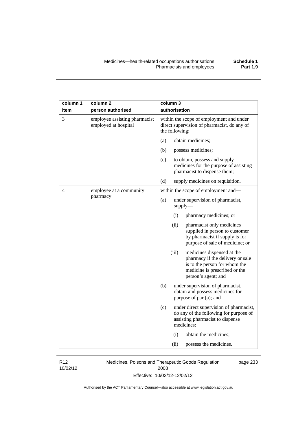| column 1<br>item | column <sub>2</sub><br>person authorised              | column 3<br>authorisation                                                                                                                                        |
|------------------|-------------------------------------------------------|------------------------------------------------------------------------------------------------------------------------------------------------------------------|
| 3                | employee assisting pharmacist<br>employed at hospital | within the scope of employment and under<br>direct supervision of pharmacist, do any of<br>the following:                                                        |
|                  |                                                       | obtain medicines;<br>(a)                                                                                                                                         |
|                  |                                                       | (b)<br>possess medicines;                                                                                                                                        |
|                  |                                                       | (c)<br>to obtain, possess and supply<br>medicines for the purpose of assisting<br>pharmacist to dispense them;                                                   |
|                  |                                                       | (d)<br>supply medicines on requisition.                                                                                                                          |
| 4                | employee at a community<br>pharmacy                   | within the scope of employment and—                                                                                                                              |
|                  |                                                       | (a)<br>under supervision of pharmacist,<br>supply                                                                                                                |
|                  |                                                       | pharmacy medicines; or<br>(i)                                                                                                                                    |
|                  |                                                       | (ii)<br>pharmacist only medicines<br>supplied in person to customer<br>by pharmacist if supply is for<br>purpose of sale of medicine; or                         |
|                  |                                                       | (iii)<br>medicines dispensed at the<br>pharmacy if the delivery or sale<br>is to the person for whom the<br>medicine is prescribed or the<br>person's agent; and |
|                  |                                                       | (b)<br>under supervision of pharmacist,<br>obtain and possess medicines for<br>purpose of par (a); and                                                           |
|                  |                                                       | (c)<br>under direct supervision of pharmacist,<br>do any of the following for purpose of<br>assisting pharmacist to dispense<br>medicines:                       |
|                  |                                                       | obtain the medicines;<br>(i)                                                                                                                                     |
|                  |                                                       | (ii)<br>possess the medicines.                                                                                                                                   |

R12 10/02/12 Medicines, Poisons and Therapeutic Goods Regulation 2008 Effective: 10/02/12-12/02/12

page 233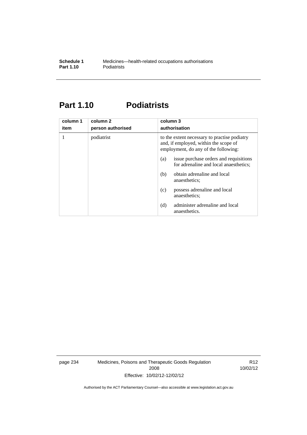## **Part 1.10 Podiatrists**

| column 1<br>item | column 2<br>person authorised | column 3<br>authorisation                                                                                                     |  |  |
|------------------|-------------------------------|-------------------------------------------------------------------------------------------------------------------------------|--|--|
|                  | podiatrist                    | to the extent necessary to practise podiatry<br>and, if employed, within the scope of<br>employment, do any of the following: |  |  |
|                  |                               | issue purchase orders and requisitions<br>(a)<br>for adrenaline and local anaesthetics;                                       |  |  |
|                  |                               | obtain adrenaline and local<br>(b)<br>anaesthetics:                                                                           |  |  |
|                  |                               | possess adrenaline and local<br>(c)<br>anaesthetics;                                                                          |  |  |
|                  |                               | administer adrenaline and local<br>(d)<br>anaesthetics.                                                                       |  |  |

page 234 Medicines, Poisons and Therapeutic Goods Regulation 2008 Effective: 10/02/12-12/02/12

R12 10/02/12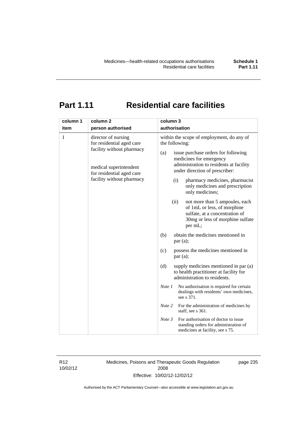# **Part 1.11 Residential care facilities**

R12 10/02/12 Medicines, Poisons and Therapeutic Goods Regulation 2008 Effective: 10/02/12-12/02/12

page 235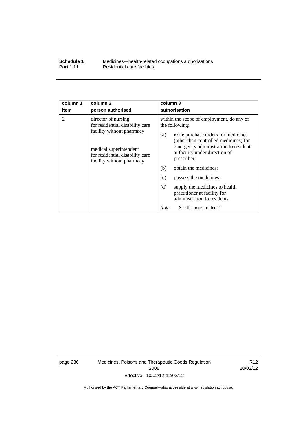### **Schedule 1** Medicines—health-related occupations authorisations<br>**Part 1.11** Residential care facilities **Residential care facilities**

| column 1  | column <sub>2</sub>                                                                                                                                                                                | column 3                                                                                                                                                                                                                                                                                      |  |  |
|-----------|----------------------------------------------------------------------------------------------------------------------------------------------------------------------------------------------------|-----------------------------------------------------------------------------------------------------------------------------------------------------------------------------------------------------------------------------------------------------------------------------------------------|--|--|
| item<br>2 | person authorised<br>director of nursing<br>for residential disability care<br>facility without pharmacy<br>medical superintendent<br>for residential disability care<br>facility without pharmacy | authorisation<br>within the scope of employment, do any of<br>the following:<br>issue purchase orders for medicines<br>(a)<br>(other than controlled medicines) for<br>emergency administration to residents<br>at facility under direction of<br>prescriber;<br>(b)<br>obtain the medicines; |  |  |
|           |                                                                                                                                                                                                    | possess the medicines;<br>(c)<br>(d)<br>supply the medicines to health<br>practitioner at facility for<br>administration to residents.                                                                                                                                                        |  |  |
|           |                                                                                                                                                                                                    | See the notes to item 1.<br><b>Note</b>                                                                                                                                                                                                                                                       |  |  |

page 236 Medicines, Poisons and Therapeutic Goods Regulation 2008 Effective: 10/02/12-12/02/12

R12 10/02/12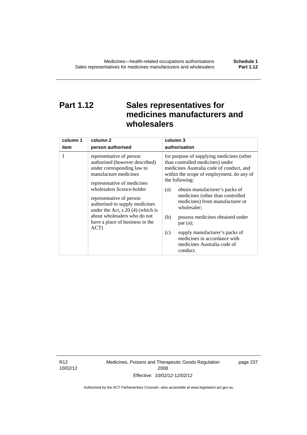# **Part 1.12 Sales representatives for medicines manufacturers and wholesalers**

| column 1 | column <sub>2</sub>                                                                                                                                                                                                                                                                                                                                            | column 3                                                                                                                                                                                                                                                                                                                                                                                                                                                                                          |
|----------|----------------------------------------------------------------------------------------------------------------------------------------------------------------------------------------------------------------------------------------------------------------------------------------------------------------------------------------------------------------|---------------------------------------------------------------------------------------------------------------------------------------------------------------------------------------------------------------------------------------------------------------------------------------------------------------------------------------------------------------------------------------------------------------------------------------------------------------------------------------------------|
| item     | person authorised                                                                                                                                                                                                                                                                                                                                              | authorisation                                                                                                                                                                                                                                                                                                                                                                                                                                                                                     |
| 1        | representative of person<br>authorised (however described)<br>under corresponding law to<br>manufacture medicines<br>representative of medicines<br>wholesalers licence-holder<br>representative of person<br>authorised to supply medicines<br>under the Act, $s$ 20 (4) (which is<br>about wholesalers who do not<br>have a place of business in the<br>ACT) | for purpose of supplying medicines (other<br>than controlled medicines) under<br>medicines Australia code of conduct, and<br>within the scope of employment, do any of<br>the following:<br>obtain manufacturer's packs of<br>(a)<br>medicines (other than controlled<br>medicines) from manufacturer or<br>wholesaler;<br>(b)<br>possess medicines obtained under<br>par(a);<br>supply manufacturer's packs of<br>(c)<br>medicines in accordance with<br>medicines Australia code of<br>conduct. |

R12 10/02/12 Medicines, Poisons and Therapeutic Goods Regulation 2008 Effective: 10/02/12-12/02/12

page 237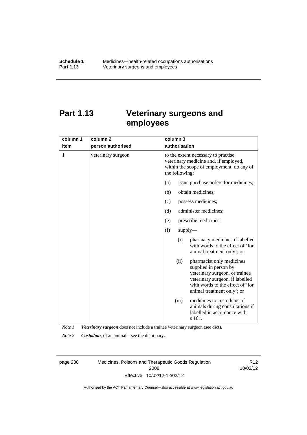## **Part 1.13 Veterinary surgeons and employees**

| column 1 | column <sub>2</sub> | column 3                                                                                                                                                                                          |
|----------|---------------------|---------------------------------------------------------------------------------------------------------------------------------------------------------------------------------------------------|
| item     | person authorised   | authorisation                                                                                                                                                                                     |
| 1        | veterinary surgeon  | to the extent necessary to practise<br>veterinary medicine and, if employed,<br>within the scope of employment, do any of<br>the following:                                                       |
|          |                     | issue purchase orders for medicines;<br>(a)                                                                                                                                                       |
|          |                     | obtain medicines;<br>(b)                                                                                                                                                                          |
|          |                     | possess medicines;<br>(c)                                                                                                                                                                         |
|          |                     | (d)<br>administer medicines;                                                                                                                                                                      |
|          |                     | prescribe medicines;<br>(e)                                                                                                                                                                       |
|          |                     | (f)<br>$supply$ —                                                                                                                                                                                 |
|          |                     | pharmacy medicines if labelled<br>(i)<br>with words to the effect of 'for<br>animal treatment only'; or                                                                                           |
|          |                     | (ii)<br>pharmacist only medicines<br>supplied in person by<br>veterinary surgeon, or trainee<br>veterinary surgeon, if labelled<br>with words to the effect of 'for<br>animal treatment only'; or |
|          |                     | medicines to custodians of<br>(iii)<br>animals during consultations if<br>labelled in accordance with<br>s 161.                                                                                   |

*Note 1 Veterinary surgeon* does not include a trainee veterinary surgeon (see dict).

*Note 2 Custodian*, of an animal—see the dictionary.

page 238 Medicines, Poisons and Therapeutic Goods Regulation 2008 Effective: 10/02/12-12/02/12

R12 10/02/12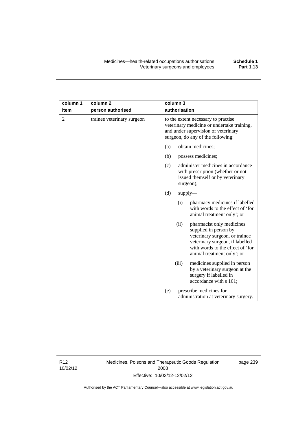| column 1       | column <sub>2</sub>        | column 3                                                                                                                                                                                          |
|----------------|----------------------------|---------------------------------------------------------------------------------------------------------------------------------------------------------------------------------------------------|
| item           | person authorised          | authorisation                                                                                                                                                                                     |
| $\overline{2}$ | trainee veterinary surgeon | to the extent necessary to practise<br>veterinary medicine or undertake training,<br>and under supervision of veterinary<br>surgeon, do any of the following:                                     |
|                |                            | obtain medicines;<br>(a)                                                                                                                                                                          |
|                |                            | (b)<br>possess medicines;                                                                                                                                                                         |
|                |                            | administer medicines in accordance<br>(c)<br>with prescription (whether or not<br>issued themself or by veterinary<br>surgeon);                                                                   |
|                |                            | (d)<br>$supply$ —                                                                                                                                                                                 |
|                |                            | pharmacy medicines if labelled<br>(i)<br>with words to the effect of 'for<br>animal treatment only'; or                                                                                           |
|                |                            | (ii)<br>pharmacist only medicines<br>supplied in person by<br>veterinary surgeon, or trainee<br>veterinary surgeon, if labelled<br>with words to the effect of 'for<br>animal treatment only'; or |
|                |                            | (iii)<br>medicines supplied in person<br>by a veterinary surgeon at the<br>surgery if labelled in<br>accordance with s 161;                                                                       |
|                |                            | prescribe medicines for<br>(e)<br>administration at veterinary surgery.                                                                                                                           |

R12 10/02/12 Medicines, Poisons and Therapeutic Goods Regulation 2008 Effective: 10/02/12-12/02/12

page 239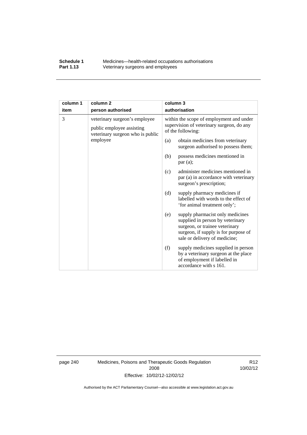### **Schedule 1** Medicines—health-related occupations authorisations<br>**Part 1.13** Veterinary surgeons and employees Veterinary surgeons and employees

| column 1 | column <sub>2</sub>                                                                            | column 3                                                                                                   |                                                                                                                                                                                 |  |
|----------|------------------------------------------------------------------------------------------------|------------------------------------------------------------------------------------------------------------|---------------------------------------------------------------------------------------------------------------------------------------------------------------------------------|--|
| item     | person authorised                                                                              |                                                                                                            | authorisation                                                                                                                                                                   |  |
| 3        | veterinary surgeon's employee<br>public employee assisting<br>veterinary surgeon who is public | within the scope of employment and under<br>supervision of veterinary surgeon, do any<br>of the following: |                                                                                                                                                                                 |  |
|          | employee                                                                                       | (a)                                                                                                        | obtain medicines from veterinary<br>surgeon authorised to possess them;                                                                                                         |  |
|          |                                                                                                | (b)                                                                                                        | possess medicines mentioned in<br>par(a);                                                                                                                                       |  |
|          |                                                                                                | (c)                                                                                                        | administer medicines mentioned in<br>par (a) in accordance with veterinary<br>surgeon's prescription;                                                                           |  |
|          |                                                                                                | (d)                                                                                                        | supply pharmacy medicines if<br>labelled with words to the effect of<br>'for animal treatment only';                                                                            |  |
|          |                                                                                                | (e)                                                                                                        | supply pharmacist only medicines<br>supplied in person by veterinary<br>surgeon, or trainee veterinary<br>surgeon, if supply is for purpose of<br>sale or delivery of medicine; |  |
|          |                                                                                                | (f)                                                                                                        | supply medicines supplied in person<br>by a veterinary surgeon at the place<br>of employment if labelled in<br>accordance with s 161.                                           |  |

page 240 Medicines, Poisons and Therapeutic Goods Regulation 2008 Effective: 10/02/12-12/02/12

R12 10/02/12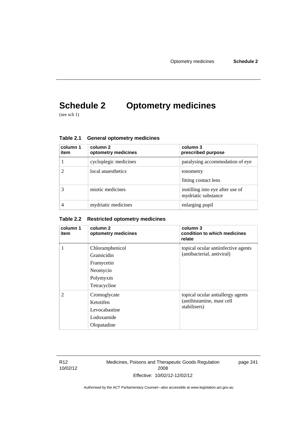# **Schedule 2 Optometry medicines**

(see sch 1)

| column 1<br>item | column 2<br>optometry medicines | column 3<br>prescribed purpose                          |
|------------------|---------------------------------|---------------------------------------------------------|
|                  | cycloplegic medicines           | paralysing accommodation of eye                         |
|                  | local anaesthetics              | tonometry<br>fitting contact lens                       |
|                  | miotic medicines                | instilling into eye after use of<br>mydriatic substance |
|                  | mydriatic medicines             | enlarging pupil                                         |

### **Table 2.2 Restricted optometry medicines**

| column 1<br>item | column 2<br>optometry medicines                                                      | column 3<br>condition to which medicines<br>relate                             |
|------------------|--------------------------------------------------------------------------------------|--------------------------------------------------------------------------------|
|                  | Chloramphenicol<br>Gramicidin<br>Framycetin<br>Neomycin<br>Polymyxin<br>Tetracycline | topical ocular antiinfective agents<br>(antibacterial, antiviral)              |
| $\overline{2}$   | Cromoglycate<br>Ketotifen<br>Levocabastine<br>Lodoxamide<br>Olopatadine              | topical ocular antiallergy agents<br>(antihistamine, mast cell<br>stabilisers) |

R12 10/02/12 Medicines, Poisons and Therapeutic Goods Regulation 2008 Effective: 10/02/12-12/02/12

page 241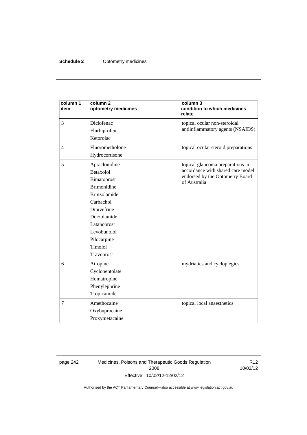### **Schedule 2** Optometry medicines

| column 1<br>item | column <sub>2</sub><br>optometry medicines                                                                                                                                                              | column 3<br>condition to which medicines<br>relate                                                                       |
|------------------|---------------------------------------------------------------------------------------------------------------------------------------------------------------------------------------------------------|--------------------------------------------------------------------------------------------------------------------------|
| 3                | Diclofenac<br>Flurbiprofen<br>Ketorolac                                                                                                                                                                 | topical ocular non-steroidal<br>antiinflammatory agents (NSAIDS)                                                         |
| $\overline{4}$   | Fluorometholone<br>Hydrocortisone                                                                                                                                                                       | topical ocular steroid preparations                                                                                      |
| 5                | Apraclonidine<br>Betaxolol<br>Bimatoprost<br><b>Brimonidine</b><br><b>Brinzolamide</b><br>Carbachol<br>Dipivefrine<br>Dorzolamide<br>Latanoprost<br>Levobunolol<br>Pilocarpine<br>Timolol<br>Travoprost | topical glaucoma preparations in<br>accordance with shared care model<br>endorsed by the Optometry Board<br>of Australia |
| 6                | Atropine<br>Cyclopentolate<br>Homatropine<br>Phenylephrine<br>Tropicamide                                                                                                                               | mydriatics and cycloplegics                                                                                              |
| $\overline{7}$   | Amethocaine<br>Oxybuprocaine<br>Proxymetacaine                                                                                                                                                          | topical local anaesthetics                                                                                               |

page 242 Medicines, Poisons and Therapeutic Goods Regulation 2008 Effective: 10/02/12-12/02/12

R12 10/02/12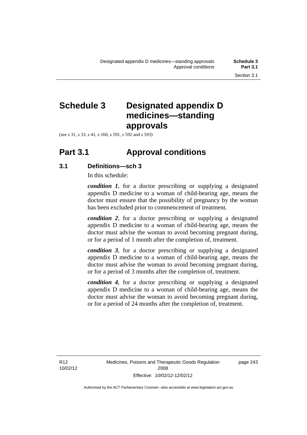# **Schedule 3 Designated appendix D medicines—standing approvals**

(see s 31, s 33, s 41, s 160, s 591, s 592 and s 593)

## **Part 3.1 Approval conditions**

## **3.1 Definitions—sch 3**

In this schedule:

*condition 1*, for a doctor prescribing or supplying a designated appendix D medicine to a woman of child-bearing age, means the doctor must ensure that the possibility of pregnancy by the woman has been excluded prior to commencement of treatment.

*condition 2*, for a doctor prescribing or supplying a designated appendix D medicine to a woman of child-bearing age, means the doctor must advise the woman to avoid becoming pregnant during, or for a period of 1 month after the completion of, treatment.

*condition 3*, for a doctor prescribing or supplying a designated appendix D medicine to a woman of child-bearing age, means the doctor must advise the woman to avoid becoming pregnant during, or for a period of 3 months after the completion of, treatment.

*condition 4*, for a doctor prescribing or supplying a designated appendix D medicine to a woman of child-bearing age, means the doctor must advise the woman to avoid becoming pregnant during, or for a period of 24 months after the completion of, treatment.

R12 10/02/12 page 243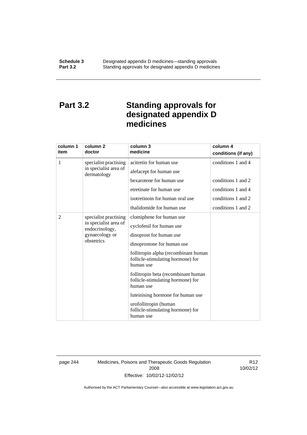### **Schedule 3 Designated appendix D medicines—standing approvals Part 3.2** Standing approvals for designated appendix D medicine Standing approvals for designated appendix D medicines

## **Part 3.2 Standing approvals for designated appendix D medicines**

| column 1                   | column 2                                | column 3                                                                               | column 4            |
|----------------------------|-----------------------------------------|----------------------------------------------------------------------------------------|---------------------|
| item                       | doctor                                  | medicine                                                                               | conditions (if any) |
| 1                          | specialist practising                   | acitretin for human use                                                                | conditions 1 and 4  |
|                            | in specialist area of<br>dermatology    | alefacept for human use                                                                |                     |
|                            |                                         | bexarotene for human use                                                               | conditions 1 and 2  |
|                            |                                         | etretinate for human use                                                               | conditions 1 and 4  |
|                            |                                         | isotretinoin for human oral use                                                        | conditions 1 and 2  |
|                            |                                         | thalidomide for human use                                                              | conditions 1 and 2  |
| 2<br>specialist practising |                                         | clomiphene for human use                                                               |                     |
|                            | in specialist area of<br>endocrinology, | cyclofenil for human use                                                               |                     |
| gynaecology or             | dinoprost for human use                 |                                                                                        |                     |
|                            | obstetrics                              | dinoprostone for human use                                                             |                     |
|                            |                                         | follitropin alpha (recombinant human<br>follicle-stimulating hormone) for<br>human use |                     |
|                            |                                         | follitropin beta (recombinant human<br>follicle-stimulating hormone) for<br>human use  |                     |
|                            |                                         | luteinising hormone for human use                                                      |                     |
|                            |                                         | urofollitropin (human<br>follicle-stimulating hormone) for<br>human use                |                     |

page 244 Medicines, Poisons and Therapeutic Goods Regulation 2008 Effective: 10/02/12-12/02/12

R12 10/02/12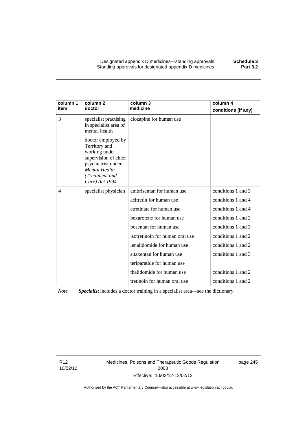Designated appendix D medicines—standing approvals **Schedule 3** Standing approvals for designated appendix D medicines

| column 1<br>item | column <sub>2</sub><br>doctor                                                                                                                                  | column 3<br>medicine            | column 4<br>conditions (if any) |
|------------------|----------------------------------------------------------------------------------------------------------------------------------------------------------------|---------------------------------|---------------------------------|
| 3                | specialist practising<br>in specialist area of<br>mental health                                                                                                | clozapine for human use         |                                 |
|                  | doctor employed by<br>Territory and<br>working under<br>supervision of chief<br>psychiatrist under<br><b>Mental Health</b><br>(Treatment and<br>Care) Act 1994 |                                 |                                 |
| 4                | specialist physician                                                                                                                                           | ambrisentan for human use       | conditions 1 and 3              |
|                  |                                                                                                                                                                | acitretin for human use         | conditions 1 and 4              |
|                  |                                                                                                                                                                | etretinate for human use        | conditions 1 and 4              |
|                  |                                                                                                                                                                | bexarotene for human use        | conditions 1 and 2              |
|                  |                                                                                                                                                                | bosentan for human use          | conditions 1 and 3              |
|                  |                                                                                                                                                                | isotretinoin for human oral use | conditions 1 and 2              |
|                  |                                                                                                                                                                | lenalidomide for human use      | conditions 1 and 2              |
|                  |                                                                                                                                                                | sitaxentan for human use        | conditions 1 and 3              |
|                  |                                                                                                                                                                | teriparatide for human use      |                                 |
|                  |                                                                                                                                                                | thalidomide for human use       | conditions 1 and 2              |
|                  |                                                                                                                                                                | tretinoin for human oral use    | conditions 1 and 2              |

*Note Specialist* includes a doctor training in a specialist area—see the dictionary.

R12 10/02/12 Medicines, Poisons and Therapeutic Goods Regulation 2008 Effective: 10/02/12-12/02/12

page 245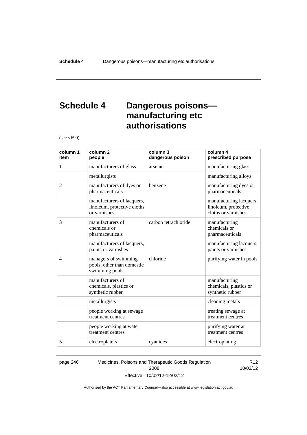## **Schedule 4 Dangerous poisons manufacturing etc authorisations**

(see s 690)

| column 1<br>item | column <sub>2</sub><br>people                                             | column 3<br>dangerous poison | column 4<br>prescribed purpose                                         |
|------------------|---------------------------------------------------------------------------|------------------------------|------------------------------------------------------------------------|
| $\mathbf{1}$     | manufacturers of glass                                                    | arsenic                      | manufacturing glass                                                    |
|                  | metallurgists                                                             |                              | manufacturing alloys                                                   |
| $\overline{2}$   | manufacturers of dyes or<br>pharmaceuticals                               | benzene                      | manufacturing dyes or<br>pharmaceuticals                               |
|                  | manufacturers of lacquers,<br>linoleum, protective cloths<br>or varnishes |                              | manufacturing lacquers,<br>linoleum, protective<br>cloths or varnishes |
| 3                | manufacturers of<br>chemicals or<br>pharmaceuticals                       | carbon tetrachloride         | manufacturing<br>chemicals or<br>pharmaceuticals                       |
|                  | manufacturers of lacquers,<br>paints or varnishes                         |                              | manufacturing lacquers,<br>paints or varnishes                         |
| $\overline{4}$   | managers of swimming<br>pools, other than domestic<br>swimming pools      | chlorine                     | purifying water in pools                                               |
|                  | manufacturers of<br>chemicals, plastics or<br>synthetic rubber            |                              | manufacturing<br>chemicals, plastics or<br>synthetic rubber            |
|                  | metallurgists                                                             |                              | cleaning metals                                                        |
|                  | people working at sewage<br>treatment centres                             |                              | treating sewage at<br>treatment centres                                |
|                  | people working at water<br>treatment centres                              |                              | purifying water at<br>treatment centres                                |
| 5                | electroplaters                                                            | cyanides                     | electroplating                                                         |

page 246 Medicines, Poisons and Therapeutic Goods Regulation 2008 Effective: 10/02/12-12/02/12

R12 10/02/12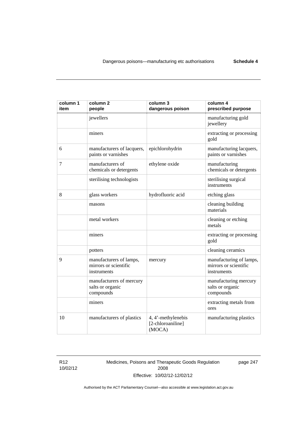| column 1<br>item | column <sub>2</sub><br>people                                   | column 3<br>dangerous poison                      | column 4<br>prescribed purpose                                  |
|------------------|-----------------------------------------------------------------|---------------------------------------------------|-----------------------------------------------------------------|
|                  | jewellers                                                       |                                                   | manufacturing gold<br>jewellery                                 |
|                  | miners                                                          |                                                   | extracting or processing<br>gold                                |
| 6                | manufacturers of lacquers,<br>paints or varnishes               | epichlorohydrin                                   | manufacturing lacquers,<br>paints or varnishes                  |
| 7                | manufacturers of<br>chemicals or detergents                     | ethylene oxide                                    | manufacturing<br>chemicals or detergents                        |
|                  | sterilising technologists                                       |                                                   | sterilising surgical<br>instruments                             |
| 8                | glass workers                                                   | hydrofluoric acid                                 | etching glass                                                   |
|                  | masons                                                          |                                                   | cleaning building<br>materials                                  |
|                  | metal workers                                                   |                                                   | cleaning or etching<br>metals                                   |
|                  | miners                                                          |                                                   | extracting or processing<br>gold                                |
|                  | potters                                                         |                                                   | cleaning ceramics                                               |
| 9                | manufacturers of lamps,<br>mirrors or scientific<br>instruments | mercury                                           | manufacturing of lamps,<br>mirrors or scientific<br>instruments |
|                  | manufacturers of mercury<br>salts or organic<br>compounds       |                                                   | manufacturing mercury<br>salts or organic<br>compounds          |
|                  | miners                                                          |                                                   | extracting metals from<br>ores                                  |
| 10               | manufacturers of plastics                                       | 4, 4'-methylenebis<br>[2-chloroaniline]<br>(MOCA) | manufacturing plastics                                          |

R12 10/02/12 Medicines, Poisons and Therapeutic Goods Regulation 2008 Effective: 10/02/12-12/02/12

page 247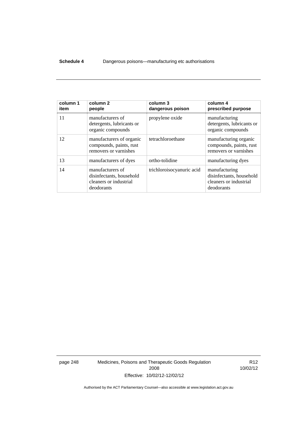### **Schedule 4** Dangerous poisons—manufacturing etc authorisations

| column 1<br>item | column <sub>2</sub><br>people                                                        | column 3<br>dangerous poison | column 4<br>prescribed purpose                                                    |
|------------------|--------------------------------------------------------------------------------------|------------------------------|-----------------------------------------------------------------------------------|
| 11               | manufacturers of<br>detergents, lubricants or<br>organic compounds                   | propylene oxide              | manufacturing<br>detergents, lubricants or<br>organic compounds                   |
| 12               | manufacturers of organic<br>compounds, paints, rust<br>removers or varnishes         | tetrachloroethane            | manufacturing organic<br>compounds, paints, rust<br>removers or varnishes         |
| 13               | manufacturers of dyes                                                                | ortho-tolidine               | manufacturing dyes                                                                |
| 14               | manufacturers of<br>disinfectants, household<br>cleaners or industrial<br>deodorants | trichloroisocyanuric acid    | manufacturing<br>disinfectants, household<br>cleaners or industrial<br>deodorants |

page 248 Medicines, Poisons and Therapeutic Goods Regulation 2008 Effective: 10/02/12-12/02/12

R12 10/02/12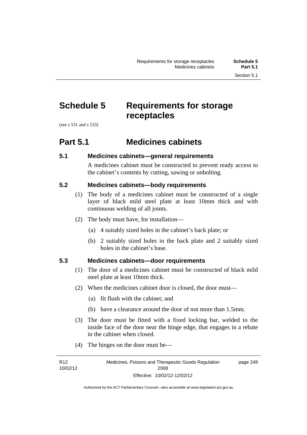## **Schedule 5 Requirements for storage receptacles**

(see s 531 and s 533)

## **Part 5.1 Medicines cabinets**

## **5.1 Medicines cabinets—general requirements**

A medicines cabinet must be constructed to prevent ready access to the cabinet's contents by cutting, sawing or unbolting.

## **5.2 Medicines cabinets—body requirements**

- (1) The body of a medicines cabinet must be constructed of a single layer of black mild steel plate at least 10mm thick and with continuous welding of all joints.
- (2) The body must have, for installation—
	- (a) 4 suitably sized holes in the cabinet's back plate; or
	- (b) 2 suitably sized holes in the back plate and 2 suitably sized holes in the cabinet's base.

## **5.3 Medicines cabinets—door requirements**

- (1) The door of a medicines cabinet must be constructed of black mild steel plate at least 10mm thick.
- (2) When the medicines cabinet door is closed, the door must—
	- (a) fit flush with the cabinet; and
	- (b) have a clearance around the door of not more than 1.5mm.
- (3) The door must be fitted with a fixed locking bar, welded to the inside face of the door near the hinge edge, that engages in a rebate in the cabinet when closed.
- (4) The hinges on the door must be—

R12 10/02/12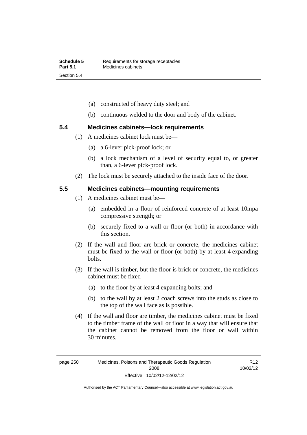- (a) constructed of heavy duty steel; and
- (b) continuous welded to the door and body of the cabinet.

## **5.4 Medicines cabinets—lock requirements**

- (1) A medicines cabinet lock must be—
	- (a) a 6-lever pick-proof lock; or
	- (b) a lock mechanism of a level of security equal to, or greater than, a 6-lever pick-proof lock.
- (2) The lock must be securely attached to the inside face of the door.

### **5.5 Medicines cabinets—mounting requirements**

- (1) A medicines cabinet must be—
	- (a) embedded in a floor of reinforced concrete of at least 10mpa compressive strength; or
	- (b) securely fixed to a wall or floor (or both) in accordance with this section.
- (2) If the wall and floor are brick or concrete, the medicines cabinet must be fixed to the wall or floor (or both) by at least 4 expanding bolts.
- (3) If the wall is timber, but the floor is brick or concrete, the medicines cabinet must be fixed—
	- (a) to the floor by at least 4 expanding bolts; and
	- (b) to the wall by at least 2 coach screws into the studs as close to the top of the wall face as is possible.
- (4) If the wall and floor are timber, the medicines cabinet must be fixed to the timber frame of the wall or floor in a way that will ensure that the cabinet cannot be removed from the floor or wall within 30 minutes.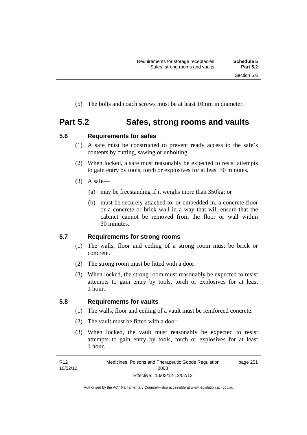(5) The bolts and coach screws must be at least 10mm in diameter.

## **Part 5.2 Safes, strong rooms and vaults**

## **5.6 Requirements for safes**

- (1) A safe must be constructed to prevent ready access to the safe's contents by cutting, sawing or unbolting.
- (2) When locked, a safe must reasonably be expected to resist attempts to gain entry by tools, torch or explosives for at least 30 minutes.
- $(3)$  A safe—
	- (a) may be freestanding if it weighs more than 350kg; or
	- (b) must be securely attached to, or embedded in, a concrete floor or a concrete or brick wall in a way that will ensure that the cabinet cannot be removed from the floor or wall within 30 minutes.

## **5.7 Requirements for strong rooms**

- (1) The walls, floor and ceiling of a strong room must be brick or concrete.
- (2) The strong room must be fitted with a door.
- (3) When locked, the strong room must reasonably be expected to resist attempts to gain entry by tools, torch or explosives for at least 1 hour.

## **5.8 Requirements for vaults**

- (1) The walls, floor and ceiling of a vault must be reinforced concrete.
- (2) The vault must be fitted with a door.
- (3) When locked, the vault must reasonably be expected to resist attempts to gain entry by tools, torch or explosives for at least 1 hour.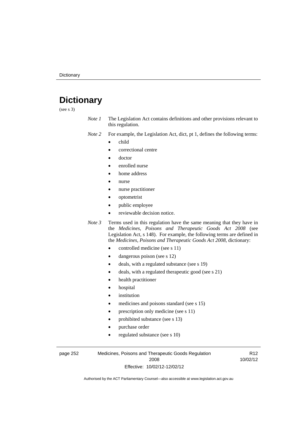# **Dictionary**

(see s 3)

- *Note 1* The Legislation Act contains definitions and other provisions relevant to this regulation.
- *Note 2* For example, the Legislation Act, dict, pt 1, defines the following terms:
	- child
	- correctional centre
	- doctor
	- enrolled nurse
	- home address
	- nurse
	- nurse practitioner
	- optometrist
	- public employee
	- reviewable decision notice.
- *Note 3* Terms used in this regulation have the same meaning that they have in the *Medicines, Poisons and Therapeutic Goods Act 2008* (see Legislation Act, s 148). For example, the following terms are defined in the *Medicines, Poisons and Therapeutic Goods Act 2008*, dictionary:
	- controlled medicine (see s 11)
	- dangerous poison (see s 12)
	- deals, with a regulated substance (see s 19)
	- deals, with a regulated therapeutic good (see s 21)
	- health practitioner
	- hospital
	- institution
	- medicines and poisons standard (see s 15)
	- prescription only medicine (see s 11)
	- prohibited substance (see s 13)
	- purchase order
	- regulated substance (see s 10)

page 252 Medicines, Poisons and Therapeutic Goods Regulation 2008 Effective: 10/02/12-12/02/12

R12 10/02/12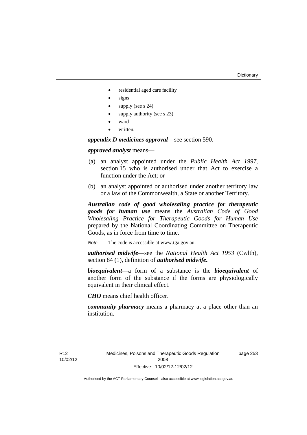#### **Dictionary**

- residential aged care facility
- signs
- supply (see s 24)
- supply authority (see s 23)
- ward
- written.

*appendix D medicines approval*—see section 590.

## *approved analyst* means—

- (a) an analyst appointed under the *Public Health Act 1997*, section 15 who is authorised under that Act to exercise a function under the Act; or
- (b) an analyst appointed or authorised under another territory law or a law of the Commonwealth, a State or another Territory.

*Australian code of good wholesaling practice for therapeutic goods for human use* means the *Australian Code of Good Wholesaling Practice for Therapeutic Goods for Human Use*  prepared by the National Coordinating Committee on Therapeutic Goods, as in force from time to time.

*Note* The code is accessible at www.tga.gov.au.

*authorised midwife*—see the *National Health Act 1953* (Cwlth), section 84 (1), definition of *authorised midwife***.**

*bioequivalent*—a form of a substance is the *bioequivalent* of another form of the substance if the forms are physiologically equivalent in their clinical effect.

*CHO* means chief health officer.

*community pharmacy* means a pharmacy at a place other than an institution.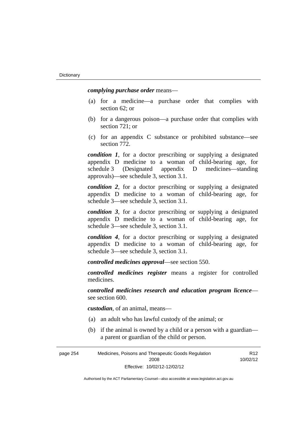*complying purchase order* means—

- (a) for a medicine—a purchase order that complies with section 62; or
- (b) for a dangerous poison—a purchase order that complies with section 721; or
- (c) for an appendix C substance or prohibited substance—see section 772.

*condition 1*, for a doctor prescribing or supplying a designated appendix D medicine to a woman of child-bearing age, for schedule 3 (Designated appendix D medicines—standing approvals)—see schedule 3, section 3.1.

*condition 2*, for a doctor prescribing or supplying a designated appendix D medicine to a woman of child-bearing age, for schedule 3—see schedule 3, section 3.1.

*condition 3*, for a doctor prescribing or supplying a designated appendix D medicine to a woman of child-bearing age, for schedule 3—see schedule 3, section 3.1.

*condition 4*, for a doctor prescribing or supplying a designated appendix D medicine to a woman of child-bearing age, for schedule 3—see schedule 3, section 3.1.

*controlled medicines approval*—see section 550.

*controlled medicines register* means a register for controlled medicines.

*controlled medicines research and education program licence* see section 600.

*custodian*, of an animal, means—

- (a) an adult who has lawful custody of the animal; or
- (b) if the animal is owned by a child or a person with a guardian a parent or guardian of the child or person.

| page 254 | Medicines, Poisons and Therapeutic Goods Regulation | R <sub>12</sub> |
|----------|-----------------------------------------------------|-----------------|
|          | 2008                                                | 10/02/12        |
|          | Effective: 10/02/12-12/02/12                        |                 |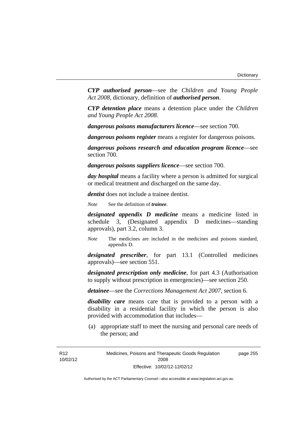*CYP authorised person*—see the *Children and Young People Act 2008*, dictionary, definition of *authorised person*.

*CYP detention place* means a detention place under the *Children and Young People Act 2008*.

*dangerous poisons manufacturers licence*—see section 700.

*dangerous poisons register* means a register for dangerous poisons.

*dangerous poisons research and education program licence*—see section 700.

*dangerous poisons suppliers licence*—see section 700.

*day hospital* means a facility where a person is admitted for surgical or medical treatment and discharged on the same day.

*dentist* does not include a trainee dentist.

*Note* See the definition of *trainee*.

*designated appendix D medicine* means a medicine listed in schedule 3, (Designated appendix D medicines—standing approvals), part 3.2, column 3.

*Note* The medicines are included in the medicines and poisons standard, appendix D.

*designated prescriber*, for part 13.1 (Controlled medicines approvals)—see section 551.

*designated prescription only medicine*, for part 4.3 (Authorisation to supply without prescription in emergencies)—see section 250.

*detainee*—see the *Corrections Management Act 2007*, section 6.

*disability care* means care that is provided to a person with a disability in a residential facility in which the person is also provided with accommodation that includes—

 (a) appropriate staff to meet the nursing and personal care needs of the person; and

Medicines, Poisons and Therapeutic Goods Regulation 2008 Effective: 10/02/12-12/02/12 page 255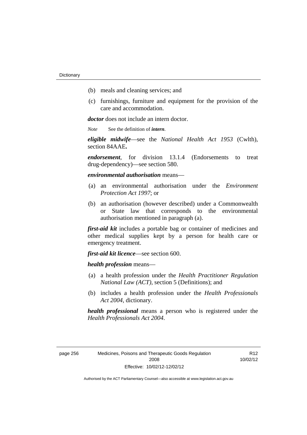- (b) meals and cleaning services; and
- (c) furnishings, furniture and equipment for the provision of the care and accommodation.

*doctor* does not include an intern doctor.

*Note* See the definition of *intern*.

*eligible midwife*—see the *National Health Act 1953* (Cwlth), section 84AAE**.**

*endorsement*, for division 13.1.4 (Endorsements to treat drug-dependency)—see section 580.

*environmental authorisation* means—

- (a) an environmental authorisation under the *Environment Protection Act 1997*; or
- (b) an authorisation (however described) under a Commonwealth or State law that corresponds to the environmental authorisation mentioned in paragraph (a).

*first-aid kit* includes a portable bag or container of medicines and other medical supplies kept by a person for health care or emergency treatment.

*first-aid kit licence*—see section 600.

*health profession* means—

- (a) a health profession under the *Health Practitioner Regulation National Law (ACT)*, section 5 (Definitions); and
- (b) includes a health profession under the *Health Professionals Act 2004*, dictionary.

*health professional* means a person who is registered under the *Health Professionals Act 2004*.

| page 256 |  |
|----------|--|
|----------|--|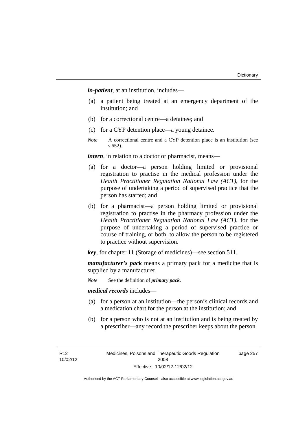*in-patient*, at an institution, includes—

- (a) a patient being treated at an emergency department of the institution; and
- (b) for a correctional centre—a detainee; and
- (c) for a CYP detention place—a young detainee.
- *Note* A correctional centre and a CYP detention place is an institution (see s 652).

*intern*, in relation to a doctor or pharmacist, means—

- (a) for a doctor—a person holding limited or provisional registration to practise in the medical profession under the *Health Practitioner Regulation National Law (ACT)*, for the purpose of undertaking a period of supervised practice that the person has started; and
- (b) for a pharmacist—a person holding limited or provisional registration to practise in the pharmacy profession under the *Health Practitioner Regulation National Law (ACT)*, for the purpose of undertaking a period of supervised practice or course of training, or both, to allow the person to be registered to practice without supervision.

*key*, for chapter 11 (Storage of medicines)—see section 511.

*manufacturer's pack* means a primary pack for a medicine that is supplied by a manufacturer.

*Note* See the definition of *primary pack*.

*medical records* includes—

- (a) for a person at an institution—the person's clinical records and a medication chart for the person at the institution; and
- (b) for a person who is not at an institution and is being treated by a prescriber—any record the prescriber keeps about the person.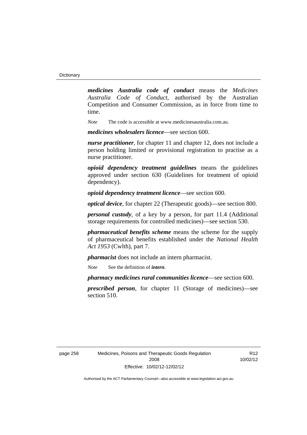*medicines Australia code of conduct* means the *Medicines Australia Code of Conduct*, authorised by the Australian Competition and Consumer Commission, as in force from time to time.

*Note* The code is accessible at www.medicinesaustralia.com.au.

*medicines wholesalers licence*—see section 600.

*nurse practitioner*, for chapter 11 and chapter 12, does not include a person holding limited or provisional registration to practise as a nurse practitioner.

*opioid dependency treatment guidelines* means the guidelines approved under section 630 (Guidelines for treatment of opioid dependency).

*opioid dependency treatment licence*—see section 600.

*optical device*, for chapter 22 (Therapeutic goods)—see section 800.

*personal custody*, of a key by a person, for part 11.4 (Additional storage requirements for controlled medicines)—see section 530.

*pharmaceutical benefits scheme* means the scheme for the supply of pharmaceutical benefits established under the *National Health Act 1953* (Cwlth), part 7.

*pharmacist* does not include an intern pharmacist.

*Note* See the definition of *intern*.

*pharmacy medicines rural communities licence*—see section 600.

*prescribed person*, for chapter 11 (Storage of medicines)—see section 510.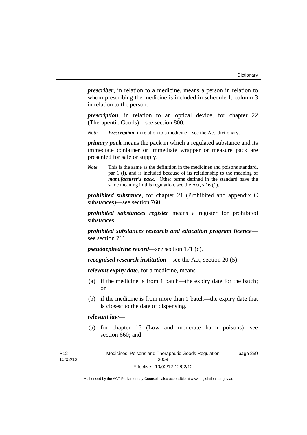*prescriber*, in relation to a medicine, means a person in relation to whom prescribing the medicine is included in schedule 1, column 3 in relation to the person.

*prescription*, in relation to an optical device, for chapter 22 (Therapeutic Goods)—see section 800.

*Note Prescription*, in relation to a medicine—see the Act, dictionary.

*primary pack* means the pack in which a regulated substance and its immediate container or immediate wrapper or measure pack are presented for sale or supply.

*Note* This is the same as the definition in the medicines and poisons standard, par 1 (l), and is included because of its relationship to the meaning of *manufacturer's pack*. Other terms defined in the standard have the same meaning in this regulation, see the Act, s 16 (1).

*prohibited substance*, for chapter 21 (Prohibited and appendix C substances)—see section 760.

*prohibited substances register* means a register for prohibited substances.

*prohibited substances research and education program licence* see section 761.

*pseudoephedrine record*—see section 171 (c).

*recognised research institution*—see the Act, section 20 (5).

*relevant expiry date*, for a medicine, means—

- (a) if the medicine is from 1 batch—the expiry date for the batch; or
- (b) if the medicine is from more than 1 batch—the expiry date that is closest to the date of dispensing.

## *relevant law*—

 (a) for chapter 16 (Low and moderate harm poisons)—see section 660; and

Medicines, Poisons and Therapeutic Goods Regulation 2008 Effective: 10/02/12-12/02/12 page 259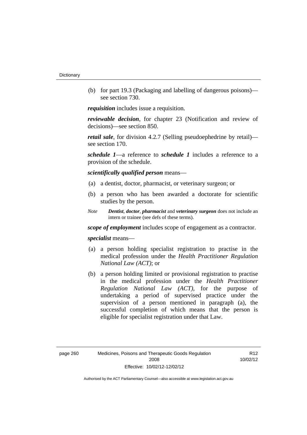(b) for part 19.3 (Packaging and labelling of dangerous poisons) see section 730.

*requisition* includes issue a requisition.

*reviewable decision*, for chapter 23 (Notification and review of decisions)—see section 850.

*retail sale*, for division 4.2.7 (Selling pseudoephedrine by retail) see section 170.

*schedule 1*—a reference to *schedule 1* includes a reference to a provision of the schedule.

*scientifically qualified person* means—

- (a) a dentist, doctor, pharmacist, or veterinary surgeon; or
- (b) a person who has been awarded a doctorate for scientific studies by the person.
- *Note Dentist*, *doctor*, *pharmacist* and *veterinary surgeon* does not include an intern or trainee (see defs of these terms).

*scope of employment* includes scope of engagement as a contractor.

*specialist* means—

- (a) a person holding specialist registration to practise in the medical profession under the *Health Practitioner Regulation National Law (ACT)*; or
- (b) a person holding limited or provisional registration to practise in the medical profession under the *Health Practitioner Regulation National Law (ACT)*, for the purpose of undertaking a period of supervised practice under the supervision of a person mentioned in paragraph (a), the successful completion of which means that the person is eligible for specialist registration under that Law.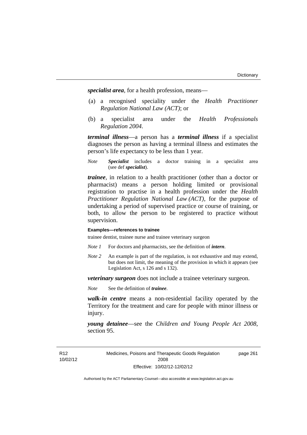*specialist area*, for a health profession, means—

- (a) a recognised speciality under the *Health Practitioner Regulation National Law (ACT)*; or
- (b) a specialist area under the *Health Professionals Regulation 2004*.

*terminal illness*—a person has a *terminal illness* if a specialist diagnoses the person as having a terminal illness and estimates the person's life expectancy to be less than 1 year.

*Note Specialist* includes a doctor training in a specialist area (see def *specialist*).

*trainee*, in relation to a health practitioner (other than a doctor or pharmacist) means a person holding limited or provisional registration to practise in a health profession under the *Health Practitioner Regulation National Law (ACT)*, for the purpose of undertaking a period of supervised practice or course of training, or both, to allow the person to be registered to practice without supervision.

#### **Examples—references to trainee**

trainee dentist, trainee nurse and trainee veterinary surgeon

- *Note 1* For doctors and pharmacists, see the definition of *intern*.
- *Note 2* An example is part of the regulation, is not exhaustive and may extend, but does not limit, the meaning of the provision in which it appears (see Legislation Act, s 126 and s 132).

*veterinary surgeon* does not include a trainee veterinary surgeon.

*Note* See the definition of *trainee*.

*walk-in centre* means a non-residential facility operated by the Territory for the treatment and care for people with minor illness or injury.

*young detainee*—see the *Children and Young People Act 2008*, section 95.

Medicines, Poisons and Therapeutic Goods Regulation 2008 Effective: 10/02/12-12/02/12 page 261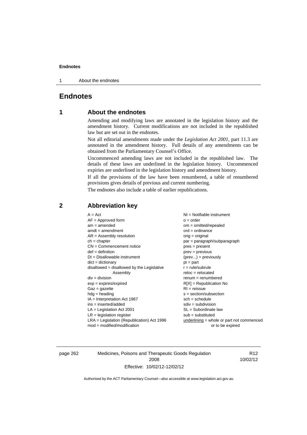#### **Endnotes**

1 About the endnotes

## **Endnotes**

## **1 About the endnotes**

Amending and modifying laws are annotated in the legislation history and the amendment history. Current modifications are not included in the republished law but are set out in the endnotes.

Not all editorial amendments made under the *Legislation Act 2001*, part 11.3 are annotated in the amendment history. Full details of any amendments can be obtained from the Parliamentary Counsel's Office.

Uncommenced amending laws are not included in the republished law. The details of these laws are underlined in the legislation history. Uncommenced expiries are underlined in the legislation history and amendment history.

If all the provisions of the law have been renumbered, a table of renumbered provisions gives details of previous and current numbering.

The endnotes also include a table of earlier republications.

| $A = Act$<br>$AF =$ Approved form<br>$am = amended$<br>$amdt = amendment$<br>$AR = Assembly resolution$<br>$ch = chapter$<br>$CN =$ Commencement notice<br>$def = definition$<br>$DI = Disallowable instrument$<br>$dict = dictionary$<br>$disallowed = disallowed by the Legislative$<br>Assembly<br>$div = division$<br>$exp = expires/expired$<br>$Gaz = gazette$<br>$hdg = heading$<br>$IA = Interpretation Act 1967$<br>$ins = inserted/added$<br>$LA =$ Legislation Act 2001<br>$LR =$ legislation register | $NI =$ Notifiable instrument<br>$o = order$<br>$om = omitted/report$<br>$ord = ordinance$<br>$orig = original$<br>$par = paragraph/subparagraph$<br>$pres = present$<br>$prev = previous$<br>$(\text{prev}) = \text{previously}$<br>$pt = part$<br>$r = rule/subrule$<br>$reloc = relocated$<br>$renum = renumbered$<br>$R[X]$ = Republication No<br>$RI = reissue$<br>$s = section/subsection$<br>$sch = schedule$<br>$sdiv = subdivision$<br>$SL = Subordinate$ law<br>$sub =$ substituted |
|-------------------------------------------------------------------------------------------------------------------------------------------------------------------------------------------------------------------------------------------------------------------------------------------------------------------------------------------------------------------------------------------------------------------------------------------------------------------------------------------------------------------|----------------------------------------------------------------------------------------------------------------------------------------------------------------------------------------------------------------------------------------------------------------------------------------------------------------------------------------------------------------------------------------------------------------------------------------------------------------------------------------------|
| $LRA =$ Legislation (Republication) Act 1996<br>$mod = modified/modification$                                                                                                                                                                                                                                                                                                                                                                                                                                     | underlining = whole or part not commenced<br>or to be expired                                                                                                                                                                                                                                                                                                                                                                                                                                |
|                                                                                                                                                                                                                                                                                                                                                                                                                                                                                                                   |                                                                                                                                                                                                                                                                                                                                                                                                                                                                                              |

### **2 Abbreviation key**

page 262 Medicines, Poisons and Therapeutic Goods Regulation 2008 Effective: 10/02/12-12/02/12

R12 10/02/12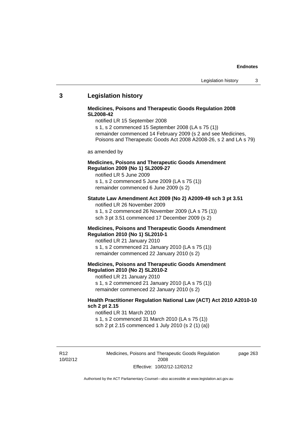#### **Endnotes**

### **3 Legislation history**

### **Medicines, Poisons and Therapeutic Goods Regulation 2008 SL2008-42**

notified LR 15 September 2008 s 1, s 2 commenced 15 September 2008 (LA s 75 (1)) remainder commenced 14 February 2009 (s 2 and see Medicines, Poisons and Therapeutic Goods Act 2008 A2008-26, s 2 and LA s 79)

as amended by

### **Medicines, Poisons and Therapeutic Goods Amendment Regulation 2009 (No 1) SL2009-27**

notified LR 5 June 2009 s 1, s 2 commenced 5 June 2009 (LA s 75 (1))

remainder commenced 6 June 2009 (s 2)

### **Statute Law Amendment Act 2009 (No 2) A2009-49 sch 3 pt 3.51**  notified LR 26 November 2009

s 1, s 2 commenced 26 November 2009 (LA s 75 (1)) sch 3 pt 3.51 commenced 17 December 2009 (s 2)

#### **Medicines, Poisons and Therapeutic Goods Amendment Regulation 2010 (No 1) SL2010-1**

notified LR 21 January 2010 s 1, s 2 commenced 21 January 2010 (LA s 75 (1)) remainder commenced 22 January 2010 (s 2)

### **Medicines, Poisons and Therapeutic Goods Amendment Regulation 2010 (No 2) SL2010-2**

notified LR 21 January 2010 s 1, s 2 commenced 21 January 2010 (LA s 75 (1)) remainder commenced 22 January 2010 (s 2)

### **Health Practitioner Regulation National Law (ACT) Act 2010 A2010-10 sch 2 pt 2.15**

notified LR 31 March 2010 s 1, s 2 commenced 31 March 2010 (LA s 75 (1)) sch 2 pt 2.15 commenced 1 July 2010 (s 2 (1) (a))

R12 10/02/12 Medicines, Poisons and Therapeutic Goods Regulation 2008 Effective: 10/02/12-12/02/12

page 263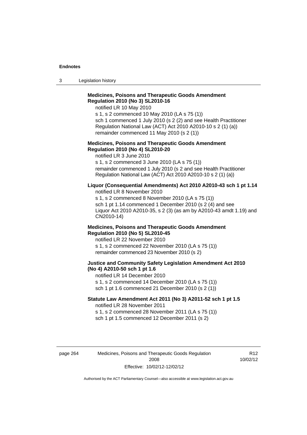#### **Endnotes**

3 Legislation history

## **Medicines, Poisons and Therapeutic Goods Amendment Regulation 2010 (No 3) SL2010-16**

notified LR 10 May 2010

s 1, s 2 commenced 10 May 2010 (LA s 75 (1)) sch 1 commenced 1 July 2010 (s 2 (2) and see Health Practitioner Regulation National Law (ACT) Act 2010 A2010-10 s 2 (1) (a)) remainder commenced 11 May 2010 (s 2 (1))

### **Medicines, Poisons and Therapeutic Goods Amendment Regulation 2010 (No 4) SL2010-20**

notified LR 3 June 2010 s 1, s 2 commenced 3 June 2010 (LA s 75 (1)) remainder commenced 1 July 2010 (s 2 and see Health Practitioner Regulation National Law (ACT) Act 2010 A2010-10 s 2 (1) (a))

### **Liquor (Consequential Amendments) Act 2010 A2010-43 sch 1 pt 1.14**

notified LR 8 November 2010

s 1, s 2 commenced 8 November 2010 (LA s 75 (1)) sch 1 pt 1.14 commenced 1 December 2010 (s 2 (4) and see Liquor Act 2010 A2010-35, s 2 (3) (as am by A2010-43 amdt 1.19) and CN2010-14)

### **Medicines, Poisons and Therapeutic Goods Amendment Regulation 2010 (No 5) SL2010-45**

notified LR 22 November 2010 s 1, s 2 commenced 22 November 2010 (LA s 75 (1)) remainder commenced 23 November 2010 (s 2)

#### **Justice and Community Safety Legislation Amendment Act 2010 (No 4) A2010-50 sch 1 pt 1.6**

notified LR 14 December 2010 s 1, s 2 commenced 14 December 2010 (LA s 75 (1)) sch 1 pt 1.6 commenced 21 December 2010 (s 2 (1))

### **Statute Law Amendment Act 2011 (No 3) A2011-52 sch 1 pt 1.5**  notified LR 28 November 2011

s 1, s 2 commenced 28 November 2011 (LA s 75 (1)) sch 1 pt 1.5 commenced 12 December 2011 (s 2)

page 264 Medicines, Poisons and Therapeutic Goods Regulation 2008 Effective: 10/02/12-12/02/12

R12 10/02/12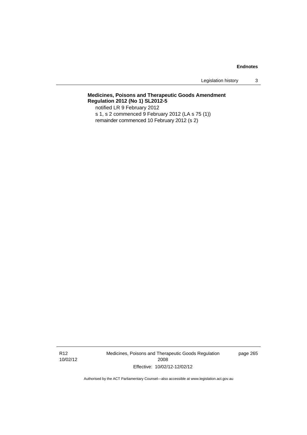Legislation history 3

# **Medicines, Poisons and Therapeutic Goods Amendment Regulation 2012 (No 1) SL2012-5**

notified LR 9 February 2012 s 1, s 2 commenced 9 February 2012 (LA s 75 (1)) remainder commenced 10 February 2012 (s 2)

R12 10/02/12 Medicines, Poisons and Therapeutic Goods Regulation 2008 Effective: 10/02/12-12/02/12

page 265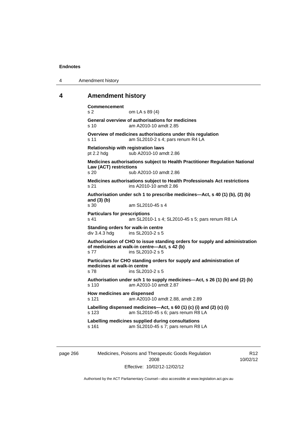4 Amendment history

## **4 Amendment history**

**Commencement**  s 2 om LA s 89 (4) **General overview of authorisations for medicines**  s 10 am A2010-10 amdt 2.85 **Overview of medicines authorisations under this regulation**  s 11 am SL2010-2 s 4; pars renum R4 LA **Relationship with registration laws**  pt 2.2 hdg sub A2010-10 amdt 2.86 **Medicines authorisations subject to Health Practitioner Regulation National Law (ACT) restrictions**  s 20 sub A2010-10 amdt 2.86 **Medicines authorisations subject to Health Professionals Act restrictions**  s 21 ins A2010-10 amdt 2.86 **Authorisation under sch 1 to prescribe medicines—Act, s 40 (1) (b), (2) (b) and (3) (b)**  am SL2010-45 s 4 **Particulars for prescriptions**  s 41 am SL2010-1 s 4; SL2010-45 s 5; pars renum R8 LA **Standing orders for walk-in centre**  div 3.4.3 hdg ins SL2010-2 s 5 **Authorisation of CHO to issue standing orders for supply and administration of medicines at walk-in centre—Act, s 42 (b)**  s 77 ins SL2010-2 s 5 **Particulars for CHO standing orders for supply and administration of medicines at walk-in centre**  s 78 ins SL2010-2 s 5 **Authorisation under sch 1 to supply medicines—Act, s 26 (1) (b) and (2) (b)**  s 110 am A2010-10 amdt 2.87 **How medicines are dispensed**  s 121 am A2010-10 amdt 2.88, amdt 2.89 **Labelling dispensed medicines—Act, s 60 (1) (c) (i) and (2) (c) (i)**  s 123 am SL2010-45 s 6; pars renum R8 LA **Labelling medicines supplied during consultations**  s 161 am SL2010-45 s 7; pars renum R8 LA

page 266 Medicines, Poisons and Therapeutic Goods Regulation 2008 Effective: 10/02/12-12/02/12

R12 10/02/12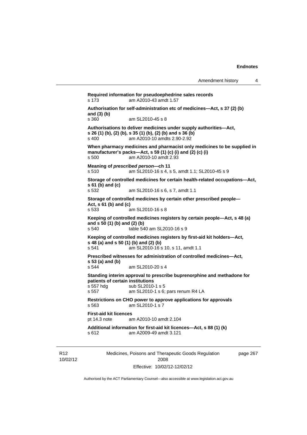**Required information for pseudoephedrine sales records**  s 173 am A2010-43 amdt 1.57 **Authorisation for self-administration etc of medicines—Act, s 37 (2) (b) and (3) (b)**  am SL2010-45 s 8 **Authorisations to deliver medicines under supply authorities—Act, s 26 (1) (b), (2) (b), s 35 (1) (b), (2) (b) and s 36 (b)**  s 400 am A2010-10 amdts 2.90-2.92 **When pharmacy medicines and pharmacist only medicines to be supplied in manufacturer's packs—Act, s 59 (1) (c) (i) and (2) (c) (i)**  s 500 am A2010-10 amdt 2.93 **Meaning of** *prescribed person***—ch 11**  s 510 am SL2010-16 s 4, s 5, amdt 1.1; SL2010-45 s 9 **Storage of controlled medicines for certain health-related occupations—Act, s 61 (b) and (c)**<br>**s** 532 am SL2010-16 s 6, s 7, amdt 1.1 **Storage of controlled medicines by certain other prescribed people— Act, s 61 (b) and (c)**  s 533 am SL2010-16 s 8 **Keeping of controlled medicines registers by certain people—Act, s 48 (a) and s 50 (1) (b) and (2) (b)**  s 540 table 540 am SL2010-16 s 9 **Keeping of controlled medicines registers by first-aid kit holders—Act, s 48 (a) and s 50 (1) (b) and (2) (b)**  s 541 am SL2010-16 s 10, s 11, amdt 1.1 **Prescribed witnesses for administration of controlled medicines—Act, s 53 (a) and (b)**  s 544 am SL2010-20 s 4 **Standing interim approval to prescribe buprenorphine and methadone for patients of certain institutions**  s 557 hdg sub SL2010-1 s 5<br>s 557 am SL2010-1 s 6: am SL2010-1 s 6; pars renum R4 LA **Restrictions on CHO power to approve applications for approvals**  s 563 am SL2010-1 s 7 **First-aid kit licences**<br>pt 14.3 note are am A2010-10 amdt 2.104 **Additional information for first-aid kit licences—Act, s 88 (1) (k)**  s 612 am A2009-49 amdt 3.121

R12 10/02/12 Medicines, Poisons and Therapeutic Goods Regulation 2008 Effective: 10/02/12-12/02/12

page 267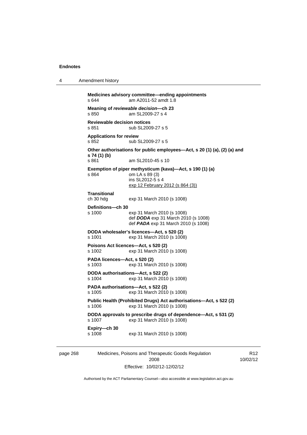4 Amendment history

**Medicines advisory committee—ending appointments**  s 644 am A2011-52 amdt 1.8 **Meaning of** *reviewable decision—***ch 23**  am SL2009-27 s 4 **Reviewable decision notices**  s 851 sub SL2009-27 s 5 **Applications for review**  s 852 sub SL2009-27 s 5 **Other authorisations for public employees—Act, s 20 (1) (a), (2) (a) and s 74 (1) (b)**  am SL2010-45 s 10 **Exemption of piper methysticum (kava)—Act, s 190 (1) (a)**  s 864 om LA s 89 (3) ins SL2012-5 s 4 exp 12 February 2012 (s 864 (3)) **Transitional**  ch 30 hdg exp 31 March 2010 (s 1008) **Definitions—ch 30**  s 1000 exp 31 March 2010 (s 1008) def *DODA* exp 31 March 2010 (s 1008) def *PADA* exp 31 March 2010 (s 1008) **DODA wholesaler's licences—Act, s 520 (2)**  s 1001 exp 31 March 2010 (s 1008) **Poisons Act licences—Act, s 520 (2)**<br>s 1002 exp 31 March 2010 exp 31 March 2010 (s 1008) **PADA licences—Act, s 520 (2)**  s 1003 exp 31 March 2010 (s 1008) **DODA authorisations—Act, s 522 (2)**  s 1004 exp 31 March 2010 (s 1008) **PADA authorisations—Act, s 522 (2)**  s 1005 exp 31 March 2010 (s 1008) **Public Health (Prohibited Drugs) Act authorisations—Act, s 522 (2)**  s 1006 exp 31 March 2010 (s 1008) **DODA approvals to prescribe drugs of dependence—Act, s 531 (2)**  s 1007 exp 31 March 2010 (s 1008) **Expiry—ch 30**  exp 31 March 2010 (s 1008)

page 268 Medicines, Poisons and Therapeutic Goods Regulation 2008 Effective: 10/02/12-12/02/12

R12 10/02/12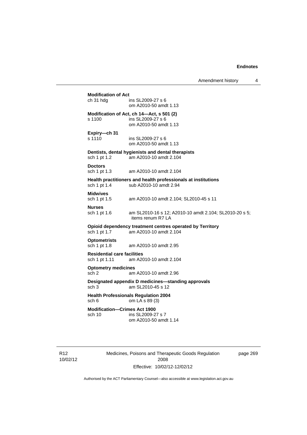# **Modification of Act**<br>ch 31 hdg ins SL2009-27 s 6 om A2010-50 amdt 1.13 **Modification of Act, ch 14—Act, s 501 (2)**  s 1100 ins SL2009-27 s 6 om A2010-50 amdt 1.13 **Expiry—ch 31**  s 1110 ins SL2009-27 s 6 om A2010-50 amdt 1.13 **Dentists, dental hygienists and dental therapists**  sch 1 pt 1.2 am A2010-10 amdt 2.104 **Doctors**  sch 1 pt 1.3 am A2010-10 amdt 2.104 **Health practitioners and health professionals at institutions**  sch 1 pt 1.4 sub A2010-10 amdt 2.94 **Midwives**  sch 1 pt 1.5 am A2010-10 amdt 2.104; SL2010-45 s 11 **Nurses**  sch 1 pt 1.6 am SL2010-16 s 12; A2010-10 amdt 2.104; SL2010-20 s 5; items renum R7 LA **Opioid dependency treatment centres operated by Territory**  sch 1 pt 1.7 am A2010-10 amdt 2.104 **Optometrists**  am A2010-10 amdt 2.95 **Residential care facilities**  sch 1 pt 1.11 am A2010-10 amdt 2.104 **Optometry medicines**  sch 2 am A2010-10 amdt 2.96 **Designated appendix D medicines—standing approvals**  sch 3 am SL2010-45 s 12 **Health Professionals Regulation 2004**  sch 6 om LA s 89 (3) **Modification—Crimes Act 1900**  sch 10 ins SL2009-27 s 7 om A2010-50 amdt 1.14

R12 10/02/12 Medicines, Poisons and Therapeutic Goods Regulation 2008 Effective: 10/02/12-12/02/12

page 269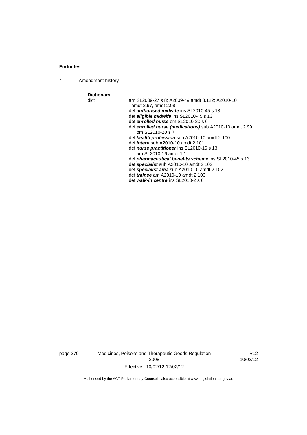4 Amendment history

**Dictionary**  am SL2009-27 s 8; A2009-49 amdt 3.122; A2010-10 amdt 2.97, amdt 2.98 def *authorised midwife* ins SL2010-45 s 13 def *eligible midwife* ins SL2010-45 s 13 def *enrolled nurse* om SL2010-20 s 6 def *enrolled nurse (medications)* sub A2010-10 amdt 2.99 om SL2010-20 s 7 def *health profession* sub A2010-10 amdt 2.100 def *intern* sub A2010-10 amdt 2.101 def *nurse practitioner* ins SL2010-16 s 13 am SL2010-16 amdt 1.1 def *pharmaceutical benefits scheme* ins SL2010-45 s 13 def *specialist* sub A2010-10 amdt 2.102 def *specialist area* sub A2010-10 amdt 2.102 def *trainee* am A2010-10 amdt 2.103 def *walk-in centre* ins SL2010-2 s 6

page 270 Medicines, Poisons and Therapeutic Goods Regulation 2008 Effective: 10/02/12-12/02/12

R12 10/02/12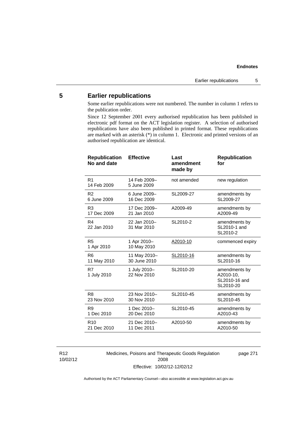## **5 Earlier republications**

Some earlier republications were not numbered. The number in column 1 refers to the publication order.

Since 12 September 2001 every authorised republication has been published in electronic pdf format on the ACT legislation register. A selection of authorised republications have also been published in printed format. These republications are marked with an asterisk (\*) in column 1. Electronic and printed versions of an authorised republication are identical.

| <b>Republication</b><br>No and date | <b>Effective</b>            | Last<br>amendment<br>made by | <b>Republication</b><br>for                              |
|-------------------------------------|-----------------------------|------------------------------|----------------------------------------------------------|
| R <sub>1</sub><br>14 Feb 2009       | 14 Feb 2009-<br>5 June 2009 | not amended                  | new regulation                                           |
| R <sub>2</sub>                      | 6 June 2009-                | SL2009-27                    | amendments by                                            |
| 6 June 2009                         | 16 Dec 2009                 |                              | SL2009-27                                                |
| R <sub>3</sub>                      | 17 Dec 2009-                | A2009-49                     | amendments by                                            |
| 17 Dec 2009                         | 21 Jan 2010                 |                              | A2009-49                                                 |
| R4<br>22 Jan 2010                   | 22 Jan 2010-<br>31 Mar 2010 | SL2010-2                     | amendments by<br>SL2010-1 and<br>SL2010-2                |
| R <sub>5</sub><br>1 Apr 2010        | 1 Apr 2010-<br>10 May 2010  | A2010-10                     | commenced expiry                                         |
| R <sub>6</sub>                      | 11 May 2010-                | SL2010-16                    | amendments by                                            |
| 11 May 2010                         | 30 June 2010                |                              | SL2010-16                                                |
| R7<br>1 July 2010                   | 1 July 2010-<br>22 Nov 2010 | SL2010-20                    | amendments by<br>A2010-10,<br>SL2010-16 and<br>SL2010-20 |
| R <sub>8</sub>                      | 23 Nov 2010-                | SL2010-45                    | amendments by                                            |
| 23 Nov 2010                         | 30 Nov 2010                 |                              | SL2010-45                                                |
| R <sub>9</sub>                      | 1 Dec 2010-                 | SL2010-45                    | amendments by                                            |
| 1 Dec 2010                          | 20 Dec 2010                 |                              | A2010-43                                                 |
| R <sub>10</sub>                     | 21 Dec 2010-                | A2010-50                     | amendments by                                            |
| 21 Dec 2010                         | 11 Dec 2011                 |                              | A2010-50                                                 |

R12 10/02/12 Medicines, Poisons and Therapeutic Goods Regulation 2008 Effective: 10/02/12-12/02/12

page 271